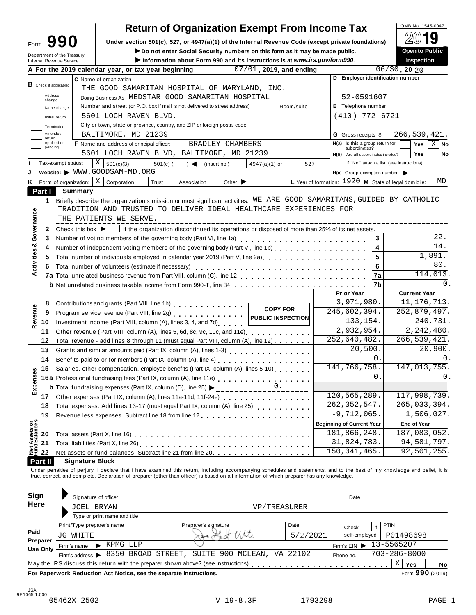# **Return of Organization Exempt From Income Tax**  $\sqrt{\frac{6M\text{B No. }1545-0047}{\text{O}}}\sqrt{10}$

Form  $\mathbf{990}$  Under section 501(c), 527, or 4947(a)(1) of the Internal Revenue Code (except private foundations)  $\Box$   $\Box$   $\Box$ 

Form **JJU** Under section 501(c), 527, or 4947(a)(1) or the internal Revenue Code (except private foundations)<br>
Department of the Treasury **Department of the Treasury Department of the Treasury** 

|                                              | Department of the Treasury<br>Internal Revenue Service | Information about Form 990 and its instructions is at www.irs.gov/form990.                                                                                                                                                          |                                 | ► Do not enter Social Security numbers on this form as it may be made public. |          |                                                      | <b>Open to Public</b><br>Inspection        |  |  |  |  |  |
|----------------------------------------------|--------------------------------------------------------|-------------------------------------------------------------------------------------------------------------------------------------------------------------------------------------------------------------------------------------|---------------------------------|-------------------------------------------------------------------------------|----------|------------------------------------------------------|--------------------------------------------|--|--|--|--|--|
|                                              |                                                        | A For the 2019 calendar year, or tax year beginning                                                                                                                                                                                 |                                 | 07/01, 2019, and ending                                                       |          |                                                      | $06/30$ , 20 20                            |  |  |  |  |  |
|                                              |                                                        | C Name of organization                                                                                                                                                                                                              |                                 |                                                                               |          | D Employer identification number                     |                                            |  |  |  |  |  |
| <b>B</b> Check if applicable:                |                                                        | THE GOOD SAMARITAN HOSPITAL OF MARYLAND, INC.                                                                                                                                                                                       |                                 |                                                                               |          |                                                      |                                            |  |  |  |  |  |
| Address                                      |                                                        | Doing Business As MEDSTAR GOOD SAMARITAN HOSPITAL                                                                                                                                                                                   |                                 |                                                                               |          | 52-0591607                                           |                                            |  |  |  |  |  |
| change                                       |                                                        | Number and street (or P.O. box if mail is not delivered to street address)                                                                                                                                                          |                                 | Room/suite                                                                    |          | E Telephone number                                   |                                            |  |  |  |  |  |
|                                              | Name change                                            | 5601 LOCH RAVEN BLVD.                                                                                                                                                                                                               |                                 |                                                                               |          | (410) 772-6721                                       |                                            |  |  |  |  |  |
|                                              | Initial return                                         | City or town, state or province, country, and ZIP or foreign postal code                                                                                                                                                            |                                 |                                                                               |          |                                                      |                                            |  |  |  |  |  |
| Terminated<br>Amended                        |                                                        |                                                                                                                                                                                                                                     |                                 |                                                                               |          |                                                      |                                            |  |  |  |  |  |
| return<br>Application                        |                                                        | BALTIMORE, MD 21239                                                                                                                                                                                                                 |                                 |                                                                               |          | <b>G</b> Gross receipts \$                           | 266,539,421.                               |  |  |  |  |  |
| pending                                      |                                                        | F Name and address of principal officer:                                                                                                                                                                                            | BRADLEY CHAMBERS                |                                                                               |          | H(a) Is this a group return for<br>subordinates?     | Yes<br>$X \mid$ No                         |  |  |  |  |  |
|                                              |                                                        | 5601 LOCH RAVEN BLVD, BALTIMORE, MD 21239                                                                                                                                                                                           |                                 |                                                                               |          | H(b) Are all subordinates included?                  | <b>Yes</b><br>No                           |  |  |  |  |  |
|                                              | Tax-exempt status:                                     | ΧI<br>501(c)(3)<br>$501(c)$ (<br>$\rightarrow$ $\blacktriangleleft$                                                                                                                                                                 | (insert no.)<br>$4947(a)(1)$ or |                                                                               | 527      |                                                      | If "No," attach a list. (see instructions) |  |  |  |  |  |
|                                              |                                                        | Website: WWW.GOODSAM-MD.ORG                                                                                                                                                                                                         |                                 |                                                                               |          | H(c) Group exemption number                          |                                            |  |  |  |  |  |
|                                              | Form of organization:                                  | X   Corporation<br>Trust<br>Association                                                                                                                                                                                             | Other $\blacktriangleright$     |                                                                               |          | L Year of formation: 1920 M State of legal domicile: | MD                                         |  |  |  |  |  |
| Part I                                       | <b>Summary</b>                                         |                                                                                                                                                                                                                                     |                                 |                                                                               |          |                                                      |                                            |  |  |  |  |  |
| 1                                            |                                                        | Briefly describe the organization's mission or most significant activities: WE ARE GOOD SAMARITANS, GUIDED BY CATHOLIC                                                                                                              |                                 |                                                                               |          |                                                      |                                            |  |  |  |  |  |
|                                              |                                                        | TRADITION AND TRUSTED TO DELIVER IDEAL HEALTHCARE EXPERIENCES FOR                                                                                                                                                                   |                                 |                                                                               |          |                                                      |                                            |  |  |  |  |  |
|                                              |                                                        | THE PATIENTS WE SERVE.                                                                                                                                                                                                              |                                 |                                                                               |          |                                                      |                                            |  |  |  |  |  |
| Governance<br>2                              |                                                        | Check this box $\blacktriangleright$   if the organization discontinued its operations or disposed of more than 25% of its net assets.                                                                                              |                                 |                                                                               |          |                                                      |                                            |  |  |  |  |  |
| 3                                            |                                                        | Number of voting members of the governing body (Part VI, line 1a)                                                                                                                                                                   |                                 |                                                                               |          | 3                                                    | 22.                                        |  |  |  |  |  |
| 4                                            |                                                        |                                                                                                                                                                                                                                     |                                 |                                                                               |          | 4                                                    | 14.                                        |  |  |  |  |  |
| Activities &<br>5                            |                                                        | Total number of individuals employed in calendar year 2019 (Part V, line 2a)                                                                                                                                                        |                                 |                                                                               |          | 5                                                    | 1,891.                                     |  |  |  |  |  |
| 6                                            |                                                        | Total number of volunteers (estimate if necessary)                                                                                                                                                                                  |                                 |                                                                               |          | 6                                                    | 80.                                        |  |  |  |  |  |
|                                              |                                                        |                                                                                                                                                                                                                                     |                                 |                                                                               |          | 7a                                                   | 114,013.                                   |  |  |  |  |  |
|                                              |                                                        | <b>b</b> Net unrelated business taxable income from Form 990-T, line 34                                                                                                                                                             |                                 |                                                                               |          | 7b                                                   | $\Omega$ .                                 |  |  |  |  |  |
|                                              |                                                        |                                                                                                                                                                                                                                     |                                 |                                                                               |          | <b>Prior Year</b>                                    | <b>Current Year</b>                        |  |  |  |  |  |
| 8                                            |                                                        | Contributions and grants (Part VIII, line 1h) [10] Contributions and grants (Part VIII, line 1h)                                                                                                                                    |                                 |                                                                               |          | 3,971,980.                                           | 11, 176, 713.                              |  |  |  |  |  |
| 9                                            |                                                        | Program service revenue (Part VIII, line 2g)                                                                                                                                                                                        |                                 | <b>COPY FOR</b>                                                               |          | 245,602,394.                                         | 252,879,497.                               |  |  |  |  |  |
| Revenue                                      |                                                        | Investment income (Part VIII, column (A), lines 3, 4, and 7d)                                                                                                                                                                       |                                 | PUBLIC INSPECTION                                                             |          | 133,154.                                             | 240,731.                                   |  |  |  |  |  |
| 10                                           |                                                        |                                                                                                                                                                                                                                     |                                 |                                                                               |          | $\overline{2,932,954}$ .                             | 2, 242, 480.                               |  |  |  |  |  |
| 11                                           |                                                        | Other revenue (Part VIII, column (A), lines 5, 6d, 8c, 9c, 10c, and 11e)                                                                                                                                                            |                                 |                                                                               |          | 252,640,482.                                         | 266, 539, 421.                             |  |  |  |  |  |
| 12                                           |                                                        | Total revenue - add lines 8 through 11 (must equal Part VIII, column (A), line 12)                                                                                                                                                  |                                 |                                                                               |          | 20,500.                                              | 20,900.                                    |  |  |  |  |  |
| 13                                           |                                                        | Grants and similar amounts paid (Part IX, column (A), lines 1-3) [10] Canada and similar amounts and similar and $\sim$                                                                                                             |                                 |                                                                               |          | 0.                                                   | 0.                                         |  |  |  |  |  |
| 14                                           |                                                        | Benefits paid to or for members (Part IX, column (A), line 4) [10] cases is a control of the set of the set of the set of the set of the set of the set of the set of the set of the set of the set of the set of the set of t      |                                 |                                                                               |          | 141, 766, 758.                                       | 147,013,755.                               |  |  |  |  |  |
| 15                                           |                                                        | Salaries, other compensation, employee benefits (Part IX, column (A), lines 5-10)                                                                                                                                                   |                                 |                                                                               |          | 0.                                                   | 0.                                         |  |  |  |  |  |
|                                              |                                                        | 16a Professional fundraising fees (Part IX, column (A), line 11e)<br>16a Professional fundraising fees (Part IX, column (A), line 11e)                                                                                              |                                 |                                                                               |          |                                                      |                                            |  |  |  |  |  |
| Expenses                                     |                                                        |                                                                                                                                                                                                                                     |                                 |                                                                               |          |                                                      |                                            |  |  |  |  |  |
| 17                                           |                                                        | Other expenses (Part IX, column (A), lines 11a-11d, 11f-24e)                                                                                                                                                                        |                                 |                                                                               |          | 120,565,289.                                         | 117,998,739.                               |  |  |  |  |  |
| 18                                           |                                                        | Total expenses. Add lines 13-17 (must equal Part IX, column (A), line 25)                                                                                                                                                           |                                 |                                                                               |          | 262, 352, 547.                                       | 265, 033, 394.                             |  |  |  |  |  |
| 19                                           |                                                        |                                                                                                                                                                                                                                     |                                 |                                                                               |          | $-9,712,065.$                                        | 1,506,027.                                 |  |  |  |  |  |
|                                              |                                                        |                                                                                                                                                                                                                                     |                                 |                                                                               |          | <b>Beginning of Current Year</b>                     | <b>End of Year</b>                         |  |  |  |  |  |
| <b>Net Assets or<br/>Fund Balances</b><br>20 |                                                        | Total assets (Part X, line 16) <b>All Accords</b> 20 and 20 and 20 and 20 and 20 and 20 and 20 and 20 and 20 and 20 and 20 and 20 and 20 and 20 and 20 and 20 and 20 and 20 and 20 and 20 and 20 and 20 and 20 and 20 and 20 and 20 |                                 |                                                                               |          | 181,866,248.                                         | 187,083,052.                               |  |  |  |  |  |
| 21                                           |                                                        | Total liabilities (Part X, line 26)                                                                                                                                                                                                 |                                 |                                                                               |          | 31,824,783.                                          | 94,581,797.                                |  |  |  |  |  |
| 22                                           |                                                        | Net assets or fund balances. Subtract line 21 from line 20 [11, 11, 11, 11, 11, 11, 11, 11]                                                                                                                                         |                                 |                                                                               |          | 150,041,465.                                         | 92,501,255.                                |  |  |  |  |  |
| Part II                                      |                                                        | <b>Signature Block</b>                                                                                                                                                                                                              |                                 |                                                                               |          |                                                      |                                            |  |  |  |  |  |
|                                              |                                                        | Under penalties of perjury, I declare that I have examined this return, including accompanying schedules and statements, and to the best of my knowledge and belief, it is true, correct, and complete. Declaration of prepare      |                                 |                                                                               |          |                                                      |                                            |  |  |  |  |  |
|                                              |                                                        |                                                                                                                                                                                                                                     |                                 |                                                                               |          |                                                      |                                            |  |  |  |  |  |
|                                              |                                                        |                                                                                                                                                                                                                                     |                                 |                                                                               |          |                                                      |                                            |  |  |  |  |  |
| Sign                                         |                                                        | Signature of officer                                                                                                                                                                                                                |                                 |                                                                               |          | Date                                                 |                                            |  |  |  |  |  |
| Here                                         |                                                        | JOEL BRYAN                                                                                                                                                                                                                          |                                 | VP/TREASURER                                                                  |          |                                                      |                                            |  |  |  |  |  |
|                                              |                                                        | Type or print name and title                                                                                                                                                                                                        |                                 |                                                                               |          |                                                      |                                            |  |  |  |  |  |
|                                              |                                                        | Print/Type preparer's name<br>Preparer's signature                                                                                                                                                                                  |                                 | Date                                                                          |          | if                                                   | <b>PTIN</b>                                |  |  |  |  |  |
| Paid                                         | JG WHITE                                               |                                                                                                                                                                                                                                     | t/tti                           |                                                                               | 5/2/2021 | Check<br>self-employed                               | P01498698                                  |  |  |  |  |  |
|                                              |                                                        |                                                                                                                                                                                                                                     |                                 |                                                                               |          |                                                      |                                            |  |  |  |  |  |
|                                              |                                                        | KPMG LLP                                                                                                                                                                                                                            |                                 |                                                                               |          | Firm's $EIN$                                         | 13-5565207                                 |  |  |  |  |  |
| Preparer<br>Use Only                         | Firm's name                                            |                                                                                                                                                                                                                                     |                                 |                                                                               |          |                                                      |                                            |  |  |  |  |  |
|                                              | Firm's address >                                       | 8350 BROAD STREET, SUITE 900 MCLEAN, VA 22102<br>May the IRS discuss this return with the preparer shown above? (see instructions)                                                                                                  |                                 |                                                                               |          | Phone no.                                            | $703 - 286 - 8000$<br>X<br>Yes             |  |  |  |  |  |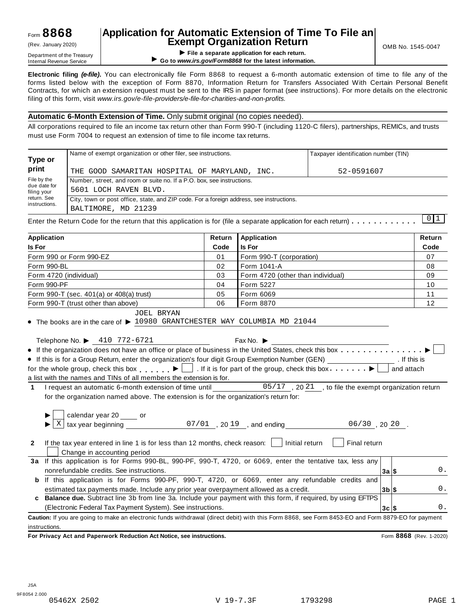# **Application for Automatic Extension of Time To File an Exempt Organization Return** (Rev. January 2020) OMB No. 1545-0047

TRETIPL OF GETTIPL OF SAFETTIPE OF SAFETTIPE OF SAFETTIPE OF SAFETTIPE OF SAFETTIPE OF SAFETTIPE OF SAFETTIPE OF SAFETTIPE OF SAFETTIPE OF SAFETTIPE OF SAFETTIPE OF SAFETTIPE OF SAFETTIPE OF SAFETTIPE OF SAFETTIPE OF SAFET ▶ Go to www.irs.gov/Form8868 for the latest information.

**Electronic filing** *(e-file)***.** You can electronically file Form 8868 to request a 6-month automatic extension of time to file any of the

forms listed below with the exception of Form 8870, Information Return for Transfers Associated With Certain Personal Benefit Contracts, for which an extension request must be sent to the IRS in paper format (see instructions). For more details on the electronic filing of this form, visit *www.irs.gov/e-file-providers/e-file-for-charities-and-non-profits.*

# **Automatic 6-Month Extension of Time.** Only submit original (no copies needed).

All corporations required to file an income tax return other than Form 990-T (including 1120-C filers), partnerships, REMICs, and trusts must use Form 7004 to request an extension of time to file income tax returns.

| Type or                                      | Name of exempt organization or other filer, see instructions.                                                 | Taxpayer identification number (TIN) |
|----------------------------------------------|---------------------------------------------------------------------------------------------------------------|--------------------------------------|
| print                                        | THE GOOD SAMARITAN HOSPITAL OF MARYLAND, INC.                                                                 | 52-0591607                           |
| File by the                                  | Number, street, and room or suite no. If a P.O. box, see instructions.                                        |                                      |
| filing your                                  | 5601 LOCH RAVEN BLVD.                                                                                         |                                      |
| due date for<br>return. See<br>instructions. | City, town or post office, state, and ZIP code. For a foreign address, see instructions.                      |                                      |
|                                              | BALTIMORE, MD 21239                                                                                           |                                      |
|                                              | Enter the Return Code for the return that this annivation is for (file a senarate annivation for each return) |                                      |

Enter the Return Code for the return that this application is for (file a separate application for each return)  $\dots \dots \dots$ L

| Application                                                                                                                                                                                                                                                                                                                                                                                                         | Return | Application                                                                                                                              |          | Return |
|---------------------------------------------------------------------------------------------------------------------------------------------------------------------------------------------------------------------------------------------------------------------------------------------------------------------------------------------------------------------------------------------------------------------|--------|------------------------------------------------------------------------------------------------------------------------------------------|----------|--------|
| <b>Is For</b>                                                                                                                                                                                                                                                                                                                                                                                                       |        | Code                                                                                                                                     |          |        |
| Form 990 or Form 990-EZ                                                                                                                                                                                                                                                                                                                                                                                             | 01     | Form 990-T (corporation)                                                                                                                 |          | 07     |
| Form 990-BL                                                                                                                                                                                                                                                                                                                                                                                                         | 02     | Form 1041-A                                                                                                                              |          | 08     |
| Form 4720 (individual)                                                                                                                                                                                                                                                                                                                                                                                              | 03     | Form 4720 (other than individual)                                                                                                        |          | 09     |
| Form 990-PF                                                                                                                                                                                                                                                                                                                                                                                                         | 04     | Form 5227                                                                                                                                |          | 10     |
| Form 990-T (sec. 401(a) or 408(a) trust)                                                                                                                                                                                                                                                                                                                                                                            | 05     | Form 6069                                                                                                                                |          | 11     |
| Form 990-T (trust other than above)                                                                                                                                                                                                                                                                                                                                                                                 | 06     | Form 8870                                                                                                                                |          | 12     |
| $\bullet$ The books are in the care of $\blacktriangleright$ 10980 GRANTCHESTER WAY COLUMBIA MD 21044<br>Telephone No. ▶ 410 772-6721                                                                                                                                                                                                                                                                               |        | Fax No. $\blacktriangleright$                                                                                                            |          |        |
| • If the organization does not have an office or place of business in the United States, check this box<br>• If this is for a Group Return, enter the organization's four digit Group Exemption Number (GEN) [15]. If this is for the whole group, check this box <b>ICCO</b> . If it is for part of the group, check this box <b>ICCO</b> .<br>a list with the names and TINs of all members the extension is for. |        |                                                                                                                                          |          |        |
| I request an automatic 6-month extension of time until 05/17, 2021, to file the exempt organization return<br>$\mathbf 1$<br>for the organization named above. The extension is for the organization's return for:                                                                                                                                                                                                  |        | calendar year 20 _____ or<br>tax year beginning ________________07/01_, 20 <u>19_</u> , and ending ______________06/30_, 20 <u>20</u> _. |          |        |
| If the tax year entered in line 1 is for less than 12 months, check reason: $\lfloor \ \rfloor$ Initial return<br>$\mathbf{2}$<br>Change in accounting period                                                                                                                                                                                                                                                       |        | Final return                                                                                                                             |          |        |
| 3a If this application is for Forms 990-BL, 990-PF, 990-T, 4720, or 6069, enter the tentative tax, less any<br>nonrefundable credits. See instructions.                                                                                                                                                                                                                                                             |        |                                                                                                                                          | 3a S     | $0$ .  |
| If this application is for Forms 990-PF, 990-T, 4720, or 6069, enter any refundable credits and<br>b<br>estimated tax payments made. Include any prior year overpayment allowed as a credit.                                                                                                                                                                                                                        |        |                                                                                                                                          | $3b$ \$  | 0.     |
| c Balance due. Subtract line 3b from line 3a. Include your payment with this form, if required, by using EFTPS<br>(Electronic Federal Tax Payment System). See instructions.                                                                                                                                                                                                                                        |        |                                                                                                                                          | $3c$ $s$ | $0$ .  |
| Caution: If you are going to make an electronic funds withdrawal (direct debit) with this Form 8868, see Form 8453-EO and Form 8879-EO for payment<br>instructions.                                                                                                                                                                                                                                                 |        |                                                                                                                                          |          |        |

**For Privacy Act and Paperwork Reduction Act Notice, see instructions.** Form **8868** (Rev. 1-2020)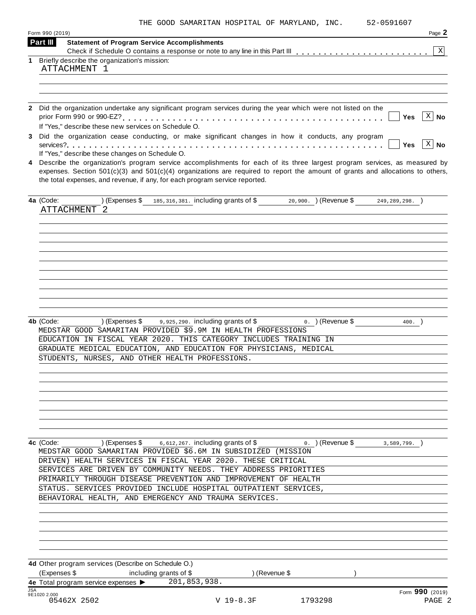|  |  |  |  |  | THE GOOD SAMARITAN HOSPITAL OF MARYLAND, INC. |  | 52-0591607 |
|--|--|--|--|--|-----------------------------------------------|--|------------|
|--|--|--|--|--|-----------------------------------------------|--|------------|

| 7-029100. |  |  |  |  |  |  |  |
|-----------|--|--|--|--|--|--|--|
|           |  |  |  |  |  |  |  |

|           | <b>Statement of Program Service Accomplishments</b><br>$\mathbf X$                                                                                                                                                |
|-----------|-------------------------------------------------------------------------------------------------------------------------------------------------------------------------------------------------------------------|
|           | 1 Briefly describe the organization's mission:                                                                                                                                                                    |
|           | ATTACHMENT 1                                                                                                                                                                                                      |
|           |                                                                                                                                                                                                                   |
|           |                                                                                                                                                                                                                   |
|           |                                                                                                                                                                                                                   |
|           | 2 Did the organization undertake any significant program services during the year which were not listed on the                                                                                                    |
|           | $X \mid No$<br>Yes                                                                                                                                                                                                |
|           | If "Yes," describe these new services on Schedule O.                                                                                                                                                              |
|           | Did the organization cease conducting, or make significant changes in how it conducts, any program<br>$\mid X \mid$ No<br><b>Yes</b>                                                                              |
|           | If "Yes," describe these changes on Schedule O.                                                                                                                                                                   |
|           | 4 Describe the organization's program service accomplishments for each of its three largest program services, as measured by                                                                                      |
|           | expenses. Section $501(c)(3)$ and $501(c)(4)$ organizations are required to report the amount of grants and allocations to others,<br>the total expenses, and revenue, if any, for each program service reported. |
| 4a (Code: | (Expenses \$ 185, 316, 381. including grants of \$ 20, 900. ) (Revenue \$ 249, 289, 298. )                                                                                                                        |
|           | ATTACHMENT 2                                                                                                                                                                                                      |
|           |                                                                                                                                                                                                                   |
|           |                                                                                                                                                                                                                   |
|           |                                                                                                                                                                                                                   |
|           |                                                                                                                                                                                                                   |
|           |                                                                                                                                                                                                                   |
|           |                                                                                                                                                                                                                   |
|           |                                                                                                                                                                                                                   |
|           |                                                                                                                                                                                                                   |
|           |                                                                                                                                                                                                                   |
|           |                                                                                                                                                                                                                   |
| 4b (Code: | ) (Expenses $$$ 9,925,290. including grants of $$$<br>0. ) (Revenue \$<br>$400.$ )                                                                                                                                |
|           | MEDSTAR GOOD SAMARITAN PROVIDED \$9.9M IN HEALTH PROFESSIONS                                                                                                                                                      |
|           | EDUCATION IN FISCAL YEAR 2020. THIS CATEGORY INCLUDES TRAINING IN                                                                                                                                                 |
|           | GRADUATE MEDICAL EDUCATION, AND EDUCATION FOR PHYSICIANS, MEDICAL                                                                                                                                                 |
|           |                                                                                                                                                                                                                   |
|           | STUDENTS, NURSES, AND OTHER HEALTH PROFESSIONS.                                                                                                                                                                   |
|           |                                                                                                                                                                                                                   |
|           |                                                                                                                                                                                                                   |
|           |                                                                                                                                                                                                                   |
|           |                                                                                                                                                                                                                   |
|           |                                                                                                                                                                                                                   |
|           |                                                                                                                                                                                                                   |
|           |                                                                                                                                                                                                                   |
|           |                                                                                                                                                                                                                   |
|           | ) (Expenses \$<br>6, 612, 267. including grants of \$<br>$0.$ ) (Revenue \$<br>3,589,799.                                                                                                                         |
|           | MEDSTAR GOOD SAMARITAN PROVIDED \$6.6M IN SUBSIDIZED (MISSION                                                                                                                                                     |
|           | DRIVEN) HEALTH SERVICES IN FISCAL YEAR 2020. THESE CRITICAL                                                                                                                                                       |
|           | SERVICES ARE DRIVEN BY COMMUNITY NEEDS. THEY ADDRESS PRIORITIES<br>PRIMARILY THROUGH DISEASE PREVENTION AND IMPROVEMENT OF HEALTH                                                                                 |
|           | STATUS. SERVICES PROVIDED INCLUDE HOSPITAL OUTPATIENT SERVICES,                                                                                                                                                   |
|           | BEHAVIORAL HEALTH, AND EMERGENCY AND TRAUMA SERVICES.                                                                                                                                                             |
|           |                                                                                                                                                                                                                   |
|           |                                                                                                                                                                                                                   |
|           |                                                                                                                                                                                                                   |
|           |                                                                                                                                                                                                                   |
|           |                                                                                                                                                                                                                   |
|           |                                                                                                                                                                                                                   |
| 4c (Code: | 4d Other program services (Describe on Schedule O.)                                                                                                                                                               |
|           | (Expenses \$<br>including grants of \$<br>) (Revenue \$<br>201,853,938.<br>4e Total program service expenses >                                                                                                    |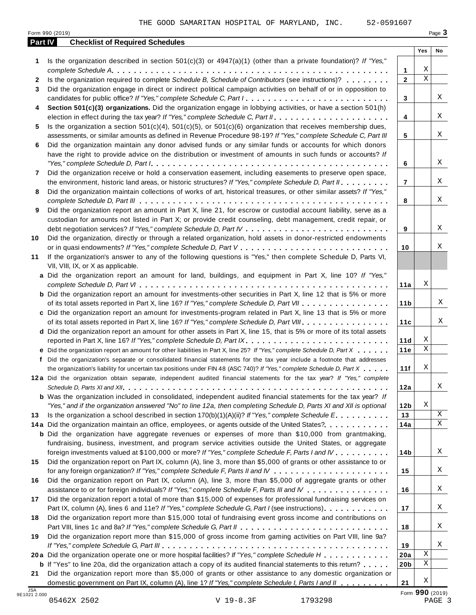|              | Part IV<br><b>Checklist of Required Schedules</b>                                                                                                                                                                        |                 |             |    |
|--------------|--------------------------------------------------------------------------------------------------------------------------------------------------------------------------------------------------------------------------|-----------------|-------------|----|
|              |                                                                                                                                                                                                                          |                 | Yes         | No |
| 1            | Is the organization described in section $501(c)(3)$ or $4947(a)(1)$ (other than a private foundation)? If "Yes,"                                                                                                        |                 |             |    |
|              |                                                                                                                                                                                                                          | 1               | Χ           |    |
| $\mathbf{2}$ | Is the organization required to complete Schedule B, Schedule of Contributors (see instructions)?                                                                                                                        | $\overline{2}$  | $\mathbf X$ |    |
| 3            | Did the organization engage in direct or indirect political campaign activities on behalf of or in opposition to                                                                                                         |                 |             |    |
|              | candidates for public office? If "Yes," complete Schedule C, Part I.                                                                                                                                                     | 3               |             | Χ  |
| 4            | Section 501(c)(3) organizations. Did the organization engage in lobbying activities, or have a section 501(h)                                                                                                            |                 |             |    |
|              |                                                                                                                                                                                                                          | 4               |             | X  |
| 5            | Is the organization a section $501(c)(4)$ , $501(c)(5)$ , or $501(c)(6)$ organization that receives membership dues,                                                                                                     |                 |             |    |
|              | assessments, or similar amounts as defined in Revenue Procedure 98-19? If "Yes," complete Schedule C, Part III                                                                                                           | 5               |             | Χ  |
| 6            | Did the organization maintain any donor advised funds or any similar funds or accounts for which donors                                                                                                                  |                 |             |    |
|              | have the right to provide advice on the distribution or investment of amounts in such funds or accounts? If                                                                                                              |                 |             | X  |
|              |                                                                                                                                                                                                                          | 6               |             |    |
| 7            | Did the organization receive or hold a conservation easement, including easements to preserve open space,<br>the environment, historic land areas, or historic structures? If "Yes," complete Schedule D, Part II.       | $\overline{7}$  |             | Χ  |
|              | Did the organization maintain collections of works of art, historical treasures, or other similar assets? If "Yes,"                                                                                                      |                 |             |    |
| 8            |                                                                                                                                                                                                                          | 8               |             | Χ  |
| 9            | Did the organization report an amount in Part X, line 21, for escrow or custodial account liability, serve as a                                                                                                          |                 |             |    |
|              | custodian for amounts not listed in Part X; or provide credit counseling, debt management, credit repair, or                                                                                                             |                 |             |    |
|              |                                                                                                                                                                                                                          | 9               |             | X  |
| 10           | Did the organization, directly or through a related organization, hold assets in donor-restricted endowments                                                                                                             |                 |             |    |
|              |                                                                                                                                                                                                                          | 10              |             | Χ  |
| 11           | If the organization's answer to any of the following questions is "Yes," then complete Schedule D, Parts VI,                                                                                                             |                 |             |    |
|              | VII, VIII, IX, or X as applicable.                                                                                                                                                                                       |                 |             |    |
|              | a Did the organization report an amount for land, buildings, and equipment in Part X, line 10? If "Yes,"                                                                                                                 |                 |             |    |
|              |                                                                                                                                                                                                                          | 11a             | Χ           |    |
|              | <b>b</b> Did the organization report an amount for investments-other securities in Part X, line 12 that is 5% or more                                                                                                    |                 |             |    |
|              | of its total assets reported in Part X, line 16? If "Yes," complete Schedule D, Part VII                                                                                                                                 | 11 <sub>b</sub> |             | Χ  |
|              | c Did the organization report an amount for investments-program related in Part X, line 13 that is 5% or more                                                                                                            |                 |             |    |
|              | of its total assets reported in Part X, line 16? If "Yes," complete Schedule D, Part VIII                                                                                                                                | 11c             |             | Χ  |
|              | d Did the organization report an amount for other assets in Part X, line 15, that is 5% or more of its total assets                                                                                                      |                 |             |    |
|              | reported in Part X, line 16? If "Yes," complete Schedule D, Part IX.                                                                                                                                                     | 11d             | Χ           |    |
|              | e Did the organization report an amount for other liabilities in Part X, line 25? If "Yes," complete Schedule D, Part X                                                                                                  | 11e             | X           |    |
| f            | Did the organization's separate or consolidated financial statements for the tax year include a footnote that addresses                                                                                                  |                 |             |    |
|              | the organization's liability for uncertain tax positions under FIN 48 (ASC 740)? If "Yes," complete Schedule D, Part X                                                                                                   | 11f             | Χ           |    |
|              | 12a Did the organization obtain separate, independent audited financial statements for the tax year? If "Yes," complete                                                                                                  |                 |             |    |
|              |                                                                                                                                                                                                                          | 12a             |             | Χ  |
|              | <b>b</b> Was the organization included in consolidated, independent audited financial statements for the tax year? If                                                                                                    |                 |             |    |
|              | "Yes," and if the organization answered "No" to line 12a, then completing Schedule D, Parts XI and XII is optional                                                                                                       | 12 <sub>b</sub> | Χ           |    |
| 13           | Is the organization a school described in section $170(b)(1)(A)(ii)$ ? If "Yes," complete Schedule E.                                                                                                                    | 13              |             | X  |
|              | 14a Did the organization maintain an office, employees, or agents outside of the United States?.                                                                                                                         | 14a             |             | Χ  |
|              | <b>b</b> Did the organization have aggregate revenues or expenses of more than \$10,000 from grantmaking,                                                                                                                |                 |             |    |
|              | fundraising, business, investment, and program service activities outside the United States, or aggregate                                                                                                                |                 |             |    |
|              | foreign investments valued at \$100,000 or more? If "Yes," complete Schedule F, Parts I and IV                                                                                                                           | 14b             |             | Χ  |
| 15           | Did the organization report on Part IX, column (A), line 3, more than \$5,000 of grants or other assistance to or                                                                                                        |                 |             |    |
|              |                                                                                                                                                                                                                          | 15              |             | Χ  |
| 16           | Did the organization report on Part IX, column (A), line 3, more than \$5,000 of aggregate grants or other                                                                                                               |                 |             |    |
|              | assistance to or for foreign individuals? If "Yes," complete Schedule F, Parts III and IV                                                                                                                                | 16              |             | Χ  |
| 17           | Did the organization report a total of more than \$15,000 of expenses for professional fundraising services on                                                                                                           |                 |             |    |
|              | Part IX, column (A), lines 6 and 11e? If "Yes," complete Schedule G, Part I (see instructions)                                                                                                                           | 17              |             | Χ  |
| 18           | Did the organization report more than \$15,000 total of fundraising event gross income and contributions on                                                                                                              |                 |             | Χ  |
|              |                                                                                                                                                                                                                          | 18              |             |    |
| 19           | Did the organization report more than \$15,000 of gross income from gaming activities on Part VIII, line 9a?                                                                                                             |                 |             | Χ  |
|              |                                                                                                                                                                                                                          | 19              | Χ           |    |
|              | 20a Did the organization operate one or more hospital facilities? If "Yes," complete Schedule H<br><b>b</b> If "Yes" to line 20a, did the organization attach a copy of its audited financial statements to this return? | 20a             | Χ           |    |
|              |                                                                                                                                                                                                                          | 20 <sub>b</sub> |             |    |
| 21           | Did the organization report more than \$5,000 of grants or other assistance to any domestic organization or                                                                                                              |                 |             |    |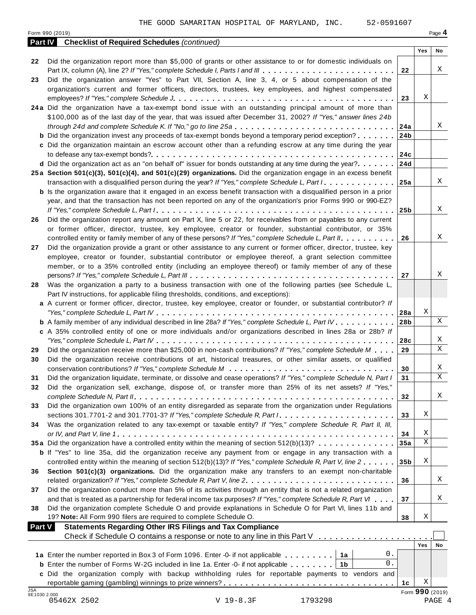|    | 52-0591607<br>THE GOOD SAMARITAN HOSPITAL OF MARYLAND, INC.<br>Form 990 (2019)                                              |                 |                 | Page 4 |
|----|-----------------------------------------------------------------------------------------------------------------------------|-----------------|-----------------|--------|
|    | <b>Checklist of Required Schedules (continued)</b><br><b>Part IV</b>                                                        |                 |                 |        |
|    |                                                                                                                             |                 | Yes             | No     |
| 22 | Did the organization report more than \$5,000 of grants or other assistance to or for domestic individuals on               |                 |                 |        |
|    | Part IX, column (A), line 2? If "Yes," complete Schedule I, Parts I and III                                                 | 22              |                 | Χ      |
| 23 | Did the organization answer "Yes" to Part VII, Section A, line 3, 4, or 5 about compensation of the                         |                 |                 |        |
|    | organization's current and former officers, directors, trustees, key employees, and highest compensated                     |                 |                 |        |
|    |                                                                                                                             | 23              | Χ               |        |
|    | 24a Did the organization have a tax-exempt bond issue with an outstanding principal amount of more than                     |                 |                 |        |
|    | \$100,000 as of the last day of the year, that was issued after December 31, 2002? If "Yes," answer lines 24b               |                 |                 |        |
|    | through 24d and complete Schedule K. If "No," go to line 25a $\ldots$ ,                                                     | 24a             |                 | Χ      |
|    | <b>b</b> Did the organization invest any proceeds of tax-exempt bonds beyond a temporary period exception?                  | 24 <sub>b</sub> |                 |        |
|    | c Did the organization maintain an escrow account other than a refunding escrow at any time during the year                 |                 |                 |        |
|    |                                                                                                                             | 24c             |                 |        |
|    | d Did the organization act as an "on behalf of" issuer for bonds outstanding at any time during the year?                   | 24d             |                 |        |
|    | 25a Section 501(c)(3), 501(c)(4), and 501(c)(29) organizations. Did the organization engage in an excess benefit            |                 |                 |        |
|    | transaction with a disqualified person during the year? If "Yes," complete Schedule L, Part I                               | 25a             |                 | Χ      |
|    | <b>b</b> Is the organization aware that it engaged in an excess benefit transaction with a disqualified person in a prior   |                 |                 |        |
|    | year, and that the transaction has not been reported on any of the organization's prior Forms 990 or 990-EZ?                |                 |                 |        |
|    |                                                                                                                             | 25b             |                 | Χ      |
| 26 | Did the organization report any amount on Part X, line 5 or 22, for receivables from or payables to any current             |                 |                 |        |
|    | or former officer, director, trustee, key employee, creator or founder, substantial contributor, or 35%                     |                 |                 |        |
|    | controlled entity or family member of any of these persons? If "Yes," complete Schedule L, Part II.                         | 26              |                 | Χ      |
| 27 | Did the organization provide a grant or other assistance to any current or former officer, director, trustee, key           |                 |                 |        |
|    | employee, creator or founder, substantial contributor or employee thereof, a grant selection committee                      |                 |                 |        |
|    | member, or to a 35% controlled entity (including an employee thereof) or family member of any of these                      |                 |                 |        |
|    |                                                                                                                             |                 |                 | Χ      |
|    |                                                                                                                             | 27              |                 |        |
| 28 | Was the organization a party to a business transaction with one of the following parties (see Schedule L,                   |                 |                 |        |
|    | Part IV instructions, for applicable filing thresholds, conditions, and exceptions):                                        |                 |                 |        |
|    | a A current or former officer, director, trustee, key employee, creator or founder, or substantial contributor? If          |                 |                 |        |
|    |                                                                                                                             | 28a             | Χ               |        |
|    | <b>b</b> A family member of any individual described in line 28a? If "Yes," complete Schedule L, Part IV.                   | 28 <sub>b</sub> |                 | Χ      |
|    | c A 35% controlled entity of one or more individuals and/or organizations described in lines 28a or 28b? If                 |                 |                 |        |
|    |                                                                                                                             | 28c             |                 | Χ      |
| 29 | Did the organization receive more than \$25,000 in non-cash contributions? If "Yes," complete Schedule M                    | 29              |                 | Χ      |
| 30 | Did the organization receive contributions of art, historical treasures, or other similar assets, or qualified              |                 |                 |        |
|    |                                                                                                                             | 30              |                 | Χ      |
|    | Did the organization liquidate, terminate, or dissolve and cease operations? If "Yes," complete Schedule N, Part I          | 31              |                 | Χ      |
| 32 | Did the organization sell, exchange, dispose of, or transfer more than 25% of its net assets? If "Yes,"                     |                 |                 |        |
|    |                                                                                                                             | 32              |                 | Χ      |
| 33 | Did the organization own 100% of an entity disregarded as separate from the organization under Regulations                  |                 |                 |        |
|    | sections 301.7701-2 and 301.7701-3? If "Yes," complete Schedule R, Part $l_1, \ldots, l_l, l_l, \ldots, l_l, l_l, l_l, l_l$ | 33              | Χ               |        |
| 34 | Was the organization related to any tax-exempt or taxable entity? If "Yes," complete Schedule R, Part II, III,              |                 |                 |        |
|    |                                                                                                                             | 34              | Χ               |        |
|    | 35a Did the organization have a controlled entity within the meaning of section 512(b)(13)?                                 | 35a             | $\mathbf X$     |        |
|    | <b>b</b> If "Yes" to line 35a, did the organization receive any payment from or engage in any transaction with a            |                 |                 |        |
|    | controlled entity within the meaning of section 512(b)(13)? If "Yes," complete Schedule R, Part V, line 2                   | 35 <sub>b</sub> | Χ               |        |
| 36 | Section 501(c)(3) organizations. Did the organization make any transfers to an exempt non-charitable                        |                 |                 |        |
|    |                                                                                                                             | 36              |                 | Χ      |
| 37 | Did the organization conduct more than 5% of its activities through an entity that is not a related organization            |                 |                 |        |
|    | and that is treated as a partnership for federal income tax purposes? If "Yes," complete Schedule R, Part VI                | 37              |                 | Χ      |
| 38 | Did the organization complete Schedule O and provide explanations in Schedule O for Part VI, lines 11b and                  |                 |                 |        |
|    | 19? Note: All Form 990 filers are required to complete Schedule O.                                                          | 38              | Χ               |        |
|    | <b>Statements Regarding Other IRS Filings and Tax Compliance</b><br><b>Part V</b>                                           |                 |                 |        |
|    | Check if Schedule O contains a response or note to any line in this Part V                                                  |                 |                 |        |
|    |                                                                                                                             |                 | <b>Yes</b>      | No     |
|    | 0.<br>1a Enter the number reported in Box 3 of Form 1096. Enter -0- if not applicable    1a                                 |                 |                 |        |
|    | 0.                                                                                                                          |                 |                 |        |
|    | <b>b</b> Enter the number of Forms W-2G included in line 1a. Enter -0- if not applicable   1b                               |                 |                 |        |
|    | c Did the organization comply with backup withholding rules for reportable payments to vendors and                          |                 | Χ               |        |
|    |                                                                                                                             | 1c              | Form 990 (2019) |        |
|    | 9E1030 2.000<br>05462X 2502<br>$V 19-8.3F$<br>1793298                                                                       |                 |                 | PAGE 4 |
|    |                                                                                                                             |                 |                 |        |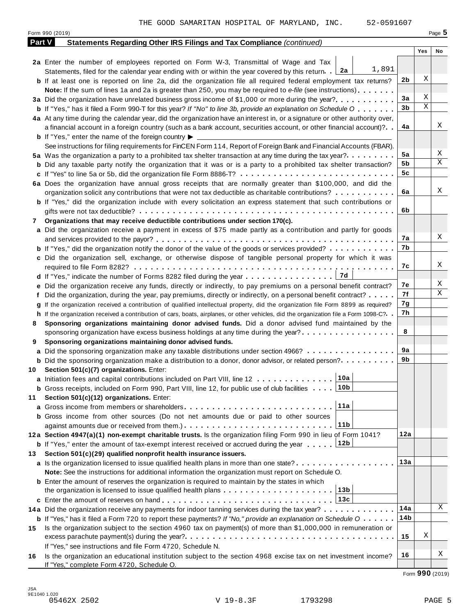|               | 52-0591607<br>THE GOOD SAMARITAN HOSPITAL OF MARYLAND, INC.<br>Form 990 (2019)                                                               |                |     | Page $5$    |
|---------------|----------------------------------------------------------------------------------------------------------------------------------------------|----------------|-----|-------------|
| <b>Part V</b> | Statements Regarding Other IRS Filings and Tax Compliance (continued)                                                                        |                |     |             |
|               |                                                                                                                                              |                | Yes | No          |
|               |                                                                                                                                              |                |     |             |
|               | 2a Enter the number of employees reported on Form W-3, Transmittal of Wage and Tax<br>1,891                                                  |                |     |             |
|               | Statements, filed for the calendar year ending with or within the year covered by this return. 2a                                            |                | Χ   |             |
|               | <b>b</b> If at least one is reported on line 2a, did the organization file all required federal employment tax returns?                      | 2 <sub>b</sub> |     |             |
|               | Note: If the sum of lines 1a and 2a is greater than 250, you may be required to e-file (see instructions)                                    |                | Χ   |             |
|               |                                                                                                                                              | 3a             | X   |             |
|               | <b>b</b> If "Yes," has it filed a Form 990-T for this year? If "No" to line 3b, provide an explanation on Schedule O                         | 3 <sub>b</sub> |     |             |
|               | 4a At any time during the calendar year, did the organization have an interest in, or a signature or other authority over,                   |                |     |             |
|               | a financial account in a foreign country (such as a bank account, securities account, or other financial account)?                           | 4a             |     | Χ           |
|               | <b>b</b> If "Yes," enter the name of the foreign country $\blacktriangleright$                                                               |                |     |             |
|               | See instructions for filing requirements for FinCEN Form 114, Report of Foreign Bank and Financial Accounts (FBAR).                          |                |     |             |
|               | 5a Was the organization a party to a prohibited tax shelter transaction at any time during the tax year?                                     | 5a             |     | Χ           |
|               | <b>b</b> Did any taxable party notify the organization that it was or is a party to a prohibited tax shelter transaction?                    | 5b             |     | Χ           |
|               |                                                                                                                                              | 5 <sub>c</sub> |     |             |
|               | 6a Does the organization have annual gross receipts that are normally greater than \$100,000, and did the                                    |                |     |             |
|               | organization solicit any contributions that were not tax deductible as charitable contributions?                                             | 6a             |     | Χ           |
|               | <b>b</b> If "Yes," did the organization include with every solicitation an express statement that such contributions or                      |                |     |             |
|               |                                                                                                                                              | 6b             |     |             |
| 7             | Organizations that may receive deductible contributions under section 170(c).                                                                |                |     |             |
|               | a Did the organization receive a payment in excess of \$75 made partly as a contribution and partly for goods                                |                |     |             |
|               |                                                                                                                                              | 7а             |     | Χ           |
|               | <b>b</b> If "Yes," did the organization notify the donor of the value of the goods or services provided?                                     | 7b             |     |             |
|               | c Did the organization sell, exchange, or otherwise dispose of tangible personal property for which it was                                   |                |     |             |
|               |                                                                                                                                              | 7с             |     | Χ           |
|               | 7d<br>d If "Yes," indicate the number of Forms 8282 filed during the year                                                                    |                |     |             |
|               | e Did the organization receive any funds, directly or indirectly, to pay premiums on a personal benefit contract?                            | 7е             |     | Χ           |
|               | f Did the organization, during the year, pay premiums, directly or indirectly, on a personal benefit contract?                               | 7f             |     | $\mathbf X$ |
|               |                                                                                                                                              | 7g             |     |             |
| q             | If the organization received a contribution of qualified intellectual property, did the organization file Form 8899 as required?             | 7h             |     |             |
|               | h If the organization received a contribution of cars, boats, airplanes, or other vehicles, did the organization file a Form 1098-C?. .      |                |     |             |
| 8             | Sponsoring organizations maintaining donor advised funds. Did a donor advised fund maintained by the                                         | 8              |     |             |
|               | sponsoring organization have excess business holdings at any time during the year?                                                           |                |     |             |
| 9             | Sponsoring organizations maintaining donor advised funds.                                                                                    |                |     |             |
|               | a Did the sponsoring organization make any taxable distributions under section 4966?                                                         | 9a             |     |             |
|               | <b>b</b> Did the sponsoring organization make a distribution to a donor, donor advisor, or related person?                                   | 9b             |     |             |
| 10            | Section 501(c)(7) organizations. Enter:                                                                                                      |                |     |             |
|               | 10a<br>a Initiation fees and capital contributions included on Part VIII, line 12                                                            |                |     |             |
|               | 10 <sub>b</sub><br><b>b</b> Gross receipts, included on Form 990, Part VIII, line 12, for public use of club facilities                      |                |     |             |
| 11            | Section 501(c)(12) organizations. Enter:                                                                                                     |                |     |             |
|               | 11a                                                                                                                                          |                |     |             |
|               | <b>b</b> Gross income from other sources (Do not net amounts due or paid to other sources                                                    |                |     |             |
|               | 11b                                                                                                                                          |                |     |             |
|               | 12a Section 4947(a)(1) non-exempt charitable trusts. Is the organization filing Form 990 in lieu of Form 1041?                               | 12a            |     |             |
|               | <b>b</b> If "Yes," enter the amount of tax-exempt interest received or accrued during the year  [12b                                         |                |     |             |
| 13            | Section 501(c)(29) qualified nonprofit health insurance issuers.                                                                             |                |     |             |
|               | a Is the organization licensed to issue qualified health plans in more than one state?                                                       | 13a            |     |             |
|               | Note: See the instructions for additional information the organization must report on Schedule O.                                            |                |     |             |
|               | <b>b</b> Enter the amount of reserves the organization is required to maintain by the states in which                                        |                |     |             |
|               | 13b<br>the organization is licensed to issue qualified health plans                                                                          |                |     |             |
|               | 13c                                                                                                                                          |                |     |             |
|               | 14a Did the organization receive any payments for indoor tanning services during the tax year?                                               | 14a            |     | Χ           |
|               | <b>b</b> If "Yes," has it filed a Form 720 to report these payments? If "No," provide an explanation on Schedule $0 \cdot \cdot \cdot \cdot$ | 14b            |     |             |
| 15            | Is the organization subject to the section 4960 tax on payment(s) of more than \$1,000,000 in remuneration or                                |                |     |             |
|               |                                                                                                                                              | 15             | Χ   |             |
|               | If "Yes," see instructions and file Form 4720, Schedule N.                                                                                   |                |     |             |
| 16            | Is the organization an educational institution subject to the section 4968 excise tax on net investment income?                              | 16             |     | Χ           |
|               | If "Yes," complete Form 4720, Schedule O.                                                                                                    |                |     |             |

Form **990** (2019)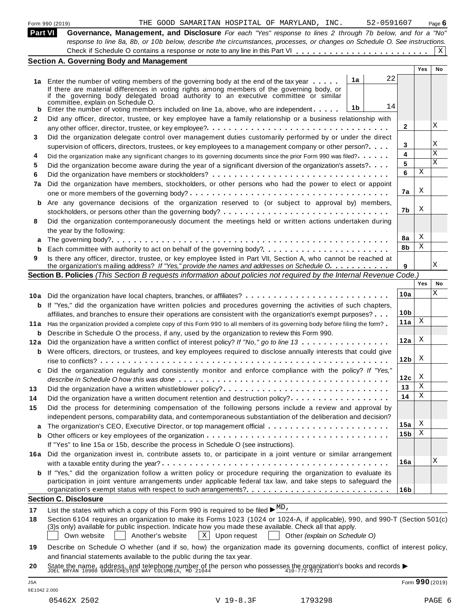|                | 52-0591607<br>THE GOOD SAMARITAN HOSPITAL OF MARYLAND, INC.<br>Form 990 (2019)                                                                                                                                                                                                                                                      |                 |        | Page 6 |
|----------------|-------------------------------------------------------------------------------------------------------------------------------------------------------------------------------------------------------------------------------------------------------------------------------------------------------------------------------------|-----------------|--------|--------|
| <b>Part VI</b> | Governance, Management, and Disclosure For each "Yes" response to lines 2 through 7b below, and for a "No"<br>response to line 8a, 8b, or 10b below, describe the circumstances, processes, or changes on Schedule O. See instructions.                                                                                             |                 |        |        |
|                |                                                                                                                                                                                                                                                                                                                                     |                 |        | X      |
|                | <b>Section A. Governing Body and Management</b>                                                                                                                                                                                                                                                                                     |                 |        |        |
|                |                                                                                                                                                                                                                                                                                                                                     |                 | Yes    | No     |
|                | 22<br>1a<br>1a Enter the number of voting members of the governing body at the end of the tax year                                                                                                                                                                                                                                  |                 |        |        |
|                | If there are material differences in voting rights among members of the governing body, or<br>if the governing body delegated broad authority to an executive committee or similar<br>committée, explain on Schedule O.                                                                                                             |                 |        |        |
| b              | 14<br>1 <b>b</b><br>Enter the number of voting members included on line 1a, above, who are independent                                                                                                                                                                                                                              |                 |        |        |
| 2              | Did any officer, director, trustee, or key employee have a family relationship or a business relationship with                                                                                                                                                                                                                      |                 |        |        |
|                |                                                                                                                                                                                                                                                                                                                                     | 2               |        | Χ      |
| 3              | Did the organization delegate control over management duties customarily performed by or under the direct                                                                                                                                                                                                                           |                 |        |        |
|                | supervision of officers, directors, trustees, or key employees to a management company or other person?                                                                                                                                                                                                                             | 3               |        | Χ      |
| 4              | Did the organization make any significant changes to its governing documents since the prior Form 990 was filed?                                                                                                                                                                                                                    | 4               |        | X      |
| 5              | Did the organization become aware during the year of a significant diversion of the organization's assets?                                                                                                                                                                                                                          | 5               |        | X      |
| 6              |                                                                                                                                                                                                                                                                                                                                     | 6               | Χ      |        |
| 7a             | Did the organization have members, stockholders, or other persons who had the power to elect or appoint                                                                                                                                                                                                                             |                 |        |        |
|                |                                                                                                                                                                                                                                                                                                                                     | 7a              | X      |        |
| b              | Are any governance decisions of the organization reserved to (or subject to approval by) members,                                                                                                                                                                                                                                   | 7b              | Χ      |        |
|                |                                                                                                                                                                                                                                                                                                                                     |                 |        |        |
| 8              | Did the organization contemporaneously document the meetings held or written actions undertaken during                                                                                                                                                                                                                              |                 |        |        |
|                | the year by the following:                                                                                                                                                                                                                                                                                                          | 8а              | X      |        |
| b              | Each committee with authority to act on behalf of the governing body?                                                                                                                                                                                                                                                               | 8b              | Χ      |        |
| 9              | Is there any officer, director, trustee, or key employee listed in Part VII, Section A, who cannot be reached at<br>the organization's mailing address? If "Yes," provide the names and addresses on Schedule O.                                                                                                                    | 9               |        | Χ      |
|                | Section B. Policies (This Section B requests information about policies not required by the Internal Revenue Code.)                                                                                                                                                                                                                 |                 |        |        |
|                |                                                                                                                                                                                                                                                                                                                                     |                 | Yes    | No     |
|                | 10a Did the organization have local chapters, branches, or affiliates?                                                                                                                                                                                                                                                              | 10a             |        | Χ      |
|                | <b>b</b> If "Yes," did the organization have written policies and procedures governing the activities of such chapters,                                                                                                                                                                                                             |                 |        |        |
|                | affiliates, and branches to ensure their operations are consistent with the organization's exempt purposes?                                                                                                                                                                                                                         | 10 <sub>b</sub> |        |        |
|                | 11a Has the organization provided a complete copy of this Form 990 to all members of its governing body before filing the form?                                                                                                                                                                                                     | 11a             | X      |        |
|                | <b>b</b> Describe in Schedule O the process, if any, used by the organization to review this Form 990.                                                                                                                                                                                                                              |                 |        |        |
|                | 12a Did the organization have a written conflict of interest policy? If "No," go to line 13                                                                                                                                                                                                                                         | 12a             | X      |        |
|                | <b>b</b> Were officers, directors, or trustees, and key employees required to disclose annually interests that could give                                                                                                                                                                                                           | 12 <sub>b</sub> | X      |        |
| c              | Did the organization regularly and consistently monitor and enforce compliance with the policy? If "Yes,"                                                                                                                                                                                                                           |                 |        |        |
|                |                                                                                                                                                                                                                                                                                                                                     | 12с             | X      |        |
| 13             | Did the organization have a written whistleblower policy?                                                                                                                                                                                                                                                                           | 13              | Χ      |        |
| 14             | Did the organization have a written document retention and destruction policy?                                                                                                                                                                                                                                                      | 14              | Χ      |        |
| 15             | Did the process for determining compensation of the following persons include a review and approval by                                                                                                                                                                                                                              |                 |        |        |
|                | independent persons, comparability data, and contemporaneous substantiation of the deliberation and decision?                                                                                                                                                                                                                       |                 |        |        |
|                |                                                                                                                                                                                                                                                                                                                                     | 15a             | Х<br>Χ |        |
| b              |                                                                                                                                                                                                                                                                                                                                     | 15 <sub>b</sub> |        |        |
|                | If "Yes" to line 15a or 15b, describe the process in Schedule O (see instructions).                                                                                                                                                                                                                                                 |                 |        |        |
| 16a            | Did the organization invest in, contribute assets to, or participate in a joint venture or similar arrangement                                                                                                                                                                                                                      | 16a             |        | Χ      |
|                | If "Yes," did the organization follow a written policy or procedure requiring the organization to evaluate its                                                                                                                                                                                                                      |                 |        |        |
| b              | participation in joint venture arrangements under applicable federal tax law, and take steps to safeguard the                                                                                                                                                                                                                       | 16b             |        |        |
|                | <b>Section C. Disclosure</b>                                                                                                                                                                                                                                                                                                        |                 |        |        |
| 17             | List the states with which a copy of this Form 990 is required to be filed $\blacktriangleright \frac{MD}{ }$ .                                                                                                                                                                                                                     |                 |        |        |
| 18             | Section 6104 requires an organization to make its Forms 1023 (1024 or 1024-A, if applicable), 990, and 990-T (Section 501(c)<br>(3)s only) available for public inspection. Indicate how you made these available. Check all that apply.<br>$ X $ Upon request<br>Own website<br>Another's website<br>Other (explain on Schedule O) |                 |        |        |
|                |                                                                                                                                                                                                                                                                                                                                     |                 |        |        |
| 19             |                                                                                                                                                                                                                                                                                                                                     |                 |        |        |
|                | Describe on Schedule O whether (and if so, how) the organization made its governing documents, conflict of interest policy,<br>and financial statements available to the public during the tax year.                                                                                                                                |                 |        |        |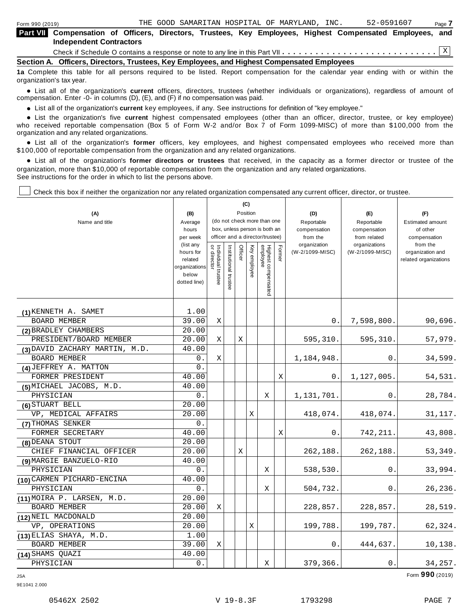| Form 990 (2019) |                                                                                                                                             |  |  |  | THE GOOD SAMARITAN HOSPITAL OF MARYLAND, INC. |  | 52-0591607 | Page 7 |
|-----------------|---------------------------------------------------------------------------------------------------------------------------------------------|--|--|--|-----------------------------------------------|--|------------|--------|
|                 | Part VII Compensation of Officers, Directors, Trustees, Key Employees, Highest Compensated Employees, and<br><b>Independent Contractors</b> |  |  |  |                                               |  |            |        |
|                 |                                                                                                                                             |  |  |  |                                               |  |            |        |
|                 | Section A. Officers, Directors, Trustees, Key Employees, and Highest Compensated Employees                                                  |  |  |  |                                               |  |            |        |
|                 | 12 Complete this table for all persons required to be listed. Report compensation for the calendar vear ending with or within the           |  |  |  |                                               |  |            |        |

d. Report compensation for the calendar year ending with or organization's tax year.

anization's lax year.<br>● List all of the organization's **current** officers, directors, trustees (whether individuals or organizations), regardless of amount of<br>nnensation Enter -0- in columns (D) (E) and (E) if no compensa compensation. Enter -0- in columns (D), (E), and (F) if no compensation was paid.

**■** List all of the organization's **current** key employees, if any. See instructions for definition of "key employee."<br>■ List the experimentals five expect highest expressed explores (other than an efficer director t

**Example in the organization's current** key employees, if any. See instructions for definition of key employee.<br>• List the organization's five **current** highest compensated employees (other than an officer, director, trust who received reportable compensation (Box 5 of Form W-2 and/or Box 7 of Form 1099-MISC) of more than \$100,000 from the

organization and any related organizations.<br>• List all of the organization's **former** officers, key employees, and highest compensated employees who received more than<br>\$1.00.000 of reportable componention from the erganiza \$100,000 of reportable compensation from the organization and any related organizations.

% List all of the organization's **former directors or trustees** that received, in the capacity as a former director or trustee of the organization, more than \$10,000 of reportable compensation from the organization and any related organizations. See instructions for the order in which to list the persons above.

 $\mathbf{C}$ 

Check this box if neither the organization nor any related organization compensated any current officer, director, or trustee.

| (A)                            | (B)                                                                         |                                   |                       |         | (ပ)<br>Position |                                 |        | (D)                             | (E)                              | (F)                                                   |
|--------------------------------|-----------------------------------------------------------------------------|-----------------------------------|-----------------------|---------|-----------------|---------------------------------|--------|---------------------------------|----------------------------------|-------------------------------------------------------|
| Name and title                 | Average                                                                     |                                   |                       |         |                 | (do not check more than one     |        | Reportable                      | Reportable                       | <b>Estimated amount</b>                               |
|                                | hours                                                                       |                                   |                       |         |                 | box, unless person is both an   |        | compensation                    | compensation                     | of other                                              |
|                                | per week                                                                    |                                   |                       |         |                 | officer and a director/trustee) |        | from the                        | from related                     | compensation                                          |
|                                | (list any<br>hours for<br>related<br>organizations<br>below<br>dotted line) | Individual trustee<br>or director | Institutional trustee | Officer | Key employee    | Highest compensated<br>employee | Former | organization<br>(W-2/1099-MISC) | organizations<br>(W-2/1099-MISC) | from the<br>organization and<br>related organizations |
| (1) KENNETH A. SAMET           | 1.00                                                                        |                                   |                       |         |                 |                                 |        |                                 |                                  |                                                       |
| <b>BOARD MEMBER</b>            | 39.00                                                                       | Χ                                 |                       |         |                 |                                 |        | 0.                              | 7,598,800.                       | 90,696.                                               |
| (2) BRADLEY CHAMBERS           | 20.00                                                                       |                                   |                       |         |                 |                                 |        |                                 |                                  |                                                       |
| PRESIDENT/BOARD MEMBER         | 20.00                                                                       | X                                 |                       | X       |                 |                                 |        | 595,310.                        | 595,310.                         | 57,979.                                               |
| (3) DAVID ZACHARY MARTIN, M.D. | 40.00                                                                       |                                   |                       |         |                 |                                 |        |                                 |                                  |                                                       |
| BOARD MEMBER                   | 0.                                                                          | Χ                                 |                       |         |                 |                                 |        | 1,184,948.                      | 0.                               | 34,599.                                               |
| (4) JEFFREY A. MATTON          | 0.                                                                          |                                   |                       |         |                 |                                 |        |                                 |                                  |                                                       |
| FORMER PRESIDENT               | 40.00                                                                       |                                   |                       |         |                 |                                 | Χ      | 0.                              | 1,127,005.                       | 54,531.                                               |
| (5) MICHAEL JACOBS, M.D.       | 40.00                                                                       |                                   |                       |         |                 |                                 |        |                                 |                                  |                                                       |
| PHYSICIAN                      | $0$ .                                                                       |                                   |                       |         |                 | X                               |        | 1,131,701.                      | 0.                               | 28,784.                                               |
| (6) STUART BELL                | 20.00                                                                       |                                   |                       |         |                 |                                 |        |                                 |                                  |                                                       |
| VP, MEDICAL AFFAIRS            | 20.00                                                                       |                                   |                       |         | Χ               |                                 |        | 418,074.                        | 418,074.                         | 31,117.                                               |
| (7) THOMAS SENKER              | $0$ .                                                                       |                                   |                       |         |                 |                                 |        |                                 |                                  |                                                       |
| FORMER SECRETARY               | 40.00                                                                       |                                   |                       |         |                 |                                 | Χ      | 0.                              | 742, 211.                        | 43,808.                                               |
| (8) DEANA STOUT                | 20.00                                                                       |                                   |                       |         |                 |                                 |        |                                 |                                  |                                                       |
| CHIEF FINANCIAL OFFICER        | 20.00                                                                       |                                   |                       | Χ       |                 |                                 |        | 262,188.                        | 262,188.                         | 53,349.                                               |
| (9) MARGIE BANZUELO-RIO        | 40.00                                                                       |                                   |                       |         |                 |                                 |        |                                 |                                  |                                                       |
| PHYSICIAN                      | 0.                                                                          |                                   |                       |         |                 | Χ                               |        | 538,530.                        | 0.                               | 33,994.                                               |
| (10) CARMEN PICHARD-ENCINA     | 40.00                                                                       |                                   |                       |         |                 |                                 |        |                                 |                                  |                                                       |
| PHYSICIAN                      | 0.                                                                          |                                   |                       |         |                 | Χ                               |        | 504,732.                        | 0.                               | 26,236.                                               |
| $(11)$ MOIRA P. LARSEN, M.D.   | 20.00                                                                       |                                   |                       |         |                 |                                 |        |                                 |                                  |                                                       |
| <b>BOARD MEMBER</b>            | 20.00                                                                       | Χ                                 |                       |         |                 |                                 |        | 228,857.                        | 228,857.                         | 28,519.                                               |
| (12) NEIL MACDONALD            | 20.00                                                                       |                                   |                       |         |                 |                                 |        |                                 |                                  |                                                       |
| VP, OPERATIONS                 | 20.00                                                                       |                                   |                       |         | Χ               |                                 |        | 199,788.                        | 199,787.                         | 62,324.                                               |
| (13) ELIAS SHAYA, M.D.         | 1.00                                                                        |                                   |                       |         |                 |                                 |        |                                 |                                  |                                                       |
| <b>BOARD MEMBER</b>            | 39.00                                                                       | Χ                                 |                       |         |                 |                                 |        | 0.                              | 444,637.                         | 10,138.                                               |
| (14) SHAMS QUAZI               | 40.00                                                                       |                                   |                       |         |                 |                                 |        |                                 |                                  |                                                       |
| PHYSICIAN                      | 0.                                                                          |                                   |                       |         |                 | Χ                               |        | 379,366.                        | 0.                               | 34,257.                                               |

JSA Form **990** (2019)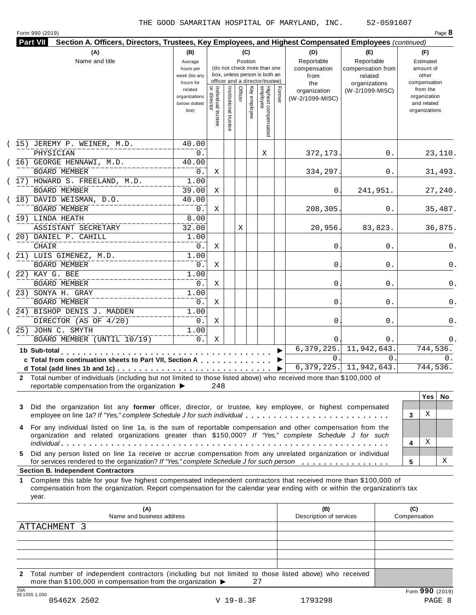| (A)                                                                                                                                                                         | (B)                         |                                          |                       | (C)      |              |                                                                  |        | (D)                     | (E)                              | (F)                   |
|-----------------------------------------------------------------------------------------------------------------------------------------------------------------------------|-----------------------------|------------------------------------------|-----------------------|----------|--------------|------------------------------------------------------------------|--------|-------------------------|----------------------------------|-----------------------|
| Name and title                                                                                                                                                              | Average                     |                                          |                       | Position |              |                                                                  |        | Reportable              | Reportable                       | Estimated             |
|                                                                                                                                                                             | hours per                   |                                          |                       |          |              | (do not check more than one                                      |        | compensation            | compensation from                | amount of             |
|                                                                                                                                                                             | week (list any<br>hours for |                                          |                       |          |              | box, unless person is both an<br>officer and a director/trustee) |        | from                    | related                          | other<br>compensation |
|                                                                                                                                                                             | related                     |                                          |                       |          |              |                                                                  |        | the<br>organization     | organizations<br>(W-2/1099-MISC) | from the              |
|                                                                                                                                                                             | organizations               |                                          |                       | Officer  |              |                                                                  | Former | (W-2/1099-MISC)         |                                  | organization          |
|                                                                                                                                                                             | below dotted                |                                          |                       |          |              |                                                                  |        |                         |                                  | and related           |
|                                                                                                                                                                             | line)                       |                                          |                       |          | Key employee |                                                                  |        |                         |                                  | organizations         |
|                                                                                                                                                                             |                             | Individual trustee<br> <br>  or director | Institutional trustee |          |              | Highest compensated<br>employee                                  |        |                         |                                  |                       |
|                                                                                                                                                                             |                             |                                          |                       |          |              |                                                                  |        |                         |                                  |                       |
| (15) JEREMY P. WEINER, M.D.                                                                                                                                                 | 40.00                       |                                          |                       |          |              |                                                                  |        |                         |                                  |                       |
| PHYSICIAN                                                                                                                                                                   | 0.                          |                                          |                       |          |              | Χ                                                                |        | 372,173.                | 0.                               | 23,110.               |
| (16) GEORGE HENNAWI, M.D.                                                                                                                                                   | 40.00                       |                                          |                       |          |              |                                                                  |        |                         |                                  |                       |
| <b>BOARD MEMBER</b>                                                                                                                                                         | 0.                          | Χ                                        |                       |          |              |                                                                  |        | 334,297                 | 0.                               | 31,493.               |
| (17) HOWARD S. FREELAND, M.D.                                                                                                                                               | 1.00                        |                                          |                       |          |              |                                                                  |        |                         |                                  |                       |
| <b>BOARD MEMBER</b>                                                                                                                                                         | 39.00                       | Χ                                        |                       |          |              |                                                                  |        | 0                       | 241,951.                         | 27,240.               |
| (18) DAVID WEISMAN, D.O.                                                                                                                                                    | 40.00                       |                                          |                       |          |              |                                                                  |        |                         |                                  |                       |
| BOARD MEMBER                                                                                                                                                                | 0.                          | Χ                                        |                       |          |              |                                                                  |        | 208,305.                | 0.                               | 35,487.               |
| (19) LINDA HEATH                                                                                                                                                            | 8.00                        |                                          |                       |          |              |                                                                  |        |                         |                                  |                       |
| ASSISTANT SECRETARY                                                                                                                                                         | 32.00                       |                                          |                       | Χ        |              |                                                                  |        | 20,956.                 | 83,823.                          | 36,875.               |
| (20) DANIEL P. CAHILL                                                                                                                                                       | 1.00                        |                                          |                       |          |              |                                                                  |        |                         |                                  |                       |
| <b>CHAIR</b>                                                                                                                                                                | 0.                          | Χ                                        |                       |          |              |                                                                  |        | 0                       | 0.                               |                       |
| (21) LUIS GIMENEZ, M.D.                                                                                                                                                     | 1.00                        |                                          |                       |          |              |                                                                  |        |                         |                                  |                       |
| <b>BOARD MEMBER</b>                                                                                                                                                         | 0.                          | Χ                                        |                       |          |              |                                                                  |        | 0                       | 0.                               |                       |
| (22) KAY G. BEE                                                                                                                                                             | 1.00                        |                                          |                       |          |              |                                                                  |        |                         |                                  |                       |
| <b>BOARD MEMBER</b>                                                                                                                                                         | $0$ .                       | Χ                                        |                       |          |              |                                                                  |        | 0                       | 0.                               |                       |
| (23) SONYA H. GRAY                                                                                                                                                          | 1.00                        |                                          |                       |          |              |                                                                  |        |                         |                                  |                       |
| <b>BOARD MEMBER</b>                                                                                                                                                         | $0$ .                       | Χ                                        |                       |          |              |                                                                  |        | 0                       | 0.                               |                       |
| (24) BISHOP DENIS J. MADDEN                                                                                                                                                 | 1.00                        |                                          |                       |          |              |                                                                  |        |                         |                                  |                       |
| DIRECTOR (AS OF 4/20)                                                                                                                                                       | 0.                          | Χ                                        |                       |          |              |                                                                  |        | 0                       | 0.                               |                       |
| (25) JOHN C. SMYTH                                                                                                                                                          | 1.00                        |                                          |                       |          |              |                                                                  |        |                         |                                  |                       |
| BOARD MEMBER (UNTIL 10/19)                                                                                                                                                  | $0$ .                       | Χ                                        |                       |          |              |                                                                  |        | $\Omega$                | 0.                               |                       |
|                                                                                                                                                                             |                             |                                          |                       |          |              |                                                                  |        | 6, 379, 225.            | 11,942,643.                      | 744,536.              |
| 1b Sub-total                                                                                                                                                                |                             |                                          |                       |          |              |                                                                  |        | $\Omega$ .              | $\Omega$ .                       | 0.                    |
| c Total from continuation sheets to Part VII, Section A                                                                                                                     |                             |                                          |                       |          |              |                                                                  |        | 6,379,225.              | 11,942,643.                      | 744,536.              |
|                                                                                                                                                                             |                             |                                          |                       |          |              |                                                                  | ▶      |                         |                                  |                       |
| 2 Total number of individuals (including but not limited to those listed above) who received more than \$100,000 of<br>reportable compensation from the organization ▶      |                             | 248                                      |                       |          |              |                                                                  |        |                         |                                  |                       |
|                                                                                                                                                                             |                             |                                          |                       |          |              |                                                                  |        |                         |                                  |                       |
|                                                                                                                                                                             |                             |                                          |                       |          |              |                                                                  |        |                         |                                  | Yes<br>No.            |
| Did the organization list any former officer, director, or trustee, key employee, or highest compensated<br>3                                                               |                             |                                          |                       |          |              |                                                                  |        |                         |                                  | Χ                     |
| employee on line 1a? If "Yes," complete Schedule J for such individual                                                                                                      |                             |                                          |                       |          |              |                                                                  |        |                         |                                  | 3                     |
| For any individual listed on line 1a, is the sum of reportable compensation and other compensation from the<br>4                                                            |                             |                                          |                       |          |              |                                                                  |        |                         |                                  |                       |
| organization and related organizations greater than \$150,000? If "Yes," complete Schedule J for such                                                                       |                             |                                          |                       |          |              |                                                                  |        |                         |                                  | Χ                     |
|                                                                                                                                                                             |                             |                                          |                       |          |              |                                                                  |        |                         |                                  | 4                     |
|                                                                                                                                                                             |                             |                                          |                       |          |              |                                                                  |        |                         |                                  | X                     |
| Did any person listed on line 1a receive or accrue compensation from any unrelated organization or individual                                                               |                             |                                          |                       |          |              |                                                                  |        |                         |                                  | 5                     |
| for services rendered to the organization? If "Yes," complete Schedule J for such person                                                                                    |                             |                                          |                       |          |              |                                                                  |        |                         |                                  |                       |
|                                                                                                                                                                             |                             |                                          |                       |          |              |                                                                  |        |                         |                                  |                       |
| 5.<br><b>Section B. Independent Contractors</b><br>Complete this table for your five highest compensated independent contractors that received more than \$100,000 of<br>1. |                             |                                          |                       |          |              |                                                                  |        |                         |                                  |                       |
| compensation from the organization. Report compensation for the calendar year ending with or within the organization's tax                                                  |                             |                                          |                       |          |              |                                                                  |        |                         |                                  |                       |
| year.                                                                                                                                                                       |                             |                                          |                       |          |              |                                                                  |        |                         |                                  |                       |
| (A)                                                                                                                                                                         |                             |                                          |                       |          |              |                                                                  |        | (B)                     |                                  | (C)                   |
| Name and business address                                                                                                                                                   |                             |                                          |                       |          |              |                                                                  |        | Description of services |                                  | Compensation          |
| ATTACHMENT 3                                                                                                                                                                |                             |                                          |                       |          |              |                                                                  |        |                         |                                  |                       |

**2** Total number of independent contractors (including but not limited to those listed above) who received more than \$100,000 in compensation from the organization  $\triangleright$ <br>  $\frac{\text{JSA}}{9510551.000}$ 27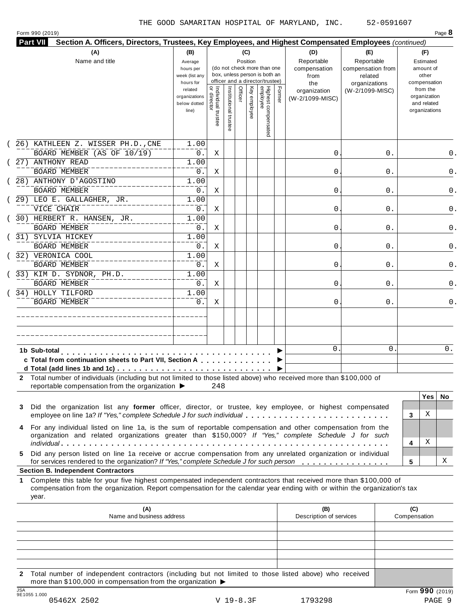| (A)                                                                                                                                                                                                                                                       | (B)                      |                                           |                      | (C)      |                                 |        | (D)                            | Section A. Officers, Directors, Trustees, Key Employees, and Highest Compensated Employees (continued)<br>(E) | (F)                      |
|-----------------------------------------------------------------------------------------------------------------------------------------------------------------------------------------------------------------------------------------------------------|--------------------------|-------------------------------------------|----------------------|----------|---------------------------------|--------|--------------------------------|---------------------------------------------------------------------------------------------------------------|--------------------------|
| Name and title                                                                                                                                                                                                                                            | Average<br>hours per     |                                           |                      | Position | (do not check more than one     |        | Reportable<br>compensation     | Reportable<br>compensation from                                                                               | Estimated<br>amount of   |
|                                                                                                                                                                                                                                                           | week (list any           |                                           |                      |          | box, unless person is both an   |        | from                           | related                                                                                                       | other                    |
|                                                                                                                                                                                                                                                           | hours for                |                                           |                      |          | officer and a director/trustee) |        | the                            | organizations                                                                                                 | compensation             |
|                                                                                                                                                                                                                                                           | related<br>organizations |                                           |                      | Officer  |                                 | Former | organization                   | (W-2/1099-MISC)                                                                                               | from the<br>organization |
|                                                                                                                                                                                                                                                           | below dotted             |                                           |                      |          |                                 |        | (W-2/1099-MISC)                |                                                                                                               | and related              |
|                                                                                                                                                                                                                                                           | line)                    |                                           |                      |          | Key employee                    |        |                                |                                                                                                               | organizations            |
|                                                                                                                                                                                                                                                           |                          | <br>  Individual trustee<br>  or director | Institutional truste |          | Highest compensated<br>employee |        |                                |                                                                                                               |                          |
|                                                                                                                                                                                                                                                           |                          |                                           |                      |          |                                 |        |                                |                                                                                                               |                          |
| 26) KATHLEEN Z. WISSER PH.D., CNE                                                                                                                                                                                                                         | 1.00                     |                                           |                      |          |                                 |        |                                |                                                                                                               |                          |
| BOARD MEMBER (AS OF 10/19)                                                                                                                                                                                                                                | 0.                       | Χ                                         |                      |          |                                 |        | 0                              | 0.                                                                                                            |                          |
| 27) ANTHONY READ                                                                                                                                                                                                                                          | 1.00                     |                                           |                      |          |                                 |        |                                |                                                                                                               |                          |
| <b>BOARD MEMBER</b>                                                                                                                                                                                                                                       | 0.                       | Χ                                         |                      |          |                                 |        | 0                              | 0.                                                                                                            |                          |
| 28) ANTHONY D'AGOSTINO                                                                                                                                                                                                                                    | 1.00                     |                                           |                      |          |                                 |        |                                |                                                                                                               |                          |
| <b>BOARD MEMBER</b>                                                                                                                                                                                                                                       | 0.                       | Χ                                         |                      |          |                                 |        | 0                              | 0.                                                                                                            |                          |
| 29) LEO E. GALLAGHER, JR.                                                                                                                                                                                                                                 | 1.00                     |                                           |                      |          |                                 |        |                                |                                                                                                               |                          |
| VICE CHAIR                                                                                                                                                                                                                                                | $0$ .                    | Χ                                         |                      |          |                                 |        | 0                              | 0.                                                                                                            |                          |
| 30) HERBERT R. HANSEN, JR.                                                                                                                                                                                                                                | 1.00                     |                                           |                      |          |                                 |        |                                |                                                                                                               |                          |
| <b>BOARD MEMBER</b>                                                                                                                                                                                                                                       | $0$ .                    | Χ                                         |                      |          |                                 |        | 0                              | 0.                                                                                                            |                          |
| 31) SYLVIA HICKEY                                                                                                                                                                                                                                         | 1.00                     |                                           |                      |          |                                 |        |                                |                                                                                                               |                          |
| <b>BOARD MEMBER</b>                                                                                                                                                                                                                                       | 0.                       | Χ                                         |                      |          |                                 |        | 0                              | 0.                                                                                                            |                          |
| 32) VERONICA COOL                                                                                                                                                                                                                                         | 1.00                     |                                           |                      |          |                                 |        |                                |                                                                                                               |                          |
| <b>BOARD MEMBER</b>                                                                                                                                                                                                                                       | 0.                       | Χ                                         |                      |          |                                 |        | 0                              | 0.                                                                                                            |                          |
| (33) KIM D. SYDNOR, PH.D.                                                                                                                                                                                                                                 | 1.00                     |                                           |                      |          |                                 |        |                                |                                                                                                               |                          |
| <b>BOARD MEMBER</b>                                                                                                                                                                                                                                       | $0$ .                    | Χ                                         |                      |          |                                 |        | 0                              | 0.                                                                                                            |                          |
| 34) HOLLY TILFORD                                                                                                                                                                                                                                         | 1.00                     |                                           |                      |          |                                 |        |                                |                                                                                                               |                          |
| <b>BOARD MEMBER</b>                                                                                                                                                                                                                                       | $0$ .                    | Χ                                         |                      |          |                                 |        | 0                              | 0.                                                                                                            |                          |
|                                                                                                                                                                                                                                                           |                          |                                           |                      |          |                                 |        |                                |                                                                                                               |                          |
|                                                                                                                                                                                                                                                           |                          |                                           |                      |          |                                 |        |                                |                                                                                                               |                          |
|                                                                                                                                                                                                                                                           |                          |                                           |                      |          |                                 |        |                                |                                                                                                               |                          |
| 1b Sub-total                                                                                                                                                                                                                                              |                          |                                           |                      |          |                                 |        | $\mathbf{0}$                   | 0                                                                                                             | 0.                       |
| c Total from continuation sheets to Part VII, Section A                                                                                                                                                                                                   |                          |                                           |                      |          |                                 |        |                                |                                                                                                               |                          |
|                                                                                                                                                                                                                                                           |                          |                                           |                      |          |                                 |        |                                |                                                                                                               |                          |
|                                                                                                                                                                                                                                                           |                          |                                           |                      |          |                                 |        |                                |                                                                                                               |                          |
|                                                                                                                                                                                                                                                           |                          |                                           |                      |          |                                 |        |                                |                                                                                                               |                          |
| reportable compensation from the organization ▶                                                                                                                                                                                                           |                          | 248                                       |                      |          |                                 |        |                                |                                                                                                               |                          |
|                                                                                                                                                                                                                                                           |                          |                                           |                      |          |                                 |        |                                |                                                                                                               | Yes                      |
| Did the organization list any former officer, director, or trustee, key employee, or highest compensated                                                                                                                                                  |                          |                                           |                      |          |                                 |        |                                |                                                                                                               |                          |
| 2 Total number of individuals (including but not limited to those listed above) who received more than \$100,000 of<br>3<br>employee on line 1a? If "Yes," complete Schedule J for such individual                                                        |                          |                                           |                      |          |                                 |        |                                |                                                                                                               | No.<br>Χ<br>3            |
| For any individual listed on line 1a, is the sum of reportable compensation and other compensation from the                                                                                                                                               |                          |                                           |                      |          |                                 |        |                                |                                                                                                               |                          |
| organization and related organizations greater than \$150,000? If "Yes," complete Schedule J for such                                                                                                                                                     |                          |                                           |                      |          |                                 |        |                                |                                                                                                               |                          |
|                                                                                                                                                                                                                                                           |                          |                                           |                      |          |                                 |        |                                |                                                                                                               | Χ<br>4                   |
| Did any person listed on line 1a receive or accrue compensation from any unrelated organization or individual<br>for services rendered to the organization? If "Yes," complete Schedule J for such person                                                 |                          |                                           |                      |          |                                 |        |                                |                                                                                                               | Χ<br>5                   |
|                                                                                                                                                                                                                                                           |                          |                                           |                      |          |                                 |        |                                |                                                                                                               |                          |
| Complete this table for your five highest compensated independent contractors that received more than \$100,000 of<br>compensation from the organization. Report compensation for the calendar year ending with or within the organization's tax<br>year. |                          |                                           |                      |          |                                 |        |                                |                                                                                                               |                          |
|                                                                                                                                                                                                                                                           |                          |                                           |                      |          |                                 |        |                                |                                                                                                               |                          |
| (A)<br>Name and business address                                                                                                                                                                                                                          |                          |                                           |                      |          |                                 |        | (B)<br>Description of services |                                                                                                               | (C)<br>Compensation      |
| 4<br>5.<br><b>Section B. Independent Contractors</b><br>1.                                                                                                                                                                                                |                          |                                           |                      |          |                                 |        |                                |                                                                                                               |                          |
|                                                                                                                                                                                                                                                           |                          |                                           |                      |          |                                 |        |                                |                                                                                                               |                          |

**2** Total number of independent contractors (including but not limited to those listed above) who received more than \$100,000 in compensation from the organization  $\blacktriangleright$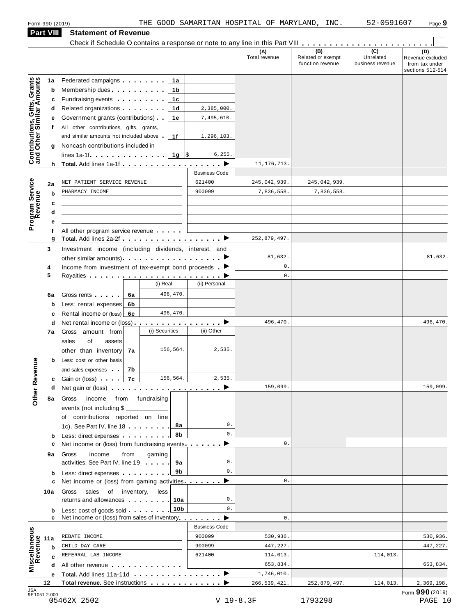|                                                           | Form 990 (2019) |                                                                                                                                                                                                                                                                                   |                      |                            | THE GOOD SAMARITAN HOSPITAL OF MARYLAND, INC. | 52-0591607                    | Page 9                                                 |
|-----------------------------------------------------------|-----------------|-----------------------------------------------------------------------------------------------------------------------------------------------------------------------------------------------------------------------------------------------------------------------------------|----------------------|----------------------------|-----------------------------------------------|-------------------------------|--------------------------------------------------------|
|                                                           | Part VIII       | <b>Statement of Revenue</b>                                                                                                                                                                                                                                                       |                      |                            |                                               |                               |                                                        |
|                                                           |                 |                                                                                                                                                                                                                                                                                   |                      | (A)                        | (B)                                           | $\overline{(c)}$              | (D)                                                    |
|                                                           |                 |                                                                                                                                                                                                                                                                                   |                      | Total revenue              | Related or exempt<br>function revenue         | Unrelated<br>business revenue | Revenue excluded<br>from tax under<br>sections 512-514 |
|                                                           | 1a              | Federated campaigns <b>Federated</b><br>1a                                                                                                                                                                                                                                        |                      |                            |                                               |                               |                                                        |
| Contributions, Gifts, Grants<br>and Other Similar Amounts | b               | Membership dues<br>1b                                                                                                                                                                                                                                                             |                      |                            |                                               |                               |                                                        |
|                                                           | c               | Fundraising events <b>Fundraising</b><br>1с                                                                                                                                                                                                                                       |                      |                            |                                               |                               |                                                        |
|                                                           | d               | Related organizations <b>and the set of the set of the set of the set of the set of the set of the set of the set of the set of the set of the set of the set of the set of the set of the set of the set of the set of the set </b><br>1d                                        | 2,385,000.           |                            |                                               |                               |                                                        |
|                                                           | е               | Government grants (contributions)<br>1e                                                                                                                                                                                                                                           | 7,495,610.           |                            |                                               |                               |                                                        |
|                                                           | f               | All other contributions, gifts, grants,                                                                                                                                                                                                                                           |                      |                            |                                               |                               |                                                        |
|                                                           |                 | and similar amounts not included above<br>1f                                                                                                                                                                                                                                      | 1,296,103.           |                            |                                               |                               |                                                        |
|                                                           | g               | Noncash contributions included in                                                                                                                                                                                                                                                 |                      |                            |                                               |                               |                                                        |
|                                                           |                 | 1g $\sqrt{3}$<br>$lines 1a-1f$ $\ldots$ $\ldots$ $\ldots$                                                                                                                                                                                                                         | 6, 255.              |                            |                                               |                               |                                                        |
|                                                           |                 |                                                                                                                                                                                                                                                                                   |                      | 11,176,713.                |                                               |                               |                                                        |
|                                                           |                 |                                                                                                                                                                                                                                                                                   | <b>Business Code</b> |                            |                                               |                               |                                                        |
|                                                           | 2a              | NET PATIENT SERVICE REVENUE                                                                                                                                                                                                                                                       | 621400<br>900099     | 245,042,939.<br>7,836,558. | 245,042,939.                                  |                               |                                                        |
|                                                           | b               | PHARMACY INCOME                                                                                                                                                                                                                                                                   |                      |                            | 7,836,558.                                    |                               |                                                        |
| Program Service                                           | с               |                                                                                                                                                                                                                                                                                   |                      |                            |                                               |                               |                                                        |
|                                                           | d               |                                                                                                                                                                                                                                                                                   |                      |                            |                                               |                               |                                                        |
|                                                           |                 | All other program service revenue                                                                                                                                                                                                                                                 |                      |                            |                                               |                               |                                                        |
|                                                           | g               |                                                                                                                                                                                                                                                                                   |                      | 252,879,497.               |                                               |                               |                                                        |
|                                                           | 3               | Investment income (including dividends, interest, and                                                                                                                                                                                                                             |                      |                            |                                               |                               |                                                        |
|                                                           |                 |                                                                                                                                                                                                                                                                                   |                      | 81,632.                    |                                               |                               | 81,632.                                                |
|                                                           | 4               | Income from investment of tax-exempt bond proceeds $\blacksquare$                                                                                                                                                                                                                 |                      | $0$ .                      |                                               |                               |                                                        |
|                                                           | 5               |                                                                                                                                                                                                                                                                                   |                      | $\mathbf{0}$ .             |                                               |                               |                                                        |
|                                                           |                 | (i) Real                                                                                                                                                                                                                                                                          | (ii) Personal        |                            |                                               |                               |                                                        |
|                                                           | 6a              | 496,470.<br>Gross rents <b>Contains the Street Street</b><br>6a                                                                                                                                                                                                                   |                      |                            |                                               |                               |                                                        |
|                                                           | b               | Less: rental expenses<br>6b                                                                                                                                                                                                                                                       |                      |                            |                                               |                               |                                                        |
|                                                           | с               | 496,470.<br>Rental income or (loss) 6c                                                                                                                                                                                                                                            |                      |                            |                                               |                               |                                                        |
|                                                           | d               | Net rental income or (loss) $\cdots$ $\cdots$ $\cdots$ $\cdots$ $\cdots$                                                                                                                                                                                                          |                      | 496,470.                   |                                               |                               | 496,470.                                               |
|                                                           | 7a              | (i) Securities<br>Gross amount from                                                                                                                                                                                                                                               | (ii) Other           |                            |                                               |                               |                                                        |
|                                                           |                 | sales<br>of<br>assets                                                                                                                                                                                                                                                             |                      |                            |                                               |                               |                                                        |
|                                                           |                 | 156,564.<br>other than inventory<br>7a                                                                                                                                                                                                                                            | 2,535.               |                            |                                               |                               |                                                        |
| <b>Other Revenue</b>                                      | b               | Less: cost or other basis                                                                                                                                                                                                                                                         |                      |                            |                                               |                               |                                                        |
|                                                           |                 | and sales expenses<br>7b<br>156,564.<br>Gain or (loss) <b>Canada</b> Case of the Case of the Case of the Case of the Case of the Case of the Case of the Case of the Case of the Case of the Case of the Case of the Case of the Case of the Case of the Case of the Case o<br>7с | 2,535.               |                            |                                               |                               |                                                        |
|                                                           | c<br>a          | Net gain or (loss) $\cdots$ $\cdots$ $\cdots$ $\cdots$ $\cdots$ $\cdots$                                                                                                                                                                                                          |                      | 159,099.                   |                                               |                               | 159,099.                                               |
|                                                           |                 | Gross<br>income from fundraising                                                                                                                                                                                                                                                  |                      |                            |                                               |                               |                                                        |
|                                                           | 8а              | events (not including \$                                                                                                                                                                                                                                                          |                      |                            |                                               |                               |                                                        |
|                                                           |                 | of contributions reported on line                                                                                                                                                                                                                                                 |                      |                            |                                               |                               |                                                        |
|                                                           |                 | 8а<br>1c). See Part IV, line 18                                                                                                                                                                                                                                                   | 0.                   |                            |                                               |                               |                                                        |
|                                                           | b               | 8b<br>Less: direct expenses                                                                                                                                                                                                                                                       | $\mathbf{0}$ .       |                            |                                               |                               |                                                        |
|                                                           | c               | Net income or (loss) from fundraising events                                                                                                                                                                                                                                      | ▶                    | $\mathbf{0}$ .             |                                               |                               |                                                        |
|                                                           | 9а              | Gross<br>income<br>from<br>gaming                                                                                                                                                                                                                                                 |                      |                            |                                               |                               |                                                        |
|                                                           |                 | activities. See Part IV, line 19<br>9а                                                                                                                                                                                                                                            | 0.                   |                            |                                               |                               |                                                        |
|                                                           | b               | 9b<br>Less: direct expenses                                                                                                                                                                                                                                                       | $\mathbf{0}$ .       |                            |                                               |                               |                                                        |
|                                                           | c               | Net income or (loss) from gaming activities                                                                                                                                                                                                                                       | ▶                    | $\mathbf 0$ .              |                                               |                               |                                                        |
|                                                           | 10a             | Gross<br>sales<br>of inventory,<br>less                                                                                                                                                                                                                                           |                      |                            |                                               |                               |                                                        |
|                                                           |                 | returns and allowances<br>10a                                                                                                                                                                                                                                                     | 0.                   |                            |                                               |                               |                                                        |
|                                                           | b               | 10 <sub>b</sub><br>Less: cost of goods sold<br>Net income or (loss) from sales of inventory                                                                                                                                                                                       | $\mathbf{0}$ .       | $\mathbf{0}$ .             |                                               |                               |                                                        |
|                                                           | c               |                                                                                                                                                                                                                                                                                   | <b>Business Code</b> |                            |                                               |                               |                                                        |
| Miscellaneous<br>Revenue                                  |                 | REBATE INCOME                                                                                                                                                                                                                                                                     | 900099               | 530,936.                   |                                               |                               | 530,936.                                               |
|                                                           | 11a             | CHILD DAY CARE                                                                                                                                                                                                                                                                    | 900099               | 447,227.                   |                                               |                               | 447,227.                                               |
|                                                           | b               | REFERRAL LAB INCOME                                                                                                                                                                                                                                                               | 621400               | 114,013.                   |                                               | 114,013.                      |                                                        |
|                                                           | d               | All other revenue                                                                                                                                                                                                                                                                 |                      | 653,834.                   |                                               |                               | 653,834.                                               |
|                                                           | е               |                                                                                                                                                                                                                                                                                   |                      | 1,746,010.                 |                                               |                               |                                                        |
|                                                           | 12              | Total revenue. See instructions                                                                                                                                                                                                                                                   |                      | 266, 539, 421.             | 252,879,497.                                  | 114,013.                      | 2,369,198.                                             |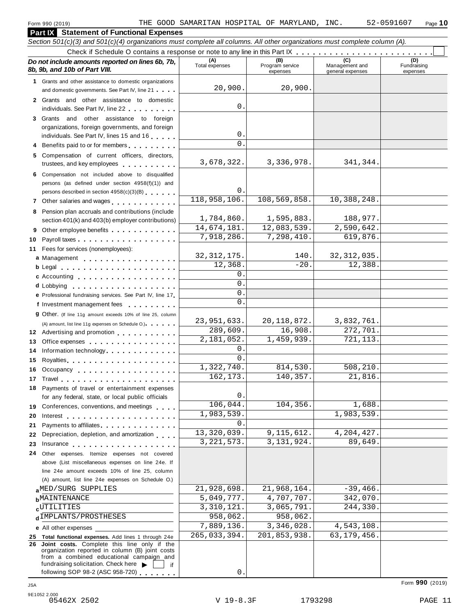**Part IX Statement of Functional Expenses**

#### Section 501(c)(3) and 501(c)(4) organizations must complete all columns. All other organizations must complete column (A). Check if Schedule O contains a response or note to any line in this Part  $\begin{array}{c|c|c|c|c} \hline \text{Check if Schedule O contains a response or note to any line in this Part } \mathbb{X} & \text{if } \mathbb{X} & \text{if } \mathbb{X} & \text{if } \mathbb{X} & \text{if } \mathbb{X} & \text{if } \mathbb{X} & \text{if } \mathbb{X} & \text{if } \mathbb{X} & \text{if } \mathbb{X} & \text{if } \math$ *Do no* **(A) (B) (C) (D)** *t include amounts reported on lines 6b, 7b,* **8b, 9b, and 10b of Part VIII.** The construction of *B***, 9b, and 10b of Part VIII.** expenses Management and general expenses Fundraising expenses **1** Grants and other assistance to domestic organizations and domestic governments. See Part IV, line 21 m m m **2** Grants and other assistance to domestic individuals. See Part IV, line 22 **3** Grants and other assistance to foreign organizations, foreign governments, and foreign individuals. See Part IV, lines <sup>15</sup> and <sup>16</sup> <sup>m</sup> <sup>m</sup> <sup>m</sup> <sup>m</sup> <sup>m</sup> **<sup>4</sup>** Benefits paid to or for members <sup>m</sup> <sup>m</sup> <sup>m</sup> <sup>m</sup> <sup>m</sup> <sup>m</sup> <sup>m</sup> <sup>m</sup> <sup>m</sup> **5** Compensation of current officers, directors, trustees, and key employees m m m m m m m m m m **6** Compensation not included above to disqualified persons (as defined under section 4958(f)(1)) and persons described in section 4958(c)(3)(B) <sup>m</sup> <sup>m</sup> <sup>m</sup> <sup>m</sup> <sup>m</sup> <sup>m</sup> **<sup>7</sup>** Other salaries and wages <sup>m</sup> <sup>m</sup> <sup>m</sup> <sup>m</sup> <sup>m</sup> <sup>m</sup> <sup>m</sup> <sup>m</sup> <sup>m</sup> <sup>m</sup> <sup>m</sup> <sup>m</sup> **8** Pension plan accruals and contributions (include section 401(k) and 403(b) employer contributions) **9** Section 401(k) and 403(b) employer contributions<br>9 Other employee benefits 9 Other employee benefits **10** Payroll taxes **10** Fees for services (nonemployees): **11** A) amount, list line 11g expenses on Schedule O.)<br>**12** Advertising and promotion **manual 13** Office expenses **13** Office expenses<br>**14** Information technology............. **15 16** Occupancy m m m m m m m m m m m m m m m m m m **16** Occupancy ...................<br>17 Travel..................... **18** Payments of travel or entertainment expenses for any federal, state, or local public officials<br>**19** Conferences, conventions, and meetings **19** Conferences, conventions, and meetings **endorship.**<br>20 Interest **manual meeting 21** 21 Payments to affiliates<br>22 Depreciation, depletion, and amortization <sub>1</sub> . . . **22** Depreciation, depletion, and amortization **manufation**<br>23 Insurance 24 Other expenses. Itemize expenses not covered | Fees for services (nonemployees):<br>**a** Management ..................<br>**b** Legal ......................... **cd** Lobbying m m m m m m m m m m m m m m m m m m m **e** Professional fundraising services. See Part IV, line <sup>17</sup> m **P** Professional fundraising services. See Part IV, line 17<br>**f** Investment management fees **g** Other. (If line 11g amount exceeds 10% of line 25, column Legal m m m m m m m m m m m m m m m m m m m m m c Accounting . . . . . . . . . . . . . . m m m m m m m m m m m m m m m m m m (A) amount, list line 11g expenses on Schedule O.) m m m m m m m m m m m m m m m m Royalties m m m m m m m m m m m m m m m m m m m m for any federal, state, or local public officials Payments to affiliates m m m m m m m m m m m m m m above (List miscellaneous expenses on line 24e. If line 24e amount exceeds 10% of line 25, column (A) amount, list line 24e expenses on Schedule O.) **a**<sup>MED/SORG SUPPLIES 21,928,698. 21,968,164. -39,466.<br>**b**MAINTENANCE 5,049,777. 4,707,707. 342,070.</sup> **c**<sup>UTILITIES</sup><br>d<sup>IMPLANTS/PROSTHESES 958,062. 958,062.</sup> **e** All other expenses **25 Total functional expenses.** Add lines 1 through 24e **26 Joint costs.** Complete this line only if the organization reported in column (B) joint costs from a combined educational campaign and from a combined educational campaign and<br>fundraising solicitation. Check here  $\blacktriangleright$  if<br>following SOP 98-2 (ASC 958-720) 20,900. 20,900. 0. 0.  $\Omega$  $3,678,322.$   $3,336,978.$  341,344. 0. 118,958,106. 108,569,858. 10,388,248. 1,784,860. 1,595,883. 188,977 14,674,181. 12,083,539. 2,590,642. 7,918,286. 7,298,410. 619,876. 32,312,175. 140. 32,312,035.  $12,368$ .  $-20.$  12,388 0.  $\overline{0}$ . 0.  $\overline{0}$ 23,951,633. 20,118,872. 3,832,761. 289,609. 16,908. 272,701. 2,181,052. 1,459,939. 721,113. 0.  $\Omega$ . 1,322,740. 814,530. 508,210. 162,173. 140,357. 21,816. 0. 106,044. 104,356. 1,688 1,983,539. 0. 13,320,039. 9,115,612. 4,204,427. 3,221,573. 3,131,924. 89,649. aMED/SURG SUPPLIES 21,928,698. 21,968,164. -39,466.  $\mathbf{C}$ UTILITIES  $\qquad \qquad \qquad$  3,310,121. 3,065,791. 244,330. 7,889,136. 3,346,028. 4,543,108. 265,033,394. 201,853,938. 63,179,456. 0.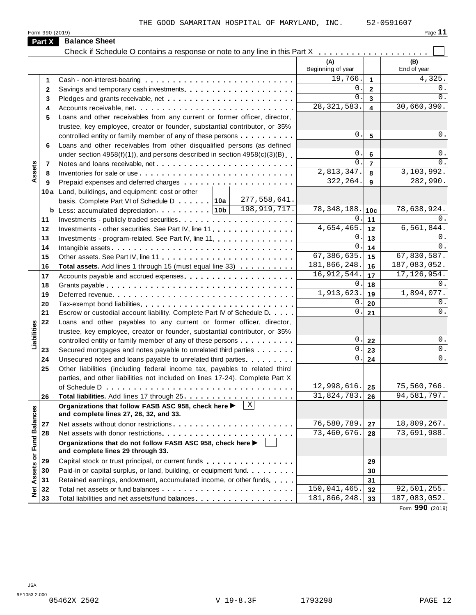|                      | Form 990 (2019) | THE GOOD SAMARITAN HOSPITAL OF MARYLAND, INC.                                                    |                   |                  | 52-0591607<br>Page 11 |
|----------------------|-----------------|--------------------------------------------------------------------------------------------------|-------------------|------------------|-----------------------|
|                      | Part X          | <b>Balance Sheet</b>                                                                             |                   |                  |                       |
|                      |                 | Check if Schedule O contains a response or note to any line in this Part X                       |                   |                  |                       |
|                      |                 |                                                                                                  | (A)               |                  | (B)                   |
|                      |                 |                                                                                                  | Beginning of year |                  | End of year           |
|                      | 1               |                                                                                                  | 19,766.           | $\overline{1}$   | 4,325.                |
|                      | $\mathbf{2}$    |                                                                                                  | 0.                | $\overline{2}$   | 0.                    |
|                      | 3               |                                                                                                  | 0.                | $\mathbf{3}$     | 0.                    |
|                      | 4               |                                                                                                  | 28, 321, 583.     | $\blacktriangle$ | 30,660,390.           |
|                      | 5               | Loans and other receivables from any current or former officer, director,                        |                   |                  |                       |
|                      |                 | trustee, key employee, creator or founder, substantial contributor, or 35%                       |                   |                  |                       |
|                      |                 | controlled entity or family member of any of these persons                                       | $0$ .             | 5                | 0.                    |
|                      | 6               | Loans and other receivables from other disqualified persons (as defined                          |                   |                  |                       |
|                      |                 | under section $4958(f)(1)$ , and persons described in section $4958(c)(3)(B)$                    | 0.                | 6                | 0.                    |
|                      | 7               | Notes and loans receivable, net                                                                  | $\mathbf 0$ .     | $\overline{7}$   | 0.                    |
| Assets               | 8               |                                                                                                  | 2,813,347.        | 8                | 3,103,992.            |
|                      | 9               |                                                                                                  | 322, 264.         | 9                | 282,990.              |
|                      |                 | 10a Land, buildings, and equipment: cost or other<br>277,558,641.                                |                   |                  |                       |
|                      |                 | basis. Complete Part VI of Schedule D 10a<br>198, 919, 717.                                      | 78, 348, 188.     |                  | 78,638,924.           |
|                      |                 |                                                                                                  | 0.                | 10 <sub>c</sub>  | 0.                    |
|                      | 11              |                                                                                                  | 4,654,465.        | 11<br>12         | 6,561,844.            |
|                      | 12              | Investments - other securities. See Part IV, line 11                                             | 0                 |                  | 0.                    |
|                      | 13<br>14        |                                                                                                  | 0.                | 13<br>14         | 0.                    |
|                      | 15              |                                                                                                  | 67, 386, 635.     | 15               | 67,830,587.           |
|                      | 16              |                                                                                                  | 181,866,248.      | 16               | 187,083,052.          |
|                      | 17              | Total assets. Add lines 1 through 15 (must equal line 33)                                        | 16, 912, 544.     | 17               | 17, 126, 954.         |
|                      | 18              |                                                                                                  | 0.                | 18               | 0.                    |
|                      | 19              |                                                                                                  | 1,913,623.        | 19               | 1,894,077.            |
|                      | 20              |                                                                                                  | 0.                | 20               | 0.                    |
|                      | 21              | Escrow or custodial account liability. Complete Part IV of Schedule D.                           | 0.                | 21               | 0.                    |
|                      | 22              | Loans and other payables to any current or former officer, director,                             |                   |                  |                       |
| abilities            |                 | trustee, key employee, creator or founder, substantial contributor, or 35%                       |                   |                  |                       |
|                      |                 | controlled entity or family member of any of these persons                                       |                   | 0.122            | $0$ .                 |
| э                    | 23              | Secured mortgages and notes payable to unrelated third parties                                   | 0.                | 23               | 0.                    |
|                      | 24              | Unsecured notes and loans payable to unrelated third parties                                     | 0.                | 24               | $0$ .                 |
|                      | 25              | Other liabilities (including federal income tax, payables to related third                       |                   |                  |                       |
|                      |                 | parties, and other liabilities not included on lines 17-24). Complete Part X                     |                   |                  |                       |
|                      |                 |                                                                                                  | 12,998,616.       | 25               | 75,560,766.           |
|                      | 26              |                                                                                                  | 31,824,783.       | 26               | 94, 581, 797.         |
|                      |                 | Organizations that follow FASB ASC 958, check here ▶<br>and complete lines 27, 28, 32, and 33.   |                   |                  |                       |
|                      | 27              |                                                                                                  | 76,580,789.       | 27               | 18,809,267.           |
|                      | 28              |                                                                                                  | 73,460,676.       | 28               | 73,691,988.           |
| <b>Fund Balances</b> |                 | Organizations that do not follow FASB ASC 958, check here ▶<br>and complete lines 29 through 33. |                   |                  |                       |
|                      | 29              | Capital stock or trust principal, or current funds                                               |                   | 29               |                       |
|                      | 30              | Paid-in or capital surplus, or land, building, or equipment fund.                                |                   | 30               |                       |
|                      | 31              | Retained earnings, endowment, accumulated income, or other funds                                 |                   | 31               |                       |
| Net Assets or        | 32              |                                                                                                  | 150,041,465.      | 32               | 92,501,255.           |
|                      | 33              | Total liabilities and net assets/fund balances                                                   | 181,866,248.      | 33               | 187,083,052.          |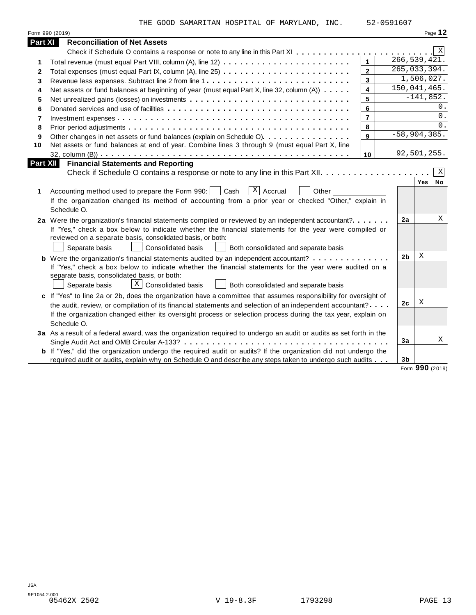|                          | THE GOOD SAMARITAN HOSPITAL OF MARYLAND, INC.                                                                                                                                                                                               |                         | 52-0591607 |                            |             |                |
|--------------------------|---------------------------------------------------------------------------------------------------------------------------------------------------------------------------------------------------------------------------------------------|-------------------------|------------|----------------------------|-------------|----------------|
|                          | Form 990 (2019)                                                                                                                                                                                                                             |                         |            |                            |             | Page 12        |
| <b>Part XI</b>           | <b>Reconciliation of Net Assets</b>                                                                                                                                                                                                         |                         |            |                            |             |                |
|                          |                                                                                                                                                                                                                                             |                         |            |                            |             | Χ              |
| 1                        |                                                                                                                                                                                                                                             | $\mathbf{1}$            |            | $\overline{266,539,421}$ . |             |                |
| 2                        |                                                                                                                                                                                                                                             | $\overline{2}$          |            | 265, 033, 394.             |             |                |
| 3                        | Revenue less expenses. Subtract line 2 from line 1                                                                                                                                                                                          | $\mathbf{3}$            |            |                            | 1,506,027.  |                |
| 4                        | Net assets or fund balances at beginning of year (must equal Part X, line 32, column (A))                                                                                                                                                   | $\overline{\mathbf{4}}$ |            | 150,041,465.               |             |                |
| 5                        |                                                                                                                                                                                                                                             | 5                       |            |                            | $-141,852.$ |                |
| 6                        |                                                                                                                                                                                                                                             | 6                       |            |                            |             | 0.             |
| $\overline{\phantom{a}}$ |                                                                                                                                                                                                                                             | $\overline{7}$          |            |                            |             | $0$ .          |
| 8                        |                                                                                                                                                                                                                                             | 8                       |            |                            |             | $\Omega$ .     |
| 9                        | Other changes in net assets or fund balances (explain on Schedule O).                                                                                                                                                                       | 9                       |            | $-58,904,385.$             |             |                |
| 10                       | Net assets or fund balances at end of year. Combine lines 3 through 9 (must equal Part X, line                                                                                                                                              |                         |            |                            |             |                |
|                          |                                                                                                                                                                                                                                             | 10                      |            | 92,501,255.                |             |                |
| 1                        | $\vert X \vert$<br>Accrual<br>Accounting method used to prepare the Form 990:<br>Cash<br>Other                                                                                                                                              |                         |            |                            | Yes         | Χ<br><b>No</b> |
|                          | If the organization changed its method of accounting from a prior year or checked "Other," explain in<br>Schedule O.                                                                                                                        |                         |            |                            |             |                |
|                          | 2a Were the organization's financial statements compiled or reviewed by an independent accountant?                                                                                                                                          |                         |            | 2a                         |             | Χ              |
|                          | If "Yes," check a box below to indicate whether the financial statements for the year were compiled or<br>reviewed on a separate basis, consolidated basis, or both:                                                                        |                         |            |                            |             |                |
|                          | Separate basis<br>Consolidated basis<br>Both consolidated and separate basis                                                                                                                                                                |                         |            |                            |             |                |
|                          | <b>b</b> Were the organization's financial statements audited by an independent accountant?                                                                                                                                                 |                         |            | 2 <sub>b</sub>             | X           |                |
|                          | If "Yes," check a box below to indicate whether the financial statements for the year were audited on a<br>separate basis, consolidated basis, or both:<br>$X$ Consolidated basis<br>Separate basis<br>Both consolidated and separate basis |                         |            |                            |             |                |
|                          | c If "Yes" to line 2a or 2b, does the organization have a committee that assumes responsibility for oversight of                                                                                                                            |                         |            |                            |             |                |
|                          | the audit, review, or compilation of its financial statements and selection of an independent accountant?                                                                                                                                   |                         |            | 2 <sub>c</sub>             | Χ           |                |
|                          | If the organization changed either its oversight process or selection process during the tax year, explain on                                                                                                                               |                         |            |                            |             |                |
|                          | Schedule O.                                                                                                                                                                                                                                 |                         |            |                            |             |                |
|                          |                                                                                                                                                                                                                                             |                         |            |                            |             |                |
|                          | 3a As a result of a federal award, was the organization required to undergo an audit or audits as set forth in the                                                                                                                          |                         |            | 3a                         |             | X              |
|                          | <b>b</b> If "Yes," did the organization undergo the required audit or audits? If the organization did not undergo the                                                                                                                       |                         |            |                            |             |                |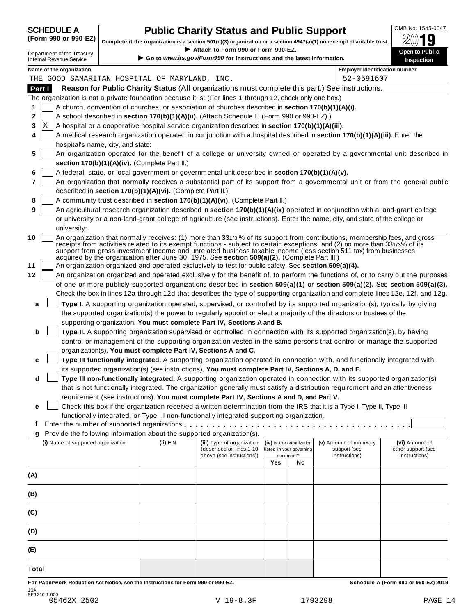| <b>SCHEDULE A</b>             |  |  |
|-------------------------------|--|--|
| $\sqrt{2}$ and and $\sqrt{2}$ |  |  |

# **CHEDULE A Public Charity Status and Public Support**  $\frac{100\text{dB No. }1545-0047}{000\text{dB}}$

(Form 990 or 990-EZ) complete if the organization is a section 501(c)(3) organization or a section 4947(a)(1) nonexempt charitable trust.  $2019$ 

|                                                               |                                   |                                                            |                                                                                                              |     |                                                      | Complete if the organization is a section 501(c)(3) organization or a section $4947(a)(1)$ nonexempt charitable trust.                                                                                                                                                                                                                                                          | ZW IJ                                                                                                                            |
|---------------------------------------------------------------|-----------------------------------|------------------------------------------------------------|--------------------------------------------------------------------------------------------------------------|-----|------------------------------------------------------|---------------------------------------------------------------------------------------------------------------------------------------------------------------------------------------------------------------------------------------------------------------------------------------------------------------------------------------------------------------------------------|----------------------------------------------------------------------------------------------------------------------------------|
| Department of the Treasury<br><b>Internal Revenue Service</b> |                                   |                                                            | Attach to Form 990 or Form 990-EZ.<br>Go to www.irs.gov/Form990 for instructions and the latest information. |     |                                                      |                                                                                                                                                                                                                                                                                                                                                                                 | Open to Public<br>Inspection                                                                                                     |
| Name of the organization                                      |                                   |                                                            |                                                                                                              |     |                                                      | <b>Employer identification number</b>                                                                                                                                                                                                                                                                                                                                           |                                                                                                                                  |
| THE GOOD SAMARITAN HOSPITAL OF MARYLAND, INC.                 |                                   |                                                            |                                                                                                              |     |                                                      | 52-0591607                                                                                                                                                                                                                                                                                                                                                                      |                                                                                                                                  |
| Part I                                                        |                                   |                                                            |                                                                                                              |     |                                                      | Reason for Public Charity Status (All organizations must complete this part.) See instructions.                                                                                                                                                                                                                                                                                 |                                                                                                                                  |
|                                                               |                                   |                                                            | The organization is not a private foundation because it is: (For lines 1 through 12, check only one box.)    |     |                                                      |                                                                                                                                                                                                                                                                                                                                                                                 |                                                                                                                                  |
| 1                                                             |                                   |                                                            | A church, convention of churches, or association of churches described in section 170(b)(1)(A)(i).           |     |                                                      |                                                                                                                                                                                                                                                                                                                                                                                 |                                                                                                                                  |
| 2                                                             |                                   |                                                            | A school described in section 170(b)(1)(A)(ii). (Attach Schedule E (Form 990 or 990-EZ).)                    |     |                                                      |                                                                                                                                                                                                                                                                                                                                                                                 |                                                                                                                                  |
| ΙX<br>3                                                       |                                   |                                                            | A hospital or a cooperative hospital service organization described in section 170(b)(1)(A)(iii).            |     |                                                      |                                                                                                                                                                                                                                                                                                                                                                                 |                                                                                                                                  |
| 4                                                             | hospital's name, city, and state: |                                                            |                                                                                                              |     |                                                      | A medical research organization operated in conjunction with a hospital described in section 170(b)(1)(A)(iii). Enter the                                                                                                                                                                                                                                                       |                                                                                                                                  |
| 5                                                             |                                   |                                                            |                                                                                                              |     |                                                      |                                                                                                                                                                                                                                                                                                                                                                                 | An organization operated for the benefit of a college or university owned or operated by a governmental unit described in        |
|                                                               |                                   | section 170(b)(1)(A)(iv). (Complete Part II.)              |                                                                                                              |     |                                                      |                                                                                                                                                                                                                                                                                                                                                                                 |                                                                                                                                  |
| 6                                                             |                                   |                                                            | A federal, state, or local government or governmental unit described in section 170(b)(1)(A)(v).             |     |                                                      |                                                                                                                                                                                                                                                                                                                                                                                 |                                                                                                                                  |
| 7                                                             |                                   |                                                            |                                                                                                              |     |                                                      |                                                                                                                                                                                                                                                                                                                                                                                 | An organization that normally receives a substantial part of its support from a governmental unit or from the general public     |
|                                                               |                                   | described in section 170(b)(1)(A)(vi). (Complete Part II.) |                                                                                                              |     |                                                      |                                                                                                                                                                                                                                                                                                                                                                                 |                                                                                                                                  |
| 8                                                             |                                   |                                                            | A community trust described in section 170(b)(1)(A)(vi). (Complete Part II.)                                 |     |                                                      |                                                                                                                                                                                                                                                                                                                                                                                 |                                                                                                                                  |
| 9                                                             |                                   |                                                            |                                                                                                              |     |                                                      | An agricultural research organization described in section 170(b)(1)(A)(ix) operated in conjunction with a land-grant college                                                                                                                                                                                                                                                   |                                                                                                                                  |
|                                                               |                                   |                                                            |                                                                                                              |     |                                                      | or university or a non-land-grant college of agriculture (see instructions). Enter the name, city, and state of the college or                                                                                                                                                                                                                                                  |                                                                                                                                  |
| university:                                                   |                                   |                                                            |                                                                                                              |     |                                                      |                                                                                                                                                                                                                                                                                                                                                                                 |                                                                                                                                  |
| 10                                                            |                                   |                                                            | acquired by the organization after June 30, 1975. See section 509(a)(2). (Complete Part III.)                |     |                                                      | An organization that normally receives: (1) more than 331/3% of its support from contributions, membership fees, and gross<br>receipts from activities related to its exempt functions - subject to certain exceptions, and (2) no more than 331/3% of its<br>support from gross investment income and unrelated business taxable income (less section 511 tax) from businesses |                                                                                                                                  |
| 11                                                            |                                   |                                                            | An organization organized and operated exclusively to test for public safety. See section 509(a)(4).         |     |                                                      |                                                                                                                                                                                                                                                                                                                                                                                 |                                                                                                                                  |
| 12                                                            |                                   |                                                            |                                                                                                              |     |                                                      |                                                                                                                                                                                                                                                                                                                                                                                 | An organization organized and operated exclusively for the benefit of, to perform the functions of, or to carry out the purposes |
|                                                               |                                   |                                                            |                                                                                                              |     |                                                      |                                                                                                                                                                                                                                                                                                                                                                                 | of one or more publicly supported organizations described in section 509(a)(1) or section 509(a)(2). See section 509(a)(3).      |
|                                                               |                                   |                                                            |                                                                                                              |     |                                                      |                                                                                                                                                                                                                                                                                                                                                                                 | Check the box in lines 12a through 12d that describes the type of supporting organization and complete lines 12e, 12f, and 12g.  |
| a                                                             |                                   |                                                            |                                                                                                              |     |                                                      | Type I. A supporting organization operated, supervised, or controlled by its supported organization(s), typically by giving                                                                                                                                                                                                                                                     |                                                                                                                                  |
|                                                               |                                   |                                                            |                                                                                                              |     |                                                      | the supported organization(s) the power to regularly appoint or elect a majority of the directors or trustees of the                                                                                                                                                                                                                                                            |                                                                                                                                  |
|                                                               |                                   |                                                            | supporting organization. You must complete Part IV, Sections A and B.                                        |     |                                                      |                                                                                                                                                                                                                                                                                                                                                                                 |                                                                                                                                  |
| b                                                             |                                   |                                                            |                                                                                                              |     |                                                      | Type II. A supporting organization supervised or controlled in connection with its supported organization(s), by having                                                                                                                                                                                                                                                         |                                                                                                                                  |
|                                                               |                                   |                                                            |                                                                                                              |     |                                                      | control or management of the supporting organization vested in the same persons that control or manage the supported                                                                                                                                                                                                                                                            |                                                                                                                                  |
|                                                               |                                   |                                                            | organization(s). You must complete Part IV, Sections A and C.                                                |     |                                                      |                                                                                                                                                                                                                                                                                                                                                                                 |                                                                                                                                  |
| c                                                             |                                   |                                                            |                                                                                                              |     |                                                      | Type III functionally integrated. A supporting organization operated in connection with, and functionally integrated with,                                                                                                                                                                                                                                                      |                                                                                                                                  |
|                                                               |                                   |                                                            | its supported organization(s) (see instructions). You must complete Part IV, Sections A, D, and E.           |     |                                                      |                                                                                                                                                                                                                                                                                                                                                                                 |                                                                                                                                  |
| d                                                             |                                   |                                                            |                                                                                                              |     |                                                      | Type III non-functionally integrated. A supporting organization operated in connection with its supported organization(s)                                                                                                                                                                                                                                                       |                                                                                                                                  |
|                                                               |                                   |                                                            |                                                                                                              |     |                                                      | that is not functionally integrated. The organization generally must satisfy a distribution requirement and an attentiveness                                                                                                                                                                                                                                                    |                                                                                                                                  |
|                                                               |                                   |                                                            | requirement (see instructions). You must complete Part IV, Sections A and D, and Part V.                     |     |                                                      |                                                                                                                                                                                                                                                                                                                                                                                 |                                                                                                                                  |
| е                                                             |                                   |                                                            |                                                                                                              |     |                                                      | Check this box if the organization received a written determination from the IRS that it is a Type I, Type II, Type III                                                                                                                                                                                                                                                         |                                                                                                                                  |
|                                                               |                                   |                                                            | functionally integrated, or Type III non-functionally integrated supporting organization.                    |     |                                                      |                                                                                                                                                                                                                                                                                                                                                                                 |                                                                                                                                  |
| t                                                             |                                   |                                                            |                                                                                                              |     |                                                      |                                                                                                                                                                                                                                                                                                                                                                                 |                                                                                                                                  |
| g                                                             |                                   |                                                            | Provide the following information about the supported organization(s).                                       |     |                                                      |                                                                                                                                                                                                                                                                                                                                                                                 |                                                                                                                                  |
| (i) Name of supported organization                            |                                   | (ii) EIN                                                   | (iii) Type of organization<br>(described on lines 1-10                                                       |     | (iv) Is the organization<br>listed in your governing | (v) Amount of monetary<br>support (see                                                                                                                                                                                                                                                                                                                                          | (vi) Amount of<br>other support (see                                                                                             |
|                                                               |                                   |                                                            | above (see instructions))                                                                                    |     | document?                                            | instructions)                                                                                                                                                                                                                                                                                                                                                                   | instructions)                                                                                                                    |
|                                                               |                                   |                                                            |                                                                                                              | Yes | No                                                   |                                                                                                                                                                                                                                                                                                                                                                                 |                                                                                                                                  |
| (A)                                                           |                                   |                                                            |                                                                                                              |     |                                                      |                                                                                                                                                                                                                                                                                                                                                                                 |                                                                                                                                  |
|                                                               |                                   |                                                            |                                                                                                              |     |                                                      |                                                                                                                                                                                                                                                                                                                                                                                 |                                                                                                                                  |
| (B)                                                           |                                   |                                                            |                                                                                                              |     |                                                      |                                                                                                                                                                                                                                                                                                                                                                                 |                                                                                                                                  |
| (C)                                                           |                                   |                                                            |                                                                                                              |     |                                                      |                                                                                                                                                                                                                                                                                                                                                                                 |                                                                                                                                  |
|                                                               |                                   |                                                            |                                                                                                              |     |                                                      |                                                                                                                                                                                                                                                                                                                                                                                 |                                                                                                                                  |
| (D)                                                           |                                   |                                                            |                                                                                                              |     |                                                      |                                                                                                                                                                                                                                                                                                                                                                                 |                                                                                                                                  |
| (E)                                                           |                                   |                                                            |                                                                                                              |     |                                                      |                                                                                                                                                                                                                                                                                                                                                                                 |                                                                                                                                  |
|                                                               |                                   |                                                            |                                                                                                              |     |                                                      |                                                                                                                                                                                                                                                                                                                                                                                 |                                                                                                                                  |
| Total                                                         |                                   |                                                            |                                                                                                              |     |                                                      |                                                                                                                                                                                                                                                                                                                                                                                 |                                                                                                                                  |

For Paperwork Reduction Act Notice, see the Instructions for Form 990 or 990-EZ. Schedule A (Form 990 or 990-EZ) 2019 JSA 9E1210 1.000 05462X 2502 V 19-8.3F 1793298 PAGE 14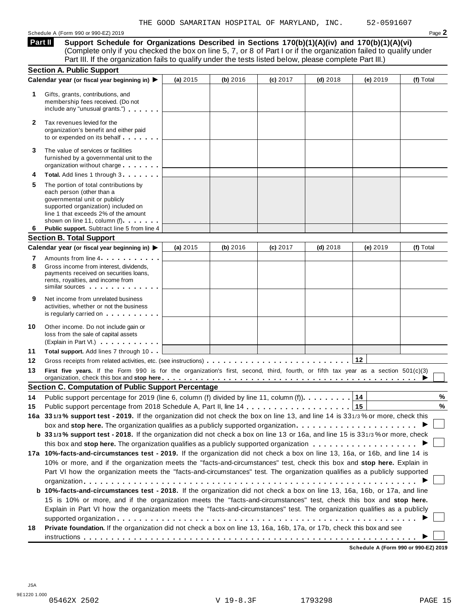**Support Schedule for Organizations Described in Sections 170(b)(1)(A)(iv) and 170(b)(1)(A)(vi)** (Complete only if you checked the box on line 5, 7, or 8 of Part I or if the organization failed to qualify under **Part II** 

|              | Part III. If the organization fails to qualify under the tests listed below, please complete Part III.)                                                                                                                                                                                                                                                             |          |          |          |            |                                      |           |
|--------------|---------------------------------------------------------------------------------------------------------------------------------------------------------------------------------------------------------------------------------------------------------------------------------------------------------------------------------------------------------------------|----------|----------|----------|------------|--------------------------------------|-----------|
|              | <b>Section A. Public Support</b>                                                                                                                                                                                                                                                                                                                                    |          |          |          |            |                                      |           |
|              | Calendar year (or fiscal year beginning in) ▶                                                                                                                                                                                                                                                                                                                       | (a) 2015 | (b) 2016 | (c) 2017 | $(d)$ 2018 | (e) 2019                             | (f) Total |
| 1            | Gifts, grants, contributions, and<br>membership fees received. (Do not<br>include any "unusual grants.")                                                                                                                                                                                                                                                            |          |          |          |            |                                      |           |
| $\mathbf{2}$ | Tax revenues levied for the<br>organization's benefit and either paid<br>to or expended on its behalf                                                                                                                                                                                                                                                               |          |          |          |            |                                      |           |
| 3            | The value of services or facilities<br>furnished by a governmental unit to the<br>organization without charge                                                                                                                                                                                                                                                       |          |          |          |            |                                      |           |
| 4            | Total. Add lines 1 through 3                                                                                                                                                                                                                                                                                                                                        |          |          |          |            |                                      |           |
| 5            | The portion of total contributions by<br>each person (other than a<br>governmental unit or publicly<br>supported organization) included on<br>line 1 that exceeds 2% of the amount<br>shown on line 11, column (f)                                                                                                                                                  |          |          |          |            |                                      |           |
| 6            | Public support. Subtract line 5 from line 4                                                                                                                                                                                                                                                                                                                         |          |          |          |            |                                      |           |
|              | <b>Section B. Total Support</b>                                                                                                                                                                                                                                                                                                                                     |          |          |          |            |                                      |           |
|              | Calendar year (or fiscal year beginning in) ▶                                                                                                                                                                                                                                                                                                                       | (a) 2015 | (b) 2016 | (c) 2017 | $(d)$ 2018 | (e) 2019                             | (f) Total |
| 7<br>8       | Amounts from line 4<br>Gross income from interest, dividends,<br>payments received on securities loans,<br>rents, royalties, and income from<br>similar sources experiences                                                                                                                                                                                         |          |          |          |            |                                      |           |
| 9            | Net income from unrelated business<br>activities, whether or not the business<br>is regularly carried on the control of the set of the set of the set of the set of the set of the set of the s                                                                                                                                                                     |          |          |          |            |                                      |           |
| 10           | Other income. Do not include gain or<br>loss from the sale of capital assets<br>(Explain in Part VI.)                                                                                                                                                                                                                                                               |          |          |          |            |                                      |           |
| 11           | Total support. Add lines 7 through 10                                                                                                                                                                                                                                                                                                                               |          |          |          |            |                                      |           |
| 12           |                                                                                                                                                                                                                                                                                                                                                                     |          |          |          |            | 12                                   |           |
| 13           | First five years. If the Form 990 is for the organization's first, second, third, fourth, or fifth tax year as a section 501(c)(3)<br>organization, check this box and stop here entired to a series of the series of the series of the series of the series of the series of the series of the series of the series of the series of the series of the series of t |          |          |          |            |                                      |           |
|              | <b>Section C. Computation of Public Support Percentage</b>                                                                                                                                                                                                                                                                                                          |          |          |          |            |                                      |           |
| 14           | Public support percentage for 2019 (line 6, column (f) divided by line 11, column (f)). 14                                                                                                                                                                                                                                                                          |          |          |          |            |                                      | $\%$      |
| 15           |                                                                                                                                                                                                                                                                                                                                                                     |          |          |          |            | 15                                   | %         |
|              | 16a 331/3% support test - 2019. If the organization did not check the box on line 13, and line 14 is 331/3% or more, check this                                                                                                                                                                                                                                     |          |          |          |            |                                      |           |
|              | box and stop here. The organization qualifies as a publicly supported organization                                                                                                                                                                                                                                                                                  |          |          |          |            |                                      |           |
|              | b 331/3% support test - 2018. If the organization did not check a box on line 13 or 16a, and line 15 is 331/3% or more, check                                                                                                                                                                                                                                       |          |          |          |            |                                      |           |
|              |                                                                                                                                                                                                                                                                                                                                                                     |          |          |          |            |                                      |           |
|              | 17a 10%-facts-and-circumstances test - 2019. If the organization did not check a box on line 13, 16a, or 16b, and line 14 is                                                                                                                                                                                                                                        |          |          |          |            |                                      |           |
|              | 10% or more, and if the organization meets the "facts-and-circumstances" test, check this box and stop here. Explain in                                                                                                                                                                                                                                             |          |          |          |            |                                      |           |
|              | Part VI how the organization meets the "facts-and-circumstances" test. The organization qualifies as a publicly supported                                                                                                                                                                                                                                           |          |          |          |            |                                      |           |
|              | b 10%-facts-and-circumstances test - 2018. If the organization did not check a box on line 13, 16a, 16b, or 17a, and line                                                                                                                                                                                                                                           |          |          |          |            |                                      |           |
|              | 15 is 10% or more, and if the organization meets the "facts-and-circumstances" test, check this box and stop here.                                                                                                                                                                                                                                                  |          |          |          |            |                                      |           |
|              | Explain in Part VI how the organization meets the "facts-and-circumstances" test. The organization qualifies as a publicly                                                                                                                                                                                                                                          |          |          |          |            |                                      |           |
|              |                                                                                                                                                                                                                                                                                                                                                                     |          |          |          |            |                                      |           |
| 18           | Private foundation. If the organization did not check a box on line 13, 16a, 16b, 17a, or 17b, check this box and see                                                                                                                                                                                                                                               |          |          |          |            |                                      |           |
|              |                                                                                                                                                                                                                                                                                                                                                                     |          |          |          |            |                                      |           |
|              |                                                                                                                                                                                                                                                                                                                                                                     |          |          |          |            | Schedule A (Form 990 or 990-EZ) 2019 |           |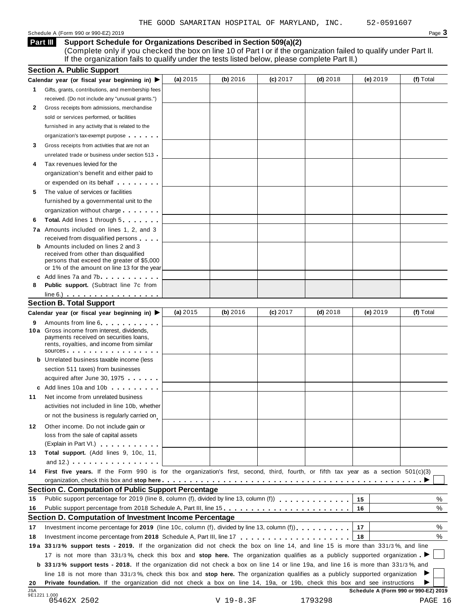**Support Schedule for Organizations Described in Section 509(a)(2) Part III** 

(Complete only if you checked the box on line 10 of Part I or if the organization failed to qualify under Part II. If the organization fails to qualify under the tests listed below, please complete Part II.)

|                  | <b>Section A. Public Support</b>                                                                                                                                                                                                     |            |          |          |            |                                      |           |
|------------------|--------------------------------------------------------------------------------------------------------------------------------------------------------------------------------------------------------------------------------------|------------|----------|----------|------------|--------------------------------------|-----------|
|                  | Calendar year (or fiscal year beginning in) $\blacktriangleright$                                                                                                                                                                    | (a) 2015   | (b) 2016 | (c) 2017 | $(d)$ 2018 | (e) 2019                             | (f) Total |
| 1.               | Gifts, grants, contributions, and membership fees                                                                                                                                                                                    |            |          |          |            |                                      |           |
|                  | received. (Do not include any "unusual grants.")                                                                                                                                                                                     |            |          |          |            |                                      |           |
| 2                | Gross receipts from admissions, merchandise                                                                                                                                                                                          |            |          |          |            |                                      |           |
|                  | sold or services performed, or facilities                                                                                                                                                                                            |            |          |          |            |                                      |           |
|                  | furnished in any activity that is related to the                                                                                                                                                                                     |            |          |          |            |                                      |           |
|                  | organization's tax-exempt purpose                                                                                                                                                                                                    |            |          |          |            |                                      |           |
| 3                | Gross receipts from activities that are not an                                                                                                                                                                                       |            |          |          |            |                                      |           |
|                  | unrelated trade or business under section 513                                                                                                                                                                                        |            |          |          |            |                                      |           |
| 4                | Tax revenues levied for the                                                                                                                                                                                                          |            |          |          |            |                                      |           |
|                  | organization's benefit and either paid to                                                                                                                                                                                            |            |          |          |            |                                      |           |
|                  | or expended on its behalf <b>contains the set of the set of the set of the set of the set of the set of the set of the set of the set of the set of the set of the set of the set of the set of the set of the set of the set of</b> |            |          |          |            |                                      |           |
| 5                | The value of services or facilities                                                                                                                                                                                                  |            |          |          |            |                                      |           |
|                  | furnished by a governmental unit to the                                                                                                                                                                                              |            |          |          |            |                                      |           |
|                  | organization without charge                                                                                                                                                                                                          |            |          |          |            |                                      |           |
| 6                | <b>Total.</b> Add lines 1 through 5                                                                                                                                                                                                  |            |          |          |            |                                      |           |
|                  | 7a Amounts included on lines 1, 2, and 3                                                                                                                                                                                             |            |          |          |            |                                      |           |
|                  | received from disqualified persons                                                                                                                                                                                                   |            |          |          |            |                                      |           |
|                  | <b>b</b> Amounts included on lines 2 and 3                                                                                                                                                                                           |            |          |          |            |                                      |           |
|                  | received from other than disqualified                                                                                                                                                                                                |            |          |          |            |                                      |           |
|                  | persons that exceed the greater of \$5,000                                                                                                                                                                                           |            |          |          |            |                                      |           |
|                  | or 1% of the amount on line 13 for the year                                                                                                                                                                                          |            |          |          |            |                                      |           |
|                  | c Add lines 7a and 7b                                                                                                                                                                                                                |            |          |          |            |                                      |           |
| 8                | <b>Public support.</b> (Subtract line 7c from                                                                                                                                                                                        |            |          |          |            |                                      |           |
|                  | <b>Section B. Total Support</b>                                                                                                                                                                                                      |            |          |          |            |                                      |           |
|                  |                                                                                                                                                                                                                                      | (a) $2015$ | (b) 2016 | (c) 2017 | $(d)$ 2018 | $(e)$ 2019                           | (f) Total |
|                  | Calendar year (or fiscal year beginning in) ▶                                                                                                                                                                                        |            |          |          |            |                                      |           |
| 9                | Amounts from line 6 <b>Amounts</b> from line 6<br>10 a Gross income from interest, dividends,                                                                                                                                        |            |          |          |            |                                      |           |
|                  | payments received on securities loans,                                                                                                                                                                                               |            |          |          |            |                                      |           |
|                  | rents, royalties, and income from similar                                                                                                                                                                                            |            |          |          |            |                                      |           |
|                  | sources                                                                                                                                                                                                                              |            |          |          |            |                                      |           |
|                  | <b>b</b> Unrelated business taxable income (less                                                                                                                                                                                     |            |          |          |            |                                      |           |
|                  | section 511 taxes) from businesses                                                                                                                                                                                                   |            |          |          |            |                                      |           |
|                  | acquired after June 30, 1975                                                                                                                                                                                                         |            |          |          |            |                                      |           |
|                  | c Add lines 10a and 10b                                                                                                                                                                                                              |            |          |          |            |                                      |           |
| 11               | Net income from unrelated business                                                                                                                                                                                                   |            |          |          |            |                                      |           |
|                  | activities not included in line 10b, whether                                                                                                                                                                                         |            |          |          |            |                                      |           |
|                  | or not the business is regularly carried on                                                                                                                                                                                          |            |          |          |            |                                      |           |
| 12               | Other income. Do not include gain or                                                                                                                                                                                                 |            |          |          |            |                                      |           |
|                  | loss from the sale of capital assets                                                                                                                                                                                                 |            |          |          |            |                                      |           |
|                  | (Explain in Part VI.) <b>All Accords</b>                                                                                                                                                                                             |            |          |          |            |                                      |           |
| 13               | Total support. (Add lines 9, 10c, 11,                                                                                                                                                                                                |            |          |          |            |                                      |           |
|                  | and $12.$ ) $\cdots$ $\cdots$ $\cdots$ $\cdots$ $\cdots$                                                                                                                                                                             |            |          |          |            |                                      |           |
| 14               | First five years. If the Form 990 is for the organization's first, second, third, fourth, or fifth tax year as a section 501(c)(3)                                                                                                   |            |          |          |            |                                      |           |
|                  |                                                                                                                                                                                                                                      |            |          |          |            |                                      |           |
|                  | Section C. Computation of Public Support Percentage                                                                                                                                                                                  |            |          |          |            |                                      |           |
| 15               | Public support percentage for 2019 (line 8, column (f), divided by line 13, column (f)                                                                                                                                               |            |          |          |            | 15                                   | %         |
| 16               | Public support percentage from 2018 Schedule A, Part III, line 15.                                                                                                                                                                   |            |          |          |            | 16                                   | %         |
|                  | Section D. Computation of Investment Income Percentage                                                                                                                                                                               |            |          |          |            |                                      |           |
| 17               | Investment income percentage for 2019 (line 10c, column (f), divided by line 13, column (f)), $\ldots$ , , , , , , ,                                                                                                                 |            |          |          |            | 17                                   | %         |
| 18               |                                                                                                                                                                                                                                      |            |          |          |            | 18                                   | %         |
|                  | 19a 331/3% support tests - 2019. If the organization did not check the box on line 14, and line 15 is more than 331/3%, and line                                                                                                     |            |          |          |            |                                      |           |
|                  |                                                                                                                                                                                                                                      |            |          |          |            |                                      |           |
|                  | 17 is not more than 331/3%, check this box and stop here. The organization qualifies as a publicly supported organization                                                                                                            |            |          |          |            |                                      |           |
|                  | <b>b</b> 331/3% support tests - 2018. If the organization did not check a box on line 14 or line 19a, and line 16 is more than 331/3%, and                                                                                           |            |          |          |            |                                      |           |
|                  | line 18 is not more than 331/3%, check this box and stop here. The organization qualifies as a publicly supported organization                                                                                                       |            |          |          |            |                                      |           |
|                  |                                                                                                                                                                                                                                      |            |          |          |            |                                      |           |
| 20<br><b>JSA</b> | Private foundation. If the organization did not check a box on line 14, 19a, or 19b, check this box and see instructions                                                                                                             |            |          |          |            | Schedule A (Form 990 or 990-EZ) 2019 |           |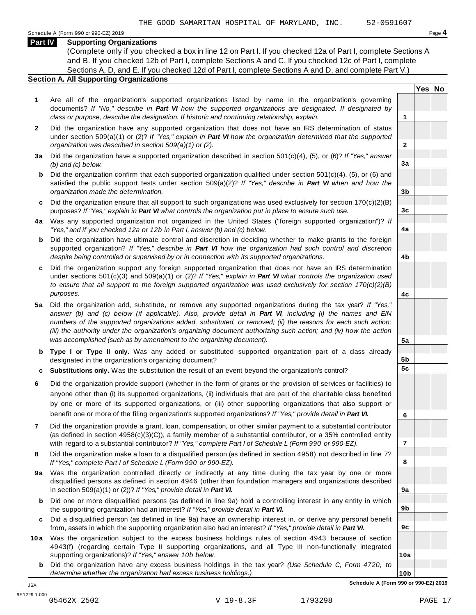# **Part IV Supporting Organizations**

(Complete only if you checked a box in line 12 on Part I. If you checked 12a of Part I, complete Sections A and B. If you checked 12b of Part I, complete Sections A and C. If you checked 12c of Part I, complete Sections A, D, and E. If you checked 12d of Part I, complete Sections A and D, and complete Part V.)

# **Section A. All Supporting Organizations**

- **1** Are all of the organization's supported organizations listed by name in the organization's governing documents? *If "No," describe in Part VI how the supported organizations are designated. If designated by class or purpose, describe the designation. If historic and continuing relationship, explain.* **1**
- **2** Did the organization have any supported organization that does not have an IRS determination of status under section 509(a)(1) or (2)? *If"Yes," explain in Part VI how the organization determined that the supported organization was described in section 509(a)(1) or (2).*
- **3 a** Did the organization have a supported organization described in section 501(c)(4), (5), or (6)? *If "Yes," answer (b) and (c) below.*
- **b** Did the organization confirm that each supported organization qualified under section 501(c)(4), (5), or (6) and | satisfied the public support tests under section 509(a)(2)? *If "Yes," describe in Part VI when and how the organization made the determination.*
- **c** Did the organization ensure that all support to such organizations was used exclusively for section 170(c)(2)(B) purposes? *If"Yes," explain in Part VI what controls the organization put in place to ensure such use.*
- **4 a** Was any supported organization not organized in the United States ("foreign supported organization")? *If "Yes," and if you checked 12a or 12b in Part I, answer (b) and (c) below.*
- **b** Did the organization have ultimate control and discretion in deciding whether to make grants to the foreign | supported organization? *If "Yes," describe in Part VI how the organization had such control and discretion despite being controlled or supervised by or in connection with its supported organizations.*
- **c** Did the organization support any foreign supported organization that does not have an IRS determination under sections 501(c)(3) and 509(a)(1) or (2)? *If "Yes," explain in Part VI what controls the organization used to ensure that all support to the foreign supported organization was used exclusively for section 170(c)(2)(B) purposes.*
- **5 a** Did the organization add, substitute, or remove any supported organizations during the tax year? *If "Yes,"* answer (b) and (c) below (if applicable). Also, provide detail in Part VI, including (i) the names and EIN *numbers of the supported organizations added, substituted, or removed; (ii) the reasons for each such action;* (iii) the authority under the organization's organizing document authorizing such action; and (iv) how the action *was accomplished (such as by amendment to the organizing document).*
- **b Type I or Type II only.** Was any added or substituted supported organization part of a class already designated in the organization's organizing document?
- **c Substitutions only.** Was the substitution the result of an event beyond the organization's control?
- **6** Did the organization provide support (whether in the form of grants or the provision of services or facilities) to anyone other than (i) its supported organizations, (ii) individuals that are part of the charitable class benefited by one or more of its supported organizations, or (iii) other supporting organizations that also support or benefit one or more of the filing organization's supported organizations? *If"Yes," provide detail in Part VI.*
- **7** Did the organization provide a grant, loan, compensation, or other similar payment to a substantial contributor (as defined in section 4958(c)(3)(C)), a family member of a substantial contributor, or a 35% controlled entity with regard to a substantial contributor? *If"Yes," complete Part I of Schedule L (Form 990 or 990-EZ).*
- **8** Did the organization make a loan to a disqualified person (as defined in section 4958) not described in line 7? *If "Yes," complete Part I of Schedule L (Form 990 or 990-EZ).*
- **9a** Was the organization controlled directly or indirectly at any time during the tax year by one or more | disqualified persons as defined in section 4946 (other than foundation managers and organizations described in section 509(a)(1) or (2))? *If"Yes," provide detail in Part VI.*
- **b** Did one or more disqualified persons (as defined in line 9a) hold a controlling interest in any entity in which | the supporting organization had an interest? *If"Yes," provide detail in Part VI.*
- **c** Did a disqualified person (as defined in line 9a) have an ownership interest in, or derive any personal benefit from, assets in which the supporting organization also had an interest? *If"Yes," provide detail in Part VI.*
- **10a** Was the organization subject to the excess business holdings rules of section 4943 because of section | 4943(f) (regarding certain Type II supporting organizations, and all Type III non-functionally integrated supporting organizations)? *If"Yes," answer 10b below.*
	- **b** Did the organization have any excess business holdings in the tax year? *(Use Schedule C, Form 4720, to determine whether the organization had excess business holdings.)*

**Yes No**

**2**

**3a**

**3b**

**3c**

**4a**

**4b**

**4c**

**5a**

**5b 5c**

**6**

**7**

**8**

**9a**

**9b**

**9c**

**10a**

**10b Schedule A (Form 990 or 990-EZ) 2019**

JSA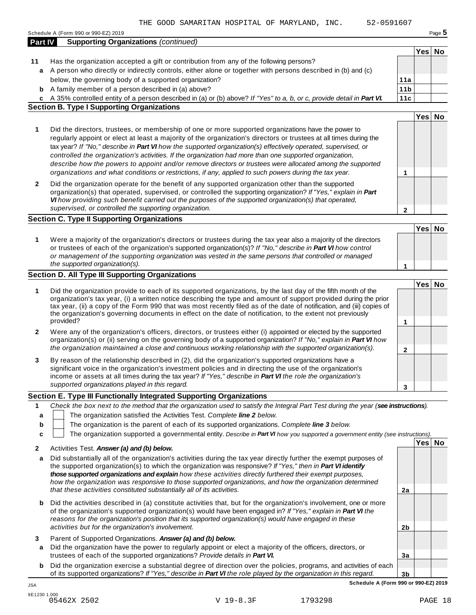|                | Schedule A (Form 990 or 990-EZ) 2019                                                                                                                                                                                                 |                 |        | Page 5 |
|----------------|--------------------------------------------------------------------------------------------------------------------------------------------------------------------------------------------------------------------------------------|-----------------|--------|--------|
| <b>Part IV</b> | <b>Supporting Organizations (continued)</b>                                                                                                                                                                                          |                 |        |        |
|                |                                                                                                                                                                                                                                      |                 | Yes No |        |
| 11             | Has the organization accepted a gift or contribution from any of the following persons?                                                                                                                                              |                 |        |        |
| a              | A person who directly or indirectly controls, either alone or together with persons described in (b) and (c)                                                                                                                         |                 |        |        |
|                | below, the governing body of a supported organization?                                                                                                                                                                               | 11a             |        |        |
| b              | A family member of a person described in (a) above?                                                                                                                                                                                  | 11 <sub>b</sub> |        |        |
|                | c A 35% controlled entity of a person described in (a) or (b) above? If "Yes" to a, b, or c, provide detail in Part VI.                                                                                                              | 11c             |        |        |
|                | <b>Section B. Type I Supporting Organizations</b>                                                                                                                                                                                    |                 | Yes No |        |
|                |                                                                                                                                                                                                                                      |                 |        |        |
| 1              | Did the directors, trustees, or membership of one or more supported organizations have the power to                                                                                                                                  |                 |        |        |
|                | regularly appoint or elect at least a majority of the organization's directors or trustees at all times during the                                                                                                                   |                 |        |        |
|                | tax year? If "No," describe in Part VI how the supported organization(s) effectively operated, supervised, or                                                                                                                        |                 |        |        |
|                | controlled the organization's activities. If the organization had more than one supported organization,                                                                                                                              |                 |        |        |
|                | describe how the powers to appoint and/or remove directors or trustees were allocated among the supported                                                                                                                            |                 |        |        |
|                | organizations and what conditions or restrictions, if any, applied to such powers during the tax year.                                                                                                                               | 1               |        |        |
| $\mathbf{2}$   | Did the organization operate for the benefit of any supported organization other than the supported                                                                                                                                  |                 |        |        |
|                | organization(s) that operated, supervised, or controlled the supporting organization? If "Yes," explain in Part                                                                                                                      |                 |        |        |
|                | VI how providing such benefit carried out the purposes of the supported organization(s) that operated,                                                                                                                               |                 |        |        |
|                | supervised, or controlled the supporting organization.                                                                                                                                                                               | 2               |        |        |
|                | <b>Section C. Type II Supporting Organizations</b>                                                                                                                                                                                   |                 |        |        |
|                |                                                                                                                                                                                                                                      |                 | Yes No |        |
| 1              | Were a majority of the organization's directors or trustees during the tax year also a majority of the directors                                                                                                                     |                 |        |        |
|                | or trustees of each of the organization's supported organization(s)? If "No," describe in Part VI how control                                                                                                                        |                 |        |        |
|                | or management of the supporting organization was vested in the same persons that controlled or managed                                                                                                                               |                 |        |        |
|                | the supported organization(s).                                                                                                                                                                                                       | 1               |        |        |
|                | Section D. All Type III Supporting Organizations                                                                                                                                                                                     |                 |        |        |
|                |                                                                                                                                                                                                                                      |                 | Yes No |        |
| 1              | Did the organization provide to each of its supported organizations, by the last day of the fifth month of the                                                                                                                       |                 |        |        |
|                | organization's tax year, (i) a written notice describing the type and amount of support provided during the prior                                                                                                                    |                 |        |        |
|                | tax year, (ii) a copy of the Form 990 that was most recently filed as of the date of notification, and (iii) copies of<br>the organization's governing documents in effect on the date of notification, to the extent not previously |                 |        |        |
|                | provided?                                                                                                                                                                                                                            | 1               |        |        |
|                | Were any of the organization's officers, directors, or trustees either (i) appointed or elected by the supported                                                                                                                     |                 |        |        |
| $\mathbf{2}$   | organization(s) or (ii) serving on the governing body of a supported organization? If "No," explain in Part VI how                                                                                                                   |                 |        |        |
|                | the organization maintained a close and continuous working relationship with the supported organization(s).                                                                                                                          |                 |        |        |
|                |                                                                                                                                                                                                                                      | $\mathbf{2}$    |        |        |
| 3              | By reason of the relationship described in (2), did the organization's supported organizations have a                                                                                                                                |                 |        |        |
|                | significant voice in the organization's investment policies and in directing the use of the organization's                                                                                                                           |                 |        |        |
|                | income or assets at all times during the tax year? If "Yes," describe in Part VI the role the organization's                                                                                                                         |                 |        |        |
|                | supported organizations played in this regard.                                                                                                                                                                                       | 3               |        |        |
|                | Section E. Type III Functionally Integrated Supporting Organizations                                                                                                                                                                 |                 |        |        |
| 1              | Check the box next to the method that the organization used to satisfy the Integral Part Test during the year (see instructions).                                                                                                    |                 |        |        |
| a              | The organization satisfied the Activities Test. Complete line 2 below.                                                                                                                                                               |                 |        |        |
| b              | The organization is the parent of each of its supported organizations. Complete line 3 below.                                                                                                                                        |                 |        |        |
| C              | The organization supported a governmental entity. Describe in Part VI how you supported a government entity (see instructions).                                                                                                      |                 |        |        |
|                |                                                                                                                                                                                                                                      |                 | Yes No |        |
| 2              | Activities Test. Answer (a) and (b) below.                                                                                                                                                                                           |                 |        |        |
|                | Did substantially all of the organization's activities during the tax year directly further the exempt purposes of                                                                                                                   |                 |        |        |

| a Did substantially all of the organization's activities during the tax year directly further the exempt purposes of |    |  |
|----------------------------------------------------------------------------------------------------------------------|----|--|
| the supported organization(s) to which the organization was responsive? If "Yes," then in <b>Part VI identify</b>    |    |  |
| those supported organizations and explain how these activities directly furthered their exempt purposes.             |    |  |
| how the organization was responsive to those supported organizations, and how the organization determined            |    |  |
| that these activities constituted substantially all of its activities.                                               | 2a |  |
|                                                                                                                      |    |  |

- **b** Did the activities described in (a) constitute activities that, but for the organization's involvement, one or more of the organization's supported organization(s) would have been engaged in? *If "Yes," explain in Part VI the reasons for the organization's position that its supported organization(s) would have engaged in these activities but for the organization's involvement.*
- **3** Parent of Supported Organizations. *Answer (a) and (b) below.*
- **a** Did the organization have the power to regularly appoint or elect a majority of the officers, directors, or trustees of each of the supported organizations? *Provide details in Part VI.*
- **b** Did the organization exercise a substantial degree of direction over the policies, programs, and activities of each of its supported organizations? *If "Yes," describe in Part VI the role played by the organization in this regard.*

**2b**

**3a**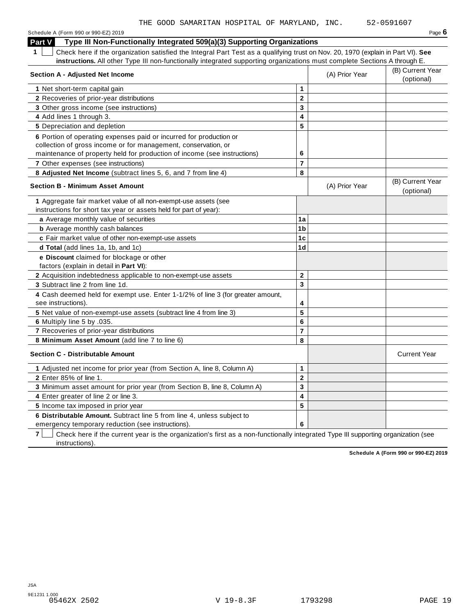**Part V Type III Non-Functionally Integrated 509(a)(3) Supporting Organizations**

**1** Check here if the organization satisfied the Integral Part Test as a qualifying trust on Nov. 20, 1970 (explain in Part VI). **See instructions.** All other Type III non-functionally integrated supporting organizations must complete Sections A through E.

| <b>Section A - Adjusted Net Income</b>                                                               |                         | (A) Prior Year | (B) Current Year<br>(optional) |
|------------------------------------------------------------------------------------------------------|-------------------------|----------------|--------------------------------|
| 1 Net short-term capital gain                                                                        | 1                       |                |                                |
| 2 Recoveries of prior-year distributions                                                             | $\mathbf 2$             |                |                                |
| 3 Other gross income (see instructions)                                                              | 3                       |                |                                |
| 4 Add lines 1 through 3.                                                                             | 4                       |                |                                |
| 5 Depreciation and depletion                                                                         | 5                       |                |                                |
| 6 Portion of operating expenses paid or incurred for production or                                   |                         |                |                                |
| collection of gross income or for management, conservation, or                                       |                         |                |                                |
| maintenance of property held for production of income (see instructions)                             | 6                       |                |                                |
| 7 Other expenses (see instructions)                                                                  | 7                       |                |                                |
| 8 Adjusted Net Income (subtract lines 5, 6, and 7 from line 4)                                       | 8                       |                |                                |
| <b>Section B - Minimum Asset Amount</b>                                                              |                         | (A) Prior Year | (B) Current Year<br>(optional) |
| 1 Aggregate fair market value of all non-exempt-use assets (see                                      |                         |                |                                |
| instructions for short tax year or assets held for part of year):                                    |                         |                |                                |
| a Average monthly value of securities                                                                | 1a                      |                |                                |
| <b>b</b> Average monthly cash balances                                                               | 1 <sub>b</sub>          |                |                                |
| c Fair market value of other non-exempt-use assets                                                   | 1c                      |                |                                |
| d Total (add lines 1a, 1b, and 1c)                                                                   | 1 <sub>d</sub>          |                |                                |
| e Discount claimed for blockage or other                                                             |                         |                |                                |
| factors (explain in detail in Part VI):                                                              |                         |                |                                |
| 2 Acquisition indebtedness applicable to non-exempt-use assets                                       | $\overline{2}$          |                |                                |
| 3 Subtract line 2 from line 1d.                                                                      | 3                       |                |                                |
| 4 Cash deemed held for exempt use. Enter 1-1/2% of line 3 (for greater amount,<br>see instructions). | 4                       |                |                                |
| 5 Net value of non-exempt-use assets (subtract line 4 from line 3)                                   | 5                       |                |                                |
| 6 Multiply line 5 by .035.                                                                           | 6                       |                |                                |
| 7 Recoveries of prior-year distributions                                                             | $\overline{7}$          |                |                                |
| 8 Minimum Asset Amount (add line 7 to line 6)                                                        | 8                       |                |                                |
| <b>Section C - Distributable Amount</b>                                                              |                         |                | <b>Current Year</b>            |
| 1 Adjusted net income for prior year (from Section A, line 8, Column A)                              | 1                       |                |                                |
| 2 Enter 85% of line 1.                                                                               | $\overline{\mathbf{2}}$ |                |                                |
| 3 Minimum asset amount for prior year (from Section B, line 8, Column A)                             | 3                       |                |                                |
| 4 Enter greater of line 2 or line 3.                                                                 | $\overline{\mathbf{4}}$ |                |                                |
| 5 Income tax imposed in prior year                                                                   | 5                       |                |                                |
| 6 Distributable Amount. Subtract line 5 from line 4, unless subject to                               |                         |                |                                |
| emergency temporary reduction (see instructions).                                                    | 6                       |                |                                |

**7** Check here if the current year is the organization's first as a non-functionally integrated Type III supporting organization (see instructions).

**Schedule A (Form 990 or 990-EZ) 2019**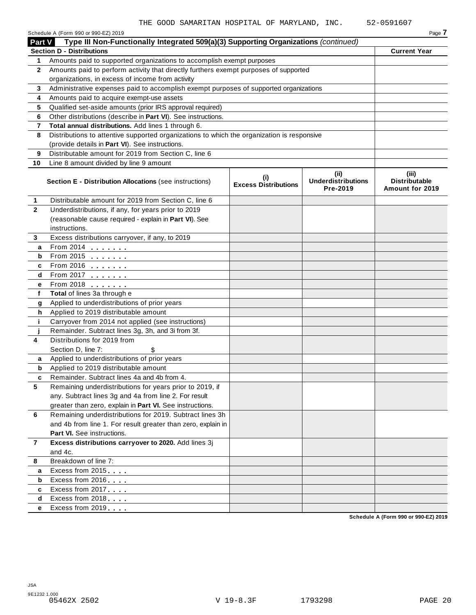|                | Schedule A (Form 990 or 990-EZ) 2019                                                       |                                    |                                               | Page 7                                           |
|----------------|--------------------------------------------------------------------------------------------|------------------------------------|-----------------------------------------------|--------------------------------------------------|
| <b>Part V</b>  | Type III Non-Functionally Integrated 509(a)(3) Supporting Organizations (continued)        |                                    |                                               |                                                  |
|                | <b>Section D - Distributions</b>                                                           |                                    |                                               | <b>Current Year</b>                              |
| 1              | Amounts paid to supported organizations to accomplish exempt purposes                      |                                    |                                               |                                                  |
| $\mathbf{2}$   | Amounts paid to perform activity that directly furthers exempt purposes of supported       |                                    |                                               |                                                  |
|                | organizations, in excess of income from activity                                           |                                    |                                               |                                                  |
| 3              | Administrative expenses paid to accomplish exempt purposes of supported organizations      |                                    |                                               |                                                  |
| 4              | Amounts paid to acquire exempt-use assets                                                  |                                    |                                               |                                                  |
| 5              | Qualified set-aside amounts (prior IRS approval required)                                  |                                    |                                               |                                                  |
| 6              | Other distributions (describe in Part VI). See instructions.                               |                                    |                                               |                                                  |
| 7              | Total annual distributions. Add lines 1 through 6.                                         |                                    |                                               |                                                  |
| 8              | Distributions to attentive supported organizations to which the organization is responsive |                                    |                                               |                                                  |
|                | (provide details in Part VI). See instructions.                                            |                                    |                                               |                                                  |
| 9              | Distributable amount for 2019 from Section C, line 6                                       |                                    |                                               |                                                  |
| 10             | Line 8 amount divided by line 9 amount                                                     |                                    |                                               |                                                  |
|                | Section E - Distribution Allocations (see instructions)                                    | (i)<br><b>Excess Distributions</b> | (ii)<br><b>Underdistributions</b><br>Pre-2019 | (iii)<br><b>Distributable</b><br>Amount for 2019 |
| 1              | Distributable amount for 2019 from Section C, line 6                                       |                                    |                                               |                                                  |
| $\mathbf{2}$   | Underdistributions, if any, for years prior to 2019                                        |                                    |                                               |                                                  |
|                | (reasonable cause required - explain in Part VI). See                                      |                                    |                                               |                                                  |
|                | instructions.                                                                              |                                    |                                               |                                                  |
| 3              | Excess distributions carryover, if any, to 2019                                            |                                    |                                               |                                                  |
| a              | From 2014                                                                                  |                                    |                                               |                                                  |
| b              | From 2015                                                                                  |                                    |                                               |                                                  |
| c              | From 2016                                                                                  |                                    |                                               |                                                  |
| d              | From 2017                                                                                  |                                    |                                               |                                                  |
| е              | From 2018                                                                                  |                                    |                                               |                                                  |
| f              | Total of lines 3a through e                                                                |                                    |                                               |                                                  |
| g              | Applied to underdistributions of prior years                                               |                                    |                                               |                                                  |
| h              | Applied to 2019 distributable amount                                                       |                                    |                                               |                                                  |
| j.             | Carryover from 2014 not applied (see instructions)                                         |                                    |                                               |                                                  |
|                | Remainder. Subtract lines 3g, 3h, and 3i from 3f.                                          |                                    |                                               |                                                  |
| 4              | Distributions for 2019 from                                                                |                                    |                                               |                                                  |
|                | Section D, line 7:                                                                         |                                    |                                               |                                                  |
| a              | Applied to underdistributions of prior years                                               |                                    |                                               |                                                  |
| b              | Applied to 2019 distributable amount                                                       |                                    |                                               |                                                  |
|                | Remainder. Subtract lines 4a and 4b from 4.                                                |                                    |                                               |                                                  |
| 5              | Remaining underdistributions for years prior to 2019, if                                   |                                    |                                               |                                                  |
|                | any. Subtract lines 3g and 4a from line 2. For result                                      |                                    |                                               |                                                  |
|                | greater than zero, explain in Part VI. See instructions.                                   |                                    |                                               |                                                  |
| 6              | Remaining underdistributions for 2019. Subtract lines 3h                                   |                                    |                                               |                                                  |
|                | and 4b from line 1. For result greater than zero, explain in                               |                                    |                                               |                                                  |
|                | Part VI. See instructions.                                                                 |                                    |                                               |                                                  |
| $\overline{7}$ | Excess distributions carryover to 2020. Add lines 3j                                       |                                    |                                               |                                                  |
|                | and 4c.                                                                                    |                                    |                                               |                                                  |
| 8              | Breakdown of line 7:                                                                       |                                    |                                               |                                                  |
| a              | Excess from 2015                                                                           |                                    |                                               |                                                  |
| b              | Excess from 2016                                                                           |                                    |                                               |                                                  |
| c              | Excess from 2017                                                                           |                                    |                                               |                                                  |
| d              | Excess from 2018                                                                           |                                    |                                               |                                                  |
| е              | Excess from 2019                                                                           |                                    |                                               |                                                  |
|                |                                                                                            |                                    |                                               | Schedule A (Form 990 or 990-EZ) 2019             |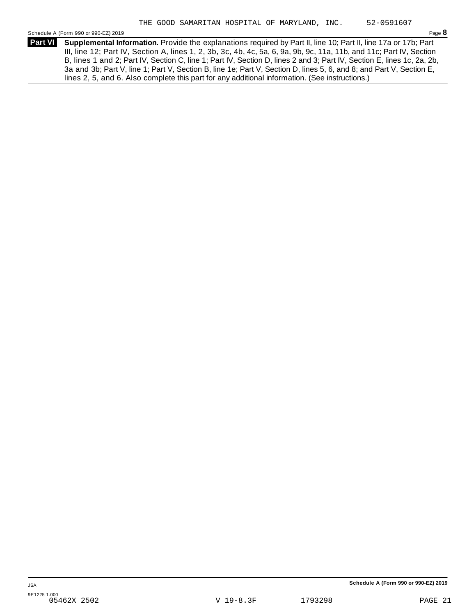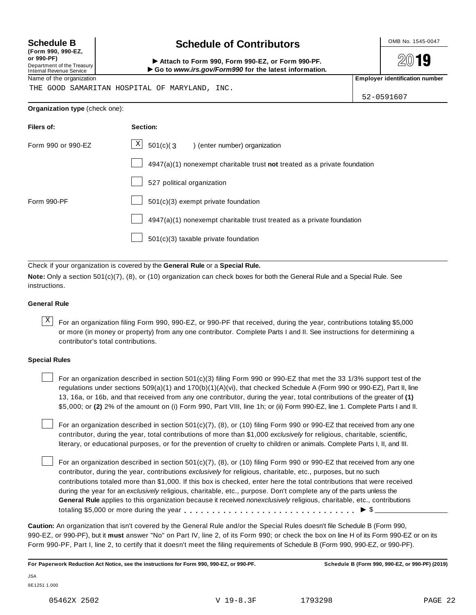| (Form 990, 990-EZ,              |  |
|---------------------------------|--|
| or 990-PF)                      |  |
| Department of the Treasury      |  |
| <b>Internal Revenue Service</b> |  |

# Schedule B **Schedule of Contributors**

2019

Attach to Form 990, Form 990-EZ, or Form 990-PF. I**Go to** *www.irs.gov/Form990* **for the latest information.**

Name of the organization **Employer identification number Employer identification number** 

THE GOOD SAMARITAN HOSPITAL OF MARYLAND, INC.

52-0591607

### **Organization type** (check one):

| Filers of:         | Section:                                                                    |
|--------------------|-----------------------------------------------------------------------------|
| Form 990 or 990-EZ | $\mathbf{X}$<br>501(c)(3) (enter number) organization                       |
|                    | $4947(a)(1)$ nonexempt charitable trust not treated as a private foundation |
|                    | 527 political organization                                                  |
| Form 990-PF        | 501(c)(3) exempt private foundation                                         |
|                    | 4947(a)(1) nonexempt charitable trust treated as a private foundation       |
|                    | 501(c)(3) taxable private foundation                                        |

Check if your organization is covered by the **General Rule** or a **Special Rule.**

**Note:** Only a section 501(c)(7), (8), or (10) organization can check boxes for both the General Rule and a Special Rule. See instructions.

### **General Rule**

 $\overline{X}$  For an organization filing Form 990, 990-EZ, or 990-PF that received, during the year, contributions totaling \$5,000 or more (in money or property) from any one contributor. Complete Parts I and II. See instructions for determining a contributor's total contributions.

## **Special Rules**

For an organization described in section 501(c)(3) filing Form 990 or 990-EZ that met the 33 1/3% support test of the regulations under sections 509(a)(1) and 170(b)(1)(A)(vi), that checked Schedule A (Form 990 or 990-EZ), Part II, line 13, 16a, or 16b, and that received from any one contributor, during the year, total contributions of the greater of **(1)** \$5,000; or **(2)** 2% of the amount on (i) Form 990, Part VIII, line 1h; or (ii) Form 990-EZ, line 1. Complete Parts I and II.

For an organization described in section 501(c)(7), (8), or (10) filing Form 990 or 990-EZ that received from any one contributor, during the year, total contributions of more than \$1,000 *exclusively* for religious, charitable, scientific, literary, or educational purposes, or for the prevention of cruelty to children or animals. Complete Parts I, II, and III.

For an organization described in section 501(c)(7), (8), or (10) filing Form 990 or 990-EZ that received from any one contributor, during the year, contributions *exclusively* for religious, charitable, etc., purposes, but no such contributions totaled more than \$1,000. If this box is checked, enter here the total contributions that were received during the year for an *exclusively* religious, charitable, etc., purpose. Don't complete any of the parts unless the **General Rule** applies to this organization because it received *nonexclusively* religious, charitable, etc., contributions For an organization described in section 501(c)(7), (8), or (10) filing Form 990 or 990-EZ that received from contributior, during the year, contributions exclusively for religious, charitable, etc., purposes, but no such

**Caution:** An organization that isn't covered by the General Rule and/or the Special Rules doesn't file Schedule B (Form 990, 990-EZ, or 990-PF), but it **must** answer "No" on Part IV, line 2, of its Form 990; or check the box on line H of its Form 990-EZ or on its Form 990-PF, Part I, line 2, to certify that it doesn't meet the filing requirements of Schedule B (Form 990, 990-EZ, or 990-PF).

**For Paperwork Reduction Act Notice, see the instructions for Form 990, 990-EZ, or 990-PF. Schedule B (Form 990, 990-EZ, or 990-PF) (2019)**

JSA 9E1251 1.000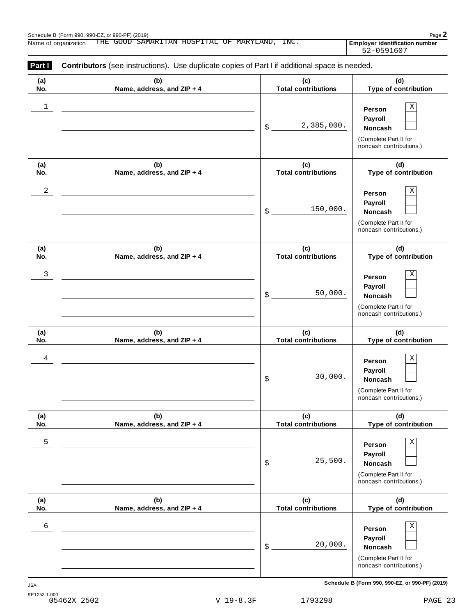| Part I     | <b>Contributors</b> (see instructions). Use duplicate copies of Part I if additional space is needed. |                                   |                                                                                       |
|------------|-------------------------------------------------------------------------------------------------------|-----------------------------------|---------------------------------------------------------------------------------------|
| (a)<br>No. | (b)<br>Name, address, and ZIP + 4                                                                     | (c)<br><b>Total contributions</b> | (d)<br>Type of contribution                                                           |
| 1          |                                                                                                       | 2,385,000.<br>\$                  | Χ<br>Person<br>Payroll<br>Noncash<br>(Complete Part II for<br>noncash contributions.) |
| (a)<br>No. | (b)<br>Name, address, and ZIP + 4                                                                     | (c)<br><b>Total contributions</b> | (d)<br>Type of contribution                                                           |
| 2          |                                                                                                       | 150,000.<br>\$                    | Χ<br>Person<br>Payroll<br>Noncash<br>(Complete Part II for<br>noncash contributions.) |
| (a)<br>No. | (b)<br>Name, address, and ZIP + 4                                                                     | (c)<br><b>Total contributions</b> | (d)<br>Type of contribution                                                           |
| 3          |                                                                                                       | 50,000.<br>\$                     | Χ<br>Person<br>Payroll<br>Noncash<br>(Complete Part II for<br>noncash contributions.) |
| (a)<br>No. | (b)<br>Name, address, and ZIP + 4                                                                     | (c)<br><b>Total contributions</b> | (d)<br>Type of contribution                                                           |
| 4          |                                                                                                       | 30,000.<br>\$                     | Х<br>Person<br>Payroll<br>Noncash<br>(Complete Part II for<br>noncash contributions.) |
| (a)<br>No. | (b)<br>Name, address, and ZIP + 4                                                                     | (c)<br><b>Total contributions</b> | (d)<br>Type of contribution                                                           |
| 5          |                                                                                                       | 25,500.<br>\$                     | Χ<br>Person<br>Payroll<br>Noncash<br>(Complete Part II for<br>noncash contributions.) |
| (a)<br>No. | (b)<br>Name, address, and ZIP + 4                                                                     | (c)<br><b>Total contributions</b> | (d)<br>Type of contribution                                                           |
| 6          |                                                                                                       | 20,000.<br>\$                     | Х<br>Person<br>Payroll<br>Noncash<br>(Complete Part II for<br>noncash contributions.) |

**Schedule B (Form 990, 990-EZ, or 990-PF) (2019)** JSA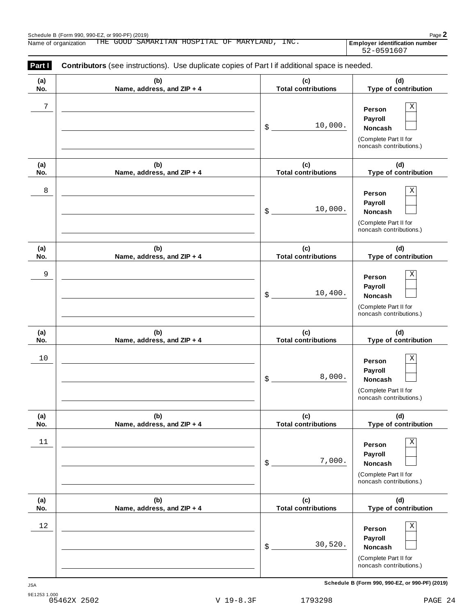| Part I     | Contributors (see instructions). Use duplicate copies of Part I if additional space is needed. |                                   |                                                                                              |
|------------|------------------------------------------------------------------------------------------------|-----------------------------------|----------------------------------------------------------------------------------------------|
| (a)<br>No. | (b)<br>Name, address, and ZIP + 4                                                              | (c)<br><b>Total contributions</b> | (d)<br>Type of contribution                                                                  |
| 7          |                                                                                                | 10,000.<br>\$                     | Χ<br>Person<br>Payroll<br>Noncash<br>(Complete Part II for<br>noncash contributions.)        |
| (a)<br>No. | (b)<br>Name, address, and ZIP + 4                                                              | (c)<br><b>Total contributions</b> | (d)<br>Type of contribution                                                                  |
| 8          |                                                                                                | 10,000.<br>\$                     | Χ<br>Person<br>Payroll<br>Noncash<br>(Complete Part II for<br>noncash contributions.)        |
| (a)<br>No. | (b)<br>Name, address, and ZIP + 4                                                              | (c)<br><b>Total contributions</b> | (d)<br>Type of contribution                                                                  |
| 9          |                                                                                                | 10,400.<br>\$                     | Χ<br>Person<br>Payroll<br>Noncash<br>(Complete Part II for<br>noncash contributions.)        |
| (a)<br>No. | (b)<br>Name, address, and ZIP + 4                                                              | (c)<br><b>Total contributions</b> | (d)<br>Type of contribution                                                                  |
| $10$       |                                                                                                | 8,000.<br>\$                      | Χ<br>Person<br>Payroll<br>Noncash<br>(Complete Part II for<br>noncash contributions.)        |
| (a)<br>No. | (b)<br>Name, address, and ZIP + 4                                                              | (c)<br><b>Total contributions</b> | (d)<br>Type of contribution                                                                  |
| 11         |                                                                                                | 7,000.<br>\$                      | Χ<br>Person<br>Payroll<br><b>Noncash</b><br>(Complete Part II for<br>noncash contributions.) |
| (a)<br>No. | (b)<br>Name, address, and ZIP + 4                                                              | (c)<br><b>Total contributions</b> | (d)<br>Type of contribution                                                                  |
| $12$       |                                                                                                | 30,520.<br>\$                     | Χ<br>Person<br>Payroll<br>Noncash<br>(Complete Part II for<br>noncash contributions.)        |

**Schedule B (Form 990, 990-EZ, or 990-PF) (2019)** JSA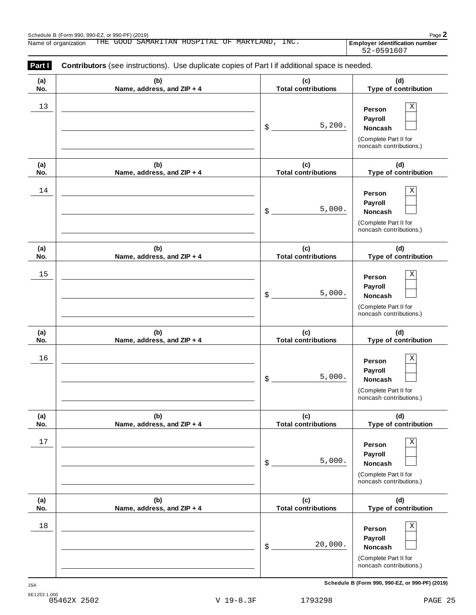| (a)<br>No. | (b)<br>Name, address, and ZIP + 4 | (c)<br><b>Total contributions</b> | (d)<br>Type of contribution                                                                     |
|------------|-----------------------------------|-----------------------------------|-------------------------------------------------------------------------------------------------|
| 13         |                                   | 5,200.<br>\$                      | Χ<br>Person<br>Payroll<br>Noncash<br>(Complete Part II for<br>noncash contributions.)           |
| (a)<br>No. | (b)<br>Name, address, and ZIP + 4 | (c)<br><b>Total contributions</b> | (d)<br>Type of contribution                                                                     |
| 14         |                                   | 5,000.<br>\$                      | Χ<br>Person<br>Payroll<br>Noncash<br>(Complete Part II for<br>noncash contributions.)           |
| (a)<br>No. | (b)<br>Name, address, and ZIP + 4 | (c)<br><b>Total contributions</b> | (d)<br>Type of contribution                                                                     |
| 15         |                                   | 5,000.<br>\$                      | $\mathbf X$<br>Person<br>Payroll<br>Noncash<br>(Complete Part II for<br>noncash contributions.) |
| (a)<br>No. | (b)<br>Name, address, and ZIP + 4 | (c)<br><b>Total contributions</b> | (d)<br>Type of contribution                                                                     |
| 16         |                                   | 5,000.<br>\$                      | Χ<br>Person<br>Payroll<br>Noncash<br>(Complete Part II for<br>noncash contributions.)           |
| (a)<br>No. | (b)<br>Name, address, and ZIP + 4 | (c)<br><b>Total contributions</b> | (d)<br>Type of contribution                                                                     |
| 17         |                                   | 5,000.<br>\$                      | Χ<br>Person<br>Payroll<br>Noncash<br>(Complete Part II for<br>noncash contributions.)           |
| (a)<br>No. | (b)<br>Name, address, and ZIP + 4 | (c)<br><b>Total contributions</b> | (d)<br>Type of contribution                                                                     |
| 18         |                                   | 20,000.<br>\$                     | Χ<br>Person<br>Payroll<br>Noncash<br>(Complete Part II for<br>noncash contributions.)           |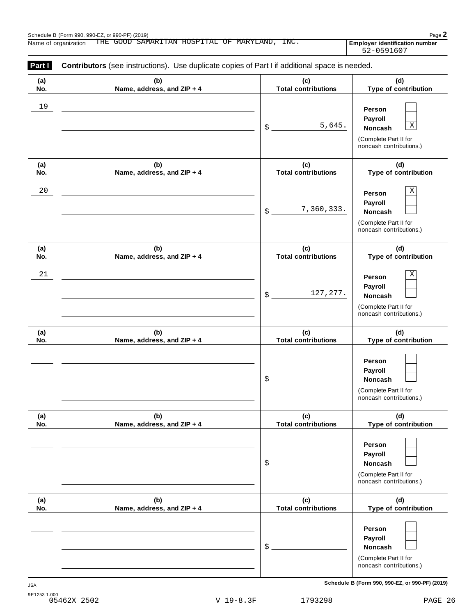| (a)        | (b)                               | (c)                               | (d)                                              |
|------------|-----------------------------------|-----------------------------------|--------------------------------------------------|
| No.        | Name, address, and ZIP + 4        | <b>Total contributions</b>        | Type of contribution                             |
| 19         |                                   |                                   |                                                  |
|            |                                   |                                   | Person                                           |
|            |                                   |                                   | Payroll<br>$\mathbf X$                           |
|            |                                   | 5,645.<br>\$                      | Noncash                                          |
|            |                                   |                                   | (Complete Part II for<br>noncash contributions.) |
|            |                                   |                                   |                                                  |
| (a)<br>No. | (b)<br>Name, address, and ZIP + 4 | (c)<br><b>Total contributions</b> | (d)<br>Type of contribution                      |
|            |                                   |                                   |                                                  |
| 20         |                                   |                                   | Χ<br>Person                                      |
|            |                                   |                                   | Payroll                                          |
|            |                                   | 7,360,333.<br>\$                  | Noncash                                          |
|            |                                   |                                   | (Complete Part II for                            |
|            |                                   |                                   | noncash contributions.)                          |
| (a)        | (b)                               | (c)                               | (d)                                              |
| No.        | Name, address, and ZIP + 4        | <b>Total contributions</b>        | Type of contribution                             |
| 21         |                                   |                                   | Х<br>Person                                      |
|            |                                   |                                   | Payroll                                          |
|            |                                   | 127, 277.<br>\$                   | Noncash                                          |
|            |                                   |                                   | (Complete Part II for                            |
|            |                                   |                                   | noncash contributions.)                          |
| (a)        | (b)                               | (c)                               | (d)                                              |
| No.        | Name, address, and ZIP + 4        | <b>Total contributions</b>        | Type of contribution                             |
|            |                                   |                                   | Person                                           |
|            |                                   |                                   | Payroll                                          |
|            |                                   | \$                                | Noncash                                          |
|            |                                   |                                   | (Complete Part II for                            |
|            |                                   |                                   | noncash contributions.)                          |
| (a)        | (b)                               | (c)                               | (d)                                              |
| No.        | Name, address, and ZIP + 4        | <b>Total contributions</b>        | Type of contribution                             |
|            |                                   |                                   |                                                  |
|            |                                   |                                   | Person                                           |
|            |                                   | \$                                | Payroll<br>Noncash                               |
|            |                                   |                                   | (Complete Part II for                            |
|            |                                   |                                   | noncash contributions.)                          |
|            | (b)                               | (c)                               | (d)                                              |
| (a)<br>No. | Name, address, and ZIP + 4        | <b>Total contributions</b>        | Type of contribution                             |
|            |                                   |                                   |                                                  |
|            |                                   |                                   | Person                                           |
|            |                                   | \$                                | Payroll<br>Noncash                               |
|            |                                   |                                   | (Complete Part II for                            |
|            |                                   |                                   | noncash contributions.)                          |
|            |                                   |                                   |                                                  |

**Schedule B (Form 990, 990-EZ, or 990-PF) (2019)** JSA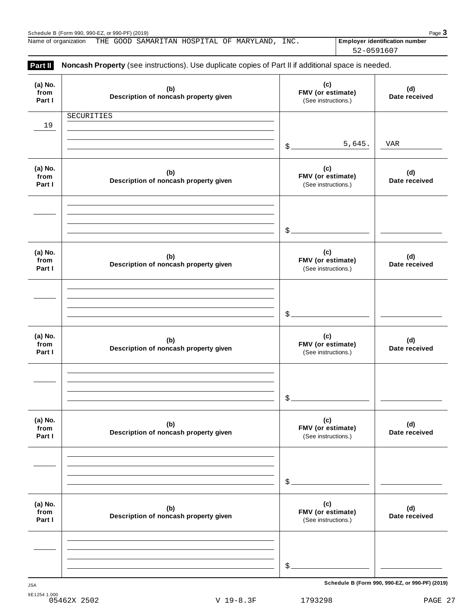**Part II** Noncash Property (see instructions). Use duplicate copies of Part II if additional space is needed. **(a) No. from Part I (c) FMV (or estimate)** (See instructions.) **(b) Description of noncash property given (d) Date received** \$ **(a) No. from Part I (c) FMV (or estimate)** (See instructions.) **(b) Description of noncash property given (d) Date received** \$ **(a) No. from Part I (c) FMV (or estimate)** (See instructions.) **(b) Description of noncash property given (d) Date received** \$ **(a) No. from Part I (c) FMV (or estimate)** (See instructions.) **(b) Description of noncash property given (d) Date received** \$ **(a) No. from Part I (c) FMV (or estimate)** (See instructions.) **(b) Description of noncash property given (d) Date received**  $$^{\circ}$ **(a) No. from Part I (c) FMV (or estimate)** (See instructions.) **(b) Description of noncash property given (d) Date received** \$ **SECURITIES** 19 5,645. VAR

**Schedule B (Form 990, 990-EZ, or 990-PF) (2019)** JSA

52-0591607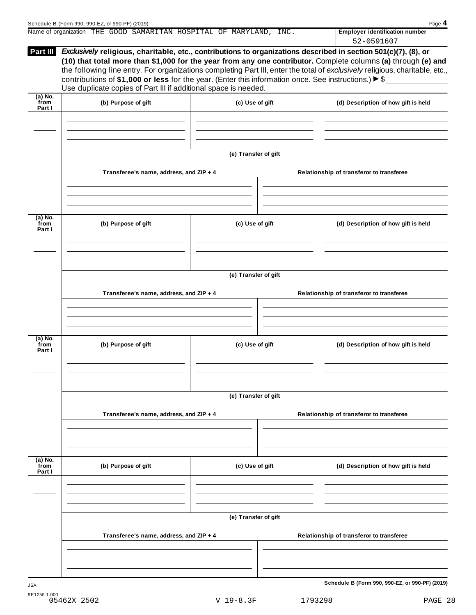|                             | Name of organization THE GOOD SAMARITAN HOSPITAL OF MARYLAND, INC.                                                  |                                          | <b>Employer identification number</b><br>52-0591607                                                                                                                                                                                           |
|-----------------------------|---------------------------------------------------------------------------------------------------------------------|------------------------------------------|-----------------------------------------------------------------------------------------------------------------------------------------------------------------------------------------------------------------------------------------------|
| Part III                    |                                                                                                                     |                                          | Exclusively religious, charitable, etc., contributions to organizations described in section 501(c)(7), (8), or                                                                                                                               |
|                             |                                                                                                                     |                                          | (10) that total more than \$1,000 for the year from any one contributor. Complete columns (a) through (e) and<br>the following line entry. For organizations completing Part III, enter the total of exclusively religious, charitable, etc., |
|                             | contributions of \$1,000 or less for the year. (Enter this information once. See instructions.) $\triangleright$ \$ |                                          |                                                                                                                                                                                                                                               |
|                             | Use duplicate copies of Part III if additional space is needed.                                                     |                                          |                                                                                                                                                                                                                                               |
| (a) No.<br>from<br>Part I   | (b) Purpose of gift                                                                                                 | (c) Use of gift                          | (d) Description of how gift is held                                                                                                                                                                                                           |
|                             |                                                                                                                     |                                          |                                                                                                                                                                                                                                               |
|                             |                                                                                                                     | (e) Transfer of gift                     |                                                                                                                                                                                                                                               |
|                             | Transferee's name, address, and ZIP + 4                                                                             |                                          | Relationship of transferor to transferee                                                                                                                                                                                                      |
|                             |                                                                                                                     |                                          |                                                                                                                                                                                                                                               |
|                             |                                                                                                                     |                                          |                                                                                                                                                                                                                                               |
| $(a)$ No.<br>from<br>Part I | (b) Purpose of gift                                                                                                 | (c) Use of gift                          | (d) Description of how gift is held                                                                                                                                                                                                           |
|                             |                                                                                                                     |                                          |                                                                                                                                                                                                                                               |
|                             |                                                                                                                     | (e) Transfer of gift                     |                                                                                                                                                                                                                                               |
|                             | Transferee's name, address, and ZIP + 4                                                                             |                                          | Relationship of transferor to transferee                                                                                                                                                                                                      |
|                             |                                                                                                                     |                                          |                                                                                                                                                                                                                                               |
| (a) No.                     |                                                                                                                     |                                          |                                                                                                                                                                                                                                               |
| from<br>Part I              | (b) Purpose of gift                                                                                                 | (c) Use of gift                          | (d) Description of how gift is held                                                                                                                                                                                                           |
|                             |                                                                                                                     |                                          |                                                                                                                                                                                                                                               |
|                             |                                                                                                                     | (e) Transfer of gift                     |                                                                                                                                                                                                                                               |
|                             | Transferee's name, address, and ZIP + 4                                                                             | Relationship of transferor to transferee |                                                                                                                                                                                                                                               |

**(a) No. from Part I**

**(b) Purpose of gift (c) Use of gift (d) Description of how gift is held**

**(e) Transfer of gift**

**Transferee's name, address, and ZIP + 4 Relationship of transferor to transferee**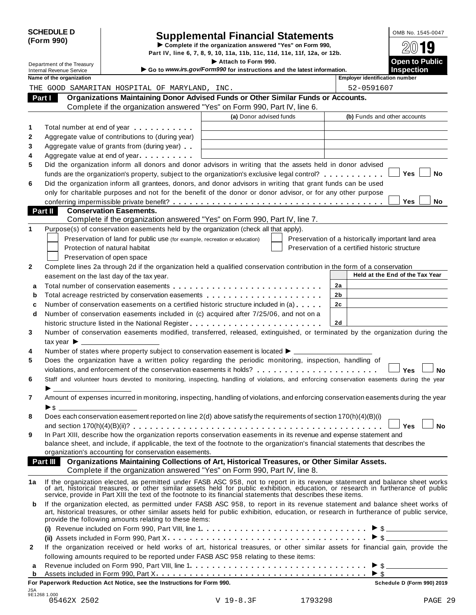|            | <b>SCHEDULE D</b> |
|------------|-------------------|
| (Form 990) |                   |

# SCHEDULE D<br>
Supplemental Financial Statements<br>
Form 990) Part IV, line 6, 7, 8, 9, 10, 11a, 11b, 11c, 11d, 11e, 11f, 12a, or 12b.

Part IV, line 6, 7, 8, 9, 10, 11a, 11b, 11c, 11d, 11e, 11f, 12a, or 12b.<br>
Department of the Treasury<br> **Co to Hanny irs 201/Form000 for instructions and the Intervations** 

|        | Department of the Treasury      |                                                                                                                                                                                                                                      | Attach to Form 990.                                                                                                                       |                                                    | <b>Open to Public</b>                      |
|--------|---------------------------------|--------------------------------------------------------------------------------------------------------------------------------------------------------------------------------------------------------------------------------------|-------------------------------------------------------------------------------------------------------------------------------------------|----------------------------------------------------|--------------------------------------------|
|        | <b>Internal Revenue Service</b> |                                                                                                                                                                                                                                      | Go to www.irs.gov/Form990 for instructions and the latest information.                                                                    |                                                    | <b>Inspection</b>                          |
|        | Name of the organization        |                                                                                                                                                                                                                                      |                                                                                                                                           | <b>Employer identification number</b>              |                                            |
|        |                                 | THE GOOD SAMARITAN HOSPITAL OF MARYLAND, INC.                                                                                                                                                                                        |                                                                                                                                           | 52-0591607                                         |                                            |
| Part I |                                 |                                                                                                                                                                                                                                      | Organizations Maintaining Donor Advised Funds or Other Similar Funds or Accounts.                                                         |                                                    |                                            |
|        |                                 |                                                                                                                                                                                                                                      | Complete if the organization answered "Yes" on Form 990, Part IV, line 6.                                                                 |                                                    |                                            |
|        |                                 |                                                                                                                                                                                                                                      | (a) Donor advised funds                                                                                                                   | (b) Funds and other accounts                       |                                            |
| 1      |                                 | Total number at end of year <b>that the state of the state of the state of the state of the state of the state of the state of the state of the state of the state of the state of the state of the state of the state of the st</b> |                                                                                                                                           |                                                    |                                            |
| 2      |                                 | Aggregate value of contributions to (during year)                                                                                                                                                                                    |                                                                                                                                           |                                                    |                                            |
| 3      |                                 | Aggregate value of grants from (during year)                                                                                                                                                                                         |                                                                                                                                           |                                                    |                                            |
| 4      |                                 | Aggregate value at end of year                                                                                                                                                                                                       |                                                                                                                                           |                                                    |                                            |
| 5      |                                 |                                                                                                                                                                                                                                      | Did the organization inform all donors and donor advisors in writing that the assets held in donor advised                                |                                                    |                                            |
|        |                                 |                                                                                                                                                                                                                                      | funds are the organization's property, subject to the organization's exclusive legal control?                                             |                                                    | Yes<br>No                                  |
| 6      |                                 |                                                                                                                                                                                                                                      | Did the organization inform all grantees, donors, and donor advisors in writing that grant funds can be used                              |                                                    |                                            |
|        |                                 |                                                                                                                                                                                                                                      | only for charitable purposes and not for the benefit of the donor or donor advisor, or for any other purpose                              |                                                    |                                            |
|        |                                 |                                                                                                                                                                                                                                      |                                                                                                                                           |                                                    | Yes<br>No                                  |
|        | Part II                         | <b>Conservation Easements.</b>                                                                                                                                                                                                       |                                                                                                                                           |                                                    |                                            |
|        |                                 |                                                                                                                                                                                                                                      | Complete if the organization answered "Yes" on Form 990, Part IV, line 7.                                                                 |                                                    |                                            |
| 1      |                                 | Purpose(s) of conservation easements held by the organization (check all that apply).                                                                                                                                                |                                                                                                                                           |                                                    |                                            |
|        |                                 | Preservation of land for public use (for example, recreation or education)                                                                                                                                                           |                                                                                                                                           |                                                    |                                            |
|        |                                 |                                                                                                                                                                                                                                      |                                                                                                                                           | Preservation of a historically important land area |                                            |
|        |                                 | Protection of natural habitat                                                                                                                                                                                                        |                                                                                                                                           | Preservation of a certified historic structure     |                                            |
|        |                                 | Preservation of open space                                                                                                                                                                                                           |                                                                                                                                           |                                                    |                                            |
| 2      |                                 |                                                                                                                                                                                                                                      | Complete lines 2a through 2d if the organization held a qualified conservation contribution in the form of a conservation                 |                                                    | Held at the End of the Tax Year            |
|        |                                 | easement on the last day of the tax year.                                                                                                                                                                                            |                                                                                                                                           |                                                    |                                            |
| a      |                                 |                                                                                                                                                                                                                                      |                                                                                                                                           | 2a                                                 |                                            |
| b      |                                 |                                                                                                                                                                                                                                      | Total acreage restricted by conservation easements                                                                                        | 2b                                                 |                                            |
| c      |                                 |                                                                                                                                                                                                                                      | Number of conservation easements on a certified historic structure included in (a)                                                        | 2c                                                 |                                            |
| d      |                                 |                                                                                                                                                                                                                                      | Number of conservation easements included in (c) acquired after 7/25/06, and not on a                                                     |                                                    |                                            |
|        |                                 |                                                                                                                                                                                                                                      |                                                                                                                                           | <b>2d</b>                                          |                                            |
| 3      |                                 |                                                                                                                                                                                                                                      | Number of conservation easements modified, transferred, released, extinguished, or terminated by the organization during the              |                                                    |                                            |
|        |                                 |                                                                                                                                                                                                                                      |                                                                                                                                           |                                                    |                                            |
| 4      |                                 |                                                                                                                                                                                                                                      | Number of states where property subject to conservation easement is located $\blacktriangleright$                                         |                                                    |                                            |
| 5      |                                 |                                                                                                                                                                                                                                      | Does the organization have a written policy regarding the periodic monitoring, inspection, handling of                                    |                                                    |                                            |
|        |                                 |                                                                                                                                                                                                                                      | violations, and enforcement of the conservation easements it holds?                                                                       |                                                    | Yes<br>No                                  |
| 6      |                                 |                                                                                                                                                                                                                                      | Staff and volunteer hours devoted to monitoring, inspecting, handling of violations, and enforcing conservation easements during the year |                                                    |                                            |
|        |                                 |                                                                                                                                                                                                                                      |                                                                                                                                           |                                                    |                                            |
| 7      |                                 |                                                                                                                                                                                                                                      | Amount of expenses incurred in monitoring, inspecting, handling of violations, and enforcing conservation easements during the year       |                                                    |                                            |
|        | ▶\$                             |                                                                                                                                                                                                                                      |                                                                                                                                           |                                                    |                                            |
| 8      |                                 |                                                                                                                                                                                                                                      | Does each conservation easement reported on line $2(d)$ above satisfy the requirements of section 170(h)(4)(B)(i)                         |                                                    |                                            |
|        |                                 |                                                                                                                                                                                                                                      |                                                                                                                                           |                                                    | <b>No</b><br>Yes                           |
| 9      |                                 |                                                                                                                                                                                                                                      | In Part XIII, describe how the organization reports conservation easements in its revenue and expense statement and                       |                                                    |                                            |
|        |                                 |                                                                                                                                                                                                                                      | balance sheet, and include, if applicable, the text of the footnote to the organization's financial statements that describes the         |                                                    |                                            |
|        |                                 | organization's accounting for conservation easements.                                                                                                                                                                                |                                                                                                                                           |                                                    |                                            |
|        | Part III                        |                                                                                                                                                                                                                                      | Organizations Maintaining Collections of Art, Historical Treasures, or Other Similar Assets.                                              |                                                    |                                            |
|        |                                 |                                                                                                                                                                                                                                      | Complete if the organization answered "Yes" on Form 990, Part IV, line 8.                                                                 |                                                    |                                            |
| 1a     |                                 |                                                                                                                                                                                                                                      | If the organization elected, as permitted under FASB ASC 958, not to report in its revenue statement and balance sheet works              |                                                    |                                            |
|        |                                 |                                                                                                                                                                                                                                      | of art, historical treasures, or other similar assets held for public exhibition, education, or research in furtherance of public         |                                                    |                                            |
|        |                                 |                                                                                                                                                                                                                                      | service, provide in Part XIII the text of the footnote to its financial statements that describes these items.                            |                                                    |                                            |
| b      |                                 |                                                                                                                                                                                                                                      | If the organization elected, as permitted under FASB ASC 958, to report in its revenue statement and balance sheet works of               |                                                    |                                            |
|        |                                 | provide the following amounts relating to these items:                                                                                                                                                                               | art, historical treasures, or other similar assets held for public exhibition, education, or research in furtherance of public service,   |                                                    |                                            |
|        |                                 |                                                                                                                                                                                                                                      | (i) Revenue included on Form 990, Part VIII, line $1, \ldots, \ldots, \ldots, \ldots, \ldots, \ldots, \ldots, \ldots, \ldots$             |                                                    |                                            |
|        |                                 |                                                                                                                                                                                                                                      |                                                                                                                                           |                                                    | $\triangleright$ \$<br>$\triangleright$ \$ |
|        |                                 |                                                                                                                                                                                                                                      |                                                                                                                                           |                                                    |                                            |
| 2      |                                 |                                                                                                                                                                                                                                      | If the organization received or held works of art, historical treasures, or other similar assets for financial gain, provide the          |                                                    |                                            |
|        |                                 |                                                                                                                                                                                                                                      | following amounts required to be reported under FASB ASC 958 relating to these items:                                                     |                                                    |                                            |
| а      |                                 |                                                                                                                                                                                                                                      |                                                                                                                                           |                                                    | $\triangleright$ \$                        |
| b      |                                 |                                                                                                                                                                                                                                      |                                                                                                                                           | $\triangleright$ \$                                |                                            |
|        |                                 | For Paperwork Reduction Act Notice, see the Instructions for Form 990.                                                                                                                                                               |                                                                                                                                           |                                                    | Schedule D (Form 990) 2019                 |

For Paperwork Reduction Act Notice, see the Instructions for Form 990. **The Contract Constructions of the Instructions of Form 990**, 2019 JSA 9E1268 1.000 05462X 2502 V 19-8.3F 1793298 PAGE 29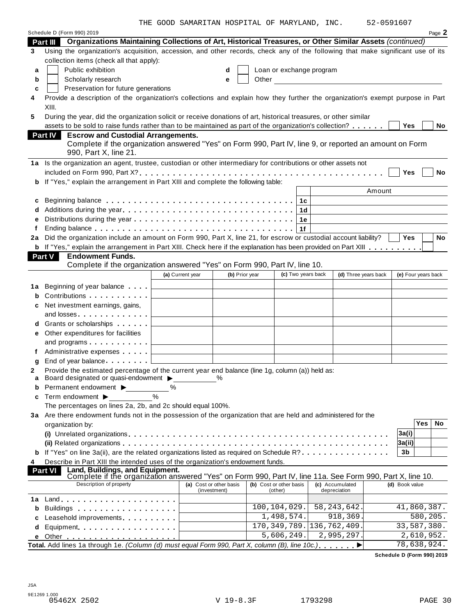THE GOOD SAMARITAN HOSPITAL OF MARYLAND, INC. 52-0591607

|    | Schedule D (Form 990) 2019                                                                                                                                                                                                          |                                                     |                         |                |                         |                          |                    |                                    |        |                            | Page 2 |
|----|-------------------------------------------------------------------------------------------------------------------------------------------------------------------------------------------------------------------------------------|-----------------------------------------------------|-------------------------|----------------|-------------------------|--------------------------|--------------------|------------------------------------|--------|----------------------------|--------|
|    | Organizations Maintaining Collections of Art, Historical Treasures, or Other Similar Assets (continued)<br>Part III                                                                                                                 |                                                     |                         |                |                         |                          |                    |                                    |        |                            |        |
| 3  | Using the organization's acquisition, accession, and other records, check any of the following that make significant use of its                                                                                                     |                                                     |                         |                |                         |                          |                    |                                    |        |                            |        |
|    | collection items (check all that apply):                                                                                                                                                                                            |                                                     |                         |                |                         |                          |                    |                                    |        |                            |        |
| a  | Public exhibition                                                                                                                                                                                                                   |                                                     |                         | d              |                         | Loan or exchange program |                    |                                    |        |                            |        |
| b  | Scholarly research                                                                                                                                                                                                                  |                                                     |                         | е              | Other                   |                          |                    | <u> 1980 - Jan Barat, martin a</u> |        |                            |        |
| c  | Preservation for future generations                                                                                                                                                                                                 |                                                     |                         |                |                         |                          |                    |                                    |        |                            |        |
| 4  | Provide a description of the organization's collections and explain how they further the organization's exempt purpose in Part                                                                                                      |                                                     |                         |                |                         |                          |                    |                                    |        |                            |        |
|    | XIII.                                                                                                                                                                                                                               |                                                     |                         |                |                         |                          |                    |                                    |        |                            |        |
| 5  | During the year, did the organization solicit or receive donations of art, historical treasures, or other similar                                                                                                                   |                                                     |                         |                |                         |                          |                    |                                    |        |                            |        |
|    | assets to be sold to raise funds rather than to be maintained as part of the organization's collection?                                                                                                                             |                                                     |                         |                |                         |                          |                    |                                    |        | Yes                        | No     |
|    | <b>Escrow and Custodial Arrangements.</b><br><b>Part IV</b>                                                                                                                                                                         |                                                     |                         |                |                         |                          |                    |                                    |        |                            |        |
|    | Complete if the organization answered "Yes" on Form 990, Part IV, line 9, or reported an amount on Form                                                                                                                             |                                                     |                         |                |                         |                          |                    |                                    |        |                            |        |
|    | 990, Part X, line 21.                                                                                                                                                                                                               |                                                     |                         |                |                         |                          |                    |                                    |        |                            |        |
|    | 1a Is the organization an agent, trustee, custodian or other intermediary for contributions or other assets not                                                                                                                     |                                                     |                         |                |                         |                          |                    |                                    |        |                            |        |
|    |                                                                                                                                                                                                                                     |                                                     |                         |                |                         |                          |                    |                                    |        | Yes                        | No     |
|    | If "Yes," explain the arrangement in Part XIII and complete the following table:                                                                                                                                                    |                                                     |                         |                |                         |                          |                    |                                    |        |                            |        |
|    |                                                                                                                                                                                                                                     |                                                     |                         |                |                         |                          |                    |                                    | Amount |                            |        |
| c  |                                                                                                                                                                                                                                     |                                                     |                         |                |                         |                          | 1c                 |                                    |        |                            |        |
|    |                                                                                                                                                                                                                                     |                                                     |                         |                |                         |                          | 1 <sub>d</sub>     |                                    |        |                            |        |
|    |                                                                                                                                                                                                                                     |                                                     |                         |                |                         |                          | 1e                 |                                    |        |                            |        |
| f  |                                                                                                                                                                                                                                     |                                                     |                         |                |                         |                          | 1f                 |                                    |        |                            |        |
| 2a | Did the organization include an amount on Form 990, Part X, line 21, for escrow or custodial account liability?                                                                                                                     |                                                     |                         |                |                         |                          |                    |                                    |        | <b>Yes</b>                 | No     |
|    | <b>b</b> If "Yes," explain the arrangement in Part XIII. Check here if the explanation has been provided on Part XIII                                                                                                               |                                                     |                         |                |                         |                          |                    |                                    |        |                            |        |
|    | <b>Endowment Funds.</b><br><b>Part V</b>                                                                                                                                                                                            |                                                     |                         |                |                         |                          |                    |                                    |        |                            |        |
|    | Complete if the organization answered "Yes" on Form 990, Part IV, line 10.                                                                                                                                                          |                                                     |                         |                |                         |                          |                    |                                    |        |                            |        |
|    |                                                                                                                                                                                                                                     | (a) Current year                                    |                         | (b) Prior year |                         |                          | (c) Two years back | (d) Three years back               |        | (e) Four years back        |        |
| 1а | Beginning of year balance                                                                                                                                                                                                           | <u> 1980 - Andrea Station Barbara, amerikan per</u> |                         |                |                         |                          |                    |                                    |        |                            |        |
| b  | Contributions <b>Contributions</b>                                                                                                                                                                                                  |                                                     |                         |                |                         |                          |                    |                                    |        |                            |        |
| c  | Net investment earnings, gains,                                                                                                                                                                                                     |                                                     |                         |                |                         |                          |                    |                                    |        |                            |        |
|    |                                                                                                                                                                                                                                     |                                                     |                         |                |                         |                          |                    |                                    |        |                            |        |
| d  | Grants or scholarships                                                                                                                                                                                                              |                                                     |                         |                |                         |                          |                    |                                    |        |                            |        |
| е  | Other expenditures for facilities                                                                                                                                                                                                   |                                                     |                         |                |                         |                          |                    |                                    |        |                            |        |
|    | and programs $\ldots$                                                                                                                                                                                                               |                                                     |                         |                |                         |                          |                    |                                    |        |                            |        |
| f  | Administrative expenses                                                                                                                                                                                                             |                                                     |                         |                |                         |                          |                    |                                    |        |                            |        |
| g  | End of year balance                                                                                                                                                                                                                 |                                                     |                         |                |                         |                          |                    |                                    |        |                            |        |
| 2  | Provide the estimated percentage of the current year end balance (line 1g, column (a)) held as:                                                                                                                                     |                                                     |                         |                |                         |                          |                    |                                    |        |                            |        |
|    | Board designated or quasi-endowment $\blacktriangleright$                                                                                                                                                                           |                                                     |                         |                |                         |                          |                    |                                    |        |                            |        |
| b  | Permanent endowment >                                                                                                                                                                                                               | ℅                                                   |                         |                |                         |                          |                    |                                    |        |                            |        |
| c  | Term endowment $\blacktriangleright$                                                                                                                                                                                                | $\%$                                                |                         |                |                         |                          |                    |                                    |        |                            |        |
|    | The percentages on lines 2a, 2b, and 2c should equal 100%.                                                                                                                                                                          |                                                     |                         |                |                         |                          |                    |                                    |        |                            |        |
|    | 3a Are there endowment funds not in the possession of the organization that are held and administered for the                                                                                                                       |                                                     |                         |                |                         |                          |                    |                                    |        |                            |        |
|    | organization by:                                                                                                                                                                                                                    |                                                     |                         |                |                         |                          |                    |                                    |        | Yes                        | No     |
|    |                                                                                                                                                                                                                                     |                                                     |                         |                |                         |                          |                    |                                    |        | 3a(i)                      |        |
|    |                                                                                                                                                                                                                                     |                                                     |                         |                |                         |                          |                    |                                    |        | 3a(ii)                     |        |
|    | If "Yes" on line 3a(ii), are the related organizations listed as required on Schedule R?                                                                                                                                            |                                                     |                         |                |                         |                          |                    |                                    |        | 3b                         |        |
| 4  | Describe in Part XIII the intended uses of the organization's endowment funds.                                                                                                                                                      |                                                     |                         |                |                         |                          |                    |                                    |        |                            |        |
|    | Land, Buildings, and Equipment.<br>Complete if the organization answered "Yes" on Form 990, Part IV, line 11a. See Form 990, Part X, line 10.<br><b>Part VI</b>                                                                     |                                                     |                         |                |                         |                          |                    |                                    |        |                            |        |
|    | Description of property                                                                                                                                                                                                             |                                                     | (a) Cost or other basis |                | (b) Cost or other basis |                          |                    | (c) Accumulated                    |        | (d) Book value             |        |
|    |                                                                                                                                                                                                                                     |                                                     | (investment)            |                |                         | (other)                  |                    | depreciation                       |        |                            |        |
| 1a |                                                                                                                                                                                                                                     |                                                     |                         |                |                         |                          |                    |                                    |        |                            |        |
| b  | Buildings <b>Example 20</b> Section 20 and 20 and 20 and 20 and 20 and 20 and 20 and 20 and 20 and 20 and 20 and 20 and 20 and 20 and 20 and 20 and 20 and 20 and 20 and 20 and 20 and 20 and 20 and 20 and 20 and 20 and 20 and 20 |                                                     |                         |                | 100,104,029.            |                          |                    | 58, 243, 642.                      |        | 41,860,387.                |        |
| c  | Leasehold improvements <b>Leasehold</b> improvements                                                                                                                                                                                |                                                     |                         |                |                         | 1,498,574.               |                    | 918,369                            |        | 580,205.                   |        |
| d  | Equipment                                                                                                                                                                                                                           |                                                     |                         |                |                         |                          |                    | 170, 349, 789. 136, 762, 409       |        | 33,587,380.                |        |
| е  |                                                                                                                                                                                                                                     |                                                     |                         |                |                         | 5,606,249.               |                    | 2,995,297                          |        | 2,610,952.                 |        |
|    | Total. Add lines 1a through 1e. (Column (d) must equal Form 990, Part X, column (B), line 10c.).                                                                                                                                    |                                                     |                         |                |                         |                          |                    |                                    |        | 78,638,924.                |        |
|    |                                                                                                                                                                                                                                     |                                                     |                         |                |                         |                          |                    |                                    |        | Schedule D (Form 990) 2019 |        |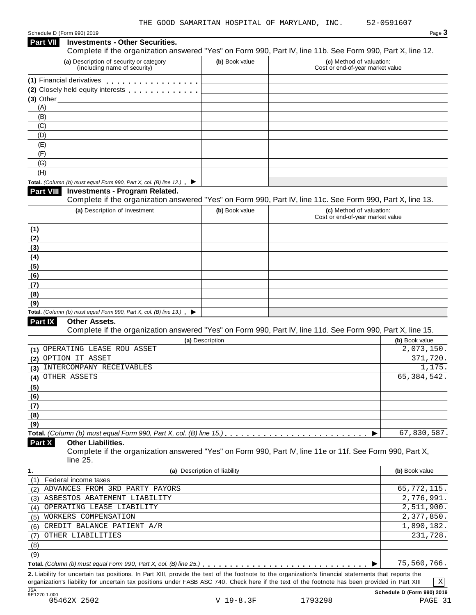Schedule D (Form 990) 2019 Page **3 Investments - Other Securities.** Complete if the organization answered "Yes" on Form 990, Part IV, line 11b. See Form 990, Part X, line 12. **Part VII (a)** Description of security or category (including name of security) **(b)** Book value **(c)** Method of valuation: Cost or end-of-year market value Schedule D (Form 990) 2019<br> **Part VII Investments - Other Securities.**<br>
Complete if the organization answered<br>
(a) Description of security or category<br>
(including name of security)<br>
(1) Financial derivatives<br>
(2) Closely h **Part VII** Investments - Other Securities.<br>
Complete if the organization answered<br>
(a) Description of security or category<br>
(including name of security)<br>
(1) Financial derivatives<br>
(2) Closely held equity interests<br>
(3) Ot **(3)** Other (A) (B) (C) (D) (E) (F) (G) (H) **Total.** *(Column (b) must equal Form 990, Part X, col. (B) line 12.)* **Investments - Program Related.**  Complete if the organization answered "Yes" on Form 990, Part IV, line 11c. See Form 990, Part X, line 13. **Part VIII (a)** Description of investment **(b)** Book value **(c)** Method of valuation: Cost or end-of-year market value **(1) (2) (3) (4) (5) (6) (7) (8) (9) Total.** *(Column (b) must equal Form 990, Part X, col.*  $(B)$  line 13.)  $\blacktriangleright$ **Other Assets.**  Complete if the organization answered "Yes" on Form 990, Part IV, line 11d. See Form 990, Part X, line 15. **Part IX (a)** Description **(b)** Book value **(1) (2) (3) (4) (5) (6) (7) (8) (9) Total. (Column (b) must equal Form 990, Part X, col. (B) line 15.)**<br> **Part X Column (b)** must equal Form 990, Part X, col. (B) line 15.)<br> **Part X Column must equal Form 990, Part X, col. (B) line 15.) Collumn m** m **Other Liabilities.**  Complete if the organization answered "Yes" on Form 990, Part IV, line 11e or 11f. See Form 990, Part X, line 25. **Part X 1. (a)** Description of liability **(b)** Book value (1) Federal income taxes (2) (3) (4) OPERATING LEASE LIABILITY 2,511,900. (5) (6) (7) (8) (9) **Total.** *(Column (b) must equal Form 990, Part X, col. (B) line 25.)* m m m m m m m m m m m m m m m m m m m m m m m m m m m m m m <sup>I</sup> OPERATING LEASE ROU ASSET 2,073,150. OPTION IT ASSET 371,720. INTERCOMPANY RECEIVABLES 1,175. OTHER ASSETS 65,384,542. 67,830,587. ADVANCES FROM 3RD PARTY PAYORS 65,772,115. ASBESTOS ABATEMENT LIABILITY 2,776,991. WORKERS COMPENSATION 2,377,850. CREDIT BALANCE PATIENT A/R 1,890,182. OTHER LIABILITIES 231,728. 75,560,766.

**2.** Liability for uncertain tax positions. In Part XIII, provide the text of the footnote to the organization's financial statements that reports the organization's liability for uncertain tax positions under FASB ASC 740. Check here if the text of the footnote has been provided in Part XIII

X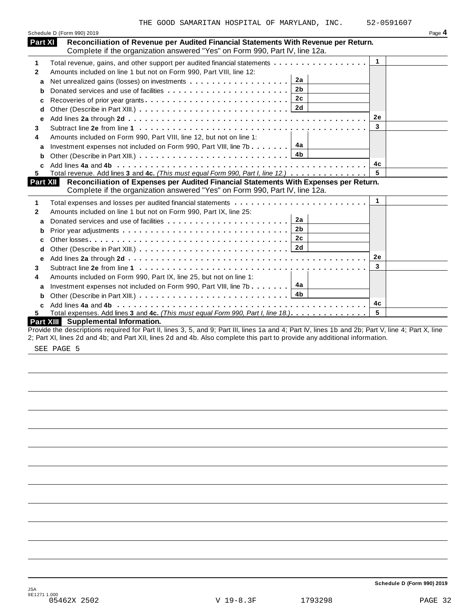|                | THE GOOD SAMARITAN HOSPITAL OF MARYLAND, INC.                                                                                                      |              | 52-0591607 |
|----------------|----------------------------------------------------------------------------------------------------------------------------------------------------|--------------|------------|
|                | Schedule D (Form 990) 2019                                                                                                                         |              | Page 4     |
| <b>Part XI</b> | Reconciliation of Revenue per Audited Financial Statements With Revenue per Return.                                                                |              |            |
|                | Complete if the organization answered "Yes" on Form 990, Part IV, line 12a.                                                                        |              |            |
| 1              | Total revenue, gains, and other support per audited financial statements                                                                           | $\mathbf{1}$ |            |
| $\mathbf{2}$   | Amounts included on line 1 but not on Form 990, Part VIII, line 12:                                                                                |              |            |
| a              | 2a                                                                                                                                                 |              |            |
|                | 2 <sub>b</sub><br>Donated services and use of facilities                                                                                           |              |            |
| c              | 2c                                                                                                                                                 |              |            |
| d              |                                                                                                                                                    |              |            |
| е              |                                                                                                                                                    | 2e           |            |
| 3              |                                                                                                                                                    | 3            |            |
| 4              | Amounts included on Form 990, Part VIII, line 12, but not on line 1:                                                                               |              |            |
| a              | 4a<br>Investment expenses not included on Form 990, Part VIII, line 7b                                                                             |              |            |
| b              | 4b                                                                                                                                                 |              |            |
|                |                                                                                                                                                    | 4c           |            |
| 5.             | Total revenue. Add lines 3 and 4c. (This must equal Form 990, Part I, line 12.)                                                                    | 5            |            |
| Part XII       | Reconciliation of Expenses per Audited Financial Statements With Expenses per Return.                                                              |              |            |
|                | Complete if the organization answered "Yes" on Form 990, Part IV, line 12a.                                                                        |              |            |
| 1              |                                                                                                                                                    | $\mathbf{1}$ |            |
| 2              | Amounts included on line 1 but not on Form 990, Part IX, line 25:                                                                                  |              |            |
| a              | 2a                                                                                                                                                 |              |            |
|                | 2 <sub>b</sub>                                                                                                                                     |              |            |
| С              | 2c                                                                                                                                                 |              |            |
| d              |                                                                                                                                                    |              |            |
| е              |                                                                                                                                                    | 2e           |            |
| 3              |                                                                                                                                                    | 3            |            |
| 4              | Amounts included on Form 990, Part IX, line 25, but not on line 1:                                                                                 |              |            |
| a              | 4a<br>Investment expenses not included on Form 990, Part VIII, line 7b                                                                             |              |            |
| b              | 4b                                                                                                                                                 |              |            |
| c              |                                                                                                                                                    | 4c           |            |
|                | Total expenses. Add lines 3 and 4c. (This must equal Form 990, Part I, line 18.).                                                                  | 5            |            |
|                | Part XIII Supplemental Information.                                                                                                                |              |            |
|                | Provide the descriptions required for Part II, lines 3, 5, and 9; Part III, lines 1a and 4; Part IV, lines 1b and 2b; Part V, line 4; Part X, line |              |            |

2; Part XI, lines 2d and 4b; and Part XII, lines 2d and 4b. Also complete this part to provide any additional information.

SEE PAGE 5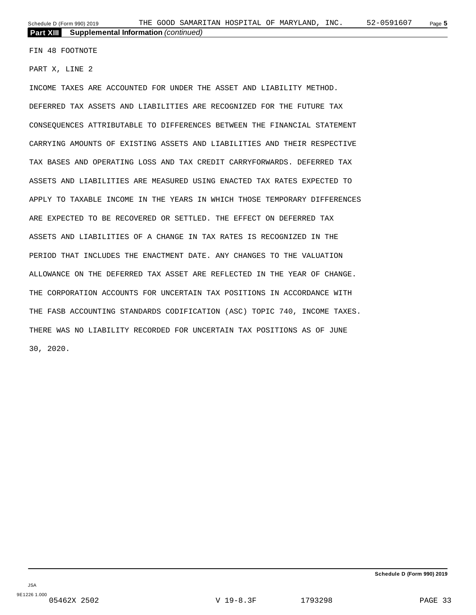FIN 48 FOOTNOTE

PART X, LINE 2

INCOME TAXES ARE ACCOUNTED FOR UNDER THE ASSET AND LIABILITY METHOD. DEFERRED TAX ASSETS AND LIABILITIES ARE RECOGNIZED FOR THE FUTURE TAX CONSEQUENCES ATTRIBUTABLE TO DIFFERENCES BETWEEN THE FINANCIAL STATEMENT CARRYING AMOUNTS OF EXISTING ASSETS AND LIABILITIES AND THEIR RESPECTIVE TAX BASES AND OPERATING LOSS AND TAX CREDIT CARRYFORWARDS. DEFERRED TAX ASSETS AND LIABILITIES ARE MEASURED USING ENACTED TAX RATES EXPECTED TO APPLY TO TAXABLE INCOME IN THE YEARS IN WHICH THOSE TEMPORARY DIFFERENCES ARE EXPECTED TO BE RECOVERED OR SETTLED. THE EFFECT ON DEFERRED TAX ASSETS AND LIABILITIES OF A CHANGE IN TAX RATES IS RECOGNIZED IN THE PERIOD THAT INCLUDES THE ENACTMENT DATE. ANY CHANGES TO THE VALUATION ALLOWANCE ON THE DEFERRED TAX ASSET ARE REFLECTED IN THE YEAR OF CHANGE. THE CORPORATION ACCOUNTS FOR UNCERTAIN TAX POSITIONS IN ACCORDANCE WITH THE FASB ACCOUNTING STANDARDS CODIFICATION (ASC) TOPIC 740, INCOME TAXES. THERE WAS NO LIABILITY RECORDED FOR UNCERTAIN TAX POSITIONS AS OF JUNE 30, 2020.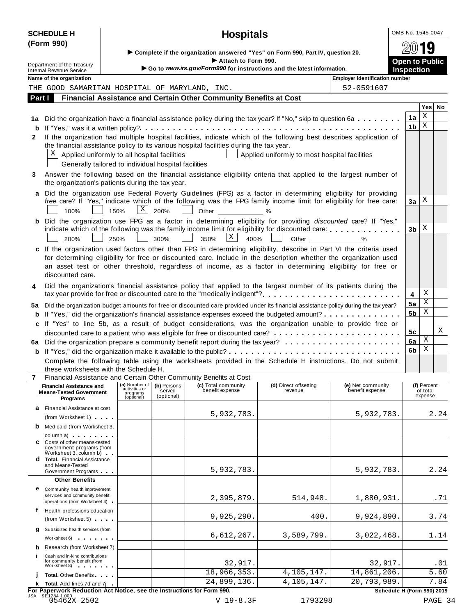| <b>SCHEDULE H</b> |                                                                                                                                                                                                                                                                                             |                                                                                                                                                                                               |                                                                                | <b>Hospitals</b>                                                                                                                                                                                                                                                                                                                                       |                                               |                                       |                                            | OMB No. 1545-0047   |              |  |  |
|-------------------|---------------------------------------------------------------------------------------------------------------------------------------------------------------------------------------------------------------------------------------------------------------------------------------------|-----------------------------------------------------------------------------------------------------------------------------------------------------------------------------------------------|--------------------------------------------------------------------------------|--------------------------------------------------------------------------------------------------------------------------------------------------------------------------------------------------------------------------------------------------------------------------------------------------------------------------------------------------------|-----------------------------------------------|---------------------------------------|--------------------------------------------|---------------------|--------------|--|--|
|                   | (Form 990)                                                                                                                                                                                                                                                                                  |                                                                                                                                                                                               | Complete if the organization answered "Yes" on Form 990, Part IV, question 20. |                                                                                                                                                                                                                                                                                                                                                        |                                               |                                       |                                            | 19                  |              |  |  |
|                   | Department of the Treasury<br><b>Internal Revenue Service</b>                                                                                                                                                                                                                               |                                                                                                                                                                                               |                                                                                | Attach to Form 990.<br>Go to www.irs.gov/Form990 for instructions and the latest information.                                                                                                                                                                                                                                                          |                                               |                                       | <b>Open to Public</b><br><b>Inspection</b> |                     |              |  |  |
|                   | Name of the organization                                                                                                                                                                                                                                                                    |                                                                                                                                                                                               |                                                                                |                                                                                                                                                                                                                                                                                                                                                        |                                               | <b>Employer identification number</b> |                                            |                     |              |  |  |
|                   | THE GOOD SAMARITAN HOSPITAL OF MARYLAND, INC.                                                                                                                                                                                                                                               |                                                                                                                                                                                               |                                                                                |                                                                                                                                                                                                                                                                                                                                                        |                                               | 52-0591607                            |                                            |                     |              |  |  |
|                   | Part I                                                                                                                                                                                                                                                                                      |                                                                                                                                                                                               |                                                                                | Financial Assistance and Certain Other Community Benefits at Cost                                                                                                                                                                                                                                                                                      |                                               |                                       |                                            |                     |              |  |  |
|                   |                                                                                                                                                                                                                                                                                             |                                                                                                                                                                                               |                                                                                |                                                                                                                                                                                                                                                                                                                                                        |                                               |                                       |                                            | Yes   No            |              |  |  |
|                   |                                                                                                                                                                                                                                                                                             |                                                                                                                                                                                               |                                                                                | 1a Did the organization have a financial assistance policy during the tax year? If "No," skip to question 6a                                                                                                                                                                                                                                           |                                               |                                       | 1a                                         | Χ                   |              |  |  |
|                   |                                                                                                                                                                                                                                                                                             |                                                                                                                                                                                               |                                                                                |                                                                                                                                                                                                                                                                                                                                                        |                                               |                                       | 1 <sub>b</sub>                             | Χ                   |              |  |  |
| 2                 | X                                                                                                                                                                                                                                                                                           | Applied uniformly to all hospital facilities<br>Generally tailored to individual hospital facilities                                                                                          |                                                                                | If the organization had multiple hospital facilities, indicate which of the following best describes application of<br>the financial assistance policy to its various hospital facilities during the tax year.                                                                                                                                         | Applied uniformly to most hospital facilities |                                       |                                            |                     |              |  |  |
| 3                 | the organization's patients during the tax year.                                                                                                                                                                                                                                            |                                                                                                                                                                                               |                                                                                | Answer the following based on the financial assistance eligibility criteria that applied to the largest number of                                                                                                                                                                                                                                      |                                               |                                       |                                            |                     |              |  |  |
|                   | 100%                                                                                                                                                                                                                                                                                        | $\mathbf{X}$<br>150%                                                                                                                                                                          | 200%                                                                           | a Did the organization use Federal Poverty Guidelines (FPG) as a factor in determining eligibility for providing<br>free care? If "Yes," indicate which of the following was the FPG family income limit for eligibility for free care:<br>Other                                                                                                       |                                               |                                       | За                                         | Χ                   |              |  |  |
|                   | 200%                                                                                                                                                                                                                                                                                        | 250%                                                                                                                                                                                          | 300%                                                                           | <b>b</b> Did the organization use FPG as a factor in determining eligibility for providing discounted care? If "Yes,"<br>indicate which of the following was the family income limit for eligibility for discounted care:<br>$\vert$ X $\vert$<br>350%<br>400%                                                                                         | Other                                         | %                                     | 3b                                         | Χ                   |              |  |  |
|                   | discounted care.                                                                                                                                                                                                                                                                            |                                                                                                                                                                                               |                                                                                | c If the organization used factors other than FPG in determining eligibility, describe in Part VI the criteria used<br>for determining eligibility for free or discounted care. Include in the description whether the organization used<br>an asset test or other threshold, regardless of income, as a factor in determining eligibility for free or |                                               |                                       |                                            |                     |              |  |  |
| 4                 |                                                                                                                                                                                                                                                                                             | Did the organization's financial assistance policy that applied to the largest number of its patients during the<br>tax year provide for free or discounted care to the "medically indigent"? |                                                                                |                                                                                                                                                                                                                                                                                                                                                        |                                               |                                       |                                            | Χ                   |              |  |  |
|                   |                                                                                                                                                                                                                                                                                             |                                                                                                                                                                                               |                                                                                | 5a Did the organization budget amounts for free or discounted care provided under its financial assistance policy during the tax year?                                                                                                                                                                                                                 |                                               |                                       | 4<br>5a                                    | Χ                   |              |  |  |
|                   |                                                                                                                                                                                                                                                                                             |                                                                                                                                                                                               |                                                                                | <b>b</b> If "Yes," did the organization's financial assistance expenses exceed the budgeted amount?                                                                                                                                                                                                                                                    |                                               |                                       | 5b                                         | Χ                   |              |  |  |
|                   |                                                                                                                                                                                                                                                                                             |                                                                                                                                                                                               |                                                                                | c If "Yes" to line 5b, as a result of budget considerations, was the organization unable to provide free or                                                                                                                                                                                                                                            |                                               |                                       |                                            |                     |              |  |  |
|                   |                                                                                                                                                                                                                                                                                             |                                                                                                                                                                                               |                                                                                |                                                                                                                                                                                                                                                                                                                                                        |                                               |                                       | 5c                                         |                     | Χ            |  |  |
|                   |                                                                                                                                                                                                                                                                                             |                                                                                                                                                                                               |                                                                                |                                                                                                                                                                                                                                                                                                                                                        |                                               |                                       | 6a                                         | Χ                   |              |  |  |
|                   |                                                                                                                                                                                                                                                                                             |                                                                                                                                                                                               |                                                                                |                                                                                                                                                                                                                                                                                                                                                        |                                               |                                       | 6 <sub>b</sub>                             | Χ                   |              |  |  |
|                   | these worksheets with the Schedule H.                                                                                                                                                                                                                                                       |                                                                                                                                                                                               |                                                                                | Complete the following table using the worksheets provided in the Schedule H instructions. Do not submit                                                                                                                                                                                                                                               |                                               |                                       |                                            |                     |              |  |  |
|                   |                                                                                                                                                                                                                                                                                             |                                                                                                                                                                                               |                                                                                | 7 Financial Assistance and Certain Other Community Benefits at Cost                                                                                                                                                                                                                                                                                    |                                               |                                       |                                            |                     |              |  |  |
|                   | <b>Financial Assistance and</b><br><b>Means-Tested Government</b><br>Programs                                                                                                                                                                                                               | (a) Number of<br>activities or<br>programs<br>(optional)                                                                                                                                      | (b) Persons<br>served<br>(optional)                                            | (c) Total community<br>benefit expense                                                                                                                                                                                                                                                                                                                 | (d) Direct offsetting<br>revenue              | (e) Net community<br>benefit expense  |                                            | of total<br>expense | (f) Percent  |  |  |
|                   | <b>a</b> Financial Assistance at cost                                                                                                                                                                                                                                                       |                                                                                                                                                                                               |                                                                                |                                                                                                                                                                                                                                                                                                                                                        |                                               |                                       |                                            |                     |              |  |  |
|                   | (from Worksheet 1)                                                                                                                                                                                                                                                                          |                                                                                                                                                                                               |                                                                                | 5,932,783.                                                                                                                                                                                                                                                                                                                                             |                                               | 5,932,783.                            |                                            |                     | 2.24         |  |  |
|                   | <b>b</b> Medicaid (from Worksheet 3,                                                                                                                                                                                                                                                        |                                                                                                                                                                                               |                                                                                |                                                                                                                                                                                                                                                                                                                                                        |                                               |                                       |                                            |                     |              |  |  |
|                   | column a) expansion and the set of the set of the set of the set of the set of the set of the set of the set of the set of the set of the set of the set of the set of the set of the set of the set of the set of the set of<br>C Costs of other means-tested<br>government programs (from |                                                                                                                                                                                               |                                                                                |                                                                                                                                                                                                                                                                                                                                                        |                                               |                                       |                                            |                     |              |  |  |
|                   | Worksheet $3$ , column b) $\Box$<br><b>d</b> Total. Financial Assistance<br>and Means-Tested<br>Government Programs                                                                                                                                                                         |                                                                                                                                                                                               |                                                                                | 5,932,783.                                                                                                                                                                                                                                                                                                                                             |                                               | 5,932,783.                            |                                            |                     | 2.24         |  |  |
|                   | <b>Other Benefits</b>                                                                                                                                                                                                                                                                       |                                                                                                                                                                                               |                                                                                |                                                                                                                                                                                                                                                                                                                                                        |                                               |                                       |                                            |                     |              |  |  |
|                   | <b>e</b> Community health improvement<br>services and community benefit<br>operations (from Worksheet 4)                                                                                                                                                                                    |                                                                                                                                                                                               |                                                                                | 2,395,879.                                                                                                                                                                                                                                                                                                                                             | 514,948.                                      | 1,880,931.                            |                                            | .71                 |              |  |  |
| f                 | Health professions education<br>(from Worksheet 5)                                                                                                                                                                                                                                          |                                                                                                                                                                                               |                                                                                | 9,925,290.                                                                                                                                                                                                                                                                                                                                             | 400.                                          | 9,924,890.                            |                                            | 3.74                |              |  |  |
|                   | Subsidized health services (from<br>Worksheet 6) and the material control of the material control of the material control of the material control of the material control of the material control of the material control of the material control of the material                           |                                                                                                                                                                                               |                                                                                | 6,612,267.                                                                                                                                                                                                                                                                                                                                             | 3,589,799.                                    | 3,022,468.                            |                                            |                     | 1.14         |  |  |
|                   | <b>h</b> Research (from Worksheet 7)                                                                                                                                                                                                                                                        |                                                                                                                                                                                               |                                                                                |                                                                                                                                                                                                                                                                                                                                                        |                                               |                                       |                                            |                     |              |  |  |
| Ť.                | Cash and in-kind contributions<br>for community benefit (from<br>Worksheet 8)                                                                                                                                                                                                               |                                                                                                                                                                                               |                                                                                | 32,917.                                                                                                                                                                                                                                                                                                                                                |                                               | 32,917.                               |                                            |                     | .01          |  |  |
|                   |                                                                                                                                                                                                                                                                                             |                                                                                                                                                                                               |                                                                                |                                                                                                                                                                                                                                                                                                                                                        |                                               |                                       |                                            |                     |              |  |  |
|                   | <b>Total.</b> Other Benefits                                                                                                                                                                                                                                                                |                                                                                                                                                                                               |                                                                                | 18,966,353.<br>24,899,136.                                                                                                                                                                                                                                                                                                                             | 4,105,147.<br>4,105,147.                      | 14,861,206.<br>20,793,989.            |                                            |                     | 5.60<br>7.84 |  |  |

 $\begin{array}{c|c|c|c|c|c|c|c|c} \hline \textbf{K} & \textbf{I} & \textbf{O} & \textbf{I} & \textbf{I} & \textbf{I} & \textbf{I} & \textbf{I} & \textbf{I} & \textbf{I} & \textbf{I} & \textbf{I} & \textbf{I} & \textbf{I} & \textbf{I} & \textbf{I} & \textbf{I} & \textbf{I} & \textbf{I} & \textbf{I} & \textbf{I} & \textbf{I} & \textbf{I} & \textbf{I} & \textbf{I} & \textbf{I} & \textbf{I} & \textbf{I$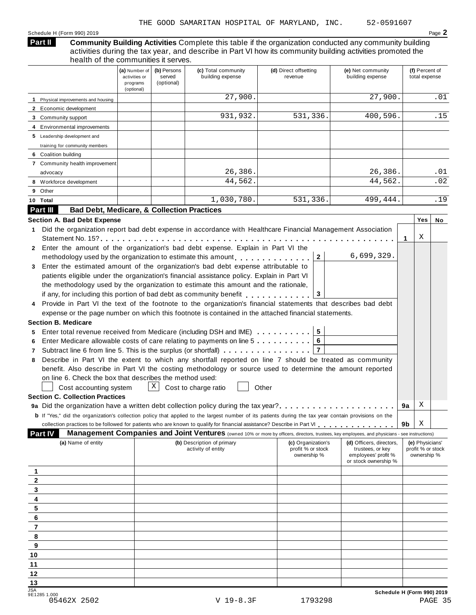# Schedule H (Form 990) 2019 Page **2**

#### **Community Building Activities** Complete this table if the organization conducted any community building activities during the tax year, and describe in Part VI how its community building activities promoted the health of the communities it serves. **Part II**

|                             |                                                                                                                                                                                                                                                                                                                                                                                                                                                                                                                                                                                                                                                                                                                                                                                                                                                                                                                                                                                                                                                                                                                                                                                                                                                                                                                                                                                                                                                                                                                                                                                                                                                                                                                             | (a) Number of<br>activities or<br>programs<br>(optional) | (b) Persons<br>served<br>(optional) | (c) Total community<br>building expense                                                                                                        | (d) Direct offsetting<br>revenue                       | (e) Net community<br>building expense                                                       |    | (f) Percent of<br>total expense                     |     |  |  |
|-----------------------------|-----------------------------------------------------------------------------------------------------------------------------------------------------------------------------------------------------------------------------------------------------------------------------------------------------------------------------------------------------------------------------------------------------------------------------------------------------------------------------------------------------------------------------------------------------------------------------------------------------------------------------------------------------------------------------------------------------------------------------------------------------------------------------------------------------------------------------------------------------------------------------------------------------------------------------------------------------------------------------------------------------------------------------------------------------------------------------------------------------------------------------------------------------------------------------------------------------------------------------------------------------------------------------------------------------------------------------------------------------------------------------------------------------------------------------------------------------------------------------------------------------------------------------------------------------------------------------------------------------------------------------------------------------------------------------------------------------------------------------|----------------------------------------------------------|-------------------------------------|------------------------------------------------------------------------------------------------------------------------------------------------|--------------------------------------------------------|---------------------------------------------------------------------------------------------|----|-----------------------------------------------------|-----|--|--|
|                             | 1 Physical improvements and housing                                                                                                                                                                                                                                                                                                                                                                                                                                                                                                                                                                                                                                                                                                                                                                                                                                                                                                                                                                                                                                                                                                                                                                                                                                                                                                                                                                                                                                                                                                                                                                                                                                                                                         |                                                          |                                     | 27,900.                                                                                                                                        |                                                        | 27,900.                                                                                     |    |                                                     | .01 |  |  |
|                             | 2 Economic development                                                                                                                                                                                                                                                                                                                                                                                                                                                                                                                                                                                                                                                                                                                                                                                                                                                                                                                                                                                                                                                                                                                                                                                                                                                                                                                                                                                                                                                                                                                                                                                                                                                                                                      |                                                          |                                     |                                                                                                                                                |                                                        |                                                                                             |    |                                                     |     |  |  |
|                             | 3 Community support                                                                                                                                                                                                                                                                                                                                                                                                                                                                                                                                                                                                                                                                                                                                                                                                                                                                                                                                                                                                                                                                                                                                                                                                                                                                                                                                                                                                                                                                                                                                                                                                                                                                                                         |                                                          |                                     | 931,932.                                                                                                                                       | 531,336.                                               | 400,596.                                                                                    |    |                                                     | .15 |  |  |
|                             | 4 Environmental improvements                                                                                                                                                                                                                                                                                                                                                                                                                                                                                                                                                                                                                                                                                                                                                                                                                                                                                                                                                                                                                                                                                                                                                                                                                                                                                                                                                                                                                                                                                                                                                                                                                                                                                                |                                                          |                                     |                                                                                                                                                |                                                        |                                                                                             |    |                                                     |     |  |  |
|                             | 5 Leadership development and                                                                                                                                                                                                                                                                                                                                                                                                                                                                                                                                                                                                                                                                                                                                                                                                                                                                                                                                                                                                                                                                                                                                                                                                                                                                                                                                                                                                                                                                                                                                                                                                                                                                                                |                                                          |                                     |                                                                                                                                                |                                                        |                                                                                             |    |                                                     |     |  |  |
|                             | training for community members                                                                                                                                                                                                                                                                                                                                                                                                                                                                                                                                                                                                                                                                                                                                                                                                                                                                                                                                                                                                                                                                                                                                                                                                                                                                                                                                                                                                                                                                                                                                                                                                                                                                                              |                                                          |                                     |                                                                                                                                                |                                                        |                                                                                             |    |                                                     |     |  |  |
|                             | 6 Coalition building                                                                                                                                                                                                                                                                                                                                                                                                                                                                                                                                                                                                                                                                                                                                                                                                                                                                                                                                                                                                                                                                                                                                                                                                                                                                                                                                                                                                                                                                                                                                                                                                                                                                                                        |                                                          |                                     |                                                                                                                                                |                                                        |                                                                                             |    |                                                     |     |  |  |
|                             | 7 Community health improvement                                                                                                                                                                                                                                                                                                                                                                                                                                                                                                                                                                                                                                                                                                                                                                                                                                                                                                                                                                                                                                                                                                                                                                                                                                                                                                                                                                                                                                                                                                                                                                                                                                                                                              |                                                          |                                     |                                                                                                                                                |                                                        |                                                                                             |    |                                                     |     |  |  |
|                             | advocacy                                                                                                                                                                                                                                                                                                                                                                                                                                                                                                                                                                                                                                                                                                                                                                                                                                                                                                                                                                                                                                                                                                                                                                                                                                                                                                                                                                                                                                                                                                                                                                                                                                                                                                                    |                                                          |                                     | 26,386.                                                                                                                                        |                                                        | 26,386.                                                                                     |    |                                                     | .01 |  |  |
|                             | 8 Workforce development                                                                                                                                                                                                                                                                                                                                                                                                                                                                                                                                                                                                                                                                                                                                                                                                                                                                                                                                                                                                                                                                                                                                                                                                                                                                                                                                                                                                                                                                                                                                                                                                                                                                                                     |                                                          |                                     | 44,562.                                                                                                                                        |                                                        | 44,562.                                                                                     |    |                                                     | .02 |  |  |
|                             | 9 Other                                                                                                                                                                                                                                                                                                                                                                                                                                                                                                                                                                                                                                                                                                                                                                                                                                                                                                                                                                                                                                                                                                                                                                                                                                                                                                                                                                                                                                                                                                                                                                                                                                                                                                                     |                                                          |                                     |                                                                                                                                                |                                                        |                                                                                             |    |                                                     |     |  |  |
|                             | 10 Total                                                                                                                                                                                                                                                                                                                                                                                                                                                                                                                                                                                                                                                                                                                                                                                                                                                                                                                                                                                                                                                                                                                                                                                                                                                                                                                                                                                                                                                                                                                                                                                                                                                                                                                    |                                                          |                                     | 1,030,780.                                                                                                                                     | 531,336.                                               | 499,444.                                                                                    |    |                                                     | .19 |  |  |
|                             | Part III<br><b>Bad Debt, Medicare, &amp; Collection Practices</b>                                                                                                                                                                                                                                                                                                                                                                                                                                                                                                                                                                                                                                                                                                                                                                                                                                                                                                                                                                                                                                                                                                                                                                                                                                                                                                                                                                                                                                                                                                                                                                                                                                                           |                                                          |                                     |                                                                                                                                                |                                                        |                                                                                             |    |                                                     |     |  |  |
| 1.<br>3<br>5<br>6<br>7<br>8 | <b>Section A. Bad Debt Expense</b><br>Yes<br>No<br>Did the organization report bad debt expense in accordance with Healthcare Financial Management Association<br>X<br>1<br>2 Enter the amount of the organization's bad debt expense. Explain in Part VI the<br>6,699,329.<br>2 <sup>1</sup><br>methodology used by the organization to estimate this amount<br>Enter the estimated amount of the organization's bad debt expense attributable to<br>patients eligible under the organization's financial assistance policy. Explain in Part VI<br>the methodology used by the organization to estimate this amount and the rationale,<br>3<br>if any, for including this portion of bad debt as community benefit<br>Provide in Part VI the text of the footnote to the organization's financial statements that describes bad debt<br>expense or the page number on which this footnote is contained in the attached financial statements.<br><b>Section B. Medicare</b><br>Enter total revenue received from Medicare (including DSH and IME) 5<br>6<br>Enter Medicare allowable costs of care relating to payments on line 5<br>$\vert$ 7<br>Subtract line 6 from line 5. This is the surplus (or shortfall)<br>Describe in Part VI the extent to which any shortfall reported on line 7 should be treated as community<br>benefit. Also describe in Part VI the costing methodology or source used to determine the amount reported<br>on line 6. Check the box that describes the method used:<br>$\mathbf{X}$<br>Cost to charge ratio<br>Other<br>Cost accounting system<br><b>Section C. Collection Practices</b><br>X<br>9a Did the organization have a written debt collection policy during the tax year?<br>9а |                                                          |                                     |                                                                                                                                                |                                                        |                                                                                             |    |                                                     |     |  |  |
|                             | <b>b</b> If "Yes," did the organization's collection policy that applied to the largest number of its patients during the tax year contain provisions on the                                                                                                                                                                                                                                                                                                                                                                                                                                                                                                                                                                                                                                                                                                                                                                                                                                                                                                                                                                                                                                                                                                                                                                                                                                                                                                                                                                                                                                                                                                                                                                |                                                          |                                     |                                                                                                                                                |                                                        |                                                                                             | 9b | Χ                                                   |     |  |  |
|                             | Part IV                                                                                                                                                                                                                                                                                                                                                                                                                                                                                                                                                                                                                                                                                                                                                                                                                                                                                                                                                                                                                                                                                                                                                                                                                                                                                                                                                                                                                                                                                                                                                                                                                                                                                                                     |                                                          |                                     | Management Companies and Joint Ventures (owned 10% or more by officers, directors, trustees, key employees, and physicians - see instructions) |                                                        |                                                                                             |    |                                                     |     |  |  |
| 1<br>2<br>3<br>4<br>5       | (a) Name of entity                                                                                                                                                                                                                                                                                                                                                                                                                                                                                                                                                                                                                                                                                                                                                                                                                                                                                                                                                                                                                                                                                                                                                                                                                                                                                                                                                                                                                                                                                                                                                                                                                                                                                                          |                                                          |                                     | (b) Description of primary<br>activity of entity                                                                                               | (c) Organization's<br>profit % or stock<br>ownership % | (d) Officers, directors,<br>trustees, or key<br>employees' profit %<br>or stock ownership % |    | (e) Physicians'<br>profit % or stock<br>ownership % |     |  |  |
| 6                           |                                                                                                                                                                                                                                                                                                                                                                                                                                                                                                                                                                                                                                                                                                                                                                                                                                                                                                                                                                                                                                                                                                                                                                                                                                                                                                                                                                                                                                                                                                                                                                                                                                                                                                                             |                                                          |                                     |                                                                                                                                                |                                                        |                                                                                             |    |                                                     |     |  |  |
| 7                           |                                                                                                                                                                                                                                                                                                                                                                                                                                                                                                                                                                                                                                                                                                                                                                                                                                                                                                                                                                                                                                                                                                                                                                                                                                                                                                                                                                                                                                                                                                                                                                                                                                                                                                                             |                                                          |                                     |                                                                                                                                                |                                                        |                                                                                             |    |                                                     |     |  |  |
| 8                           |                                                                                                                                                                                                                                                                                                                                                                                                                                                                                                                                                                                                                                                                                                                                                                                                                                                                                                                                                                                                                                                                                                                                                                                                                                                                                                                                                                                                                                                                                                                                                                                                                                                                                                                             |                                                          |                                     |                                                                                                                                                |                                                        |                                                                                             |    |                                                     |     |  |  |
| 9                           |                                                                                                                                                                                                                                                                                                                                                                                                                                                                                                                                                                                                                                                                                                                                                                                                                                                                                                                                                                                                                                                                                                                                                                                                                                                                                                                                                                                                                                                                                                                                                                                                                                                                                                                             |                                                          |                                     |                                                                                                                                                |                                                        |                                                                                             |    |                                                     |     |  |  |
| 10                          |                                                                                                                                                                                                                                                                                                                                                                                                                                                                                                                                                                                                                                                                                                                                                                                                                                                                                                                                                                                                                                                                                                                                                                                                                                                                                                                                                                                                                                                                                                                                                                                                                                                                                                                             |                                                          |                                     |                                                                                                                                                |                                                        |                                                                                             |    |                                                     |     |  |  |
| 11                          |                                                                                                                                                                                                                                                                                                                                                                                                                                                                                                                                                                                                                                                                                                                                                                                                                                                                                                                                                                                                                                                                                                                                                                                                                                                                                                                                                                                                                                                                                                                                                                                                                                                                                                                             |                                                          |                                     |                                                                                                                                                |                                                        |                                                                                             |    |                                                     |     |  |  |
| 12                          |                                                                                                                                                                                                                                                                                                                                                                                                                                                                                                                                                                                                                                                                                                                                                                                                                                                                                                                                                                                                                                                                                                                                                                                                                                                                                                                                                                                                                                                                                                                                                                                                                                                                                                                             |                                                          |                                     |                                                                                                                                                |                                                        |                                                                                             |    |                                                     |     |  |  |
| 13<br><b>JSA</b>            |                                                                                                                                                                                                                                                                                                                                                                                                                                                                                                                                                                                                                                                                                                                                                                                                                                                                                                                                                                                                                                                                                                                                                                                                                                                                                                                                                                                                                                                                                                                                                                                                                                                                                                                             |                                                          |                                     |                                                                                                                                                |                                                        |                                                                                             |    |                                                     |     |  |  |
|                             | 9E1285 1.000                                                                                                                                                                                                                                                                                                                                                                                                                                                                                                                                                                                                                                                                                                                                                                                                                                                                                                                                                                                                                                                                                                                                                                                                                                                                                                                                                                                                                                                                                                                                                                                                                                                                                                                |                                                          |                                     |                                                                                                                                                |                                                        | Schedule H (Form 990) 2019                                                                  |    |                                                     |     |  |  |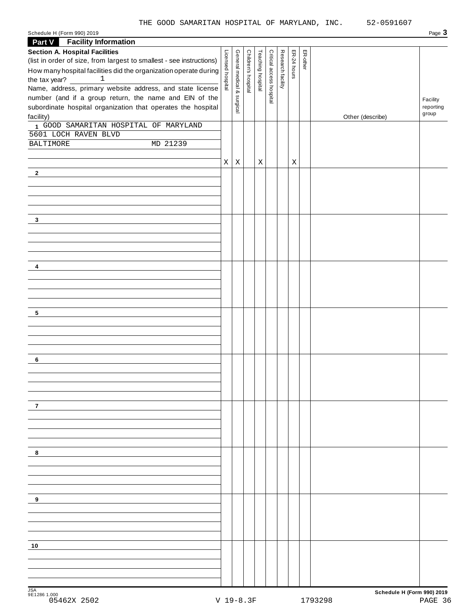| Schedule H (Form 990) 2019 | Page |
|----------------------------|------|
|                            |      |

| <b>Part V</b> Facility Information                                   |                   |                            |                     |                   |                          |                   |             |          |                  |                    |
|----------------------------------------------------------------------|-------------------|----------------------------|---------------------|-------------------|--------------------------|-------------------|-------------|----------|------------------|--------------------|
| <b>Section A. Hospital Facilities</b>                                |                   |                            |                     |                   |                          |                   |             |          |                  |                    |
| (list in order of size, from largest to smallest - see instructions) |                   |                            |                     |                   |                          |                   | ER-24 hours | ER-other |                  |                    |
| How many hospital facilities did the organization operate during     |                   |                            |                     |                   |                          |                   |             |          |                  |                    |
| the tax year?<br>$\mathbf{1}$                                        | Licensed hospital |                            | Children's hospital | Teaching hospital |                          | Research facility |             |          |                  |                    |
| Name, address, primary website address, and state license            |                   | General medical & surgical |                     |                   | Critical access hospital |                   |             |          |                  |                    |
| number (and if a group return, the name and EIN of the               |                   |                            |                     |                   |                          |                   |             |          |                  | Facility           |
| subordinate hospital organization that operates the hospital         |                   |                            |                     |                   |                          |                   |             |          |                  | reporting<br>group |
| facility)<br>1 GOOD SAMARITAN HOSPITAL OF MARYLAND                   |                   |                            |                     |                   |                          |                   |             |          | Other (describe) |                    |
| 5601 LOCH RAVEN BLVD                                                 |                   |                            |                     |                   |                          |                   |             |          |                  |                    |
| MD 21239<br><b>BALTIMORE</b>                                         |                   |                            |                     |                   |                          |                   |             |          |                  |                    |
|                                                                      |                   |                            |                     |                   |                          |                   |             |          |                  |                    |
|                                                                      | X                 | X                          |                     | Χ                 |                          |                   | Χ           |          |                  |                    |
| $\mathbf{2}$                                                         |                   |                            |                     |                   |                          |                   |             |          |                  |                    |
|                                                                      |                   |                            |                     |                   |                          |                   |             |          |                  |                    |
|                                                                      |                   |                            |                     |                   |                          |                   |             |          |                  |                    |
|                                                                      |                   |                            |                     |                   |                          |                   |             |          |                  |                    |
|                                                                      |                   |                            |                     |                   |                          |                   |             |          |                  |                    |
| $\mathbf{3}$                                                         |                   |                            |                     |                   |                          |                   |             |          |                  |                    |
|                                                                      |                   |                            |                     |                   |                          |                   |             |          |                  |                    |
|                                                                      |                   |                            |                     |                   |                          |                   |             |          |                  |                    |
|                                                                      |                   |                            |                     |                   |                          |                   |             |          |                  |                    |
|                                                                      |                   |                            |                     |                   |                          |                   |             |          |                  |                    |
| 4                                                                    |                   |                            |                     |                   |                          |                   |             |          |                  |                    |
|                                                                      |                   |                            |                     |                   |                          |                   |             |          |                  |                    |
|                                                                      |                   |                            |                     |                   |                          |                   |             |          |                  |                    |
|                                                                      |                   |                            |                     |                   |                          |                   |             |          |                  |                    |
|                                                                      |                   |                            |                     |                   |                          |                   |             |          |                  |                    |
| 5                                                                    |                   |                            |                     |                   |                          |                   |             |          |                  |                    |
|                                                                      |                   |                            |                     |                   |                          |                   |             |          |                  |                    |
|                                                                      |                   |                            |                     |                   |                          |                   |             |          |                  |                    |
|                                                                      |                   |                            |                     |                   |                          |                   |             |          |                  |                    |
| 6                                                                    |                   |                            |                     |                   |                          |                   |             |          |                  |                    |
|                                                                      |                   |                            |                     |                   |                          |                   |             |          |                  |                    |
|                                                                      |                   |                            |                     |                   |                          |                   |             |          |                  |                    |
|                                                                      |                   |                            |                     |                   |                          |                   |             |          |                  |                    |
|                                                                      |                   |                            |                     |                   |                          |                   |             |          |                  |                    |
| 7                                                                    |                   |                            |                     |                   |                          |                   |             |          |                  |                    |
|                                                                      |                   |                            |                     |                   |                          |                   |             |          |                  |                    |
|                                                                      |                   |                            |                     |                   |                          |                   |             |          |                  |                    |
|                                                                      |                   |                            |                     |                   |                          |                   |             |          |                  |                    |
|                                                                      |                   |                            |                     |                   |                          |                   |             |          |                  |                    |
| 8                                                                    |                   |                            |                     |                   |                          |                   |             |          |                  |                    |
|                                                                      |                   |                            |                     |                   |                          |                   |             |          |                  |                    |
|                                                                      |                   |                            |                     |                   |                          |                   |             |          |                  |                    |
|                                                                      |                   |                            |                     |                   |                          |                   |             |          |                  |                    |
|                                                                      |                   |                            |                     |                   |                          |                   |             |          |                  |                    |
| 9                                                                    |                   |                            |                     |                   |                          |                   |             |          |                  |                    |
|                                                                      |                   |                            |                     |                   |                          |                   |             |          |                  |                    |
|                                                                      |                   |                            |                     |                   |                          |                   |             |          |                  |                    |
|                                                                      |                   |                            |                     |                   |                          |                   |             |          |                  |                    |
|                                                                      |                   |                            |                     |                   |                          |                   |             |          |                  |                    |
| 10                                                                   |                   |                            |                     |                   |                          |                   |             |          |                  |                    |
|                                                                      |                   |                            |                     |                   |                          |                   |             |          |                  |                    |
|                                                                      |                   |                            |                     |                   |                          |                   |             |          |                  |                    |
|                                                                      |                   |                            |                     |                   |                          |                   |             |          |                  |                    |
|                                                                      |                   |                            |                     |                   |                          |                   |             |          |                  |                    |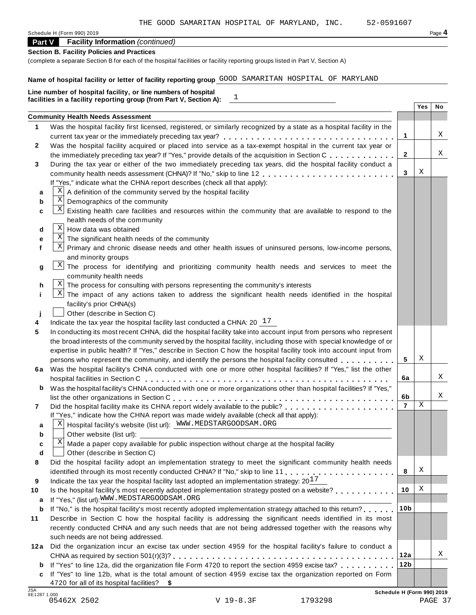Schedule H (Form 990) 2019 Page **4**

# **Part V Facility Information** *(continued)*

# **Section B. Facility Policies and Practices**

(complete a separate Section B for each of the hospital facilities or facility reporting groups listed in Part V, Section A)

## **Name of hospital facility or letter of facility reporting group** GOOD SAMARITAN HOSPITAL OF MARYLAND

|        | $\begin{array}{c} 1 \end{array}$<br>facilities in a facility reporting group (from Part V, Section A):                      |                 |     |    |
|--------|-----------------------------------------------------------------------------------------------------------------------------|-----------------|-----|----|
|        |                                                                                                                             |                 | Yes | No |
|        | <b>Community Health Needs Assessment</b>                                                                                    |                 |     |    |
|        | Was the hospital facility first licensed, registered, or similarly recognized by a state as a hospital facility in the      |                 |     |    |
|        |                                                                                                                             | 1               |     | Χ  |
|        | Was the hospital facility acquired or placed into service as a tax-exempt hospital in the current tax year or               |                 |     |    |
|        | the immediately preceding tax year? If "Yes," provide details of the acquisition in Section C.                              | $\mathbf{2}$    |     | Χ  |
|        | During the tax year or either of the two immediately preceding tax years, did the hospital facility conduct a               |                 |     |    |
|        | community health needs assessment (CHNA)? If "No," skip to line 12                                                          | 3               | X   |    |
|        | If "Yes," indicate what the CHNA report describes (check all that apply):                                                   |                 |     |    |
| а      | A definition of the community served by the hospital facility                                                               |                 |     |    |
| b      | $\mathbf X$<br>Demographics of the community                                                                                |                 |     |    |
| C      | $X$ Existing health care facilities and resources within the community that are available to respond to the                 |                 |     |    |
|        | health needs of the community                                                                                               |                 |     |    |
| d      | Χ<br>How data was obtained                                                                                                  |                 |     |    |
| е      | $\mathbf X$<br>The significant health needs of the community                                                                |                 |     |    |
|        | X <br>Primary and chronic disease needs and other health issues of uninsured persons, low-income persons,                   |                 |     |    |
|        | and minority groups                                                                                                         |                 |     |    |
| g      | Χļ<br>The process for identifying and prioritizing community health needs and services to meet the                          |                 |     |    |
|        | community health needs                                                                                                      |                 |     |    |
| h      | $X$ The process for consulting with persons representing the community's interests                                          |                 |     |    |
|        | $\vert X \vert$<br>The impact of any actions taken to address the significant health needs identified in the hospital       |                 |     |    |
|        | facility's prior CHNA(s)                                                                                                    |                 |     |    |
|        | Other (describe in Section C)                                                                                               |                 |     |    |
|        | Indicate the tax year the hospital facility last conducted a CHNA: $20^{-17}$                                               |                 |     |    |
|        | In conducting its most recent CHNA, did the hospital facility take into account input from persons who represent            |                 |     |    |
|        | the broad interests of the community served by the hospital facility, including those with special knowledge of or          |                 |     |    |
|        | expertise in public health? If "Yes," describe in Section C how the hospital facility took into account input from          |                 |     |    |
|        | persons who represent the community, and identify the persons the hospital facility consulted                               | 5               | X   |    |
|        | 6a Was the hospital facility's CHNA conducted with one or more other hospital facilities? If "Yes," list the other          |                 |     |    |
|        |                                                                                                                             | 6a              |     | Χ  |
| b      | Was the hospital facility's CHNA conducted with one or more organizations other than hospital facilities? If "Yes,"         |                 |     |    |
|        |                                                                                                                             | 6b              |     | Χ  |
|        |                                                                                                                             | $\overline{7}$  | Χ   |    |
|        | If "Yes," indicate how the CHNA report was made widely available (check all that apply):                                    |                 |     |    |
| а      | Hospital facility's website (list url): WWW.MEDSTARGOODSAM.ORG<br>Χ                                                         |                 |     |    |
| b      |                                                                                                                             |                 |     |    |
|        | Other website (list url):<br>Χ<br>Made a paper copy available for public inspection without charge at the hospital facility |                 |     |    |
|        |                                                                                                                             |                 |     |    |
|        | Other (describe in Section C)                                                                                               |                 |     |    |
|        | Did the hospital facility adopt an implementation strategy to meet the significant community health needs                   |                 | Χ   |    |
|        |                                                                                                                             | 8               |     |    |
|        | Indicate the tax year the hospital facility last adopted an implementation strategy: $20\frac{17}{1}$                       |                 | Χ   |    |
|        | Is the hospital facility's most recently adopted implementation strategy posted on a website?                               | 10              |     |    |
| a<br>b | If "Yes," (list url): WWW. MEDSTARGOODSAM. ORG                                                                              |                 |     |    |
|        | If "No," is the hospital facility's most recently adopted implementation strategy attached to this return?                  | 10 <sub>b</sub> |     |    |
|        | Describe in Section C how the hospital facility is addressing the significant needs identified in its most                  |                 |     |    |
|        | recently conducted CHNA and any such needs that are not being addressed together with the reasons why                       |                 |     |    |
|        | such needs are not being addressed.                                                                                         |                 |     |    |
|        | 12a Did the organization incur an excise tax under section 4959 for the hospital facility's failure to conduct a            |                 |     |    |
|        |                                                                                                                             | 12a             |     | Χ  |
|        | <b>b</b> If "Yes" to line 12a, did the organization file Form 4720 to report the section 4959 excise tax?                   | 12 <sub>b</sub> |     |    |
|        | c If "Yes" to line 12b, what is the total amount of section 4959 excise tax the organization reported on Form               |                 |     |    |
|        | 4720 for all of its hospital facilities? \$                                                                                 |                 |     |    |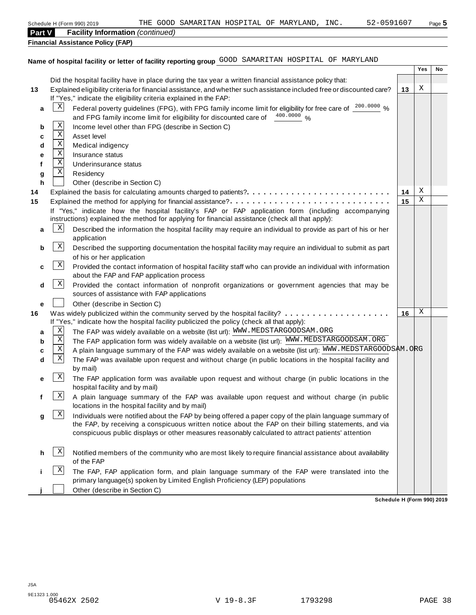|               |                           | 52-0591607<br>THE GOOD SAMARITAN HOSPITAL OF MARYLAND, INC.<br>Schedule H (Form 990) 2019                              |    |     | Page 5 |
|---------------|---------------------------|------------------------------------------------------------------------------------------------------------------------|----|-----|--------|
| <b>Part V</b> |                           | <b>Facility Information (continued)</b>                                                                                |    |     |        |
|               |                           | <b>Financial Assistance Policy (FAP)</b>                                                                               |    |     |        |
|               |                           |                                                                                                                        |    |     |        |
|               |                           | Name of hospital facility or letter of facility reporting group GOOD SAMARITAN HOSPITAL OF MARYLAND                    |    |     |        |
|               |                           |                                                                                                                        |    | Yes | No     |
|               |                           | Did the hospital facility have in place during the tax year a written financial assistance policy that:                |    |     |        |
| 13            |                           | Explained eligibility criteria for financial assistance, and whether such assistance included free or discounted care? | 13 | Χ   |        |
|               |                           | If "Yes," indicate the eligibility criteria explained in the FAP:                                                      |    |     |        |
| a             | X                         | Federal poverty guidelines (FPG), with FPG family income limit for eligibility for free care of 200.0000 %             |    |     |        |
|               |                           | and FPG family income limit for eligibility for discounted care of 400.0000 %                                          |    |     |        |
| b             | $\mathbf X$               | Income level other than FPG (describe in Section C)                                                                    |    |     |        |
| c             | $\overline{\mathbf{x}}$   | Asset level                                                                                                            |    |     |        |
| d             | $\overline{\mathbf{x}}$   | Medical indigency                                                                                                      |    |     |        |
| е             | $\overline{\mathbf{x}}$   | Insurance status                                                                                                       |    |     |        |
| f             | $\overline{\mathbf{x}}$   | Underinsurance status                                                                                                  |    |     |        |
| g             | $\overline{\text{X}}$     | Residency                                                                                                              |    |     |        |
| h             |                           | Other (describe in Section C)                                                                                          |    |     |        |
| 14            |                           | Explained the basis for calculating amounts charged to patients?                                                       | 14 | Х   |        |
| 15            |                           | Explained the method for applying for financial assistance?                                                            | 15 | Χ   |        |
|               |                           | If "Yes," indicate how the hospital facility's FAP or FAP application form (including accompanying                     |    |     |        |
|               |                           | instructions) explained the method for applying for financial assistance (check all that apply):                       |    |     |        |
| a             | $\boldsymbol{\mathrm{X}}$ | Described the information the hospital facility may require an individual to provide as part of his or her             |    |     |        |
|               |                           | application                                                                                                            |    |     |        |
| b             | $\mathbf{x}$              | Described the supporting documentation the hospital facility may require an individual to submit as part               |    |     |        |
|               |                           | of his or her application                                                                                              |    |     |        |
| c             | $\mathbf{x}$              | Provided the contact information of hospital facility staff who can provide an individual with information             |    |     |        |
|               |                           | about the FAP and FAP application process                                                                              |    |     |        |
| d             | $\mathbf{x}$              | Provided the contact information of nonprofit organizations or government agencies that may be                         |    |     |        |
|               |                           | sources of assistance with FAP applications                                                                            |    |     |        |
| е             |                           | Other (describe in Section C)                                                                                          |    |     |        |
| 16            |                           | Was widely publicized within the community served by the hospital facility?                                            | 16 | Χ   |        |
|               |                           | If "Yes," indicate how the hospital facility publicized the policy (check all that apply):                             |    |     |        |
| а             | X                         | The FAP was widely available on a website (list url): WWW.MEDSTARGOODSAM.ORG                                           |    |     |        |
| b             | X                         | The FAP application form was widely available on a website (list url): WWW.MEDSTARGOODSAM.ORG                          |    |     |        |
| c             | $\mathbf X$               | A plain language summary of the FAP was widely available on a website (list url): WWW.MEDSTARGOODSAM.ORG               |    |     |        |
| d             | $\mathbf X$               | The FAP was available upon request and without charge (in public locations in the hospital facility and                |    |     |        |
|               |                           | by mail)                                                                                                               |    |     |        |
|               | $\mathbf{X}$              | The FAP application form was available upon request and without charge (in public locations in the                     |    |     |        |
|               |                           | hospital facility and by mail)                                                                                         |    |     |        |
|               | $\vert X \vert$           | A plain language summary of the FAP was available upon request and without charge (in public                           |    |     |        |
|               |                           | locations in the hospital facility and by mail)                                                                        |    |     |        |
| g             | $\mathbf{X}$              | Individuals were notified about the FAP by being offered a paper copy of the plain language summary of                 |    |     |        |
|               |                           | the FAP, by receiving a conspicuous written notice about the FAP on their billing statements, and via                  |    |     |        |
|               |                           | conspicuous public displays or other measures reasonably calculated to attract patients' attention                     |    |     |        |
|               |                           |                                                                                                                        |    |     |        |
| h             | $\vert X \vert$           | Notified members of the community who are most likely to require financial assistance about availability               |    |     |        |
|               |                           | of the FAP                                                                                                             |    |     |        |
|               | $\boldsymbol{\mathrm{X}}$ | The FAP, FAP application form, and plain language summary of the FAP were translated into the                          |    |     |        |
|               |                           | primary language(s) spoken by Limited English Proficiency (LEP) populations                                            |    |     |        |

**j Other (describe in Section C)**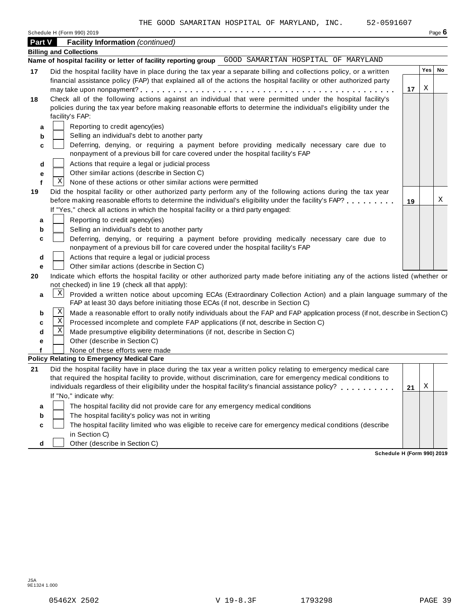Schedule H (Form 990) 2019 **Page 6** 

| Part V      | <b>Facility Information (continued)</b>                                                                                                                                                                       |     | .990 |
|-------------|---------------------------------------------------------------------------------------------------------------------------------------------------------------------------------------------------------------|-----|------|
|             | <b>Billing and Collections</b>                                                                                                                                                                                |     |      |
|             | Name of hospital facility or letter of facility reporting group GOOD SAMARITAN HOSPITAL OF MARYLAND                                                                                                           |     |      |
| 17          | Did the hospital facility have in place during the tax year a separate billing and collections policy, or a written                                                                                           | Yes | No   |
|             | financial assistance policy (FAP) that explained all of the actions the hospital facility or other authorized party                                                                                           |     |      |
|             | 17                                                                                                                                                                                                            | Χ   |      |
| 18          | Check all of the following actions against an individual that were permitted under the hospital facility's                                                                                                    |     |      |
|             | policies during the tax year before making reasonable efforts to determine the individual's eligibility under the                                                                                             |     |      |
|             | facility's FAP:                                                                                                                                                                                               |     |      |
| a           | Reporting to credit agency(ies)                                                                                                                                                                               |     |      |
| b           | Selling an individual's debt to another party                                                                                                                                                                 |     |      |
| c           | Deferring, denying, or requiring a payment before providing medically necessary care due to<br>nonpayment of a previous bill for care covered under the hospital facility's FAP                               |     |      |
| d           | Actions that require a legal or judicial process                                                                                                                                                              |     |      |
| е           | Other similar actions (describe in Section C)                                                                                                                                                                 |     |      |
| f           | X<br>None of these actions or other similar actions were permitted                                                                                                                                            |     |      |
| 19          | Did the hospital facility or other authorized party perform any of the following actions during the tax year                                                                                                  |     |      |
|             | before making reasonable efforts to determine the individual's eligibility under the facility's FAP?<br>19                                                                                                    |     | Χ    |
|             | If "Yes," check all actions in which the hospital facility or a third party engaged:                                                                                                                          |     |      |
| a           | Reporting to credit agency(ies)                                                                                                                                                                               |     |      |
| b           | Selling an individual's debt to another party                                                                                                                                                                 |     |      |
| C           | Deferring, denying, or requiring a payment before providing medically necessary care due to<br>nonpayment of a previous bill for care covered under the hospital facility's FAP                               |     |      |
| d           | Actions that require a legal or judicial process                                                                                                                                                              |     |      |
| e           | Other similar actions (describe in Section C)                                                                                                                                                                 |     |      |
| 20          | Indicate which efforts the hospital facility or other authorized party made before initiating any of the actions listed (whether or<br>not checked) in line 19 (check all that apply):                        |     |      |
| a           | Х<br>Provided a written notice about upcoming ECAs (Extraordinary Collection Action) and a plain language summary of the<br>FAP at least 30 days before initiating those ECAs (if not, describe in Section C) |     |      |
| $\mathbf b$ | Χ<br>Made a reasonable effort to orally notify individuals about the FAP and FAP application process (if not, describe in Section C)                                                                          |     |      |
| c           | Χ<br>Processed incomplete and complete FAP applications (if not, describe in Section C)                                                                                                                       |     |      |
| d           | Χ<br>Made presumptive eligibility determinations (if not, describe in Section C)                                                                                                                              |     |      |
| е           | Other (describe in Section C)                                                                                                                                                                                 |     |      |
| f           | None of these efforts were made                                                                                                                                                                               |     |      |
|             | <b>Policy Relating to Emergency Medical Care</b>                                                                                                                                                              |     |      |
| 21          | Did the hospital facility have in place during the tax year a written policy relating to emergency medical care                                                                                               |     |      |
|             | that required the hospital facility to provide, without discrimination, care for emergency medical conditions to                                                                                              |     |      |
|             | individuals regardless of their eligibility under the hospital facility's financial assistance policy?<br>21                                                                                                  | Χ   |      |
|             | If "No," indicate why:                                                                                                                                                                                        |     |      |
| a           | The hospital facility did not provide care for any emergency medical conditions                                                                                                                               |     |      |
| b           | The hospital facility's policy was not in writing                                                                                                                                                             |     |      |
| C           | The hospital facility limited who was eligible to receive care for emergency medical conditions (describe<br>in Section C)                                                                                    |     |      |

**d**  $\mathbf{I}$ Other (describe in Section C)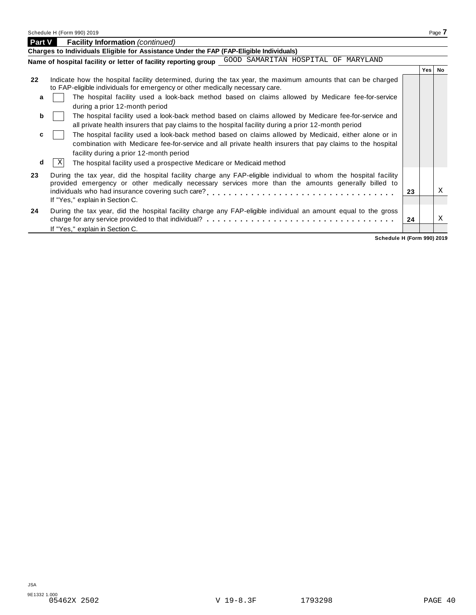| <b>Part V</b> | <b>Facility Information (continued)</b>                                                                                                                                                                                                                                                                   |    |            |           |
|---------------|-----------------------------------------------------------------------------------------------------------------------------------------------------------------------------------------------------------------------------------------------------------------------------------------------------------|----|------------|-----------|
|               | Charges to Individuals Eligible for Assistance Under the FAP (FAP-Eligible Individuals)                                                                                                                                                                                                                   |    |            |           |
|               | Name of hospital facility or letter of facility reporting group GOOD SAMARITAN HOSPITAL OF MARYLAND                                                                                                                                                                                                       |    |            |           |
|               |                                                                                                                                                                                                                                                                                                           |    | <b>Yes</b> | <b>No</b> |
| 22            | Indicate how the hospital facility determined, during the tax year, the maximum amounts that can be charged<br>to FAP-eligible individuals for emergency or other medically necessary care.                                                                                                               |    |            |           |
| a             | The hospital facility used a look-back method based on claims allowed by Medicare fee-for-service<br>during a prior 12-month period                                                                                                                                                                       |    |            |           |
| b             | The hospital facility used a look-back method based on claims allowed by Medicare fee-for-service and<br>all private health insurers that pay claims to the hospital facility during a prior 12-month period                                                                                              |    |            |           |
| c             | The hospital facility used a look-back method based on claims allowed by Medicaid, either alone or in<br>combination with Medicare fee-for-service and all private health insurers that pay claims to the hospital<br>facility during a prior 12-month period                                             |    |            |           |
| d             | X<br>The hospital facility used a prospective Medicare or Medicaid method                                                                                                                                                                                                                                 |    |            |           |
| 23            | During the tax year, did the hospital facility charge any FAP-eligible individual to whom the hospital facility<br>provided emergency or other medically necessary services more than the amounts generally billed to<br>If "Yes," explain in Section C.                                                  | 23 |            | X         |
| 24            | During the tax year, did the hospital facility charge any FAP-eligible individual an amount equal to the gross<br>charge for any service provided to that individual? $\ldots$ , $\ldots$ , $\ldots$ , $\ldots$ , $\ldots$ , $\ldots$ , $\ldots$ , $\ldots$ , $\ldots$<br>If "Yes," explain in Section C. | 24 |            | X         |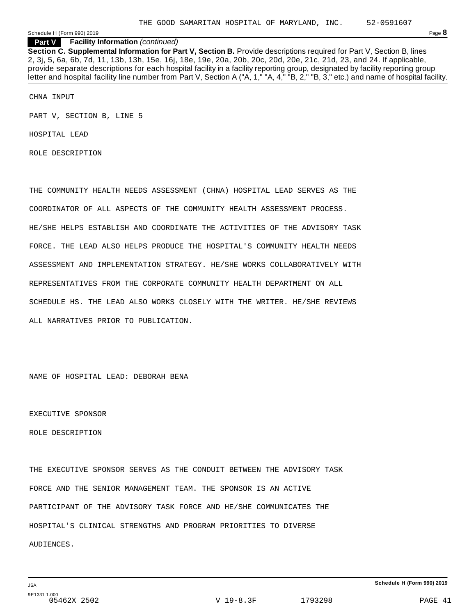Schedule H (Form 990) 2019 Page **8**

 **Part V Facility Information** *(continued)*

**Section C. Supplemental Information for Part V, Section B.** Provide descriptions required for Part V, Section B, lines 2, 3j, 5, 6a, 6b, 7d, 11, 13b, 13h, 15e, 16j, 18e, 19e, 20a, 20b, 20c, 20d, 20e, 21c, 21d, 23, and 24. If applicable, provide separate descriptions for each hospital facility in a facility reporting group, designated by facility reporting group letter and hospital facility line number from Part V, Section A ("A, 1," "A, 4," "B, 2," "B, 3," etc.) and name of hospital facility.

CHNA INPUT

PART V, SECTION B, LINE 5

HOSPITAL LEAD

ROLE DESCRIPTION

THE COMMUNITY HEALTH NEEDS ASSESSMENT (CHNA) HOSPITAL LEAD SERVES AS THE COORDINATOR OF ALL ASPECTS OF THE COMMUNITY HEALTH ASSESSMENT PROCESS. HE/SHE HELPS ESTABLISH AND COORDINATE THE ACTIVITIES OF THE ADVISORY TASK FORCE. THE LEAD ALSO HELPS PRODUCE THE HOSPITAL'S COMMUNITY HEALTH NEEDS ASSESSMENT AND IMPLEMENTATION STRATEGY. HE/SHE WORKS COLLABORATIVELY WITH REPRESENTATIVES FROM THE CORPORATE COMMUNITY HEALTH DEPARTMENT ON ALL SCHEDULE HS. THE LEAD ALSO WORKS CLOSELY WITH THE WRITER. HE/SHE REVIEWS ALL NARRATIVES PRIOR TO PUBLICATION.

NAME OF HOSPITAL LEAD: DEBORAH BENA

EXECUTIVE SPONSOR

ROLE DESCRIPTION

THE EXECUTIVE SPONSOR SERVES AS THE CONDUIT BETWEEN THE ADVISORY TASK FORCE AND THE SENIOR MANAGEMENT TEAM. THE SPONSOR IS AN ACTIVE PARTICIPANT OF THE ADVISORY TASK FORCE AND HE/SHE COMMUNICATES THE HOSPITAL'S CLINICAL STRENGTHS AND PROGRAM PRIORITIES TO DIVERSE AUDIENCES.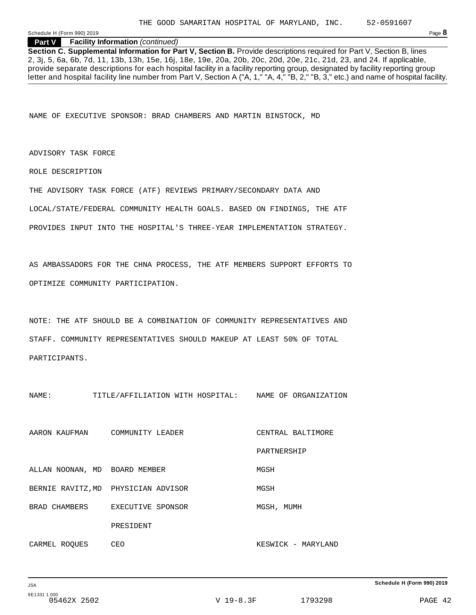Schedule H (Form 990) 2019 Page **8**

 **Part V Facility Information** *(continued)*

**Section C. Supplemental Information for Part V, Section B.** Provide descriptions required for Part V, Section B, lines 2, 3j, 5, 6a, 6b, 7d, 11, 13b, 13h, 15e, 16j, 18e, 19e, 20a, 20b, 20c, 20d, 20e, 21c, 21d, 23, and 24. If applicable, provide separate descriptions for each hospital facility in a facility reporting group, designated by facility reporting group letter and hospital facility line number from Part V, Section A ("A, 1," "A, 4," "B, 2," "B, 3," etc.) and name of hospital facility.

NAME OF EXECUTIVE SPONSOR: BRAD CHAMBERS AND MARTIN BINSTOCK, MD

ADVISORY TASK FORCE

ROLE DESCRIPTION

THE ADVISORY TASK FORCE (ATF) REVIEWS PRIMARY/SECONDARY DATA AND LOCAL/STATE/FEDERAL COMMUNITY HEALTH GOALS. BASED ON FINDINGS, THE ATF PROVIDES INPUT INTO THE HOSPITAL'S THREE-YEAR IMPLEMENTATION STRATEGY.

AS AMBASSADORS FOR THE CHNA PROCESS, THE ATF MEMBERS SUPPORT EFFORTS TO OPTIMIZE COMMUNITY PARTICIPATION.

NOTE: THE ATF SHOULD BE A COMBINATION OF COMMUNITY REPRESENTATIVES AND STAFF. COMMUNITY REPRESENTATIVES SHOULD MAKEUP AT LEAST 50% OF TOTAL PARTICIPANTS.

| NAME:         | TITLE/AFFILIATION WITH HOSPITAL: NAME OF ORGANIZATION |                    |
|---------------|-------------------------------------------------------|--------------------|
|               | AARON KAUFMAN COMMUNITY LEADER                        | CENTRAL BALTIMORE  |
|               |                                                       | PARTNERSHIP        |
|               | ALLAN NOONAN, MD BOARD MEMBER                         | MGSH               |
|               | BERNIE RAVITZ, MD PHYSICIAN ADVISOR                   | MGSH               |
|               | BRAD CHAMBERS EXECUTIVE SPONSOR                       | MGSH, MUMH         |
|               | PRESIDENT                                             |                    |
| CARMEL ROOUES | CEO                                                   | KESWICK - MARYLAND |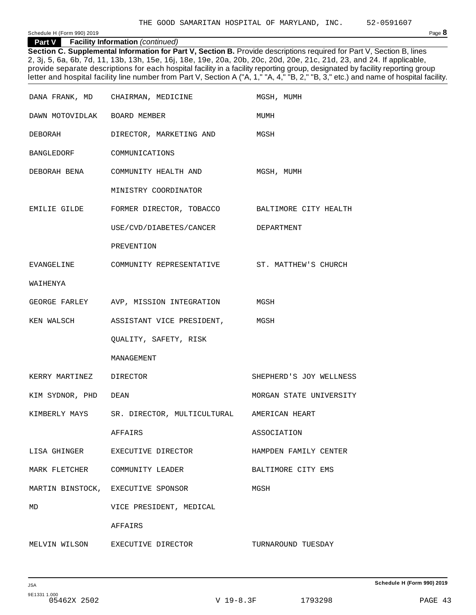letter and hospital facility line number from Part V, Section A ("A, 1," "A, 4," "B, 2," "B, 3," etc.) and name of hospital facility.

Schedule H (Form 990) 2019 Page **8**

| <b>Part V</b> Facility Information (continued)                                                                                 |
|--------------------------------------------------------------------------------------------------------------------------------|
| Section C. Supplemental Information for Part V, Section B. Provide descriptions required for Part V, Section B, lines          |
| 2, 3j, 5, 6a, 6b, 7d, 11, 13b, 13h, 15e, 16j, 18e, 19e, 20a, 20b, 20c, 20d, 20e, 21c, 21d, 23, and 24. If applicable,          |
| provide separate descriptions for each hospital facility in a facility reporting group, designated by facility reporting group |

|                              | DANA FRANK, MD CHAIRMAN, MEDICINE                        | MGSH, MUMH              |
|------------------------------|----------------------------------------------------------|-------------------------|
| DAWN MOTOVIDLAK BOARD MEMBER |                                                          | MUMH                    |
| DEBORAH                      | DIRECTOR, MARKETING AND                                  | MGSH                    |
| BANGLEDORF COMMUNICATIONS    |                                                          |                         |
|                              | DEBORAH BENA       COMMUNITY HEALTH AND                  | MGSH, MUMH              |
|                              | MINISTRY COORDINATOR                                     |                         |
| EMILIE GILDE                 | FORMER DIRECTOR, TOBACCO BALTIMORE CITY HEALTH           |                         |
|                              | USE/CVD/DIABETES/CANCER DEPARTMENT                       |                         |
|                              | PREVENTION                                               |                         |
|                              | EVANGELINE COMMUNITY REPRESENTATIVE ST. MATTHEW'S CHURCH |                         |
| WAIHENYA                     |                                                          |                         |
|                              | GEORGE FARLEY AVP, MISSION INTEGRATION                   | MGSH                    |
| KEN WALSCH                   | ASSISTANT VICE PRESIDENT, MGSH                           |                         |
|                              | QUALITY, SAFETY, RISK                                    |                         |
|                              | MANAGEMENT                                               |                         |
| KERRY MARTINEZ DIRECTOR      |                                                          | SHEPHERD'S JOY WELLNESS |
| KIM SYDNOR, PHD DEAN         |                                                          | MORGAN STATE UNIVERSITY |
| KIMBERLY MAYS                | SR. DIRECTOR, MULTICULTURAL AMERICAN HEART               |                         |
|                              | AFFAIRS                                                  | ASSOCIATION             |
|                              | LISA GHINGER BXECUTIVE DIRECTOR                          | HAMPDEN FAMILY CENTER   |
|                              | MARK FLETCHER COMMUNITY LEADER                           | BALTIMORE CITY EMS      |
|                              | MARTIN BINSTOCK, EXECUTIVE SPONSOR                       | MGSH                    |
| MD                           | VICE PRESIDENT, MEDICAL                                  |                         |
|                              | AFFAIRS                                                  |                         |
|                              | MELVIN WILSON EXECUTIVE DIRECTOR                         | TURNAROUND TUESDAY      |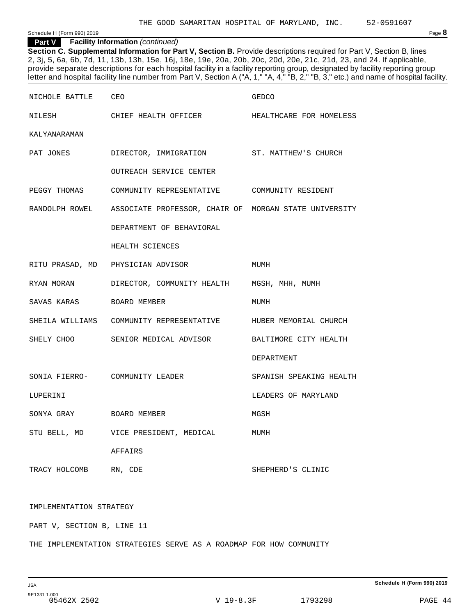Schedule H (Form 990) 2019 Page **8**

 **Part V Facility Information** *(continued)* **Section C. Supplemental Information for Part V, Section B.** Provide descriptions required for Part V, Section B, lines 2, 3j, 5, 6a, 6b, 7d, 11, 13b, 13h, 15e, 16j, 18e, 19e, 20a, 20b, 20c, 20d, 20e, 21c, 21d, 23, and 24. If applicable, provide separate descriptions for each hospital facility in a facility reporting group, designated by facility reporting group letter and hospital facility line number from Part V, Section A ("A, 1," "A, 4," "B, 2," "B, 3," etc.) and name of hospital facility.

| NICHOLE BATTLE CEO             |                                                                      | <b>GEDCO</b>            |
|--------------------------------|----------------------------------------------------------------------|-------------------------|
| NILESH                         | CHIEF HEALTH OFFICER THEALTHCARE FOR HOMELESS                        |                         |
| KALYANARAMAN                   |                                                                      |                         |
| PAT JONES                      | DIRECTOR, IMMIGRATION ST. MATTHEW'S CHURCH                           |                         |
|                                | OUTREACH SERVICE CENTER                                              |                         |
|                                | PEGGY THOMAS COMMUNITY REPRESENTATIVE COMMUNITY RESIDENT             |                         |
|                                | RANDOLPH ROWEL ASSOCIATE PROFESSOR, CHAIR OF MORGAN STATE UNIVERSITY |                         |
|                                | DEPARTMENT OF BEHAVIORAL                                             |                         |
|                                | HEALTH SCIENCES                                                      |                         |
|                                | RITU PRASAD, MD PHYSICIAN ADVISOR                                    | MUMH                    |
| RYAN MORAN                     | DIRECTOR, COMMUNITY HEALTH MGSH, MHH, MUMH                           |                         |
| SAVAS KARAS BOARD MEMBER       |                                                                      | MUMH                    |
|                                |                                                                      |                         |
|                                | SHELY CHOO       SENIOR MEDICAL ADVISOR       BALTIMORE CITY HEALTH  |                         |
|                                |                                                                      | DEPARTMENT              |
| SONIA FIERRO- COMMUNITY LEADER |                                                                      | SPANISH SPEAKING HEALTH |
| LUPERINI                       |                                                                      | LEADERS OF MARYLAND     |
| SONYA GRAY BOARD MEMBER        |                                                                      | MGSH                    |
|                                | STU BELL, MD VICE PRESIDENT, MEDICAL                                 | MUMH                    |
|                                | AFFAIRS                                                              |                         |
| TRACY HOLCOMB RN, CDE          |                                                                      | SHEPHERD'S CLINIC       |
|                                |                                                                      |                         |

## IMPLEMENTATION STRATEGY

PART V, SECTION B, LINE 11

THE IMPLEMENTATION STRATEGIES SERVE AS A ROADMAP FOR HOW COMMUNITY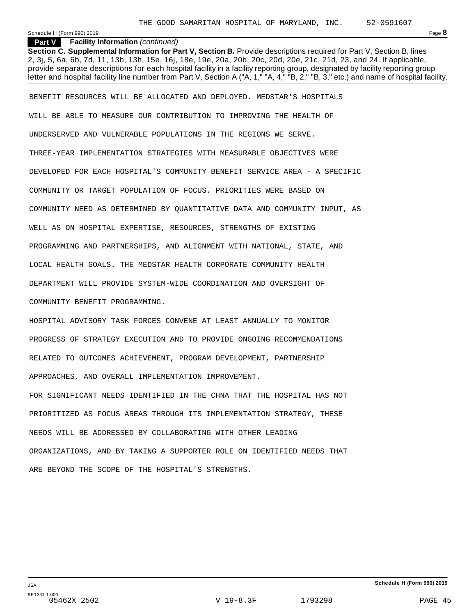**Part V Facility Information** *(continued)* **Section C. Supplemental Information for Part V, Section B.** Provide descriptions required for Part V, Section B, lines 2, 3j, 5, 6a, 6b, 7d, 11, 13b, 13h, 15e, 16j, 18e, 19e, 20a, 20b, 20c, 20d, 20e, 21c, 21d, 23, and 24. If applicable, provide separate descriptions for each hospital facility in a facility reporting group, designated by facility reporting group letter and hospital facility line number from Part V, Section A ("A, 1," "A, 4," "B, 2," "B, 3," etc.) and name of hospital facility. BENEFIT RESOURCES WILL BE ALLOCATED AND DEPLOYED. MEDSTAR'S HOSPITALS WILL BE ABLE TO MEASURE OUR CONTRIBUTION TO IMPROVING THE HEALTH OF UNDERSERVED AND VULNERABLE POPULATIONS IN THE REGIONS WE SERVE. THREE-YEAR IMPLEMENTATION STRATEGIES WITH MEASURABLE OBJECTIVES WERE DEVELOPED FOR EACH HOSPITAL'S COMMUNITY BENEFIT SERVICE AREA - A SPECIFIC COMMUNITY OR TARGET POPULATION OF FOCUS. PRIORITIES WERE BASED ON COMMUNITY NEED AS DETERMINED BY QUANTITATIVE DATA AND COMMUNITY INPUT, AS WELL AS ON HOSPITAL EXPERTISE, RESOURCES, STRENGTHS OF EXISTING PROGRAMMING AND PARTNERSHIPS, AND ALIGNMENT WITH NATIONAL, STATE, AND LOCAL HEALTH GOALS. THE MEDSTAR HEALTH CORPORATE COMMUNITY HEALTH DEPARTMENT WILL PROVIDE SYSTEM-WIDE COORDINATION AND OVERSIGHT OF COMMUNITY BENEFIT PROGRAMMING. HOSPITAL ADVISORY TASK FORCES CONVENE AT LEAST ANNUALLY TO MONITOR PROGRESS OF STRATEGY EXECUTION AND TO PROVIDE ONGOING RECOMMENDATIONS

RELATED TO OUTCOMES ACHIEVEMENT, PROGRAM DEVELOPMENT, PARTNERSHIP APPROACHES, AND OVERALL IMPLEMENTATION IMPROVEMENT.

FOR SIGNIFICANT NEEDS IDENTIFIED IN THE CHNA THAT THE HOSPITAL HAS NOT PRIORITIZED AS FOCUS AREAS THROUGH ITS IMPLEMENTATION STRATEGY, THESE NEEDS WILL BE ADDRESSED BY COLLABORATING WITH OTHER LEADING ORGANIZATIONS, AND BY TAKING A SUPPORTER ROLE ON IDENTIFIED NEEDS THAT ARE BEYOND THE SCOPE OF THE HOSPITAL'S STRENGTHS.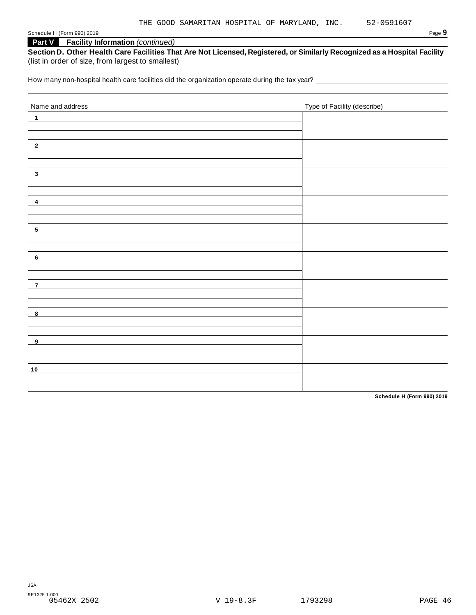Schedule H (Form 990) 2019 Page **9**

# **Part V Facility Information** *(continued)*

**Section D. Other Health Care Facilities That Are Not Licensed, Registered, or Similarly Recognized as a Hospital Facility** (list in order of size, from largest to smallest)

How many non-hospital health care facilities did the organization operate during the tax year?

| Name and address           | Type of Facility (describe) |
|----------------------------|-----------------------------|
| $\blacksquare$             |                             |
|                            |                             |
| $\overline{\phantom{0}2}$  |                             |
|                            |                             |
|                            |                             |
| $\overline{\mathbf{3}}$    |                             |
|                            |                             |
| $\overline{\mathbf{4}}$    |                             |
|                            |                             |
|                            |                             |
| $\overline{\phantom{0}}$   |                             |
|                            |                             |
| $\overline{\phantom{0}}$ 6 |                             |
|                            |                             |
|                            |                             |
| $\overline{\phantom{0}}$   |                             |
|                            |                             |
| $\overline{\mathbf{8}}$    |                             |
|                            |                             |
|                            |                             |
| $\overline{\phantom{a}}$   |                             |
|                            |                             |
| 10                         |                             |
|                            |                             |
|                            |                             |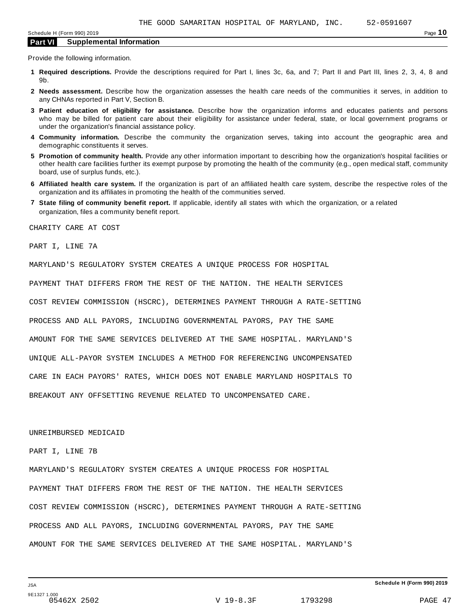Provide the following information.

- **1 Required descriptions.** Provide the descriptions required for Part I, lines 3c, 6a, and 7; Part II and Part III, lines 2, 3, 4, 8 and 9b.
- **2 Needs assessment.** Describe how the organization assesses the health care needs of the communities it serves, in addition to any CHNAs reported in Part V, Section B.
- **3 Patient education of eligibility for assistance.** Describe how the organization informs and educates patients and persons who may be billed for patient care about their eligibility for assistance under federal, state, or local government programs or under the organization's financial assistance policy.
- **4 Community information.** Describe the community the organization serves, taking into account the geographic area and demographic constituents it serves.
- **5 Promotion of community health.** Provide any other information important to describing how the organization's hospital facilities or other health care facilities further its exempt purpose by promoting the health of the community (e.g., open medical staff, community board, use of surplus funds, etc.).
- **6 Affiliated health care system.** If the organization is part of an affiliated health care system, describe the respective roles of the organization and its affiliates in promoting the health of the communities served.
- **7 State filing of community benefit report.** If applicable, identify all states with which the organization, or a related organization, files a community benefit report.

CHARITY CARE AT COST

PART I, LINE 7A

MARYLAND'S REGULATORY SYSTEM CREATES A UNIQUE PROCESS FOR HOSPITAL

PAYMENT THAT DIFFERS FROM THE REST OF THE NATION. THE HEALTH SERVICES

COST REVIEW COMMISSION (HSCRC), DETERMINES PAYMENT THROUGH A RATE-SETTING

PROCESS AND ALL PAYORS, INCLUDING GOVERNMENTAL PAYORS, PAY THE SAME

AMOUNT FOR THE SAME SERVICES DELIVERED AT THE SAME HOSPITAL. MARYLAND'S

UNIQUE ALL-PAYOR SYSTEM INCLUDES A METHOD FOR REFERENCING UNCOMPENSATED

CARE IN EACH PAYORS' RATES, WHICH DOES NOT ENABLE MARYLAND HOSPITALS TO

BREAKOUT ANY OFFSETTING REVENUE RELATED TO UNCOMPENSATED CARE.

UNREIMBURSED MEDICAID

#### PART I, LINE 7B

MARYLAND'S REGULATORY SYSTEM CREATES A UNIQUE PROCESS FOR HOSPITAL PAYMENT THAT DIFFERS FROM THE REST OF THE NATION. THE HEALTH SERVICES COST REVIEW COMMISSION (HSCRC), DETERMINES PAYMENT THROUGH A RATE-SETTING PROCESS AND ALL PAYORS, INCLUDING GOVERNMENTAL PAYORS, PAY THE SAME AMOUNT FOR THE SAME SERVICES DELIVERED AT THE SAME HOSPITAL. MARYLAND'S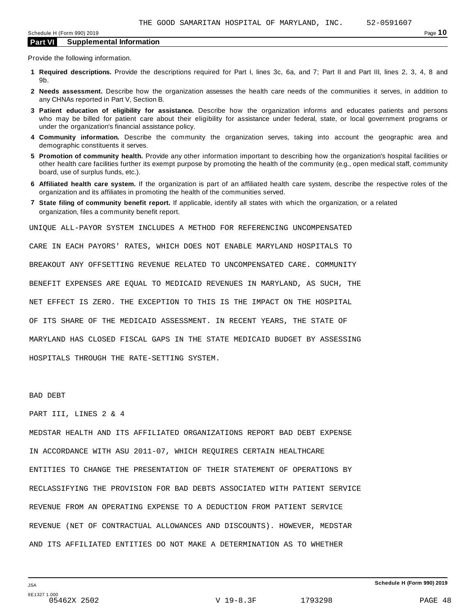Provide the following information.

- **1 Required descriptions.** Provide the descriptions required for Part I, lines 3c, 6a, and 7; Part II and Part III, lines 2, 3, 4, 8 and 9b.
- **2 Needs assessment.** Describe how the organization assesses the health care needs of the communities it serves, in addition to any CHNAs reported in Part V, Section B.
- **3 Patient education of eligibility for assistance.** Describe how the organization informs and educates patients and persons who may be billed for patient care about their eligibility for assistance under federal, state, or local government programs or under the organization's financial assistance policy.
- **4 Community information.** Describe the community the organization serves, taking into account the geographic area and demographic constituents it serves.
- **5 Promotion of community health.** Provide any other information important to describing how the organization's hospital facilities or other health care facilities further its exempt purpose by promoting the health of the community (e.g., open medical staff, community board, use of surplus funds, etc.).
- **6 Affiliated health care system.** If the organization is part of an affiliated health care system, describe the respective roles of the organization and its affiliates in promoting the health of the communities served.
- **7 State filing of community benefit report.** If applicable, identify all states with which the organization, or a related organization, files a community benefit report.

UNIQUE ALL-PAYOR SYSTEM INCLUDES A METHOD FOR REFERENCING UNCOMPENSATED

CARE IN EACH PAYORS' RATES, WHICH DOES NOT ENABLE MARYLAND HOSPITALS TO

BREAKOUT ANY OFFSETTING REVENUE RELATED TO UNCOMPENSATED CARE. COMMUNITY

BENEFIT EXPENSES ARE EQUAL TO MEDICAID REVENUES IN MARYLAND, AS SUCH, THE

NET EFFECT IS ZERO. THE EXCEPTION TO THIS IS THE IMPACT ON THE HOSPITAL

OF ITS SHARE OF THE MEDICAID ASSESSMENT. IN RECENT YEARS, THE STATE OF

MARYLAND HAS CLOSED FISCAL GAPS IN THE STATE MEDICAID BUDGET BY ASSESSING

HOSPITALS THROUGH THE RATE-SETTING SYSTEM.

#### BAD DEBT

PART III, LINES 2 & 4

MEDSTAR HEALTH AND ITS AFFILIATED ORGANIZATIONS REPORT BAD DEBT EXPENSE IN ACCORDANCE WITH ASU 2011-07, WHICH REQUIRES CERTAIN HEALTHCARE ENTITIES TO CHANGE THE PRESENTATION OF THEIR STATEMENT OF OPERATIONS BY RECLASSIFYING THE PROVISION FOR BAD DEBTS ASSOCIATED WITH PATIENT SERVICE REVENUE FROM AN OPERATING EXPENSE TO A DEDUCTION FROM PATIENT SERVICE REVENUE (NET OF CONTRACTUAL ALLOWANCES AND DISCOUNTS). HOWEVER, MEDSTAR AND ITS AFFILIATED ENTITIES DO NOT MAKE A DETERMINATION AS TO WHETHER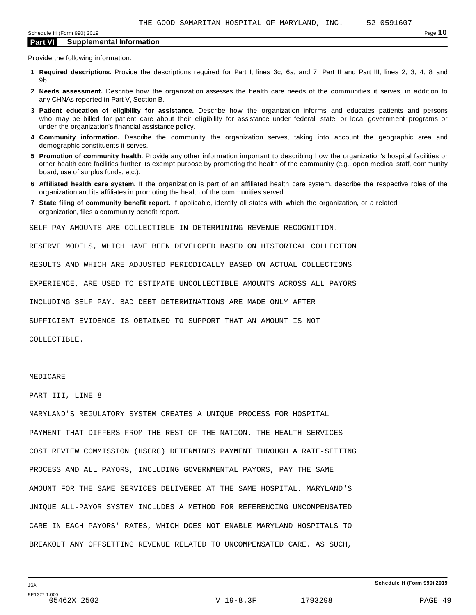Provide the following information.

- **1 Required descriptions.** Provide the descriptions required for Part I, lines 3c, 6a, and 7; Part II and Part III, lines 2, 3, 4, 8 and 9b.
- **2 Needs assessment.** Describe how the organization assesses the health care needs of the communities it serves, in addition to any CHNAs reported in Part V, Section B.
- **3 Patient education of eligibility for assistance.** Describe how the organization informs and educates patients and persons who may be billed for patient care about their eligibility for assistance under federal, state, or local government programs or under the organization's financial assistance policy.
- **4 Community information.** Describe the community the organization serves, taking into account the geographic area and demographic constituents it serves.
- **5 Promotion of community health.** Provide any other information important to describing how the organization's hospital facilities or other health care facilities further its exempt purpose by promoting the health of the community (e.g., open medical staff, community board, use of surplus funds, etc.).
- **6 Affiliated health care system.** If the organization is part of an affiliated health care system, describe the respective roles of the organization and its affiliates in promoting the health of the communities served.
- **7 State filing of community benefit report.** If applicable, identify all states with which the organization, or a related organization, files a community benefit report.

SELF PAY AMOUNTS ARE COLLECTIBLE IN DETERMINING REVENUE RECOGNITION.

RESERVE MODELS, WHICH HAVE BEEN DEVELOPED BASED ON HISTORICAL COLLECTION

RESULTS AND WHICH ARE ADJUSTED PERIODICALLY BASED ON ACTUAL COLLECTIONS

EXPERIENCE, ARE USED TO ESTIMATE UNCOLLECTIBLE AMOUNTS ACROSS ALL PAYORS

INCLUDING SELF PAY. BAD DEBT DETERMINATIONS ARE MADE ONLY AFTER

SUFFICIENT EVIDENCE IS OBTAINED TO SUPPORT THAT AN AMOUNT IS NOT

COLLECTIBLE.

#### MEDICARE

PART III, LINE 8

MARYLAND'S REGULATORY SYSTEM CREATES A UNIQUE PROCESS FOR HOSPITAL PAYMENT THAT DIFFERS FROM THE REST OF THE NATION. THE HEALTH SERVICES COST REVIEW COMMISSION (HSCRC) DETERMINES PAYMENT THROUGH A RATE-SETTING PROCESS AND ALL PAYORS, INCLUDING GOVERNMENTAL PAYORS, PAY THE SAME AMOUNT FOR THE SAME SERVICES DELIVERED AT THE SAME HOSPITAL. MARYLAND'S UNIQUE ALL-PAYOR SYSTEM INCLUDES A METHOD FOR REFERENCING UNCOMPENSATED CARE IN EACH PAYORS' RATES, WHICH DOES NOT ENABLE MARYLAND HOSPITALS TO BREAKOUT ANY OFFSETTING REVENUE RELATED TO UNCOMPENSATED CARE. AS SUCH,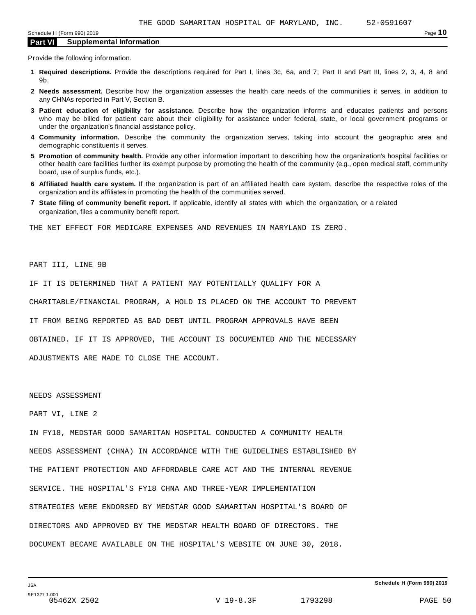Provide the following information.

- **1 Required descriptions.** Provide the descriptions required for Part I, lines 3c, 6a, and 7; Part II and Part III, lines 2, 3, 4, 8 and 9b.
- **2 Needs assessment.** Describe how the organization assesses the health care needs of the communities it serves, in addition to any CHNAs reported in Part V, Section B.
- **3 Patient education of eligibility for assistance.** Describe how the organization informs and educates patients and persons who may be billed for patient care about their eligibility for assistance under federal, state, or local government programs or under the organization's financial assistance policy.
- **4 Community information.** Describe the community the organization serves, taking into account the geographic area and demographic constituents it serves.
- **5 Promotion of community health.** Provide any other information important to describing how the organization's hospital facilities or other health care facilities further its exempt purpose by promoting the health of the community (e.g., open medical staff, community board, use of surplus funds, etc.).
- **6 Affiliated health care system.** If the organization is part of an affiliated health care system, describe the respective roles of the organization and its affiliates in promoting the health of the communities served.
- **7 State filing of community benefit report.** If applicable, identify all states with which the organization, or a related organization, files a community benefit report.

THE NET EFFECT FOR MEDICARE EXPENSES AND REVENUES IN MARYLAND IS ZERO.

#### PART III, LINE 9B

IF IT IS DETERMINED THAT A PATIENT MAY POTENTIALLY QUALIFY FOR A

CHARITABLE/FINANCIAL PROGRAM, A HOLD IS PLACED ON THE ACCOUNT TO PREVENT

IT FROM BEING REPORTED AS BAD DEBT UNTIL PROGRAM APPROVALS HAVE BEEN

OBTAINED. IF IT IS APPROVED, THE ACCOUNT IS DOCUMENTED AND THE NECESSARY

ADJUSTMENTS ARE MADE TO CLOSE THE ACCOUNT.

#### NEEDS ASSESSMENT

#### PART VI, LINE 2

IN FY18, MEDSTAR GOOD SAMARITAN HOSPITAL CONDUCTED A COMMUNITY HEALTH NEEDS ASSESSMENT (CHNA) IN ACCORDANCE WITH THE GUIDELINES ESTABLISHED BY THE PATIENT PROTECTION AND AFFORDABLE CARE ACT AND THE INTERNAL REVENUE SERVICE. THE HOSPITAL'S FY18 CHNA AND THREE-YEAR IMPLEMENTATION STRATEGIES WERE ENDORSED BY MEDSTAR GOOD SAMARITAN HOSPITAL'S BOARD OF DIRECTORS AND APPROVED BY THE MEDSTAR HEALTH BOARD OF DIRECTORS. THE DOCUMENT BECAME AVAILABLE ON THE HOSPITAL'S WEBSITE ON JUNE 30, 2018.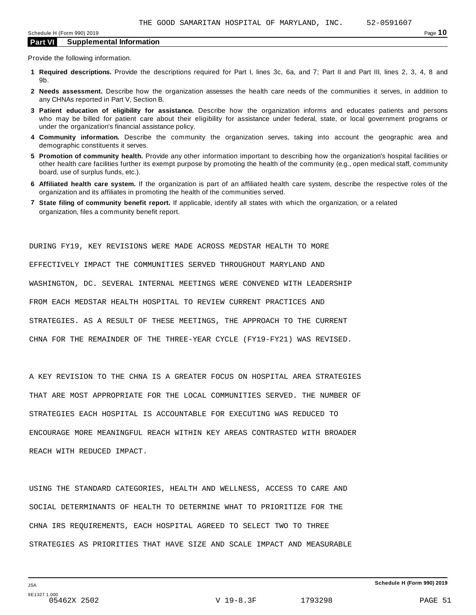Provide the following information.

- **1 Required descriptions.** Provide the descriptions required for Part I, lines 3c, 6a, and 7; Part II and Part III, lines 2, 3, 4, 8 and 9b.
- **2 Needs assessment.** Describe how the organization assesses the health care needs of the communities it serves, in addition to any CHNAs reported in Part V, Section B.
- **3 Patient education of eligibility for assistance.** Describe how the organization informs and educates patients and persons who may be billed for patient care about their eligibility for assistance under federal, state, or local government programs or under the organization's financial assistance policy.
- **4 Community information.** Describe the community the organization serves, taking into account the geographic area and demographic constituents it serves.
- **5 Promotion of community health.** Provide any other information important to describing how the organization's hospital facilities or other health care facilities further its exempt purpose by promoting the health of the community (e.g., open medical staff, community board, use of surplus funds, etc.).
- **6 Affiliated health care system.** If the organization is part of an affiliated health care system, describe the respective roles of the organization and its affiliates in promoting the health of the communities served.
- **7 State filing of community benefit report.** If applicable, identify all states with which the organization, or a related organization, files a community benefit report.

DURING FY19, KEY REVISIONS WERE MADE ACROSS MEDSTAR HEALTH TO MORE EFFECTIVELY IMPACT THE COMMUNITIES SERVED THROUGHOUT MARYLAND AND WASHINGTON, DC. SEVERAL INTERNAL MEETINGS WERE CONVENED WITH LEADERSHIP FROM EACH MEDSTAR HEALTH HOSPITAL TO REVIEW CURRENT PRACTICES AND STRATEGIES. AS A RESULT OF THESE MEETINGS, THE APPROACH TO THE CURRENT CHNA FOR THE REMAINDER OF THE THREE-YEAR CYCLE (FY19-FY21) WAS REVISED.

A KEY REVISION TO THE CHNA IS A GREATER FOCUS ON HOSPITAL AREA STRATEGIES THAT ARE MOST APPROPRIATE FOR THE LOCAL COMMUNITIES SERVED. THE NUMBER OF STRATEGIES EACH HOSPITAL IS ACCOUNTABLE FOR EXECUTING WAS REDUCED TO ENCOURAGE MORE MEANINGFUL REACH WITHIN KEY AREAS CONTRASTED WITH BROADER REACH WITH REDUCED IMPACT.

USING THE STANDARD CATEGORIES, HEALTH AND WELLNESS, ACCESS TO CARE AND SOCIAL DETERMINANTS OF HEALTH TO DETERMINE WHAT TO PRIORITIZE FOR THE CHNA IRS REQUIREMENTS, EACH HOSPITAL AGREED TO SELECT TWO TO THREE STRATEGIES AS PRIORITIES THAT HAVE SIZE AND SCALE IMPACT AND MEASURABLE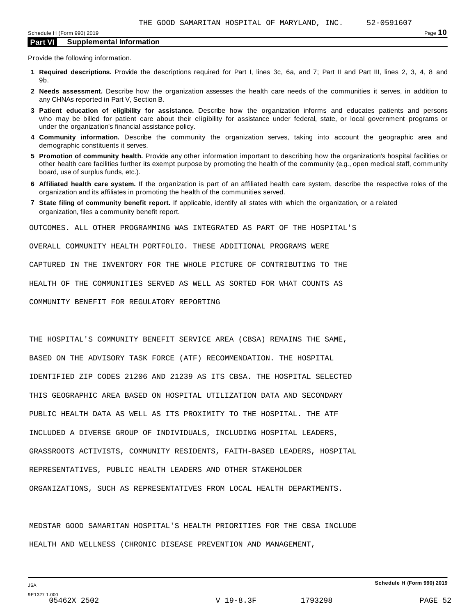Provide the following information.

- **1 Required descriptions.** Provide the descriptions required for Part I, lines 3c, 6a, and 7; Part II and Part III, lines 2, 3, 4, 8 and 9b.
- **2 Needs assessment.** Describe how the organization assesses the health care needs of the communities it serves, in addition to any CHNAs reported in Part V, Section B.
- **3 Patient education of eligibility for assistance.** Describe how the organization informs and educates patients and persons who may be billed for patient care about their eligibility for assistance under federal, state, or local government programs or under the organization's financial assistance policy.
- **4 Community information.** Describe the community the organization serves, taking into account the geographic area and demographic constituents it serves.
- **5 Promotion of community health.** Provide any other information important to describing how the organization's hospital facilities or other health care facilities further its exempt purpose by promoting the health of the community (e.g., open medical staff, community board, use of surplus funds, etc.).
- **6 Affiliated health care system.** If the organization is part of an affiliated health care system, describe the respective roles of the organization and its affiliates in promoting the health of the communities served.
- **7 State filing of community benefit report.** If applicable, identify all states with which the organization, or a related organization, files a community benefit report.

OUTCOMES. ALL OTHER PROGRAMMING WAS INTEGRATED AS PART OF THE HOSPITAL'S

OVERALL COMMUNITY HEALTH PORTFOLIO. THESE ADDITIONAL PROGRAMS WERE

CAPTURED IN THE INVENTORY FOR THE WHOLE PICTURE OF CONTRIBUTING TO THE

HEALTH OF THE COMMUNITIES SERVED AS WELL AS SORTED FOR WHAT COUNTS AS

COMMUNITY BENEFIT FOR REGULATORY REPORTING

THE HOSPITAL'S COMMUNITY BENEFIT SERVICE AREA (CBSA) REMAINS THE SAME, BASED ON THE ADVISORY TASK FORCE (ATF) RECOMMENDATION. THE HOSPITAL IDENTIFIED ZIP CODES 21206 AND 21239 AS ITS CBSA. THE HOSPITAL SELECTED THIS GEOGRAPHIC AREA BASED ON HOSPITAL UTILIZATION DATA AND SECONDARY PUBLIC HEALTH DATA AS WELL AS ITS PROXIMITY TO THE HOSPITAL. THE ATF INCLUDED A DIVERSE GROUP OF INDIVIDUALS, INCLUDING HOSPITAL LEADERS, GRASSROOTS ACTIVISTS, COMMUNITY RESIDENTS, FAITH-BASED LEADERS, HOSPITAL REPRESENTATIVES, PUBLIC HEALTH LEADERS AND OTHER STAKEHOLDER ORGANIZATIONS, SUCH AS REPRESENTATIVES FROM LOCAL HEALTH DEPARTMENTS.

MEDSTAR GOOD SAMARITAN HOSPITAL'S HEALTH PRIORITIES FOR THE CBSA INCLUDE HEALTH AND WELLNESS (CHRONIC DISEASE PREVENTION AND MANAGEMENT,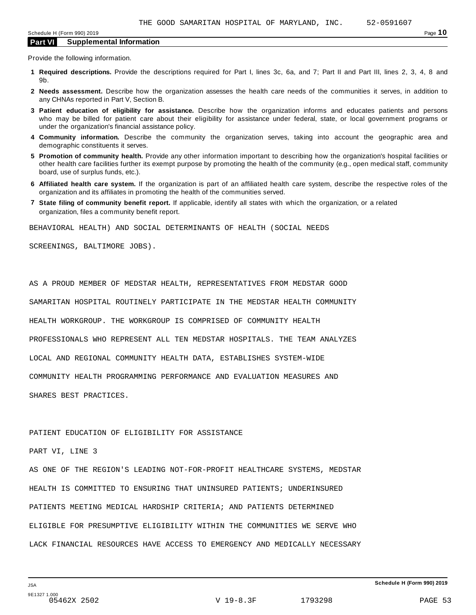Provide the following information.

- **1 Required descriptions.** Provide the descriptions required for Part I, lines 3c, 6a, and 7; Part II and Part III, lines 2, 3, 4, 8 and 9b.
- **2 Needs assessment.** Describe how the organization assesses the health care needs of the communities it serves, in addition to any CHNAs reported in Part V, Section B.
- **3 Patient education of eligibility for assistance.** Describe how the organization informs and educates patients and persons who may be billed for patient care about their eligibility for assistance under federal, state, or local government programs or under the organization's financial assistance policy.
- **4 Community information.** Describe the community the organization serves, taking into account the geographic area and demographic constituents it serves.
- **5 Promotion of community health.** Provide any other information important to describing how the organization's hospital facilities or other health care facilities further its exempt purpose by promoting the health of the community (e.g., open medical staff, community board, use of surplus funds, etc.).
- **6 Affiliated health care system.** If the organization is part of an affiliated health care system, describe the respective roles of the organization and its affiliates in promoting the health of the communities served.
- **7 State filing of community benefit report.** If applicable, identify all states with which the organization, or a related organization, files a community benefit report.

BEHAVIORAL HEALTH) AND SOCIAL DETERMINANTS OF HEALTH (SOCIAL NEEDS

SCREENINGS, BALTIMORE JOBS).

AS A PROUD MEMBER OF MEDSTAR HEALTH, REPRESENTATIVES FROM MEDSTAR GOOD SAMARITAN HOSPITAL ROUTINELY PARTICIPATE IN THE MEDSTAR HEALTH COMMUNITY HEALTH WORKGROUP. THE WORKGROUP IS COMPRISED OF COMMUNITY HEALTH PROFESSIONALS WHO REPRESENT ALL TEN MEDSTAR HOSPITALS. THE TEAM ANALYZES LOCAL AND REGIONAL COMMUNITY HEALTH DATA, ESTABLISHES SYSTEM-WIDE COMMUNITY HEALTH PROGRAMMING PERFORMANCE AND EVALUATION MEASURES AND SHARES BEST PRACTICES.

PATIENT EDUCATION OF ELIGIBILITY FOR ASSISTANCE

PART VI, LINE 3

AS ONE OF THE REGION'S LEADING NOT-FOR-PROFIT HEALTHCARE SYSTEMS, MEDSTAR HEALTH IS COMMITTED TO ENSURING THAT UNINSURED PATIENTS; UNDERINSURED PATIENTS MEETING MEDICAL HARDSHIP CRITERIA; AND PATIENTS DETERMINED ELIGIBLE FOR PRESUMPTIVE ELIGIBILITY WITHIN THE COMMUNITIES WE SERVE WHO LACK FINANCIAL RESOURCES HAVE ACCESS TO EMERGENCY AND MEDICALLY NECESSARY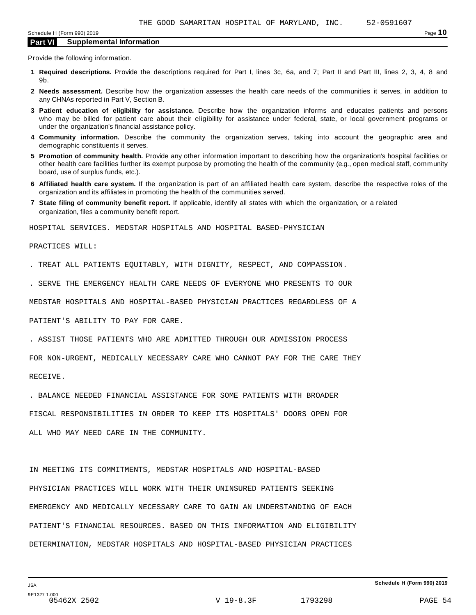Provide the following information.

- **1 Required descriptions.** Provide the descriptions required for Part I, lines 3c, 6a, and 7; Part II and Part III, lines 2, 3, 4, 8 and 9b.
- **2 Needs assessment.** Describe how the organization assesses the health care needs of the communities it serves, in addition to any CHNAs reported in Part V, Section B.
- **3 Patient education of eligibility for assistance.** Describe how the organization informs and educates patients and persons who may be billed for patient care about their eligibility for assistance under federal, state, or local government programs or under the organization's financial assistance policy.
- **4 Community information.** Describe the community the organization serves, taking into account the geographic area and demographic constituents it serves.
- **5 Promotion of community health.** Provide any other information important to describing how the organization's hospital facilities or other health care facilities further its exempt purpose by promoting the health of the community (e.g., open medical staff, community board, use of surplus funds, etc.).
- **6 Affiliated health care system.** If the organization is part of an affiliated health care system, describe the respective roles of the organization and its affiliates in promoting the health of the communities served.
- **7 State filing of community benefit report.** If applicable, identify all states with which the organization, or a related organization, files a community benefit report.

HOSPITAL SERVICES. MEDSTAR HOSPITALS AND HOSPITAL BASED-PHYSICIAN

PRACTICES WILL:

. TREAT ALL PATIENTS EQUITABLY, WITH DIGNITY, RESPECT, AND COMPASSION.

. SERVE THE EMERGENCY HEALTH CARE NEEDS OF EVERYONE WHO PRESENTS TO OUR

MEDSTAR HOSPITALS AND HOSPITAL-BASED PHYSICIAN PRACTICES REGARDLESS OF A

PATIENT'S ABILITY TO PAY FOR CARE.

. ASSIST THOSE PATIENTS WHO ARE ADMITTED THROUGH OUR ADMISSION PROCESS

FOR NON-URGENT, MEDICALLY NECESSARY CARE WHO CANNOT PAY FOR THE CARE THEY

RECEIVE.

. BALANCE NEEDED FINANCIAL ASSISTANCE FOR SOME PATIENTS WITH BROADER

FISCAL RESPONSIBILITIES IN ORDER TO KEEP ITS HOSPITALS' DOORS OPEN FOR

ALL WHO MAY NEED CARE IN THE COMMUNITY.

IN MEETING ITS COMMITMENTS, MEDSTAR HOSPITALS AND HOSPITAL-BASED PHYSICIAN PRACTICES WILL WORK WITH THEIR UNINSURED PATIENTS SEEKING EMERGENCY AND MEDICALLY NECESSARY CARE TO GAIN AN UNDERSTANDING OF EACH PATIENT'S FINANCIAL RESOURCES. BASED ON THIS INFORMATION AND ELIGIBILITY DETERMINATION, MEDSTAR HOSPITALS AND HOSPITAL-BASED PHYSICIAN PRACTICES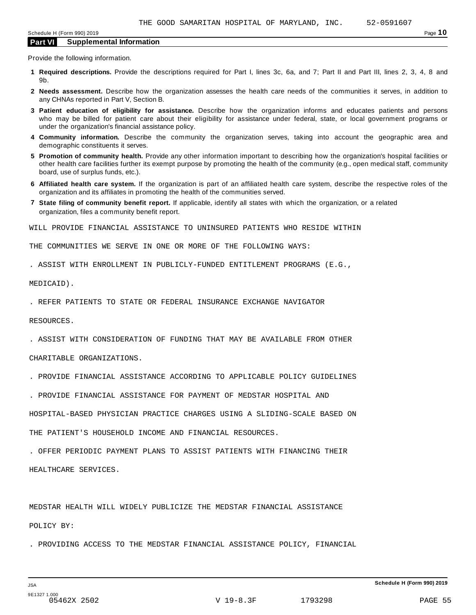Provide the following information.

- **1 Required descriptions.** Provide the descriptions required for Part I, lines 3c, 6a, and 7; Part II and Part III, lines 2, 3, 4, 8 and 9b.
- **2 Needs assessment.** Describe how the organization assesses the health care needs of the communities it serves, in addition to any CHNAs reported in Part V, Section B.
- **3 Patient education of eligibility for assistance.** Describe how the organization informs and educates patients and persons who may be billed for patient care about their eligibility for assistance under federal, state, or local government programs or under the organization's financial assistance policy.
- **4 Community information.** Describe the community the organization serves, taking into account the geographic area and demographic constituents it serves.
- **5 Promotion of community health.** Provide any other information important to describing how the organization's hospital facilities or other health care facilities further its exempt purpose by promoting the health of the community (e.g., open medical staff, community board, use of surplus funds, etc.).
- **6 Affiliated health care system.** If the organization is part of an affiliated health care system, describe the respective roles of the organization and its affiliates in promoting the health of the communities served.
- **7 State filing of community benefit report.** If applicable, identify all states with which the organization, or a related organization, files a community benefit report.

WILL PROVIDE FINANCIAL ASSISTANCE TO UNINSURED PATIENTS WHO RESIDE WITHIN

THE COMMUNITIES WE SERVE IN ONE OR MORE OF THE FOLLOWING WAYS:

. ASSIST WITH ENROLLMENT IN PUBLICLY-FUNDED ENTITLEMENT PROGRAMS (E.G.,

MEDICAID).

. REFER PATIENTS TO STATE OR FEDERAL INSURANCE EXCHANGE NAVIGATOR

RESOURCES.

. ASSIST WITH CONSIDERATION OF FUNDING THAT MAY BE AVAILABLE FROM OTHER

CHARITABLE ORGANIZATIONS.

- . PROVIDE FINANCIAL ASSISTANCE ACCORDING TO APPLICABLE POLICY GUIDELINES
- . PROVIDE FINANCIAL ASSISTANCE FOR PAYMENT OF MEDSTAR HOSPITAL AND

HOSPITAL-BASED PHYSICIAN PRACTICE CHARGES USING A SLIDING-SCALE BASED ON

THE PATIENT'S HOUSEHOLD INCOME AND FINANCIAL RESOURCES.

. OFFER PERIODIC PAYMENT PLANS TO ASSIST PATIENTS WITH FINANCING THEIR

HEALTHCARE SERVICES.

MEDSTAR HEALTH WILL WIDELY PUBLICIZE THE MEDSTAR FINANCIAL ASSISTANCE

POLICY BY:

. PROVIDING ACCESS TO THE MEDSTAR FINANCIAL ASSISTANCE POLICY, FINANCIAL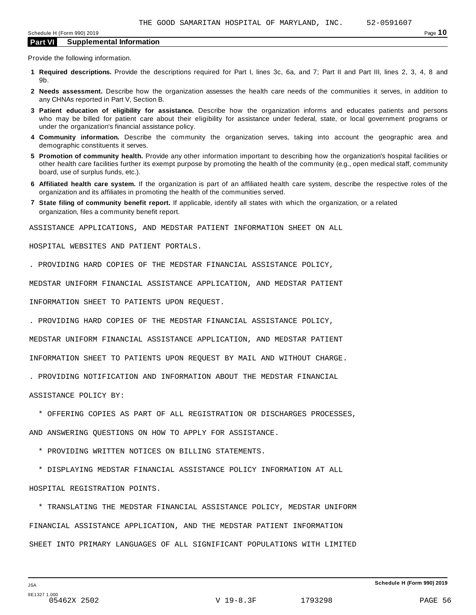Provide the following information.

- **1 Required descriptions.** Provide the descriptions required for Part I, lines 3c, 6a, and 7; Part II and Part III, lines 2, 3, 4, 8 and 9b.
- **2 Needs assessment.** Describe how the organization assesses the health care needs of the communities it serves, in addition to any CHNAs reported in Part V, Section B.
- **3 Patient education of eligibility for assistance.** Describe how the organization informs and educates patients and persons who may be billed for patient care about their eligibility for assistance under federal, state, or local government programs or under the organization's financial assistance policy.
- **4 Community information.** Describe the community the organization serves, taking into account the geographic area and demographic constituents it serves.
- **5 Promotion of community health.** Provide any other information important to describing how the organization's hospital facilities or other health care facilities further its exempt purpose by promoting the health of the community (e.g., open medical staff, community board, use of surplus funds, etc.).
- **6 Affiliated health care system.** If the organization is part of an affiliated health care system, describe the respective roles of the organization and its affiliates in promoting the health of the communities served.
- **7 State filing of community benefit report.** If applicable, identify all states with which the organization, or a related organization, files a community benefit report.

ASSISTANCE APPLICATIONS, AND MEDSTAR PATIENT INFORMATION SHEET ON ALL

HOSPITAL WEBSITES AND PATIENT PORTALS.

. PROVIDING HARD COPIES OF THE MEDSTAR FINANCIAL ASSISTANCE POLICY,

MEDSTAR UNIFORM FINANCIAL ASSISTANCE APPLICATION, AND MEDSTAR PATIENT

INFORMATION SHEET TO PATIENTS UPON REQUEST.

. PROVIDING HARD COPIES OF THE MEDSTAR FINANCIAL ASSISTANCE POLICY,

MEDSTAR UNIFORM FINANCIAL ASSISTANCE APPLICATION, AND MEDSTAR PATIENT

INFORMATION SHEET TO PATIENTS UPON REQUEST BY MAIL AND WITHOUT CHARGE.

. PROVIDING NOTIFICATION AND INFORMATION ABOUT THE MEDSTAR FINANCIAL

ASSISTANCE POLICY BY:

\* OFFERING COPIES AS PART OF ALL REGISTRATION OR DISCHARGES PROCESSES,

AND ANSWERING QUESTIONS ON HOW TO APPLY FOR ASSISTANCE.

- \* PROVIDING WRITTEN NOTICES ON BILLING STATEMENTS.
- \* DISPLAYING MEDSTAR FINANCIAL ASSISTANCE POLICY INFORMATION AT ALL

HOSPITAL REGISTRATION POINTS.

 \* TRANSLATING THE MEDSTAR FINANCIAL ASSISTANCE POLICY, MEDSTAR UNIFORM FINANCIAL ASSISTANCE APPLICATION, AND THE MEDSTAR PATIENT INFORMATION SHEET INTO PRIMARY LANGUAGES OF ALL SIGNIFICANT POPULATIONS WITH LIMITED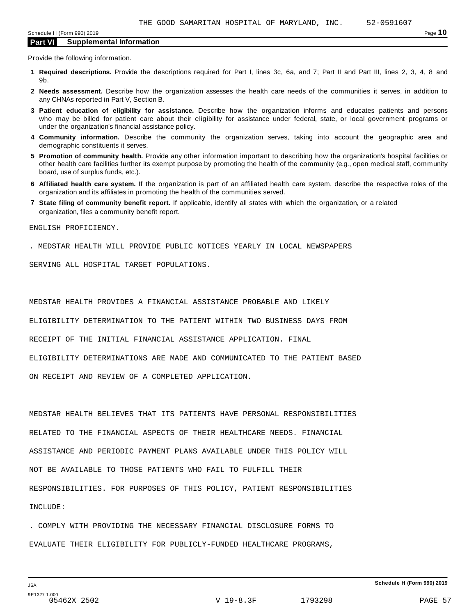Provide the following information.

- **1 Required descriptions.** Provide the descriptions required for Part I, lines 3c, 6a, and 7; Part II and Part III, lines 2, 3, 4, 8 and 9b.
- **2 Needs assessment.** Describe how the organization assesses the health care needs of the communities it serves, in addition to any CHNAs reported in Part V, Section B.
- **3 Patient education of eligibility for assistance.** Describe how the organization informs and educates patients and persons who may be billed for patient care about their eligibility for assistance under federal, state, or local government programs or under the organization's financial assistance policy.
- **4 Community information.** Describe the community the organization serves, taking into account the geographic area and demographic constituents it serves.
- **5 Promotion of community health.** Provide any other information important to describing how the organization's hospital facilities or other health care facilities further its exempt purpose by promoting the health of the community (e.g., open medical staff, community board, use of surplus funds, etc.).
- **6 Affiliated health care system.** If the organization is part of an affiliated health care system, describe the respective roles of the organization and its affiliates in promoting the health of the communities served.
- **7 State filing of community benefit report.** If applicable, identify all states with which the organization, or a related organization, files a community benefit report.

#### ENGLISH PROFICIENCY.

. MEDSTAR HEALTH WILL PROVIDE PUBLIC NOTICES YEARLY IN LOCAL NEWSPAPERS

SERVING ALL HOSPITAL TARGET POPULATIONS.

MEDSTAR HEALTH PROVIDES A FINANCIAL ASSISTANCE PROBABLE AND LIKELY

ELIGIBILITY DETERMINATION TO THE PATIENT WITHIN TWO BUSINESS DAYS FROM

RECEIPT OF THE INITIAL FINANCIAL ASSISTANCE APPLICATION. FINAL

ELIGIBILITY DETERMINATIONS ARE MADE AND COMMUNICATED TO THE PATIENT BASED

ON RECEIPT AND REVIEW OF A COMPLETED APPLICATION.

MEDSTAR HEALTH BELIEVES THAT ITS PATIENTS HAVE PERSONAL RESPONSIBILITIES RELATED TO THE FINANCIAL ASPECTS OF THEIR HEALTHCARE NEEDS. FINANCIAL ASSISTANCE AND PERIODIC PAYMENT PLANS AVAILABLE UNDER THIS POLICY WILL NOT BE AVAILABLE TO THOSE PATIENTS WHO FAIL TO FULFILL THEIR RESPONSIBILITIES. FOR PURPOSES OF THIS POLICY, PATIENT RESPONSIBILITIES INCLUDE:

. COMPLY WITH PROVIDING THE NECESSARY FINANCIAL DISCLOSURE FORMS TO EVALUATE THEIR ELIGIBILITY FOR PUBLICLY-FUNDED HEALTHCARE PROGRAMS,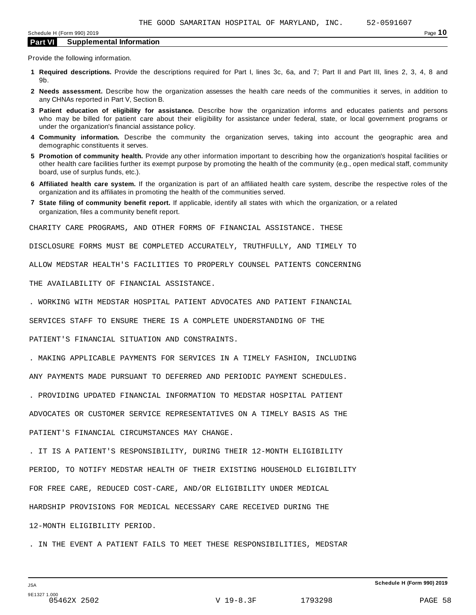Provide the following information.

- **1 Required descriptions.** Provide the descriptions required for Part I, lines 3c, 6a, and 7; Part II and Part III, lines 2, 3, 4, 8 and 9b.
- **2 Needs assessment.** Describe how the organization assesses the health care needs of the communities it serves, in addition to any CHNAs reported in Part V, Section B.
- **3 Patient education of eligibility for assistance.** Describe how the organization informs and educates patients and persons who may be billed for patient care about their eligibility for assistance under federal, state, or local government programs or under the organization's financial assistance policy.
- **4 Community information.** Describe the community the organization serves, taking into account the geographic area and demographic constituents it serves.
- **5 Promotion of community health.** Provide any other information important to describing how the organization's hospital facilities or other health care facilities further its exempt purpose by promoting the health of the community (e.g., open medical staff, community board, use of surplus funds, etc.).
- **6 Affiliated health care system.** If the organization is part of an affiliated health care system, describe the respective roles of the organization and its affiliates in promoting the health of the communities served.
- **7 State filing of community benefit report.** If applicable, identify all states with which the organization, or a related organization, files a community benefit report.

CHARITY CARE PROGRAMS, AND OTHER FORMS OF FINANCIAL ASSISTANCE. THESE

DISCLOSURE FORMS MUST BE COMPLETED ACCURATELY, TRUTHFULLY, AND TIMELY TO

ALLOW MEDSTAR HEALTH'S FACILITIES TO PROPERLY COUNSEL PATIENTS CONCERNING

THE AVAILABILITY OF FINANCIAL ASSISTANCE.

. WORKING WITH MEDSTAR HOSPITAL PATIENT ADVOCATES AND PATIENT FINANCIAL

SERVICES STAFF TO ENSURE THERE IS A COMPLETE UNDERSTANDING OF THE

PATIENT'S FINANCIAL SITUATION AND CONSTRAINTS.

. MAKING APPLICABLE PAYMENTS FOR SERVICES IN A TIMELY FASHION, INCLUDING

ANY PAYMENTS MADE PURSUANT TO DEFERRED AND PERIODIC PAYMENT SCHEDULES.

. PROVIDING UPDATED FINANCIAL INFORMATION TO MEDSTAR HOSPITAL PATIENT

ADVOCATES OR CUSTOMER SERVICE REPRESENTATIVES ON A TIMELY BASIS AS THE

PATIENT'S FINANCIAL CIRCUMSTANCES MAY CHANGE.

. IT IS A PATIENT'S RESPONSIBILITY, DURING THEIR 12-MONTH ELIGIBILITY

PERIOD, TO NOTIFY MEDSTAR HEALTH OF THEIR EXISTING HOUSEHOLD ELIGIBILITY

FOR FREE CARE, REDUCED COST-CARE, AND/OR ELIGIBILITY UNDER MEDICAL

HARDSHIP PROVISIONS FOR MEDICAL NECESSARY CARE RECEIVED DURING THE

12-MONTH ELIGIBILITY PERIOD.

. IN THE EVENT A PATIENT FAILS TO MEET THESE RESPONSIBILITIES, MEDSTAR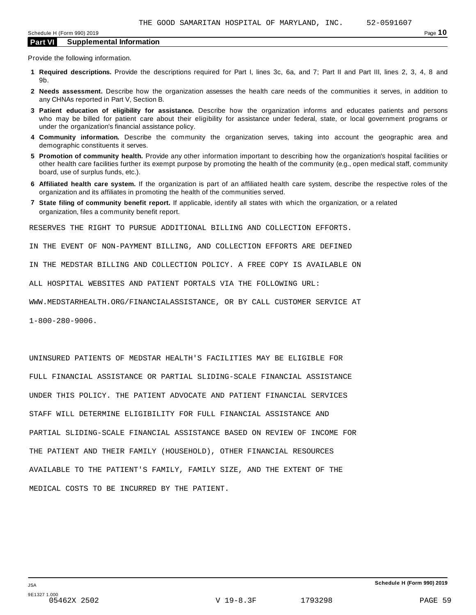Provide the following information.

- **1 Required descriptions.** Provide the descriptions required for Part I, lines 3c, 6a, and 7; Part II and Part III, lines 2, 3, 4, 8 and 9b.
- **2 Needs assessment.** Describe how the organization assesses the health care needs of the communities it serves, in addition to any CHNAs reported in Part V, Section B.
- **3 Patient education of eligibility for assistance.** Describe how the organization informs and educates patients and persons who may be billed for patient care about their eligibility for assistance under federal, state, or local government programs or under the organization's financial assistance policy.
- **4 Community information.** Describe the community the organization serves, taking into account the geographic area and demographic constituents it serves.
- **5 Promotion of community health.** Provide any other information important to describing how the organization's hospital facilities or other health care facilities further its exempt purpose by promoting the health of the community (e.g., open medical staff, community board, use of surplus funds, etc.).
- **6 Affiliated health care system.** If the organization is part of an affiliated health care system, describe the respective roles of the organization and its affiliates in promoting the health of the communities served.
- **7 State filing of community benefit report.** If applicable, identify all states with which the organization, or a related organization, files a community benefit report.

RESERVES THE RIGHT TO PURSUE ADDITIONAL BILLING AND COLLECTION EFFORTS.

IN THE EVENT OF NON-PAYMENT BILLING, AND COLLECTION EFFORTS ARE DEFINED

IN THE MEDSTAR BILLING AND COLLECTION POLICY. A FREE COPY IS AVAILABLE ON

ALL HOSPITAL WEBSITES AND PATIENT PORTALS VIA THE FOLLOWING URL:

WWW.MEDSTARHEALTH.ORG/FINANCIALASSISTANCE, OR BY CALL CUSTOMER SERVICE AT

1-800-280-9006.

UNINSURED PATIENTS OF MEDSTAR HEALTH'S FACILITIES MAY BE ELIGIBLE FOR FULL FINANCIAL ASSISTANCE OR PARTIAL SLIDING-SCALE FINANCIAL ASSISTANCE UNDER THIS POLICY. THE PATIENT ADVOCATE AND PATIENT FINANCIAL SERVICES STAFF WILL DETERMINE ELIGIBILITY FOR FULL FINANCIAL ASSISTANCE AND PARTIAL SLIDING-SCALE FINANCIAL ASSISTANCE BASED ON REVIEW OF INCOME FOR THE PATIENT AND THEIR FAMILY (HOUSEHOLD), OTHER FINANCIAL RESOURCES AVAILABLE TO THE PATIENT'S FAMILY, FAMILY SIZE, AND THE EXTENT OF THE MEDICAL COSTS TO BE INCURRED BY THE PATIENT.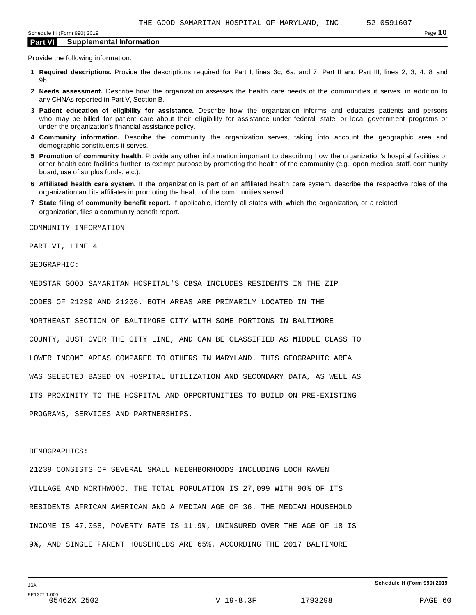Provide the following information.

- **1 Required descriptions.** Provide the descriptions required for Part I, lines 3c, 6a, and 7; Part II and Part III, lines 2, 3, 4, 8 and 9b.
- **2 Needs assessment.** Describe how the organization assesses the health care needs of the communities it serves, in addition to any CHNAs reported in Part V, Section B.
- **3 Patient education of eligibility for assistance.** Describe how the organization informs and educates patients and persons who may be billed for patient care about their eligibility for assistance under federal, state, or local government programs or under the organization's financial assistance policy.
- **4 Community information.** Describe the community the organization serves, taking into account the geographic area and demographic constituents it serves.
- **5 Promotion of community health.** Provide any other information important to describing how the organization's hospital facilities or other health care facilities further its exempt purpose by promoting the health of the community (e.g., open medical staff, community board, use of surplus funds, etc.).
- **6 Affiliated health care system.** If the organization is part of an affiliated health care system, describe the respective roles of the organization and its affiliates in promoting the health of the communities served.
- **7 State filing of community benefit report.** If applicable, identify all states with which the organization, or a related organization, files a community benefit report.

COMMUNITY INFORMATION

PART VI, LINE 4

GEOGRAPHIC:

MEDSTAR GOOD SAMARITAN HOSPITAL'S CBSA INCLUDES RESIDENTS IN THE ZIP

CODES OF 21239 AND 21206. BOTH AREAS ARE PRIMARILY LOCATED IN THE

NORTHEAST SECTION OF BALTIMORE CITY WITH SOME PORTIONS IN BALTIMORE

COUNTY, JUST OVER THE CITY LINE, AND CAN BE CLASSIFIED AS MIDDLE CLASS TO

LOWER INCOME AREAS COMPARED TO OTHERS IN MARYLAND. THIS GEOGRAPHIC AREA

WAS SELECTED BASED ON HOSPITAL UTILIZATION AND SECONDARY DATA, AS WELL AS

ITS PROXIMITY TO THE HOSPITAL AND OPPORTUNITIES TO BUILD ON PRE-EXISTING

PROGRAMS, SERVICES AND PARTNERSHIPS.

#### DEMOGRAPHICS:

21239 CONSISTS OF SEVERAL SMALL NEIGHBORHOODS INCLUDING LOCH RAVEN VILLAGE AND NORTHWOOD. THE TOTAL POPULATION IS 27,099 WITH 90% OF ITS RESIDENTS AFRICAN AMERICAN AND A MEDIAN AGE OF 36. THE MEDIAN HOUSEHOLD INCOME IS 47,058, POVERTY RATE IS 11.9%, UNINSURED OVER THE AGE OF 18 IS 9%, AND SINGLE PARENT HOUSEHOLDS ARE 65%. ACCORDING THE 2017 BALTIMORE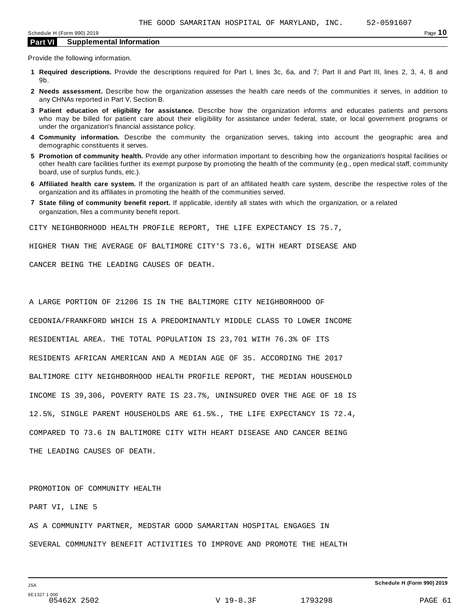Provide the following information.

- **1 Required descriptions.** Provide the descriptions required for Part I, lines 3c, 6a, and 7; Part II and Part III, lines 2, 3, 4, 8 and 9b.
- **2 Needs assessment.** Describe how the organization assesses the health care needs of the communities it serves, in addition to any CHNAs reported in Part V, Section B.
- **3 Patient education of eligibility for assistance.** Describe how the organization informs and educates patients and persons who may be billed for patient care about their eligibility for assistance under federal, state, or local government programs or under the organization's financial assistance policy.
- **4 Community information.** Describe the community the organization serves, taking into account the geographic area and demographic constituents it serves.
- **5 Promotion of community health.** Provide any other information important to describing how the organization's hospital facilities or other health care facilities further its exempt purpose by promoting the health of the community (e.g., open medical staff, community board, use of surplus funds, etc.).
- **6 Affiliated health care system.** If the organization is part of an affiliated health care system, describe the respective roles of the organization and its affiliates in promoting the health of the communities served.
- **7 State filing of community benefit report.** If applicable, identify all states with which the organization, or a related organization, files a community benefit report.

CITY NEIGHBORHOOD HEALTH PROFILE REPORT, THE LIFE EXPECTANCY IS 75.7,

HIGHER THAN THE AVERAGE OF BALTIMORE CITY'S 73.6, WITH HEART DISEASE AND

CANCER BEING THE LEADING CAUSES OF DEATH.

A LARGE PORTION OF 21206 IS IN THE BALTIMORE CITY NEIGHBORHOOD OF CEDONIA/FRANKFORD WHICH IS A PREDOMINANTLY MIDDLE CLASS TO LOWER INCOME RESIDENTIAL AREA. THE TOTAL POPULATION IS 23,701 WITH 76.3% OF ITS RESIDENTS AFRICAN AMERICAN AND A MEDIAN AGE OF 35. ACCORDING THE 2017 BALTIMORE CITY NEIGHBORHOOD HEALTH PROFILE REPORT, THE MEDIAN HOUSEHOLD INCOME IS 39,306, POVERTY RATE IS 23.7%, UNINSURED OVER THE AGE OF 18 IS 12.5%, SINGLE PARENT HOUSEHOLDS ARE 61.5%., THE LIFE EXPECTANCY IS 72.4, COMPARED TO 73.6 IN BALTIMORE CITY WITH HEART DISEASE AND CANCER BEING THE LEADING CAUSES OF DEATH.

#### PROMOTION OF COMMUNITY HEALTH

PART VI, LINE 5

AS A COMMUNITY PARTNER, MEDSTAR GOOD SAMARITAN HOSPITAL ENGAGES IN SEVERAL COMMUNITY BENEFIT ACTIVITIES TO IMPROVE AND PROMOTE THE HEALTH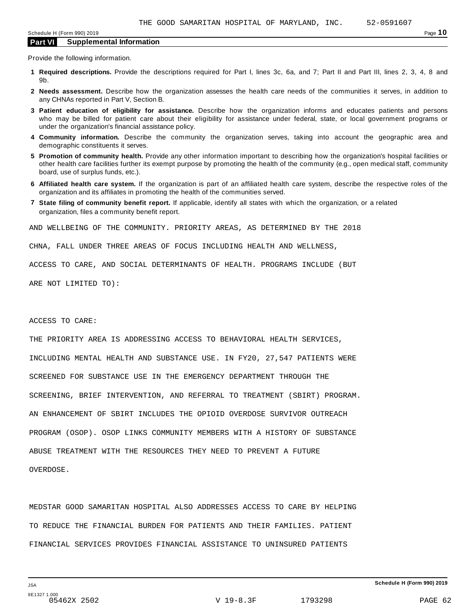Provide the following information.

- **1 Required descriptions.** Provide the descriptions required for Part I, lines 3c, 6a, and 7; Part II and Part III, lines 2, 3, 4, 8 and 9b.
- **2 Needs assessment.** Describe how the organization assesses the health care needs of the communities it serves, in addition to any CHNAs reported in Part V, Section B.
- **3 Patient education of eligibility for assistance.** Describe how the organization informs and educates patients and persons who may be billed for patient care about their eligibility for assistance under federal, state, or local government programs or under the organization's financial assistance policy.
- **4 Community information.** Describe the community the organization serves, taking into account the geographic area and demographic constituents it serves.
- **5 Promotion of community health.** Provide any other information important to describing how the organization's hospital facilities or other health care facilities further its exempt purpose by promoting the health of the community (e.g., open medical staff, community board, use of surplus funds, etc.).
- **6 Affiliated health care system.** If the organization is part of an affiliated health care system, describe the respective roles of the organization and its affiliates in promoting the health of the communities served.
- **7 State filing of community benefit report.** If applicable, identify all states with which the organization, or a related organization, files a community benefit report.

AND WELLBEING OF THE COMMUNITY. PRIORITY AREAS, AS DETERMINED BY THE 2018

CHNA, FALL UNDER THREE AREAS OF FOCUS INCLUDING HEALTH AND WELLNESS,

ACCESS TO CARE, AND SOCIAL DETERMINANTS OF HEALTH. PROGRAMS INCLUDE (BUT

ARE NOT LIMITED TO):

#### ACCESS TO CARE:

THE PRIORITY AREA IS ADDRESSING ACCESS TO BEHAVIORAL HEALTH SERVICES, INCLUDING MENTAL HEALTH AND SUBSTANCE USE. IN FY20, 27,547 PATIENTS WERE SCREENED FOR SUBSTANCE USE IN THE EMERGENCY DEPARTMENT THROUGH THE SCREENING, BRIEF INTERVENTION, AND REFERRAL TO TREATMENT (SBIRT) PROGRAM. AN ENHANCEMENT OF SBIRT INCLUDES THE OPIOID OVERDOSE SURVIVOR OUTREACH PROGRAM (OSOP). OSOP LINKS COMMUNITY MEMBERS WITH A HISTORY OF SUBSTANCE ABUSE TREATMENT WITH THE RESOURCES THEY NEED TO PREVENT A FUTURE OVERDOSE.

MEDSTAR GOOD SAMARITAN HOSPITAL ALSO ADDRESSES ACCESS TO CARE BY HELPING TO REDUCE THE FINANCIAL BURDEN FOR PATIENTS AND THEIR FAMILIES. PATIENT FINANCIAL SERVICES PROVIDES FINANCIAL ASSISTANCE TO UNINSURED PATIENTS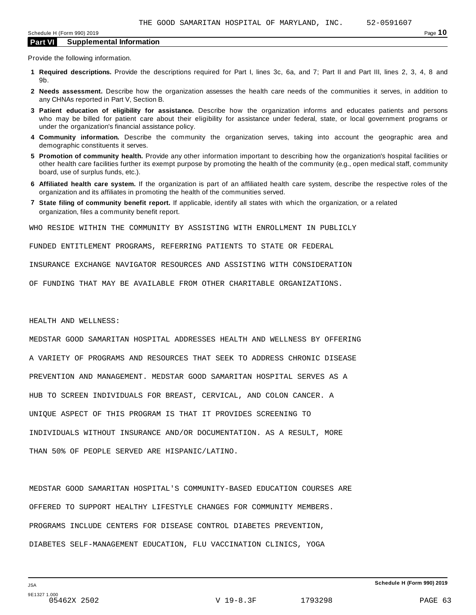Provide the following information.

- **1 Required descriptions.** Provide the descriptions required for Part I, lines 3c, 6a, and 7; Part II and Part III, lines 2, 3, 4, 8 and 9b.
- **2 Needs assessment.** Describe how the organization assesses the health care needs of the communities it serves, in addition to any CHNAs reported in Part V, Section B.
- **3 Patient education of eligibility for assistance.** Describe how the organization informs and educates patients and persons who may be billed for patient care about their eligibility for assistance under federal, state, or local government programs or under the organization's financial assistance policy.
- **4 Community information.** Describe the community the organization serves, taking into account the geographic area and demographic constituents it serves.
- **5 Promotion of community health.** Provide any other information important to describing how the organization's hospital facilities or other health care facilities further its exempt purpose by promoting the health of the community (e.g., open medical staff, community board, use of surplus funds, etc.).
- **6 Affiliated health care system.** If the organization is part of an affiliated health care system, describe the respective roles of the organization and its affiliates in promoting the health of the communities served.
- **7 State filing of community benefit report.** If applicable, identify all states with which the organization, or a related organization, files a community benefit report.

WHO RESIDE WITHIN THE COMMUNITY BY ASSISTING WITH ENROLLMENT IN PUBLICLY

FUNDED ENTITLEMENT PROGRAMS, REFERRING PATIENTS TO STATE OR FEDERAL

INSURANCE EXCHANGE NAVIGATOR RESOURCES AND ASSISTING WITH CONSIDERATION

OF FUNDING THAT MAY BE AVAILABLE FROM OTHER CHARITABLE ORGANIZATIONS.

#### HEALTH AND WELLNESS:

MEDSTAR GOOD SAMARITAN HOSPITAL ADDRESSES HEALTH AND WELLNESS BY OFFERING A VARIETY OF PROGRAMS AND RESOURCES THAT SEEK TO ADDRESS CHRONIC DISEASE PREVENTION AND MANAGEMENT. MEDSTAR GOOD SAMARITAN HOSPITAL SERVES AS A HUB TO SCREEN INDIVIDUALS FOR BREAST, CERVICAL, AND COLON CANCER. A UNIQUE ASPECT OF THIS PROGRAM IS THAT IT PROVIDES SCREENING TO INDIVIDUALS WITHOUT INSURANCE AND/OR DOCUMENTATION. AS A RESULT, MORE THAN 50% OF PEOPLE SERVED ARE HISPANIC/LATINO.

MEDSTAR GOOD SAMARITAN HOSPITAL'S COMMUNITY-BASED EDUCATION COURSES ARE OFFERED TO SUPPORT HEALTHY LIFESTYLE CHANGES FOR COMMUNITY MEMBERS. PROGRAMS INCLUDE CENTERS FOR DISEASE CONTROL DIABETES PREVENTION, DIABETES SELF-MANAGEMENT EDUCATION, FLU VACCINATION CLINICS, YOGA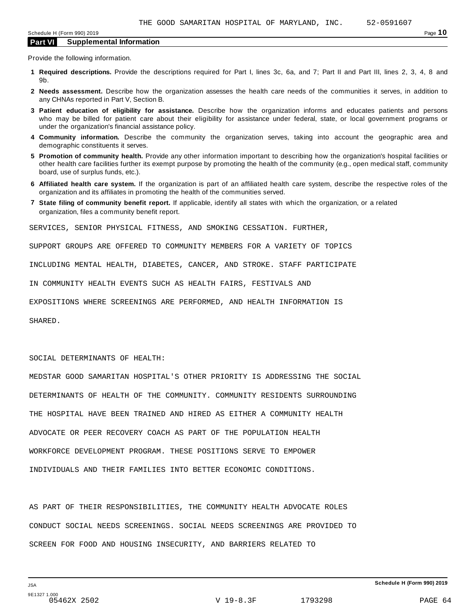Provide the following information.

- **1 Required descriptions.** Provide the descriptions required for Part I, lines 3c, 6a, and 7; Part II and Part III, lines 2, 3, 4, 8 and 9b.
- **2 Needs assessment.** Describe how the organization assesses the health care needs of the communities it serves, in addition to any CHNAs reported in Part V, Section B.
- **3 Patient education of eligibility for assistance.** Describe how the organization informs and educates patients and persons who may be billed for patient care about their eligibility for assistance under federal, state, or local government programs or under the organization's financial assistance policy.
- **4 Community information.** Describe the community the organization serves, taking into account the geographic area and demographic constituents it serves.
- **5 Promotion of community health.** Provide any other information important to describing how the organization's hospital facilities or other health care facilities further its exempt purpose by promoting the health of the community (e.g., open medical staff, community board, use of surplus funds, etc.).
- **6 Affiliated health care system.** If the organization is part of an affiliated health care system, describe the respective roles of the organization and its affiliates in promoting the health of the communities served.
- **7 State filing of community benefit report.** If applicable, identify all states with which the organization, or a related organization, files a community benefit report.

SERVICES, SENIOR PHYSICAL FITNESS, AND SMOKING CESSATION. FURTHER,

SUPPORT GROUPS ARE OFFERED TO COMMUNITY MEMBERS FOR A VARIETY OF TOPICS

INCLUDING MENTAL HEALTH, DIABETES, CANCER, AND STROKE. STAFF PARTICIPATE

IN COMMUNITY HEALTH EVENTS SUCH AS HEALTH FAIRS, FESTIVALS AND

EXPOSITIONS WHERE SCREENINGS ARE PERFORMED, AND HEALTH INFORMATION IS

SHARED.

#### SOCIAL DETERMINANTS OF HEALTH:

MEDSTAR GOOD SAMARITAN HOSPITAL'S OTHER PRIORITY IS ADDRESSING THE SOCIAL DETERMINANTS OF HEALTH OF THE COMMUNITY. COMMUNITY RESIDENTS SURROUNDING THE HOSPITAL HAVE BEEN TRAINED AND HIRED AS EITHER A COMMUNITY HEALTH ADVOCATE OR PEER RECOVERY COACH AS PART OF THE POPULATION HEALTH WORKFORCE DEVELOPMENT PROGRAM. THESE POSITIONS SERVE TO EMPOWER INDIVIDUALS AND THEIR FAMILIES INTO BETTER ECONOMIC CONDITIONS.

AS PART OF THEIR RESPONSIBILITIES, THE COMMUNITY HEALTH ADVOCATE ROLES CONDUCT SOCIAL NEEDS SCREENINGS. SOCIAL NEEDS SCREENINGS ARE PROVIDED TO SCREEN FOR FOOD AND HOUSING INSECURITY, AND BARRIERS RELATED TO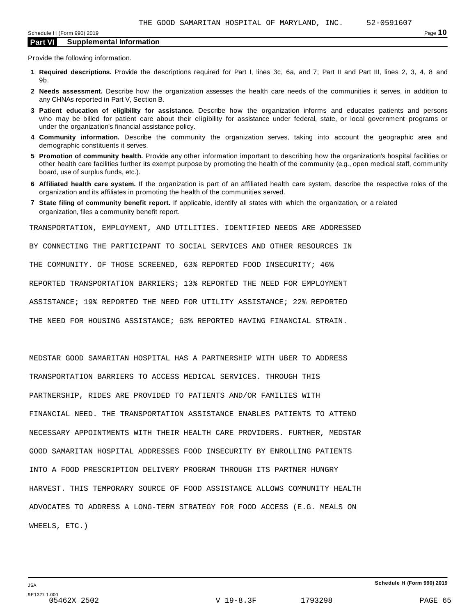Provide the following information.

- **1 Required descriptions.** Provide the descriptions required for Part I, lines 3c, 6a, and 7; Part II and Part III, lines 2, 3, 4, 8 and 9b.
- **2 Needs assessment.** Describe how the organization assesses the health care needs of the communities it serves, in addition to any CHNAs reported in Part V, Section B.
- **3 Patient education of eligibility for assistance.** Describe how the organization informs and educates patients and persons who may be billed for patient care about their eligibility for assistance under federal, state, or local government programs or under the organization's financial assistance policy.
- **4 Community information.** Describe the community the organization serves, taking into account the geographic area and demographic constituents it serves.
- **5 Promotion of community health.** Provide any other information important to describing how the organization's hospital facilities or other health care facilities further its exempt purpose by promoting the health of the community (e.g., open medical staff, community board, use of surplus funds, etc.).
- **6 Affiliated health care system.** If the organization is part of an affiliated health care system, describe the respective roles of the organization and its affiliates in promoting the health of the communities served.
- **7 State filing of community benefit report.** If applicable, identify all states with which the organization, or a related organization, files a community benefit report.

TRANSPORTATION, EMPLOYMENT, AND UTILITIES. IDENTIFIED NEEDS ARE ADDRESSED

BY CONNECTING THE PARTICIPANT TO SOCIAL SERVICES AND OTHER RESOURCES IN

THE COMMUNITY. OF THOSE SCREENED, 63% REPORTED FOOD INSECURITY; 46%

REPORTED TRANSPORTATION BARRIERS; 13% REPORTED THE NEED FOR EMPLOYMENT

ASSISTANCE; 19% REPORTED THE NEED FOR UTILITY ASSISTANCE; 22% REPORTED

THE NEED FOR HOUSING ASSISTANCE; 63% REPORTED HAVING FINANCIAL STRAIN.

MEDSTAR GOOD SAMARITAN HOSPITAL HAS A PARTNERSHIP WITH UBER TO ADDRESS TRANSPORTATION BARRIERS TO ACCESS MEDICAL SERVICES. THROUGH THIS PARTNERSHIP, RIDES ARE PROVIDED TO PATIENTS AND/OR FAMILIES WITH FINANCIAL NEED. THE TRANSPORTATION ASSISTANCE ENABLES PATIENTS TO ATTEND NECESSARY APPOINTMENTS WITH THEIR HEALTH CARE PROVIDERS. FURTHER, MEDSTAR GOOD SAMARITAN HOSPITAL ADDRESSES FOOD INSECURITY BY ENROLLING PATIENTS INTO A FOOD PRESCRIPTION DELIVERY PROGRAM THROUGH ITS PARTNER HUNGRY HARVEST. THIS TEMPORARY SOURCE OF FOOD ASSISTANCE ALLOWS COMMUNITY HEALTH ADVOCATES TO ADDRESS A LONG-TERM STRATEGY FOR FOOD ACCESS (E.G. MEALS ON WHEELS, ETC.)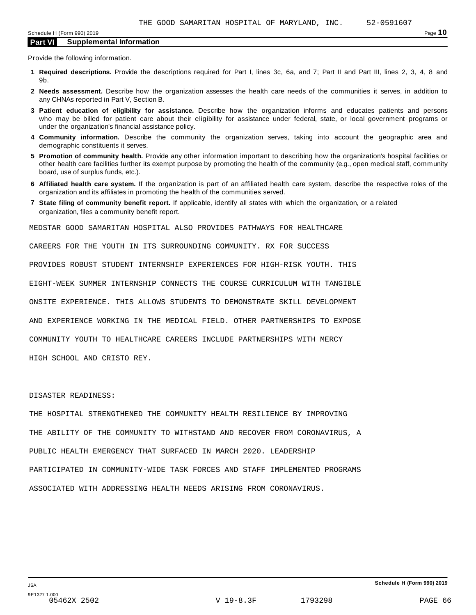Provide the following information.

- **1 Required descriptions.** Provide the descriptions required for Part I, lines 3c, 6a, and 7; Part II and Part III, lines 2, 3, 4, 8 and 9b.
- **2 Needs assessment.** Describe how the organization assesses the health care needs of the communities it serves, in addition to any CHNAs reported in Part V, Section B.
- **3 Patient education of eligibility for assistance.** Describe how the organization informs and educates patients and persons who may be billed for patient care about their eligibility for assistance under federal, state, or local government programs or under the organization's financial assistance policy.
- **4 Community information.** Describe the community the organization serves, taking into account the geographic area and demographic constituents it serves.
- **5 Promotion of community health.** Provide any other information important to describing how the organization's hospital facilities or other health care facilities further its exempt purpose by promoting the health of the community (e.g., open medical staff, community board, use of surplus funds, etc.).
- **6 Affiliated health care system.** If the organization is part of an affiliated health care system, describe the respective roles of the organization and its affiliates in promoting the health of the communities served.
- **7 State filing of community benefit report.** If applicable, identify all states with which the organization, or a related organization, files a community benefit report.

MEDSTAR GOOD SAMARITAN HOSPITAL ALSO PROVIDES PATHWAYS FOR HEALTHCARE

CAREERS FOR THE YOUTH IN ITS SURROUNDING COMMUNITY. RX FOR SUCCESS

PROVIDES ROBUST STUDENT INTERNSHIP EXPERIENCES FOR HIGH-RISK YOUTH. THIS

EIGHT-WEEK SUMMER INTERNSHIP CONNECTS THE COURSE CURRICULUM WITH TANGIBLE

ONSITE EXPERIENCE. THIS ALLOWS STUDENTS TO DEMONSTRATE SKILL DEVELOPMENT

AND EXPERIENCE WORKING IN THE MEDICAL FIELD. OTHER PARTNERSHIPS TO EXPOSE

COMMUNITY YOUTH TO HEALTHCARE CAREERS INCLUDE PARTNERSHIPS WITH MERCY

HIGH SCHOOL AND CRISTO REY.

DISASTER READINESS:

THE HOSPITAL STRENGTHENED THE COMMUNITY HEALTH RESILIENCE BY IMPROVING THE ABILITY OF THE COMMUNITY TO WITHSTAND AND RECOVER FROM CORONAVIRUS, A PUBLIC HEALTH EMERGENCY THAT SURFACED IN MARCH 2020. LEADERSHIP PARTICIPATED IN COMMUNITY-WIDE TASK FORCES AND STAFF IMPLEMENTED PROGRAMS ASSOCIATED WITH ADDRESSING HEALTH NEEDS ARISING FROM CORONAVIRUS.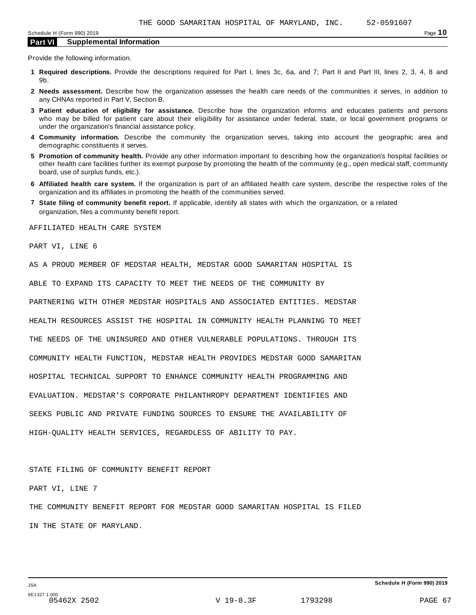Provide the following information.

- **1 Required descriptions.** Provide the descriptions required for Part I, lines 3c, 6a, and 7; Part II and Part III, lines 2, 3, 4, 8 and 9b.
- **2 Needs assessment.** Describe how the organization assesses the health care needs of the communities it serves, in addition to any CHNAs reported in Part V, Section B.
- **3 Patient education of eligibility for assistance.** Describe how the organization informs and educates patients and persons who may be billed for patient care about their eligibility for assistance under federal, state, or local government programs or under the organization's financial assistance policy.
- **4 Community information.** Describe the community the organization serves, taking into account the geographic area and demographic constituents it serves.
- **5 Promotion of community health.** Provide any other information important to describing how the organization's hospital facilities or other health care facilities further its exempt purpose by promoting the health of the community (e.g., open medical staff, community board, use of surplus funds, etc.).
- **6 Affiliated health care system.** If the organization is part of an affiliated health care system, describe the respective roles of the organization and its affiliates in promoting the health of the communities served.
- **7 State filing of community benefit report.** If applicable, identify all states with which the organization, or a related organization, files a community benefit report.

AFFILIATED HEALTH CARE SYSTEM

PART VI, LINE 6

AS A PROUD MEMBER OF MEDSTAR HEALTH, MEDSTAR GOOD SAMARITAN HOSPITAL IS ABLE TO EXPAND ITS CAPACITY TO MEET THE NEEDS OF THE COMMUNITY BY PARTNERING WITH OTHER MEDSTAR HOSPITALS AND ASSOCIATED ENTITIES. MEDSTAR HEALTH RESOURCES ASSIST THE HOSPITAL IN COMMUNITY HEALTH PLANNING TO MEET THE NEEDS OF THE UNINSURED AND OTHER VULNERABLE POPULATIONS. THROUGH ITS COMMUNITY HEALTH FUNCTION, MEDSTAR HEALTH PROVIDES MEDSTAR GOOD SAMARITAN HOSPITAL TECHNICAL SUPPORT TO ENHANCE COMMUNITY HEALTH PROGRAMMING AND EVALUATION. MEDSTAR'S CORPORATE PHILANTHROPY DEPARTMENT IDENTIFIES AND SEEKS PUBLIC AND PRIVATE FUNDING SOURCES TO ENSURE THE AVAILABILITY OF HIGH-QUALITY HEALTH SERVICES, REGARDLESS OF ABILITY TO PAY.

STATE FILING OF COMMUNITY BENEFIT REPORT

PART VI, LINE 7

THE COMMUNITY BENEFIT REPORT FOR MEDSTAR GOOD SAMARITAN HOSPITAL IS FILED IN THE STATE OF MARYLAND.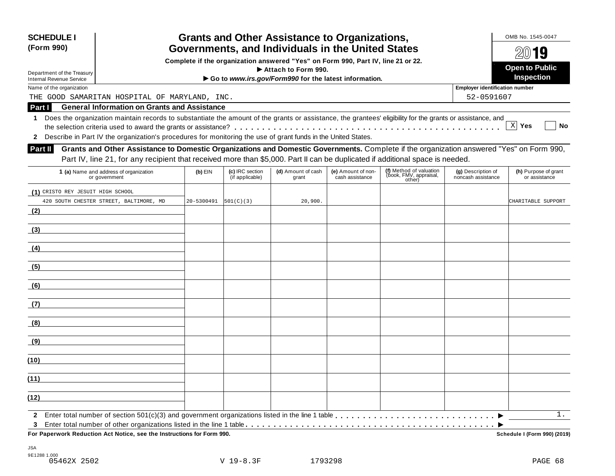| <b>SCHEDULE I</b><br>(Form 990)                      |                                                                                                                                                                                                                                                                           |            |                                    | <b>Grants and Other Assistance to Organizations,</b><br>Governments, and Individuals in the United States |                                       |                                                             |                                          | OMB No. 1545-0047<br>$20$ 19          |
|------------------------------------------------------|---------------------------------------------------------------------------------------------------------------------------------------------------------------------------------------------------------------------------------------------------------------------------|------------|------------------------------------|-----------------------------------------------------------------------------------------------------------|---------------------------------------|-------------------------------------------------------------|------------------------------------------|---------------------------------------|
|                                                      |                                                                                                                                                                                                                                                                           |            |                                    | Complete if the organization answered "Yes" on Form 990, Part IV, line 21 or 22.                          |                                       |                                                             |                                          |                                       |
| Department of the Treasury                           |                                                                                                                                                                                                                                                                           |            |                                    | Attach to Form 990.                                                                                       |                                       |                                                             |                                          | <b>Open to Public</b><br>Inspection   |
| Internal Revenue Service<br>Name of the organization |                                                                                                                                                                                                                                                                           |            |                                    | Go to www.irs.gov/Form990 for the latest information.                                                     |                                       |                                                             | <b>Employer identification number</b>    |                                       |
|                                                      | THE GOOD SAMARITAN HOSPITAL OF MARYLAND, INC.                                                                                                                                                                                                                             |            |                                    |                                                                                                           |                                       |                                                             | 52-0591607                               |                                       |
| Part I                                               | <b>General Information on Grants and Assistance</b>                                                                                                                                                                                                                       |            |                                    |                                                                                                           |                                       |                                                             |                                          |                                       |
| 1                                                    | Does the organization maintain records to substantiate the amount of the grants or assistance, the grantees' eligibility for the grants or assistance, and                                                                                                                |            |                                    |                                                                                                           |                                       |                                                             |                                          |                                       |
|                                                      |                                                                                                                                                                                                                                                                           |            |                                    |                                                                                                           |                                       |                                                             |                                          | $X$ Yes<br>No                         |
|                                                      | 2 Describe in Part IV the organization's procedures for monitoring the use of grant funds in the United States.                                                                                                                                                           |            |                                    |                                                                                                           |                                       |                                                             |                                          |                                       |
| <b>Part II</b>                                       | Grants and Other Assistance to Domestic Organizations and Domestic Governments. Complete if the organization answered "Yes" on Form 990,<br>Part IV, line 21, for any recipient that received more than \$5,000. Part II can be duplicated if additional space is needed. |            |                                    |                                                                                                           |                                       |                                                             |                                          |                                       |
|                                                      | 1 (a) Name and address of organization<br>or government                                                                                                                                                                                                                   | $(b)$ EIN  | (c) IRC section<br>(if applicable) | (d) Amount of cash<br>grant                                                                               | (e) Amount of non-<br>cash assistance | (f) Method of valuation<br>(book, FMV, appraisal,<br>other) | (g) Description of<br>noncash assistance | (h) Purpose of grant<br>or assistance |
| (1) CRISTO REY JESUIT HIGH SCHOOL                    |                                                                                                                                                                                                                                                                           |            |                                    |                                                                                                           |                                       |                                                             |                                          |                                       |
|                                                      | 420 SOUTH CHESTER STREET, BALTIMORE, MD                                                                                                                                                                                                                                   | 20-5300491 | 501(C)(3)                          | 20,900.                                                                                                   |                                       |                                                             |                                          | CHARITABLE SUPPORT                    |
| (2)                                                  |                                                                                                                                                                                                                                                                           |            |                                    |                                                                                                           |                                       |                                                             |                                          |                                       |
| (3)                                                  |                                                                                                                                                                                                                                                                           |            |                                    |                                                                                                           |                                       |                                                             |                                          |                                       |
|                                                      |                                                                                                                                                                                                                                                                           |            |                                    |                                                                                                           |                                       |                                                             |                                          |                                       |
| (4)                                                  |                                                                                                                                                                                                                                                                           |            |                                    |                                                                                                           |                                       |                                                             |                                          |                                       |
| (5)                                                  |                                                                                                                                                                                                                                                                           |            |                                    |                                                                                                           |                                       |                                                             |                                          |                                       |
| (6)                                                  |                                                                                                                                                                                                                                                                           |            |                                    |                                                                                                           |                                       |                                                             |                                          |                                       |
| (7)                                                  |                                                                                                                                                                                                                                                                           |            |                                    |                                                                                                           |                                       |                                                             |                                          |                                       |
|                                                      |                                                                                                                                                                                                                                                                           |            |                                    |                                                                                                           |                                       |                                                             |                                          |                                       |
| (8)                                                  |                                                                                                                                                                                                                                                                           |            |                                    |                                                                                                           |                                       |                                                             |                                          |                                       |
| (9)                                                  |                                                                                                                                                                                                                                                                           |            |                                    |                                                                                                           |                                       |                                                             |                                          |                                       |
| (10)                                                 |                                                                                                                                                                                                                                                                           |            |                                    |                                                                                                           |                                       |                                                             |                                          |                                       |
| (11)                                                 |                                                                                                                                                                                                                                                                           |            |                                    |                                                                                                           |                                       |                                                             |                                          |                                       |
| (12)                                                 |                                                                                                                                                                                                                                                                           |            |                                    |                                                                                                           |                                       |                                                             |                                          |                                       |
| $\mathbf{2}$                                         |                                                                                                                                                                                                                                                                           |            |                                    |                                                                                                           |                                       |                                                             |                                          | 1.                                    |
| 3                                                    | For Paperwork Reduction Act Notice, see the Instructions for Form 990.                                                                                                                                                                                                    |            |                                    |                                                                                                           |                                       |                                                             |                                          | Schedule I (Form 990) (2019)          |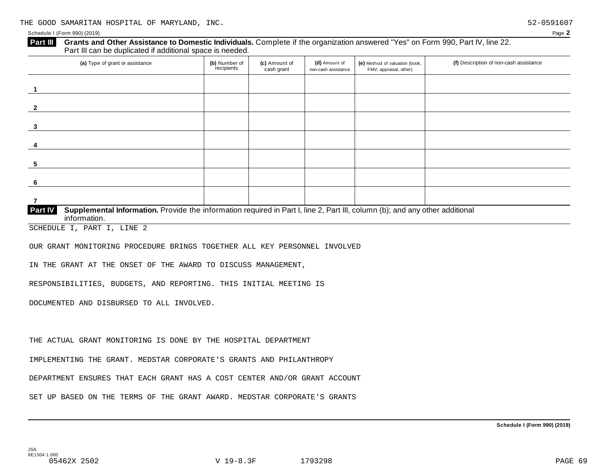| Part III Grants and Other Assistance to Domestic Individuals. Complete if the organization answered "Yes" on Form 990, Part IV, line 22. |  |
|------------------------------------------------------------------------------------------------------------------------------------------|--|
| Part III can be duplicated if additional space is needed.                                                                                |  |

| (a) Type of grant or assistance                                                                                                         | (b) Number of<br>recipients | (c) Amount of<br>cash grant | (d) Amount of<br>non-cash assistance | (e) Method of valuation (book,<br>FMV, appraisal, other) | (f) Description of non-cash assistance |
|-----------------------------------------------------------------------------------------------------------------------------------------|-----------------------------|-----------------------------|--------------------------------------|----------------------------------------------------------|----------------------------------------|
|                                                                                                                                         |                             |                             |                                      |                                                          |                                        |
|                                                                                                                                         |                             |                             |                                      |                                                          |                                        |
|                                                                                                                                         |                             |                             |                                      |                                                          |                                        |
|                                                                                                                                         |                             |                             |                                      |                                                          |                                        |
|                                                                                                                                         |                             |                             |                                      |                                                          |                                        |
| 3                                                                                                                                       |                             |                             |                                      |                                                          |                                        |
|                                                                                                                                         |                             |                             |                                      |                                                          |                                        |
|                                                                                                                                         |                             |                             |                                      |                                                          |                                        |
|                                                                                                                                         |                             |                             |                                      |                                                          |                                        |
|                                                                                                                                         |                             |                             |                                      |                                                          |                                        |
|                                                                                                                                         |                             |                             |                                      |                                                          |                                        |
|                                                                                                                                         |                             |                             |                                      |                                                          |                                        |
|                                                                                                                                         |                             |                             |                                      |                                                          |                                        |
|                                                                                                                                         |                             |                             |                                      |                                                          |                                        |
| Part IV<br>Supplemental Information. Provide the information required in Part I, line 2, Part III, column (b); and any other additional |                             |                             |                                      |                                                          |                                        |

information.

SCHEDULE I, PART I, LINE 2

OUR GRANT MONITORING PROCEDURE BRINGS TOGETHER ALL KEY PERSONNEL INVOLVED

IN THE GRANT AT THE ONSET OF THE AWARD TO DISCUSS MANAGEMENT,

RESPONSIBILITIES, BUDGETS, AND REPORTING. THIS INITIAL MEETING IS

DOCUMENTED AND DISBURSED TO ALL INVOLVED.

THE ACTUAL GRANT MONITORING IS DONE BY THE HOSPITAL DEPARTMENT

IMPLEMENTING THE GRANT. MEDSTAR CORPORATE'S GRANTS AND PHILANTHROPY

DEPARTMENT ENSURES THAT EACH GRANT HAS A COST CENTER AND/OR GRANT ACCOUNT

SET UP BASED ON THE TERMS OF THE GRANT AWARD. MEDSTAR CORPORATE'S GRANTS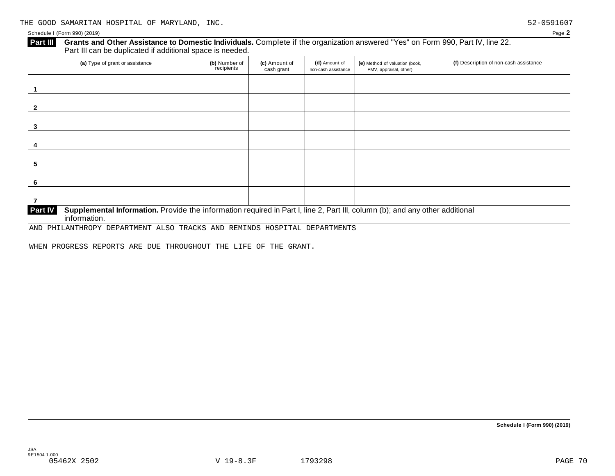#### **Grants and Other Assistance to Domestic Individuals.** Complete if the organization answered "Yes" on Form 990, Part IV, line 22. Part III can be duplicated if additional space is needed. **Part III**

| (a) Type of grant or assistance                                                                                                                                | (b) Number of<br>recipients | (c) Amount of<br>cash grant | (d) Amount of<br>non-cash assistance | (e) Method of valuation (book,<br>FMV, appraisal, other) | (f) Description of non-cash assistance |
|----------------------------------------------------------------------------------------------------------------------------------------------------------------|-----------------------------|-----------------------------|--------------------------------------|----------------------------------------------------------|----------------------------------------|
|                                                                                                                                                                |                             |                             |                                      |                                                          |                                        |
|                                                                                                                                                                |                             |                             |                                      |                                                          |                                        |
| 3                                                                                                                                                              |                             |                             |                                      |                                                          |                                        |
|                                                                                                                                                                |                             |                             |                                      |                                                          |                                        |
| 5                                                                                                                                                              |                             |                             |                                      |                                                          |                                        |
| -6                                                                                                                                                             |                             |                             |                                      |                                                          |                                        |
|                                                                                                                                                                |                             |                             |                                      |                                                          |                                        |
| Supplemental Information. Provide the information required in Part I, line 2, Part III, column (b); and any other additional<br><b>Part IV</b><br>information. |                             |                             |                                      |                                                          |                                        |

AND PHILANTHROPY DEPARTMENT ALSO TRACKS AND REMINDS HOSPITAL DEPARTMENTS

WHEN PROGRESS REPORTS ARE DUE THROUGHOUT THE LIFE OF THE GRANT.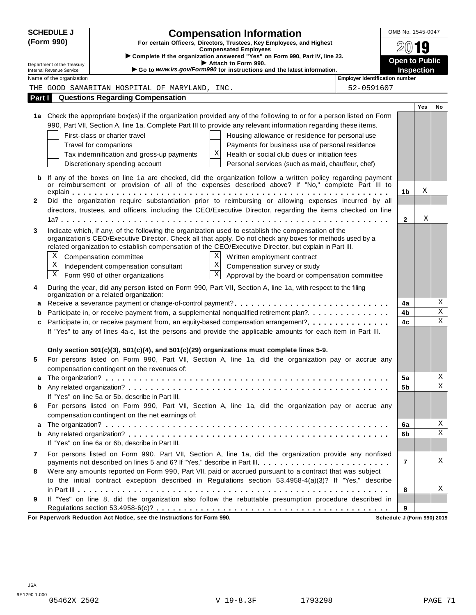| <b>SCHEDULE J</b>                                                                                                   |                                                      | <b>Compensation Information</b>                                                                                                                                                                                   | OMB No. 1545-0047                          |                            |             |  |  |
|---------------------------------------------------------------------------------------------------------------------|------------------------------------------------------|-------------------------------------------------------------------------------------------------------------------------------------------------------------------------------------------------------------------|--------------------------------------------|----------------------------|-------------|--|--|
| (Form 990)<br>For certain Officers, Directors, Trustees, Key Employees, and Highest<br><b>Compensated Employees</b> |                                                      |                                                                                                                                                                                                                   |                                            | 19                         |             |  |  |
|                                                                                                                     |                                                      | Complete if the organization answered "Yes" on Form 990, Part IV, line 23.                                                                                                                                        |                                            |                            |             |  |  |
|                                                                                                                     | Department of the Treasury                           | Attach to Form 990.<br>Go to www.irs.gov/Form990 for instructions and the latest information.                                                                                                                     | <b>Open to Public</b><br><b>Inspection</b> |                            |             |  |  |
|                                                                                                                     | Internal Revenue Service<br>Name of the organization | <b>Employer identification number</b>                                                                                                                                                                             |                                            |                            |             |  |  |
|                                                                                                                     |                                                      | 52-0591607<br>THE GOOD SAMARITAN HOSPITAL OF MARYLAND, INC.                                                                                                                                                       |                                            |                            |             |  |  |
| Part I                                                                                                              |                                                      | <b>Questions Regarding Compensation</b>                                                                                                                                                                           |                                            |                            |             |  |  |
|                                                                                                                     |                                                      |                                                                                                                                                                                                                   |                                            | Yes                        | <b>No</b>   |  |  |
|                                                                                                                     |                                                      | 1a Check the appropriate box(es) if the organization provided any of the following to or for a person listed on Form                                                                                              |                                            |                            |             |  |  |
|                                                                                                                     |                                                      | 990, Part VII, Section A, line 1a. Complete Part III to provide any relevant information regarding these items.                                                                                                   |                                            |                            |             |  |  |
|                                                                                                                     |                                                      | First-class or charter travel<br>Housing allowance or residence for personal use                                                                                                                                  |                                            |                            |             |  |  |
|                                                                                                                     |                                                      | Payments for business use of personal residence<br>Travel for companions                                                                                                                                          |                                            |                            |             |  |  |
|                                                                                                                     |                                                      | X<br>Tax indemnification and gross-up payments<br>Health or social club dues or initiation fees                                                                                                                   |                                            |                            |             |  |  |
|                                                                                                                     |                                                      | Discretionary spending account<br>Personal services (such as maid, chauffeur, chef)                                                                                                                               |                                            |                            |             |  |  |
|                                                                                                                     |                                                      |                                                                                                                                                                                                                   |                                            |                            |             |  |  |
| b                                                                                                                   |                                                      | If any of the boxes on line 1a are checked, did the organization follow a written policy regarding payment<br>or reimbursement or provision of all of the expenses described above? If "No," complete Part III to |                                            |                            |             |  |  |
|                                                                                                                     |                                                      |                                                                                                                                                                                                                   | 1 <sub>b</sub>                             | Χ                          |             |  |  |
| $\mathbf{2}$                                                                                                        |                                                      | Did the organization require substantiation prior to reimbursing or allowing expenses incurred by all                                                                                                             |                                            |                            |             |  |  |
|                                                                                                                     |                                                      | directors, trustees, and officers, including the CEO/Executive Director, regarding the items checked on line                                                                                                      |                                            |                            |             |  |  |
|                                                                                                                     |                                                      |                                                                                                                                                                                                                   | $\mathbf{2}$                               | Χ                          |             |  |  |
| 3                                                                                                                   |                                                      | Indicate which, if any, of the following the organization used to establish the compensation of the                                                                                                               |                                            |                            |             |  |  |
|                                                                                                                     |                                                      | organization's CEO/Executive Director. Check all that apply. Do not check any boxes for methods used by a                                                                                                         |                                            |                            |             |  |  |
|                                                                                                                     |                                                      | related organization to establish compensation of the CEO/Executive Director, but explain in Part III.                                                                                                            |                                            |                            |             |  |  |
|                                                                                                                     | X                                                    | $\mathbf{X}$<br>Compensation committee<br>Written employment contract                                                                                                                                             |                                            |                            |             |  |  |
|                                                                                                                     | $\mathbf X$                                          | $\overline{X}$ Compensation survey or study<br>Independent compensation consultant                                                                                                                                |                                            |                            |             |  |  |
|                                                                                                                     | $\overline{\mathbf{x}}$                              | $\overline{\mathbf{x}}$<br>Form 990 of other organizations<br>Approval by the board or compensation committee                                                                                                     |                                            |                            |             |  |  |
| 4                                                                                                                   |                                                      | During the year, did any person listed on Form 990, Part VII, Section A, line 1a, with respect to the filing                                                                                                      |                                            |                            |             |  |  |
|                                                                                                                     |                                                      | organization or a related organization:                                                                                                                                                                           |                                            |                            |             |  |  |
| а                                                                                                                   |                                                      |                                                                                                                                                                                                                   | 4a                                         |                            | Χ           |  |  |
| b                                                                                                                   |                                                      | Participate in, or receive payment from, a supplemental nonqualified retirement plan?.                                                                                                                            | 4b                                         |                            | $\mathbf X$ |  |  |
| c                                                                                                                   |                                                      | Participate in, or receive payment from, an equity-based compensation arrangement?                                                                                                                                | 4c                                         |                            | X           |  |  |
|                                                                                                                     |                                                      | If "Yes" to any of lines 4a-c, list the persons and provide the applicable amounts for each item in Part III.                                                                                                     |                                            |                            |             |  |  |
|                                                                                                                     |                                                      |                                                                                                                                                                                                                   |                                            |                            |             |  |  |
|                                                                                                                     |                                                      | Only section $501(c)(3)$ , $501(c)(4)$ , and $501(c)(29)$ organizations must complete lines 5-9.                                                                                                                  |                                            |                            |             |  |  |
| 5                                                                                                                   |                                                      | For persons listed on Form 990, Part VII, Section A, line 1a, did the organization pay or accrue any                                                                                                              |                                            |                            |             |  |  |
|                                                                                                                     |                                                      | compensation contingent on the revenues of:                                                                                                                                                                       |                                            |                            |             |  |  |
| а                                                                                                                   |                                                      |                                                                                                                                                                                                                   | 5a                                         |                            | Χ           |  |  |
| b                                                                                                                   |                                                      |                                                                                                                                                                                                                   | 5b                                         |                            | Χ           |  |  |
|                                                                                                                     |                                                      | If "Yes" on line 5a or 5b, describe in Part III.                                                                                                                                                                  |                                            |                            |             |  |  |
| 6                                                                                                                   |                                                      | For persons listed on Form 990, Part VII, Section A, line 1a, did the organization pay or accrue any                                                                                                              |                                            |                            |             |  |  |
|                                                                                                                     |                                                      | compensation contingent on the net earnings of:                                                                                                                                                                   |                                            |                            | х           |  |  |
| а                                                                                                                   |                                                      |                                                                                                                                                                                                                   | 6а<br>6b                                   |                            | X           |  |  |
| b                                                                                                                   |                                                      | If "Yes" on line 6a or 6b, describe in Part III.                                                                                                                                                                  |                                            |                            |             |  |  |
|                                                                                                                     |                                                      |                                                                                                                                                                                                                   |                                            |                            |             |  |  |
| 7                                                                                                                   |                                                      | For persons listed on Form 990, Part VII, Section A, line 1a, did the organization provide any nonfixed<br>payments not described on lines 5 and 6? If "Yes," describe in Part III.                               | 7                                          |                            | X           |  |  |
| 8                                                                                                                   |                                                      | Were any amounts reported on Form 990, Part VII, paid or accrued pursuant to a contract that was subject                                                                                                          |                                            |                            |             |  |  |
|                                                                                                                     |                                                      | to the initial contract exception described in Regulations section 53.4958-4(a)(3)? If "Yes," describe                                                                                                            |                                            |                            |             |  |  |
|                                                                                                                     |                                                      |                                                                                                                                                                                                                   | 8                                          |                            | X           |  |  |
| 9                                                                                                                   |                                                      | If "Yes" on line 8, did the organization also follow the rebuttable presumption procedure described in                                                                                                            |                                            |                            |             |  |  |
|                                                                                                                     |                                                      |                                                                                                                                                                                                                   | 9                                          |                            |             |  |  |
|                                                                                                                     |                                                      | For Paperwork Reduction Act Notice, see the Instructions for Form 990.                                                                                                                                            |                                            | Schedule J (Form 990) 2019 |             |  |  |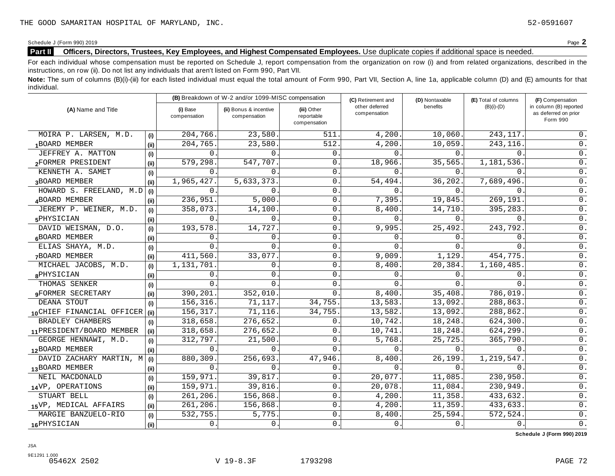### **Part II** Officers, Directors, Trustees, Key Employees, and Highest Compensated Employees. Use duplicate copies if additional space is needed.

For each individual whose compensation must be reported on Schedule J, report compensation from the organization on row (i) and from related organizations, described in the instructions, on row (ii). Do not list any individuals that aren't listed on Form 990, Part VII.

Note: The sum of columns (B)(i)-(iii) for each listed individual must equal the total amount of Form 990, Part VII, Section A, line 1a, applicable column (D) and (E) amounts for that individual.

|                             |      |                          | (B) Breakdown of W-2 and/or 1099-MISC compensation |                                           | (C) Retirement and             | (D) Nontaxable | (E) Total of columns | (F) Compensation                                           |  |
|-----------------------------|------|--------------------------|----------------------------------------------------|-------------------------------------------|--------------------------------|----------------|----------------------|------------------------------------------------------------|--|
| (A) Name and Title          |      | (i) Base<br>compensation | (ii) Bonus & incentive<br>compensation             | (iii) Other<br>reportable<br>compensation | other deferred<br>compensation | benefits       | $(B)(i)-(D)$         | in column (B) reported<br>as deferred on prior<br>Form 990 |  |
| MOIRA P. LARSEN, M.D.       | (i)  | 204,766.                 | 23,580.                                            | 511.                                      | 4,200.                         | 10,060.        | 243,117.             | 0.                                                         |  |
| 1BOARD MEMBER               | (ii) | 204,765.                 | 23,580.                                            | 512.                                      | 4,200.                         | 10,059.        | 243, 116.            | $0$ .                                                      |  |
| JEFFREY A. MATTON           | (i)  | $\Omega$                 | $\Omega$ .                                         | $\mathbf{0}$                              | $\Omega$ .                     | 0.             | $\Omega$ .           | 0.                                                         |  |
| 2FORMER PRESIDENT           | (ii) | 579,298                  | 547,707                                            | 0                                         | 18,966.                        | 35,565.        | 1,181,536            | 0.                                                         |  |
| KENNETH A. SAMET            | (i)  | 0                        | $\Omega$                                           | 0.                                        | Ω.                             | $\Omega$ .     | 0                    | 0.                                                         |  |
| 3BOARD MEMBER               | (ii) | 1,965,427                | 5,633,373                                          | 0                                         | 54,494.                        | 36,202.        | 7,689,496            | 0.                                                         |  |
| HOWARD S. FREELAND, M.D     | (i)  | $\Omega$                 | $\Omega$                                           | 0                                         | $\Omega$ .                     | 0.             | 0                    | 0.                                                         |  |
| 4BOARD MEMBER               | (ii) | 236,951                  | 5,000                                              | $\mathbf{0}$                              | 7,395.                         | 19,845.        | 269,191              | 0.                                                         |  |
| JEREMY P. WEINER, M.D.      | (i)  | 358,073                  | 14,100.                                            | 0                                         | 8,400                          | 14,710.        | 395,283              | 0.                                                         |  |
| 5PHYSICIAN                  | (i)  | $\Omega$                 | $\Omega$                                           | $\mathbf{0}$                              | $\Omega$ .                     | 0.             | $\mathbf{0}$ .       | 0.                                                         |  |
| DAVID WEISMAN, D.O.         | (i)  | 193,578                  | 14,727.                                            | 0                                         | 9,995.                         | 25,492.        | 243,792              | 0.                                                         |  |
| 6BOARD MEMBER               | (i)  | 0                        | 0                                                  | 0                                         | 0.                             | 0.             | $\mathsf{O}$ .       | 0.                                                         |  |
| ELIAS SHAYA, M.D.           | (i)  | $\Omega$                 | $\Omega$                                           | 0                                         | $\Omega$                       | 0.             | $\Omega$             | 0.                                                         |  |
| 7BOARD MEMBER               | (ii) | 411,560                  | 33,077.                                            | $\mathbf 0$                               | 9,009.                         | 1,129.         | 454,775.             | $0$ .                                                      |  |
| MICHAEL JACOBS, M.D.        | (i)  | 1,131,701                | $0$ .                                              | 0                                         | 8,400.                         | 20,384.        | 1,160,485.           | $0$ .                                                      |  |
| 8PHYSICIAN                  | (ii) | 0                        | $\Omega$ .                                         | $\mathbf{0}$                              | $\Omega$                       | 0.             | $0$ .                | 0.                                                         |  |
| THOMAS SENKER               | (i)  | $\Omega$                 | $\Omega$                                           | $\mathbf{0}$                              | $\Omega$                       | 0.             | $\Omega$             | 0.                                                         |  |
| <b>9FORMER SECRETARY</b>    | (i)  | 390,201                  | 352,010.                                           | $\Omega$ .                                | 8,400.                         | 35,408.        | 786,019              | 0.                                                         |  |
| DEANA STOUT                 | (i)  | 156,316.                 | 71,117.                                            | 34,755.                                   | 13,583.                        | 13,092.        | 288,863.             | 0.                                                         |  |
| 10 CHIEF FINANCIAL OFFICER  | (ii) | 156,317.                 | 71,116.                                            | 34,755.                                   | 13,582.                        | 13,092.        | 288,862.             | $0$ .                                                      |  |
| BRADLEY CHAMBERS            | (i)  | 318,658.                 | 276,652.                                           | $\mathbf 0$ .                             | 10,742.                        | 18, 248.       | 624,300.             | 0.                                                         |  |
| 11 PRESIDENT / BOARD MEMBER | (i)  | 318,658.                 | 276,652.                                           | $\mathbf 0$ .                             | 10,741.                        | 18,248.        | 624,299.             | 0.                                                         |  |
| GEORGE HENNAWI, M.D.        | (i)  | 312,797.                 | 21,500.                                            | $\mathbf{0}$                              | 5,768.                         | 25,725.        | 365,790.             | 0.                                                         |  |
| 12BOARD MEMBER              | (i)  | 0                        |                                                    | $\Omega$                                  | $\Omega$ .                     | 0.             | 0.                   | 0.                                                         |  |
| DAVID ZACHARY MARTIN, M     | (i)  | 880,309                  | 256,693.                                           | 47,946.                                   | 8,400.                         | 26,199.        | 1,219,547.           | $0$ .                                                      |  |
| 13BOARD MEMBER              | (ii) | $\Omega$                 | $\Omega$ .                                         | 0                                         | $\Omega$                       | $\cap$         | $\Omega$ .           | 0.                                                         |  |
| NEIL MACDONALD              | (i)  | 159,971                  | 39,817.                                            | 0                                         | 20,077.                        | 11,085.        | 230,950              | 0.                                                         |  |
| 14VP, OPERATIONS            | (i)  | 159,971.                 | 39,816.                                            | 0.                                        | 20,078.                        | 11,084.        | 230,949.             | 0.                                                         |  |
| STUART BELL                 | (i)  | 261,206.                 | 156,868.                                           | 0                                         | 4,200.                         | 11,358.        | 433,632.             | 0.                                                         |  |
| 15VP, MEDICAL AFFAIRS       | (ii) | 261,206.                 | 156,868.                                           | 0                                         | 4,200.                         | 11,359.        | 433,633.             | $0$ .                                                      |  |
| MARGIE BANZUELO-RIO         | (i)  | 532,755.                 | 5,775.                                             | $\mathbf{0}$                              | 8,400.                         | 25,594.        | 572,524.             | 0.                                                         |  |
| 16PHYSICIAN                 | (i)  | $\mathbf{0}$ .           | 0.                                                 | 0.                                        | 0.                             | 0.             | 0.                   | $0$ .                                                      |  |

**Schedule J (Form 990) 2019**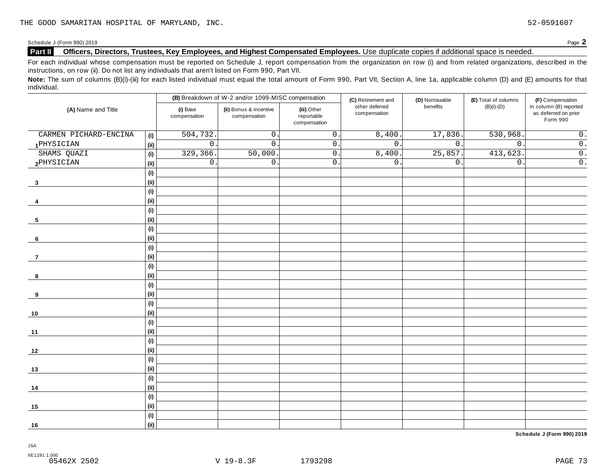### **Part II** Officers, Directors, Trustees, Key Employees, and Highest Compensated Employees. Use duplicate copies if additional space is needed.

For each individual whose compensation must be reported on Schedule J, report compensation from the organization on row (i) and from related organizations, described in the instructions, on row (ii). Do not list any individuals that aren't listed on Form 990, Part VII.

Note: The sum of columns (B)(i)-(iii) for each listed individual must equal the total amount of Form 990, Part VII, Section A, line 1a, applicable column (D) and (E) amounts for that individual.

|                       |                              |                          | (B) Breakdown of W-2 and/or 1099-MISC compensation |                                           | (C) Retirement and             | (D) Nontaxable   | (E) Total of columns | (F) Compensation                                           |  |
|-----------------------|------------------------------|--------------------------|----------------------------------------------------|-------------------------------------------|--------------------------------|------------------|----------------------|------------------------------------------------------------|--|
| (A) Name and Title    |                              | (i) Base<br>compensation | (ii) Bonus & incentive<br>compensation             | (iii) Other<br>reportable<br>compensation | other deferred<br>compensation | benefits         | $(B)(i)-(D)$         | in column (B) reported<br>as deferred on prior<br>Form 990 |  |
| CARMEN PICHARD-ENCINA | (i)                          | 504, 732.                | $\mathsf{O}$ .                                     | $\overline{0}$ .                          | 8,400.                         | 17,836.          | 530,968.             | $\mathsf{0}$ .                                             |  |
| 1PHYSICIAN            | (i)                          | $\mathbf 0$              | $\mathsf{0}$ .                                     | $\overline{0}$ .                          | $\mathbf{0}$                   | 0.               | $\mathbf{0}$         | $\overline{0}$ .                                           |  |
| SHAMS QUAZI           | (i)                          | 329,366                  | 50,000                                             | $\overline{0}$ .                          | 8,400                          | 25,857.          | 413,623.             | $\overline{0}$ .                                           |  |
| 2PHYSICIAN            | (i)                          | $\mathsf{O}$ .           | $\overline{0}$ .                                   | $\overline{0}$ .                          | $0$ .                          | $\overline{0}$ . | $\mathsf{O}$ .       | $\overline{0}$ .                                           |  |
|                       | (i)                          |                          |                                                    |                                           |                                |                  |                      |                                                            |  |
| $\mathbf{3}$          | (i)                          |                          |                                                    |                                           |                                |                  |                      |                                                            |  |
|                       | (i)                          |                          |                                                    |                                           |                                |                  |                      |                                                            |  |
| 4                     | (i)                          |                          |                                                    |                                           |                                |                  |                      |                                                            |  |
|                       | (i)                          |                          |                                                    |                                           |                                |                  |                      |                                                            |  |
| 5                     | (i)                          |                          |                                                    |                                           |                                |                  |                      |                                                            |  |
|                       | (i)                          |                          |                                                    |                                           |                                |                  |                      |                                                            |  |
| 6                     | (i)                          |                          |                                                    |                                           |                                |                  |                      |                                                            |  |
|                       | (i)                          |                          |                                                    |                                           |                                |                  |                      |                                                            |  |
| $\overline{7}$        | (i)                          |                          |                                                    |                                           |                                |                  |                      |                                                            |  |
|                       | (i)                          |                          |                                                    |                                           |                                |                  |                      |                                                            |  |
| 8                     | (i)                          |                          |                                                    |                                           |                                |                  |                      |                                                            |  |
|                       | $\qquad \qquad \textbf{(i)}$ |                          |                                                    |                                           |                                |                  |                      |                                                            |  |
| 9                     | (ii)                         |                          |                                                    |                                           |                                |                  |                      |                                                            |  |
|                       | (i)                          |                          |                                                    |                                           |                                |                  |                      |                                                            |  |
| 10                    | (i)                          |                          |                                                    |                                           |                                |                  |                      |                                                            |  |
|                       | (i)                          |                          |                                                    |                                           |                                |                  |                      |                                                            |  |
| 11                    | (i)                          |                          |                                                    |                                           |                                |                  |                      |                                                            |  |
|                       | (i)                          |                          |                                                    |                                           |                                |                  |                      |                                                            |  |
| $12$                  | (i)                          |                          |                                                    |                                           |                                |                  |                      |                                                            |  |
|                       | (i)                          |                          |                                                    |                                           |                                |                  |                      |                                                            |  |
| 13                    | (i)                          |                          |                                                    |                                           |                                |                  |                      |                                                            |  |
|                       | (i)                          |                          |                                                    |                                           |                                |                  |                      |                                                            |  |
| 14                    | (i)                          |                          |                                                    |                                           |                                |                  |                      |                                                            |  |
|                       | (i)                          |                          |                                                    |                                           |                                |                  |                      |                                                            |  |
| 15                    | (i)                          |                          |                                                    |                                           |                                |                  |                      |                                                            |  |
|                       | (i)                          |                          |                                                    |                                           |                                |                  |                      |                                                            |  |
| 16                    | (i)                          |                          |                                                    |                                           |                                |                  |                      |                                                            |  |

**Schedule J (Form 990) 2019**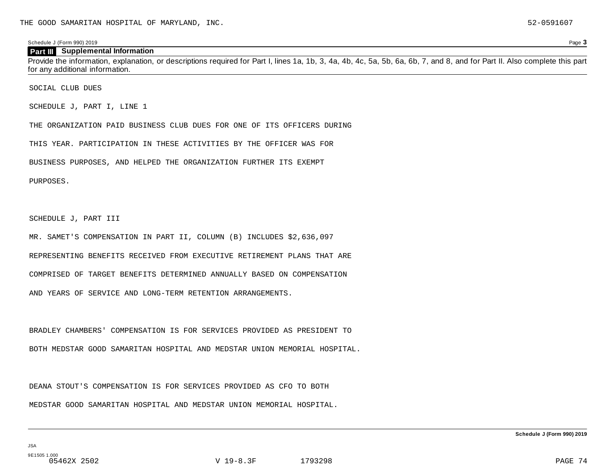### **Part III** Supplemental Information

Provide the information, explanation, or descriptions required for Part I, lines 1a, 1b, 3, 4a, 4b, 4c, 5a, 5b, 6a, 6b, 7, and 8, and for Part II. Also complete this part for any additional information.

SOCIAL CLUB DUES

SCHEDULE J, PART I, LINE 1

THE ORGANIZATION PAID BUSINESS CLUB DUES FOR ONE OF ITS OFFICERS DURING

THIS YEAR. PARTICIPATION IN THESE ACTIVITIES BY THE OFFICER WAS FOR

BUSINESS PURPOSES, AND HELPED THE ORGANIZATION FURTHER ITS EXEMPT

PURPOSES.

SCHEDULE J, PART III

MR. SAMET'S COMPENSATION IN PART II, COLUMN (B) INCLUDES \$2,636,097

REPRESENTING BENEFITS RECEIVED FROM EXECUTIVE RETIREMENT PLANS THAT ARE

COMPRISED OF TARGET BENEFITS DETERMINED ANNUALLY BASED ON COMPENSATION

AND YEARS OF SERVICE AND LONG-TERM RETENTION ARRANGEMENTS.

BRADLEY CHAMBERS' COMPENSATION IS FOR SERVICES PROVIDED AS PRESIDENT TO BOTH MEDSTAR GOOD SAMARITAN HOSPITAL AND MEDSTAR UNION MEMORIAL HOSPITAL.

DEANA STOUT'S COMPENSATION IS FOR SERVICES PROVIDED AS CFO TO BOTH

MEDSTAR GOOD SAMARITAN HOSPITAL AND MEDSTAR UNION MEMORIAL HOSPITAL.

**Schedule J (Form 990) 2019**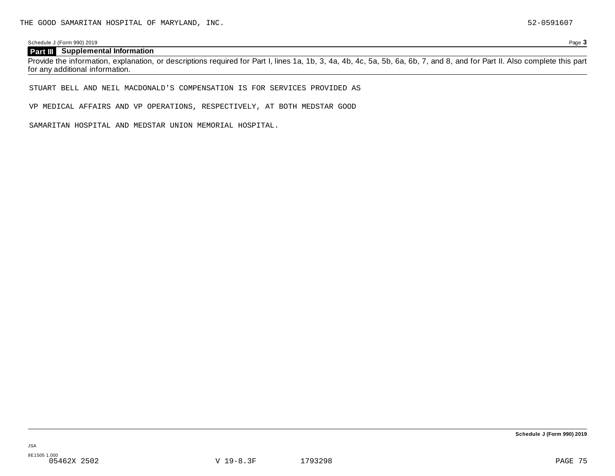### **Part III** Supplemental Information

Provide the information, explanation, or descriptions required for Part I, lines 1a, 1b, 3, 4a, 4b, 4c, 5a, 5b, 6a, 6b, 7, and 8, and for Part II. Also complete this part for any additional information.

STUART BELL AND NEIL MACDONALD'S COMPENSATION IS FOR SERVICES PROVIDED AS

VP MEDICAL AFFAIRS AND VP OPERATIONS, RESPECTIVELY, AT BOTH MEDSTAR GOOD

SAMARITAN HOSPITAL AND MEDSTAR UNION MEMORIAL HOSPITAL.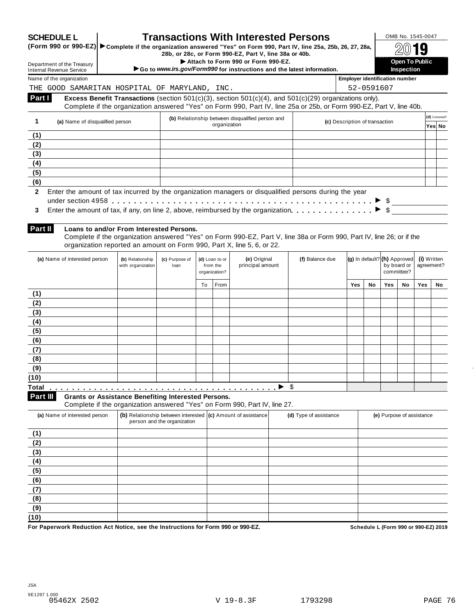| (Form 990 or 990-EZ) > Complete if the organization answered "Yes" on Form 990, Part IV, line 25a, 25b, 26, 27, 28a,<br>28b, or 28c, or Form 990-EZ, Part V, line 38a or 40b.<br>Attach to Form 990 or Form 990-EZ.<br><b>Open To Public</b><br>Go to www.irs.gov/Form990 for instructions and the latest information.<br><b>Inspection</b><br><b>Internal Revenue Service</b><br><b>Employer identification number</b><br>52-0591607<br>THE GOOD SAMARITAN HOSPITAL OF MARYLAND, INC.<br>Part I<br>Excess Benefit Transactions (section 501(c)(3), section 501(c)(4), and 501(c)(29) organizations only).<br>Complete if the organization answered "Yes" on Form 990, Part IV, line 25a or 25b, or Form 990-EZ, Part V, line 40b.<br>(d) Corrected?<br>(b) Relationship between disqualified person and<br>(a) Name of disqualified person<br>(c) Description of transaction<br>organization<br>Yes No<br>(5)<br>$\mathbf{2}$<br>Enter the amount of tax incurred by the organization managers or disqualified persons during the year<br>3<br>Part II<br>Loans to and/or From Interested Persons.<br>Complete if the organization answered "Yes" on Form 990-EZ, Part V, line 38a or Form 990, Part IV, line 26; or if the<br>organization reported an amount on Form 990, Part X, line 5, 6, or 22.<br>(e) Original<br>(f) Balance due<br>(g) In default? (h) Approved<br>(i) Written<br>(a) Name of interested person<br>(b) Relationship<br>(c) Purpose of<br>(d) Loan to or<br>principal amount<br>by board or<br>agreement?<br>with organization<br>loan<br>from the<br>committee?<br>organization?<br>To<br>From<br>Yes<br>Yes<br>Yes<br>No.<br>No<br>\$<br><b>Grants or Assistance Benefiting Interested Persons.</b><br>Complete if the organization answered "Yes" on Form 990, Part IV, line 27.<br>(b) Relationship between interested (c) Amount of assistance<br>(a) Name of interested person<br>(d) Type of assistance<br>(e) Purpose of assistance<br>person and the organization<br>(9)<br>(10) | <b>SCHEDULE L</b>                                                                        |  |  | <b>Transactions With Interested Persons</b> |  |  | OMB No. 1545-0047 |     |
|--------------------------------------------------------------------------------------------------------------------------------------------------------------------------------------------------------------------------------------------------------------------------------------------------------------------------------------------------------------------------------------------------------------------------------------------------------------------------------------------------------------------------------------------------------------------------------------------------------------------------------------------------------------------------------------------------------------------------------------------------------------------------------------------------------------------------------------------------------------------------------------------------------------------------------------------------------------------------------------------------------------------------------------------------------------------------------------------------------------------------------------------------------------------------------------------------------------------------------------------------------------------------------------------------------------------------------------------------------------------------------------------------------------------------------------------------------------------------------------------------------------------------------------------------------------------------------------------------------------------------------------------------------------------------------------------------------------------------------------------------------------------------------------------------------------------------------------------------------------------------------------------------------------------------------------------------------------------------------------------------------------------|------------------------------------------------------------------------------------------|--|--|---------------------------------------------|--|--|-------------------|-----|
|                                                                                                                                                                                                                                                                                                                                                                                                                                                                                                                                                                                                                                                                                                                                                                                                                                                                                                                                                                                                                                                                                                                                                                                                                                                                                                                                                                                                                                                                                                                                                                                                                                                                                                                                                                                                                                                                                                                                                                                                                    |                                                                                          |  |  |                                             |  |  |                   |     |
|                                                                                                                                                                                                                                                                                                                                                                                                                                                                                                                                                                                                                                                                                                                                                                                                                                                                                                                                                                                                                                                                                                                                                                                                                                                                                                                                                                                                                                                                                                                                                                                                                                                                                                                                                                                                                                                                                                                                                                                                                    | Department of the Treasury                                                               |  |  |                                             |  |  |                   |     |
|                                                                                                                                                                                                                                                                                                                                                                                                                                                                                                                                                                                                                                                                                                                                                                                                                                                                                                                                                                                                                                                                                                                                                                                                                                                                                                                                                                                                                                                                                                                                                                                                                                                                                                                                                                                                                                                                                                                                                                                                                    | Name of the organization                                                                 |  |  |                                             |  |  |                   |     |
|                                                                                                                                                                                                                                                                                                                                                                                                                                                                                                                                                                                                                                                                                                                                                                                                                                                                                                                                                                                                                                                                                                                                                                                                                                                                                                                                                                                                                                                                                                                                                                                                                                                                                                                                                                                                                                                                                                                                                                                                                    |                                                                                          |  |  |                                             |  |  |                   |     |
|                                                                                                                                                                                                                                                                                                                                                                                                                                                                                                                                                                                                                                                                                                                                                                                                                                                                                                                                                                                                                                                                                                                                                                                                                                                                                                                                                                                                                                                                                                                                                                                                                                                                                                                                                                                                                                                                                                                                                                                                                    |                                                                                          |  |  |                                             |  |  |                   |     |
|                                                                                                                                                                                                                                                                                                                                                                                                                                                                                                                                                                                                                                                                                                                                                                                                                                                                                                                                                                                                                                                                                                                                                                                                                                                                                                                                                                                                                                                                                                                                                                                                                                                                                                                                                                                                                                                                                                                                                                                                                    |                                                                                          |  |  |                                             |  |  |                   |     |
|                                                                                                                                                                                                                                                                                                                                                                                                                                                                                                                                                                                                                                                                                                                                                                                                                                                                                                                                                                                                                                                                                                                                                                                                                                                                                                                                                                                                                                                                                                                                                                                                                                                                                                                                                                                                                                                                                                                                                                                                                    | 1                                                                                        |  |  |                                             |  |  |                   |     |
|                                                                                                                                                                                                                                                                                                                                                                                                                                                                                                                                                                                                                                                                                                                                                                                                                                                                                                                                                                                                                                                                                                                                                                                                                                                                                                                                                                                                                                                                                                                                                                                                                                                                                                                                                                                                                                                                                                                                                                                                                    | (1)                                                                                      |  |  |                                             |  |  |                   |     |
|                                                                                                                                                                                                                                                                                                                                                                                                                                                                                                                                                                                                                                                                                                                                                                                                                                                                                                                                                                                                                                                                                                                                                                                                                                                                                                                                                                                                                                                                                                                                                                                                                                                                                                                                                                                                                                                                                                                                                                                                                    | (2)                                                                                      |  |  |                                             |  |  |                   |     |
|                                                                                                                                                                                                                                                                                                                                                                                                                                                                                                                                                                                                                                                                                                                                                                                                                                                                                                                                                                                                                                                                                                                                                                                                                                                                                                                                                                                                                                                                                                                                                                                                                                                                                                                                                                                                                                                                                                                                                                                                                    | (3)                                                                                      |  |  |                                             |  |  |                   |     |
|                                                                                                                                                                                                                                                                                                                                                                                                                                                                                                                                                                                                                                                                                                                                                                                                                                                                                                                                                                                                                                                                                                                                                                                                                                                                                                                                                                                                                                                                                                                                                                                                                                                                                                                                                                                                                                                                                                                                                                                                                    | (4)                                                                                      |  |  |                                             |  |  |                   |     |
|                                                                                                                                                                                                                                                                                                                                                                                                                                                                                                                                                                                                                                                                                                                                                                                                                                                                                                                                                                                                                                                                                                                                                                                                                                                                                                                                                                                                                                                                                                                                                                                                                                                                                                                                                                                                                                                                                                                                                                                                                    |                                                                                          |  |  |                                             |  |  |                   |     |
|                                                                                                                                                                                                                                                                                                                                                                                                                                                                                                                                                                                                                                                                                                                                                                                                                                                                                                                                                                                                                                                                                                                                                                                                                                                                                                                                                                                                                                                                                                                                                                                                                                                                                                                                                                                                                                                                                                                                                                                                                    | (6)                                                                                      |  |  |                                             |  |  |                   |     |
|                                                                                                                                                                                                                                                                                                                                                                                                                                                                                                                                                                                                                                                                                                                                                                                                                                                                                                                                                                                                                                                                                                                                                                                                                                                                                                                                                                                                                                                                                                                                                                                                                                                                                                                                                                                                                                                                                                                                                                                                                    |                                                                                          |  |  |                                             |  |  |                   |     |
|                                                                                                                                                                                                                                                                                                                                                                                                                                                                                                                                                                                                                                                                                                                                                                                                                                                                                                                                                                                                                                                                                                                                                                                                                                                                                                                                                                                                                                                                                                                                                                                                                                                                                                                                                                                                                                                                                                                                                                                                                    |                                                                                          |  |  |                                             |  |  |                   |     |
|                                                                                                                                                                                                                                                                                                                                                                                                                                                                                                                                                                                                                                                                                                                                                                                                                                                                                                                                                                                                                                                                                                                                                                                                                                                                                                                                                                                                                                                                                                                                                                                                                                                                                                                                                                                                                                                                                                                                                                                                                    |                                                                                          |  |  |                                             |  |  |                   |     |
|                                                                                                                                                                                                                                                                                                                                                                                                                                                                                                                                                                                                                                                                                                                                                                                                                                                                                                                                                                                                                                                                                                                                                                                                                                                                                                                                                                                                                                                                                                                                                                                                                                                                                                                                                                                                                                                                                                                                                                                                                    |                                                                                          |  |  |                                             |  |  |                   |     |
|                                                                                                                                                                                                                                                                                                                                                                                                                                                                                                                                                                                                                                                                                                                                                                                                                                                                                                                                                                                                                                                                                                                                                                                                                                                                                                                                                                                                                                                                                                                                                                                                                                                                                                                                                                                                                                                                                                                                                                                                                    |                                                                                          |  |  |                                             |  |  |                   |     |
|                                                                                                                                                                                                                                                                                                                                                                                                                                                                                                                                                                                                                                                                                                                                                                                                                                                                                                                                                                                                                                                                                                                                                                                                                                                                                                                                                                                                                                                                                                                                                                                                                                                                                                                                                                                                                                                                                                                                                                                                                    |                                                                                          |  |  |                                             |  |  |                   |     |
|                                                                                                                                                                                                                                                                                                                                                                                                                                                                                                                                                                                                                                                                                                                                                                                                                                                                                                                                                                                                                                                                                                                                                                                                                                                                                                                                                                                                                                                                                                                                                                                                                                                                                                                                                                                                                                                                                                                                                                                                                    |                                                                                          |  |  |                                             |  |  |                   |     |
|                                                                                                                                                                                                                                                                                                                                                                                                                                                                                                                                                                                                                                                                                                                                                                                                                                                                                                                                                                                                                                                                                                                                                                                                                                                                                                                                                                                                                                                                                                                                                                                                                                                                                                                                                                                                                                                                                                                                                                                                                    |                                                                                          |  |  |                                             |  |  |                   |     |
|                                                                                                                                                                                                                                                                                                                                                                                                                                                                                                                                                                                                                                                                                                                                                                                                                                                                                                                                                                                                                                                                                                                                                                                                                                                                                                                                                                                                                                                                                                                                                                                                                                                                                                                                                                                                                                                                                                                                                                                                                    |                                                                                          |  |  |                                             |  |  |                   |     |
|                                                                                                                                                                                                                                                                                                                                                                                                                                                                                                                                                                                                                                                                                                                                                                                                                                                                                                                                                                                                                                                                                                                                                                                                                                                                                                                                                                                                                                                                                                                                                                                                                                                                                                                                                                                                                                                                                                                                                                                                                    |                                                                                          |  |  |                                             |  |  |                   |     |
|                                                                                                                                                                                                                                                                                                                                                                                                                                                                                                                                                                                                                                                                                                                                                                                                                                                                                                                                                                                                                                                                                                                                                                                                                                                                                                                                                                                                                                                                                                                                                                                                                                                                                                                                                                                                                                                                                                                                                                                                                    |                                                                                          |  |  |                                             |  |  |                   |     |
|                                                                                                                                                                                                                                                                                                                                                                                                                                                                                                                                                                                                                                                                                                                                                                                                                                                                                                                                                                                                                                                                                                                                                                                                                                                                                                                                                                                                                                                                                                                                                                                                                                                                                                                                                                                                                                                                                                                                                                                                                    |                                                                                          |  |  |                                             |  |  |                   | No. |
|                                                                                                                                                                                                                                                                                                                                                                                                                                                                                                                                                                                                                                                                                                                                                                                                                                                                                                                                                                                                                                                                                                                                                                                                                                                                                                                                                                                                                                                                                                                                                                                                                                                                                                                                                                                                                                                                                                                                                                                                                    |                                                                                          |  |  |                                             |  |  |                   |     |
|                                                                                                                                                                                                                                                                                                                                                                                                                                                                                                                                                                                                                                                                                                                                                                                                                                                                                                                                                                                                                                                                                                                                                                                                                                                                                                                                                                                                                                                                                                                                                                                                                                                                                                                                                                                                                                                                                                                                                                                                                    |                                                                                          |  |  |                                             |  |  |                   |     |
|                                                                                                                                                                                                                                                                                                                                                                                                                                                                                                                                                                                                                                                                                                                                                                                                                                                                                                                                                                                                                                                                                                                                                                                                                                                                                                                                                                                                                                                                                                                                                                                                                                                                                                                                                                                                                                                                                                                                                                                                                    |                                                                                          |  |  |                                             |  |  |                   |     |
|                                                                                                                                                                                                                                                                                                                                                                                                                                                                                                                                                                                                                                                                                                                                                                                                                                                                                                                                                                                                                                                                                                                                                                                                                                                                                                                                                                                                                                                                                                                                                                                                                                                                                                                                                                                                                                                                                                                                                                                                                    |                                                                                          |  |  |                                             |  |  |                   |     |
|                                                                                                                                                                                                                                                                                                                                                                                                                                                                                                                                                                                                                                                                                                                                                                                                                                                                                                                                                                                                                                                                                                                                                                                                                                                                                                                                                                                                                                                                                                                                                                                                                                                                                                                                                                                                                                                                                                                                                                                                                    |                                                                                          |  |  |                                             |  |  |                   |     |
|                                                                                                                                                                                                                                                                                                                                                                                                                                                                                                                                                                                                                                                                                                                                                                                                                                                                                                                                                                                                                                                                                                                                                                                                                                                                                                                                                                                                                                                                                                                                                                                                                                                                                                                                                                                                                                                                                                                                                                                                                    |                                                                                          |  |  |                                             |  |  |                   |     |
|                                                                                                                                                                                                                                                                                                                                                                                                                                                                                                                                                                                                                                                                                                                                                                                                                                                                                                                                                                                                                                                                                                                                                                                                                                                                                                                                                                                                                                                                                                                                                                                                                                                                                                                                                                                                                                                                                                                                                                                                                    |                                                                                          |  |  |                                             |  |  |                   |     |
|                                                                                                                                                                                                                                                                                                                                                                                                                                                                                                                                                                                                                                                                                                                                                                                                                                                                                                                                                                                                                                                                                                                                                                                                                                                                                                                                                                                                                                                                                                                                                                                                                                                                                                                                                                                                                                                                                                                                                                                                                    |                                                                                          |  |  |                                             |  |  |                   |     |
|                                                                                                                                                                                                                                                                                                                                                                                                                                                                                                                                                                                                                                                                                                                                                                                                                                                                                                                                                                                                                                                                                                                                                                                                                                                                                                                                                                                                                                                                                                                                                                                                                                                                                                                                                                                                                                                                                                                                                                                                                    |                                                                                          |  |  |                                             |  |  |                   |     |
|                                                                                                                                                                                                                                                                                                                                                                                                                                                                                                                                                                                                                                                                                                                                                                                                                                                                                                                                                                                                                                                                                                                                                                                                                                                                                                                                                                                                                                                                                                                                                                                                                                                                                                                                                                                                                                                                                                                                                                                                                    |                                                                                          |  |  |                                             |  |  |                   |     |
|                                                                                                                                                                                                                                                                                                                                                                                                                                                                                                                                                                                                                                                                                                                                                                                                                                                                                                                                                                                                                                                                                                                                                                                                                                                                                                                                                                                                                                                                                                                                                                                                                                                                                                                                                                                                                                                                                                                                                                                                                    |                                                                                          |  |  |                                             |  |  |                   |     |
|                                                                                                                                                                                                                                                                                                                                                                                                                                                                                                                                                                                                                                                                                                                                                                                                                                                                                                                                                                                                                                                                                                                                                                                                                                                                                                                                                                                                                                                                                                                                                                                                                                                                                                                                                                                                                                                                                                                                                                                                                    | (1)<br>(2)<br>(3)<br>(4)<br>(5)<br>(6)<br>(7)<br>(8)<br>(9)<br>(10)<br>Total<br>Part III |  |  |                                             |  |  |                   |     |
|                                                                                                                                                                                                                                                                                                                                                                                                                                                                                                                                                                                                                                                                                                                                                                                                                                                                                                                                                                                                                                                                                                                                                                                                                                                                                                                                                                                                                                                                                                                                                                                                                                                                                                                                                                                                                                                                                                                                                                                                                    |                                                                                          |  |  |                                             |  |  |                   |     |
|                                                                                                                                                                                                                                                                                                                                                                                                                                                                                                                                                                                                                                                                                                                                                                                                                                                                                                                                                                                                                                                                                                                                                                                                                                                                                                                                                                                                                                                                                                                                                                                                                                                                                                                                                                                                                                                                                                                                                                                                                    |                                                                                          |  |  |                                             |  |  |                   |     |
|                                                                                                                                                                                                                                                                                                                                                                                                                                                                                                                                                                                                                                                                                                                                                                                                                                                                                                                                                                                                                                                                                                                                                                                                                                                                                                                                                                                                                                                                                                                                                                                                                                                                                                                                                                                                                                                                                                                                                                                                                    |                                                                                          |  |  |                                             |  |  |                   |     |
|                                                                                                                                                                                                                                                                                                                                                                                                                                                                                                                                                                                                                                                                                                                                                                                                                                                                                                                                                                                                                                                                                                                                                                                                                                                                                                                                                                                                                                                                                                                                                                                                                                                                                                                                                                                                                                                                                                                                                                                                                    |                                                                                          |  |  |                                             |  |  |                   |     |
|                                                                                                                                                                                                                                                                                                                                                                                                                                                                                                                                                                                                                                                                                                                                                                                                                                                                                                                                                                                                                                                                                                                                                                                                                                                                                                                                                                                                                                                                                                                                                                                                                                                                                                                                                                                                                                                                                                                                                                                                                    |                                                                                          |  |  |                                             |  |  |                   |     |
|                                                                                                                                                                                                                                                                                                                                                                                                                                                                                                                                                                                                                                                                                                                                                                                                                                                                                                                                                                                                                                                                                                                                                                                                                                                                                                                                                                                                                                                                                                                                                                                                                                                                                                                                                                                                                                                                                                                                                                                                                    |                                                                                          |  |  |                                             |  |  |                   |     |
|                                                                                                                                                                                                                                                                                                                                                                                                                                                                                                                                                                                                                                                                                                                                                                                                                                                                                                                                                                                                                                                                                                                                                                                                                                                                                                                                                                                                                                                                                                                                                                                                                                                                                                                                                                                                                                                                                                                                                                                                                    | (1)<br>(2)<br>(3)<br>(4)<br>(5)<br>(6)                                                   |  |  |                                             |  |  |                   |     |
|                                                                                                                                                                                                                                                                                                                                                                                                                                                                                                                                                                                                                                                                                                                                                                                                                                                                                                                                                                                                                                                                                                                                                                                                                                                                                                                                                                                                                                                                                                                                                                                                                                                                                                                                                                                                                                                                                                                                                                                                                    | (7)                                                                                      |  |  |                                             |  |  |                   |     |
|                                                                                                                                                                                                                                                                                                                                                                                                                                                                                                                                                                                                                                                                                                                                                                                                                                                                                                                                                                                                                                                                                                                                                                                                                                                                                                                                                                                                                                                                                                                                                                                                                                                                                                                                                                                                                                                                                                                                                                                                                    | (8)                                                                                      |  |  |                                             |  |  |                   |     |

 $\ddot{\phantom{a}}$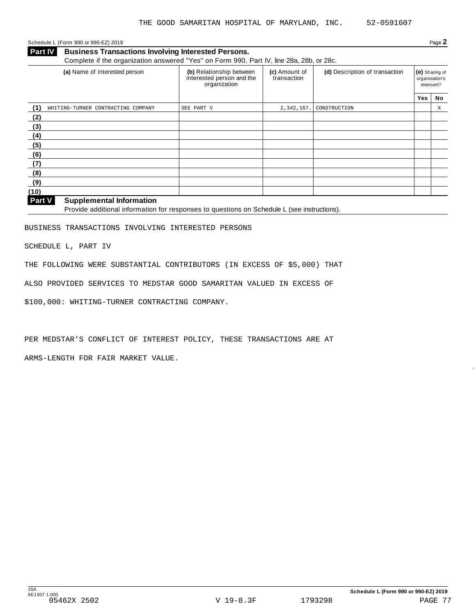### Schedule L (Form 990 or 990-EZ) 2019 Page **2**

**Business Transactions Involving Interested Persons.** Complete if the organization answered "Yes" on Form 990, Part IV, line 28a, 28b, or 28c. **Part IV** 

| (a) Name of interested person             | (b) Relationship between<br>interested person and the<br>organization | (c) Amount of<br>transaction | (d) Description of transaction |            | (e) Sharing of<br>organization's<br>revenues? |
|-------------------------------------------|-----------------------------------------------------------------------|------------------------------|--------------------------------|------------|-----------------------------------------------|
|                                           |                                                                       |                              |                                | <b>Yes</b> | No                                            |
| (1)<br>WHITING-TURNER CONTRACTING COMPANY | SEE PART V                                                            | 2,342,167.                   | CONSTRUCTION                   |            | Χ                                             |
| (2)                                       |                                                                       |                              |                                |            |                                               |
| (3)                                       |                                                                       |                              |                                |            |                                               |
| (4)                                       |                                                                       |                              |                                |            |                                               |
| (5)                                       |                                                                       |                              |                                |            |                                               |
| (6)                                       |                                                                       |                              |                                |            |                                               |
| (7)                                       |                                                                       |                              |                                |            |                                               |
| (8)                                       |                                                                       |                              |                                |            |                                               |
| (9)                                       |                                                                       |                              |                                |            |                                               |
| (10)                                      |                                                                       |                              |                                |            |                                               |

### **Supplemental Information Part V**

Provide additional information for responses to questions on Schedule L (see instructions).

BUSINESS TRANSACTIONS INVOLVING INTERESTED PERSONS

SCHEDULE L, PART IV

THE FOLLOWING WERE SUBSTANTIAL CONTRIBUTORS (IN EXCESS OF \$5,000) THAT

ALSO PROVIDED SERVICES TO MEDSTAR GOOD SAMARITAN VALUED IN EXCESS OF

\$100,000: WHITING-TURNER CONTRACTING COMPANY.

PER MEDSTAR'S CONFLICT OF INTEREST POLICY, THESE TRANSACTIONS ARE AT

ARMS-LENGTH FOR FAIR MARKET VALUE.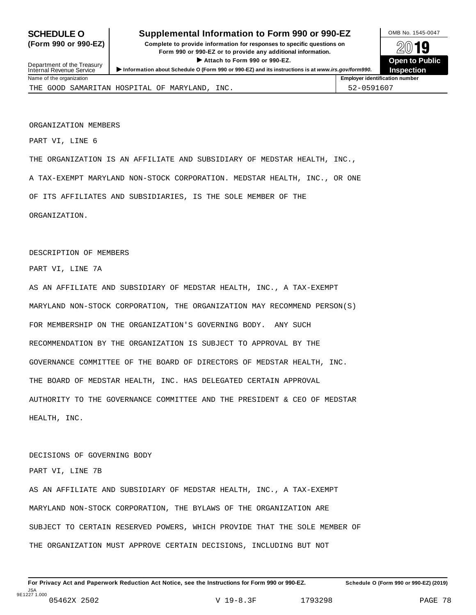## **SCHEDULE O** Supplemental Information to Form 990 or 990-EZ MB No. 1545-0047

**(Form 990 or 990-EZ)** Complete to provide information for responses to specific questions on  $\boxed{\bigcirc\, 2019}$ Form 990 or 990-EZ or to provide any additional information.<br>■ ● Attach to Form 990 or 990-EZ. **Open to Public** 

**Department of the Treasury III Department of the Treasury III Department of the Treasury III Department of the Treasury III Department of Pullishers in the Treasury III Department of Pu<br>Internal Revenue Service III Depar Name of the organization** 

|     |                          |                 |              |    |               |      |                                       | 111313311311 |
|-----|--------------------------|-----------------|--------------|----|---------------|------|---------------------------------------|--------------|
|     | Name of the organization |                 |              |    |               |      | <b>Employer identification number</b> |              |
| THE | GOOD                     | ;AMAR<br>L'I'AN | :TAL<br>HUGD | JF | ANT.<br>MARY. | INC. | 、<br>----                             | <u>61</u>    |

ORGANIZATION MEMBERS

PART VI, LINE 6

THE ORGANIZATION IS AN AFFILIATE AND SUBSIDIARY OF MEDSTAR HEALTH, INC.,

A TAX-EXEMPT MARYLAND NON-STOCK CORPORATION. MEDSTAR HEALTH, INC., OR ONE

OF ITS AFFILIATES AND SUBSIDIARIES, IS THE SOLE MEMBER OF THE

ORGANIZATION.

DESCRIPTION OF MEMBERS

PART VI, LINE 7A

AS AN AFFILIATE AND SUBSIDIARY OF MEDSTAR HEALTH, INC., A TAX-EXEMPT MARYLAND NON-STOCK CORPORATION, THE ORGANIZATION MAY RECOMMEND PERSON(S) FOR MEMBERSHIP ON THE ORGANIZATION'S GOVERNING BODY. ANY SUCH RECOMMENDATION BY THE ORGANIZATION IS SUBJECT TO APPROVAL BY THE GOVERNANCE COMMITTEE OF THE BOARD OF DIRECTORS OF MEDSTAR HEALTH, INC. THE BOARD OF MEDSTAR HEALTH, INC. HAS DELEGATED CERTAIN APPROVAL AUTHORITY TO THE GOVERNANCE COMMITTEE AND THE PRESIDENT & CEO OF MEDSTAR HEALTH, INC.

DECISIONS OF GOVERNING BODY

PART VI, LINE 7B

AS AN AFFILIATE AND SUBSIDIARY OF MEDSTAR HEALTH, INC., A TAX-EXEMPT MARYLAND NON-STOCK CORPORATION, THE BYLAWS OF THE ORGANIZATION ARE SUBJECT TO CERTAIN RESERVED POWERS, WHICH PROVIDE THAT THE SOLE MEMBER OF THE ORGANIZATION MUST APPROVE CERTAIN DECISIONS, INCLUDING BUT NOT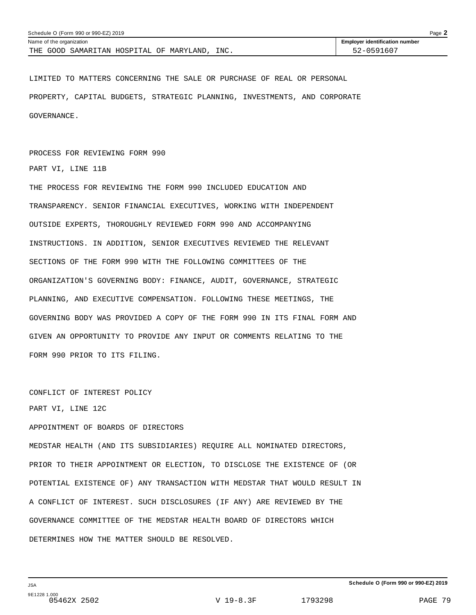| Schedule O (Form 990 or 990-EZ) 2019             |                                       |  |  |  |  |
|--------------------------------------------------|---------------------------------------|--|--|--|--|
| Name of the organization                         | <b>Employer identification number</b> |  |  |  |  |
| THE GOOD SAMARITAN HOSPITAL OF MARYLAND.<br>INC. | 52-0591607                            |  |  |  |  |

LIMITED TO MATTERS CONCERNING THE SALE OR PURCHASE OF REAL OR PERSONAL PROPERTY, CAPITAL BUDGETS, STRATEGIC PLANNING, INVESTMENTS, AND CORPORATE GOVERNANCE.

PROCESS FOR REVIEWING FORM 990

PART VI, LINE 11B

THE PROCESS FOR REVIEWING THE FORM 990 INCLUDED EDUCATION AND TRANSPARENCY. SENIOR FINANCIAL EXECUTIVES, WORKING WITH INDEPENDENT OUTSIDE EXPERTS, THOROUGHLY REVIEWED FORM 990 AND ACCOMPANYING INSTRUCTIONS. IN ADDITION, SENIOR EXECUTIVES REVIEWED THE RELEVANT SECTIONS OF THE FORM 990 WITH THE FOLLOWING COMMITTEES OF THE ORGANIZATION'S GOVERNING BODY: FINANCE, AUDIT, GOVERNANCE, STRATEGIC PLANNING, AND EXECUTIVE COMPENSATION. FOLLOWING THESE MEETINGS, THE GOVERNING BODY WAS PROVIDED A COPY OF THE FORM 990 IN ITS FINAL FORM AND GIVEN AN OPPORTUNITY TO PROVIDE ANY INPUT OR COMMENTS RELATING TO THE FORM 990 PRIOR TO ITS FILING.

CONFLICT OF INTEREST POLICY

PART VI, LINE 12C

APPOINTMENT OF BOARDS OF DIRECTORS

MEDSTAR HEALTH (AND ITS SUBSIDIARIES) REQUIRE ALL NOMINATED DIRECTORS, PRIOR TO THEIR APPOINTMENT OR ELECTION, TO DISCLOSE THE EXISTENCE OF (OR POTENTIAL EXISTENCE OF) ANY TRANSACTION WITH MEDSTAR THAT WOULD RESULT IN A CONFLICT OF INTEREST. SUCH DISCLOSURES (IF ANY) ARE REVIEWED BY THE GOVERNANCE COMMITTEE OF THE MEDSTAR HEALTH BOARD OF DIRECTORS WHICH DETERMINES HOW THE MATTER SHOULD BE RESOLVED.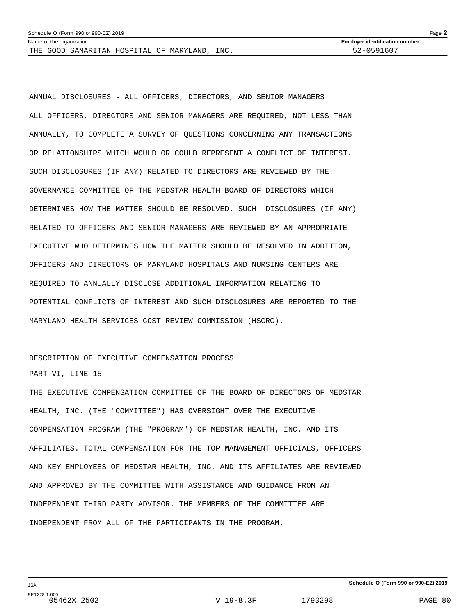| Schedule O (Form 990 or 990-EZ) 2019             | Page $\blacktriangle$                 |
|--------------------------------------------------|---------------------------------------|
| Name of the organization                         | <b>Employer identification number</b> |
| INC.<br>THE GOOD SAMARITAN HOSPITAL OF MARYLAND, | 52-0591607                            |

ANNUAL DISCLOSURES - ALL OFFICERS, DIRECTORS, AND SENIOR MANAGERS ALL OFFICERS, DIRECTORS AND SENIOR MANAGERS ARE REQUIRED, NOT LESS THAN ANNUALLY, TO COMPLETE A SURVEY OF QUESTIONS CONCERNING ANY TRANSACTIONS OR RELATIONSHIPS WHICH WOULD OR COULD REPRESENT A CONFLICT OF INTEREST. SUCH DISCLOSURES (IF ANY) RELATED TO DIRECTORS ARE REVIEWED BY THE GOVERNANCE COMMITTEE OF THE MEDSTAR HEALTH BOARD OF DIRECTORS WHICH DETERMINES HOW THE MATTER SHOULD BE RESOLVED. SUCH DISCLOSURES (IF ANY) RELATED TO OFFICERS AND SENIOR MANAGERS ARE REVIEWED BY AN APPROPRIATE EXECUTIVE WHO DETERMINES HOW THE MATTER SHOULD BE RESOLVED IN ADDITION, OFFICERS AND DIRECTORS OF MARYLAND HOSPITALS AND NURSING CENTERS ARE REQUIRED TO ANNUALLY DISCLOSE ADDITIONAL INFORMATION RELATING TO POTENTIAL CONFLICTS OF INTEREST AND SUCH DISCLOSURES ARE REPORTED TO THE MARYLAND HEALTH SERVICES COST REVIEW COMMISSION (HSCRC).

### DESCRIPTION OF EXECUTIVE COMPENSATION PROCESS

PART VI, LINE 15

THE EXECUTIVE COMPENSATION COMMITTEE OF THE BOARD OF DIRECTORS OF MEDSTAR HEALTH, INC. (THE "COMMITTEE") HAS OVERSIGHT OVER THE EXECUTIVE COMPENSATION PROGRAM (THE "PROGRAM") OF MEDSTAR HEALTH, INC. AND ITS AFFILIATES. TOTAL COMPENSATION FOR THE TOP MANAGEMENT OFFICIALS, OFFICERS AND KEY EMPLOYEES OF MEDSTAR HEALTH, INC. AND ITS AFFILIATES ARE REVIEWED AND APPROVED BY THE COMMITTEE WITH ASSISTANCE AND GUIDANCE FROM AN INDEPENDENT THIRD PARTY ADVISOR. THE MEMBERS OF THE COMMITTEE ARE INDEPENDENT FROM ALL OF THE PARTICIPANTS IN THE PROGRAM.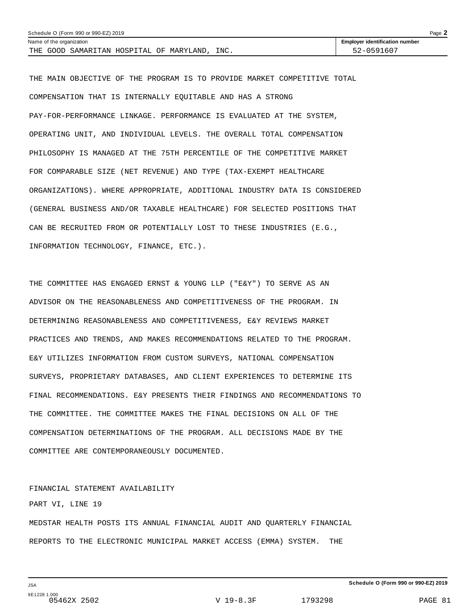| Schedule O (Form 990 or 990-EZ) 2019             | Page $\blacktriangle$                 |
|--------------------------------------------------|---------------------------------------|
| Name of the organization                         | <b>Employer identification number</b> |
| INC.<br>THE GOOD SAMARITAN HOSPITAL OF MARYLAND, | 52-0591607                            |

THE MAIN OBJECTIVE OF THE PROGRAM IS TO PROVIDE MARKET COMPETITIVE TOTAL COMPENSATION THAT IS INTERNALLY EQUITABLE AND HAS A STRONG PAY-FOR-PERFORMANCE LINKAGE. PERFORMANCE IS EVALUATED AT THE SYSTEM, OPERATING UNIT, AND INDIVIDUAL LEVELS. THE OVERALL TOTAL COMPENSATION PHILOSOPHY IS MANAGED AT THE 75TH PERCENTILE OF THE COMPETITIVE MARKET FOR COMPARABLE SIZE (NET REVENUE) AND TYPE (TAX-EXEMPT HEALTHCARE ORGANIZATIONS). WHERE APPROPRIATE, ADDITIONAL INDUSTRY DATA IS CONSIDERED (GENERAL BUSINESS AND/OR TAXABLE HEALTHCARE) FOR SELECTED POSITIONS THAT CAN BE RECRUITED FROM OR POTENTIALLY LOST TO THESE INDUSTRIES (E.G., INFORMATION TECHNOLOGY, FINANCE, ETC.).

THE COMMITTEE HAS ENGAGED ERNST & YOUNG LLP ("E&Y") TO SERVE AS AN ADVISOR ON THE REASONABLENESS AND COMPETITIVENESS OF THE PROGRAM. IN DETERMINING REASONABLENESS AND COMPETITIVENESS, E&Y REVIEWS MARKET PRACTICES AND TRENDS, AND MAKES RECOMMENDATIONS RELATED TO THE PROGRAM. E&Y UTILIZES INFORMATION FROM CUSTOM SURVEYS, NATIONAL COMPENSATION SURVEYS, PROPRIETARY DATABASES, AND CLIENT EXPERIENCES TO DETERMINE ITS FINAL RECOMMENDATIONS. E&Y PRESENTS THEIR FINDINGS AND RECOMMENDATIONS TO THE COMMITTEE. THE COMMITTEE MAKES THE FINAL DECISIONS ON ALL OF THE COMPENSATION DETERMINATIONS OF THE PROGRAM. ALL DECISIONS MADE BY THE COMMITTEE ARE CONTEMPORANEOUSLY DOCUMENTED.

FINANCIAL STATEMENT AVAILABILITY PART VI, LINE 19 MEDSTAR HEALTH POSTS ITS ANNUAL FINANCIAL AUDIT AND QUARTERLY FINANCIAL REPORTS TO THE ELECTRONIC MUNICIPAL MARKET ACCESS (EMMA) SYSTEM. THE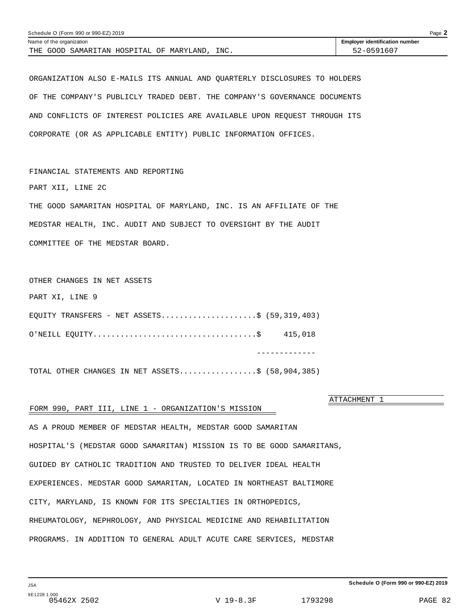| Schedule O (Form 990 or 990-EZ) 2019<br>Page $\blacktriangle$ |                                       |  |  |  |  |
|---------------------------------------------------------------|---------------------------------------|--|--|--|--|
| Name of the organization                                      | <b>Employer identification number</b> |  |  |  |  |
| THE GOOD SAMARITAN HOSPITAL OF MARYLAND,<br>INC.              | 52-0591607                            |  |  |  |  |

ORGANIZATION ALSO E-MAILS ITS ANNUAL AND QUARTERLY DISCLOSURES TO HOLDERS OF THE COMPANY'S PUBLICLY TRADED DEBT. THE COMPANY'S GOVERNANCE DOCUMENTS AND CONFLICTS OF INTEREST POLICIES ARE AVAILABLE UPON REQUEST THROUGH ITS CORPORATE (OR AS APPLICABLE ENTITY) PUBLIC INFORMATION OFFICES.

FINANCIAL STATEMENTS AND REPORTING PART XII, LINE 2C THE GOOD SAMARITAN HOSPITAL OF MARYLAND, INC. IS AN AFFILIATE OF THE MEDSTAR HEALTH, INC. AUDIT AND SUBJECT TO OVERSIGHT BY THE AUDIT COMMITTEE OF THE MEDSTAR BOARD.

OTHER CHANGES IN NET ASSETS PART XI, LINE 9

| EOUITY TRANSFERS - NET ASSETS\$ $(59, 319, 403)$ |  |  |  |  |  |  |
|--------------------------------------------------|--|--|--|--|--|--|
|                                                  |  |  |  |  |  |  |
|                                                  |  |  |  |  |  |  |

TOTAL OTHER CHANGES IN NET ASSETS..................\$ (58,904,385)

### FORM 990, PART III, LINE 1 - ORGANIZATION'S MISSION

AS A PROUD MEMBER OF MEDSTAR HEALTH, MEDSTAR GOOD SAMARITAN HOSPITAL'S (MEDSTAR GOOD SAMARITAN) MISSION IS TO BE GOOD SAMARITANS, GUIDED BY CATHOLIC TRADITION AND TRUSTED TO DELIVER IDEAL HEALTH EXPERIENCES. MEDSTAR GOOD SAMARITAN, LOCATED IN NORTHEAST BALTIMORE CITY, MARYLAND, IS KNOWN FOR ITS SPECIALTIES IN ORTHOPEDICS, RHEUMATOLOGY, NEPHROLOGY, AND PHYSICAL MEDICINE AND REHABILITATION PROGRAMS. IN ADDITION TO GENERAL ADULT ACUTE CARE SERVICES, MEDSTAR

ATTACHMENT 1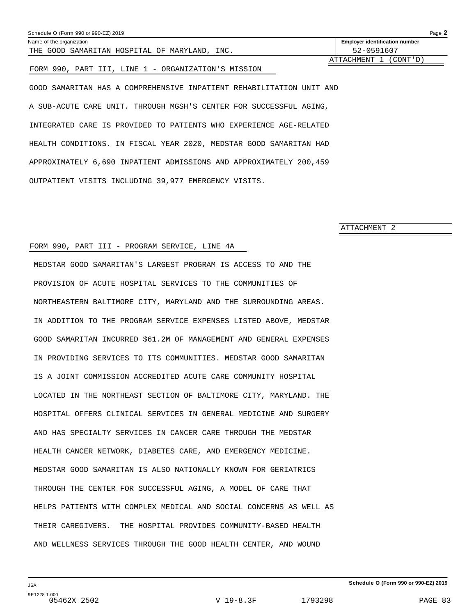| Page 2<br>Schedule O (Form 990 or 990-EZ) 2019      |                                       |  |  |  |  |  |
|-----------------------------------------------------|---------------------------------------|--|--|--|--|--|
| Name of the organization                            | <b>Employer identification number</b> |  |  |  |  |  |
| THE GOOD SAMARITAN HOSPITAL OF MARYLAND, INC.       | 52-0591607                            |  |  |  |  |  |
|                                                     | ATTACHMENT 1 (CONT'D)                 |  |  |  |  |  |
| FORM 990, PART III, LINE 1 - ORGANIZATION'S MISSION |                                       |  |  |  |  |  |

GOOD SAMARITAN HAS A COMPREHENSIVE INPATIENT REHABILITATION UNIT AND A SUB-ACUTE CARE UNIT. THROUGH MGSH'S CENTER FOR SUCCESSFUL AGING, INTEGRATED CARE IS PROVIDED TO PATIENTS WHO EXPERIENCE AGE-RELATED HEALTH CONDITIONS. IN FISCAL YEAR 2020, MEDSTAR GOOD SAMARITAN HAD APPROXIMATELY 6,690 INPATIENT ADMISSIONS AND APPROXIMATELY 200,459 OUTPATIENT VISITS INCLUDING 39,977 EMERGENCY VISITS.

ATTACHMENT 2

### FORM 990, PART III - PROGRAM SERVICE, LINE 4A

MEDSTAR GOOD SAMARITAN'S LARGEST PROGRAM IS ACCESS TO AND THE PROVISION OF ACUTE HOSPITAL SERVICES TO THE COMMUNITIES OF NORTHEASTERN BALTIMORE CITY, MARYLAND AND THE SURROUNDING AREAS. IN ADDITION TO THE PROGRAM SERVICE EXPENSES LISTED ABOVE, MEDSTAR GOOD SAMARITAN INCURRED \$61.2M OF MANAGEMENT AND GENERAL EXPENSES IN PROVIDING SERVICES TO ITS COMMUNITIES. MEDSTAR GOOD SAMARITAN IS A JOINT COMMISSION ACCREDITED ACUTE CARE COMMUNITY HOSPITAL LOCATED IN THE NORTHEAST SECTION OF BALTIMORE CITY, MARYLAND. THE HOSPITAL OFFERS CLINICAL SERVICES IN GENERAL MEDICINE AND SURGERY AND HAS SPECIALTY SERVICES IN CANCER CARE THROUGH THE MEDSTAR HEALTH CANCER NETWORK, DIABETES CARE, AND EMERGENCY MEDICINE. MEDSTAR GOOD SAMARITAN IS ALSO NATIONALLY KNOWN FOR GERIATRICS THROUGH THE CENTER FOR SUCCESSFUL AGING, A MODEL OF CARE THAT HELPS PATIENTS WITH COMPLEX MEDICAL AND SOCIAL CONCERNS AS WELL AS THEIR CAREGIVERS. THE HOSPITAL PROVIDES COMMUNITY-BASED HEALTH AND WELLNESS SERVICES THROUGH THE GOOD HEALTH CENTER, AND WOUND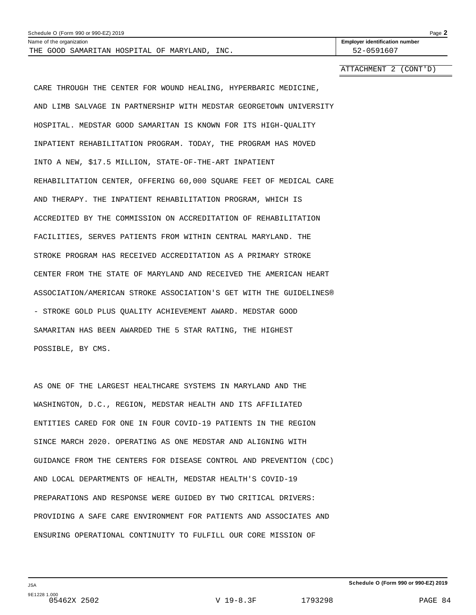| $\sim$<br>റററ<br>റററ<br>2019<br>Schedule<br>⊦orm<br>- 390-1<br>---- | - ההר<br>$\sim$ |
|---------------------------------------------------------------------|-----------------|
|                                                                     |                 |

THE GOOD SAMARITAN HOSPITAL OF MARYLAND, INC.  $\vert$  52-0591607

Name of the organization **Employer identification number Employer identification number** 

ATTACHMENT 2 (CONT'D)

CARE THROUGH THE CENTER FOR WOUND HEALING, HYPERBARIC MEDICINE, AND LIMB SALVAGE IN PARTNERSHIP WITH MEDSTAR GEORGETOWN UNIVERSITY HOSPITAL. MEDSTAR GOOD SAMARITAN IS KNOWN FOR ITS HIGH-QUALITY INPATIENT REHABILITATION PROGRAM. TODAY, THE PROGRAM HAS MOVED INTO A NEW, \$17.5 MILLION, STATE-OF-THE-ART INPATIENT REHABILITATION CENTER, OFFERING 60,000 SQUARE FEET OF MEDICAL CARE AND THERAPY. THE INPATIENT REHABILITATION PROGRAM, WHICH IS ACCREDITED BY THE COMMISSION ON ACCREDITATION OF REHABILITATION FACILITIES, SERVES PATIENTS FROM WITHIN CENTRAL MARYLAND. THE STROKE PROGRAM HAS RECEIVED ACCREDITATION AS A PRIMARY STROKE CENTER FROM THE STATE OF MARYLAND AND RECEIVED THE AMERICAN HEART ASSOCIATION/AMERICAN STROKE ASSOCIATION'S GET WITH THE GUIDELINES® - STROKE GOLD PLUS QUALITY ACHIEVEMENT AWARD. MEDSTAR GOOD SAMARITAN HAS BEEN AWARDED THE 5 STAR RATING, THE HIGHEST POSSIBLE, BY CMS.

AS ONE OF THE LARGEST HEALTHCARE SYSTEMS IN MARYLAND AND THE WASHINGTON, D.C., REGION, MEDSTAR HEALTH AND ITS AFFILIATED ENTITIES CARED FOR ONE IN FOUR COVID-19 PATIENTS IN THE REGION SINCE MARCH 2020. OPERATING AS ONE MEDSTAR AND ALIGNING WITH GUIDANCE FROM THE CENTERS FOR DISEASE CONTROL AND PREVENTION (CDC) AND LOCAL DEPARTMENTS OF HEALTH, MEDSTAR HEALTH'S COVID-19 PREPARATIONS AND RESPONSE WERE GUIDED BY TWO CRITICAL DRIVERS: PROVIDING A SAFE CARE ENVIRONMENT FOR PATIENTS AND ASSOCIATES AND ENSURING OPERATIONAL CONTINUITY TO FULFILL OUR CORE MISSION OF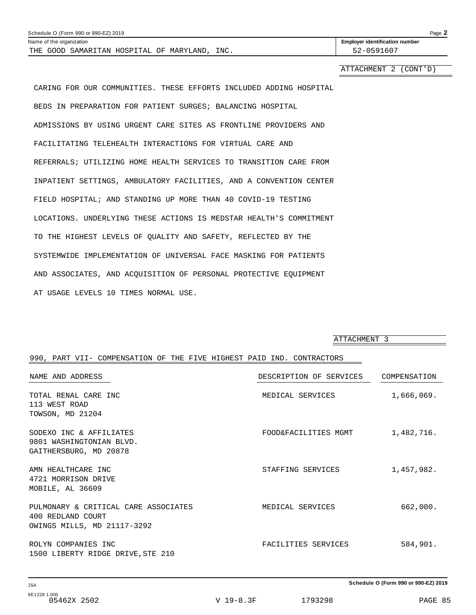| Schedule O (Form 990 or 990-EZ) 2019          | Page 2                                |  |
|-----------------------------------------------|---------------------------------------|--|
| Name of the organization                      | <b>Employer identification number</b> |  |
| THE GOOD SAMARITAN HOSPITAL OF MARYLAND, INC. | 52-0591607                            |  |
|                                               |                                       |  |

ATTACHMENT 2 (CONT'D)

CARING FOR OUR COMMUNITIES. THESE EFFORTS INCLUDED ADDING HOSPITAL BEDS IN PREPARATION FOR PATIENT SURGES; BALANCING HOSPITAL ADMISSIONS BY USING URGENT CARE SITES AS FRONTLINE PROVIDERS AND FACILITATING TELEHEALTH INTERACTIONS FOR VIRTUAL CARE AND REFERRALS; UTILIZING HOME HEALTH SERVICES TO TRANSITION CARE FROM INPATIENT SETTINGS, AMBULATORY FACILITIES, AND A CONVENTION CENTER FIELD HOSPITAL; AND STANDING UP MORE THAN 40 COVID-19 TESTING LOCATIONS. UNDERLYING THESE ACTIONS IS MEDSTAR HEALTH'S COMMITMENT TO THE HIGHEST LEVELS OF QUALITY AND SAFETY, REFLECTED BY THE SYSTEMWIDE IMPLEMENTATION OF UNIVERSAL FACE MASKING FOR PATIENTS AND ASSOCIATES, AND ACQUISITION OF PERSONAL PROTECTIVE EQUIPMENT AT USAGE LEVELS 10 TIMES NORMAL USE.

| $\Delta$ CH,<br>n<br>M.<br>--- |  |
|--------------------------------|--|

### 990, PART VII- COMPENSATION OF THE FIVE HIGHEST PAID IND. CONTRACTORS

| NAME AND ADDRESS                                                                         | DESCRIPTION OF SERVICES | COMPENSATION |
|------------------------------------------------------------------------------------------|-------------------------|--------------|
| TOTAL RENAL CARE INC<br>113 WEST ROAD<br>TOWSON, MD 21204                                | MEDICAL SERVICES        | 1,666,069.   |
| SODEXO INC & AFFILIATES<br>9801 WASHINGTONIAN BLVD.<br>GAITHERSBURG, MD 20878            | FOOD&FACILITIES MGMT    | 1,482,716.   |
| AMN HEALTHCARE INC<br>4721 MORRISON DRIVE<br>MOBILE, AL 36609                            | STAFFING SERVICES       | 1,457,982.   |
| PULMONARY & CRITICAL CARE ASSOCIATES<br>400 REDLAND COURT<br>OWINGS MILLS, MD 21117-3292 | MEDICAL SERVICES        | 662,000.     |
| ROLYN COMPANIES INC<br>1500 LIBERTY RIDGE DRIVE, STE 210                                 | FACILITIES SERVICES     | 584,901.     |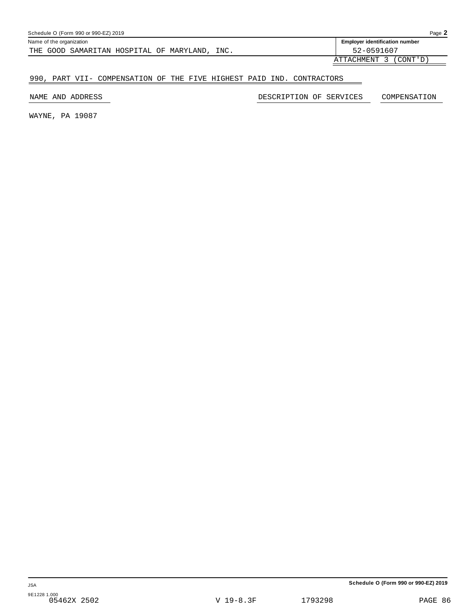| Schedule O (Form 990 or 990-EZ) 2019          | Page $\lambda$                        |
|-----------------------------------------------|---------------------------------------|
| Name of the organization                      | <b>Employer identification number</b> |
| THE GOOD SAMARITAN HOSPITAL OF MARYLAND, INC. | 52-0591607                            |
|                                               | ATTACHMENT 3<br>(CONT'D)              |

### 990, PART VII- COMPENSATION OF THE FIVE HIGHEST PAID IND. CONTRACTORS

NAME AND ADDRESS  $\hfill$  DESCRIPTION OF SERVICES  $\hfill$  COMPENSATION

WAYNE, PA 19087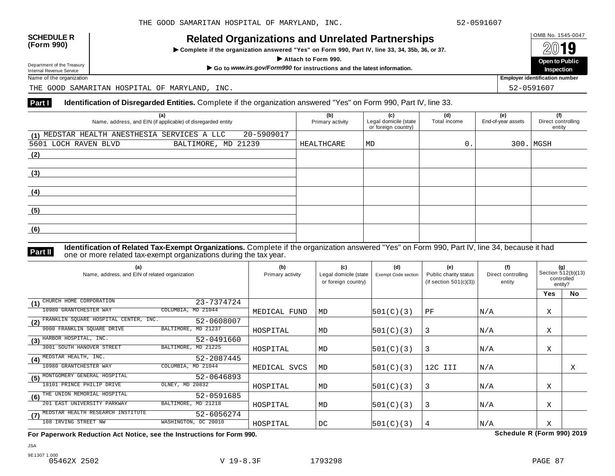INCIALCU OF GATIZATIONS AND ON CIALCUT AFTIC STIPS<br>► Complete if the organization answered "Yes" on Form 990, Part IV, line 33, 34, 35b, 36, or 37. △ △ △ △ △



Name of the organization **Employer identification number Employer identification number** 

THE GOOD SAMARITAN HOSPITAL OF MARYLAND, INC. SAMARYLAND SAMARY AND SAMARY SAMARY SAMARY SAMARY SAMARY SAMARY SAMARY SAMARY SAMARY SAMARY SAMARY SAMARY SAMARY SAMARY SAMARY SAMARY SAMARY SAMARY SAMARY SAMARY SAMARY SAMARY

### Part I Identification of Disregarded Entities. Complete if the organization answered "Yes" on Form 990, Part IV, line 33.

| (a)<br>Name, address, and EIN (if applicable) of disregarded entity | (b)<br>Primary activity | (c)<br>Legal domicile (state<br>or foreign country) | (d)<br>Total income | (e)<br>End-of-year assets | (f)<br>Direct controlling<br>entity |
|---------------------------------------------------------------------|-------------------------|-----------------------------------------------------|---------------------|---------------------------|-------------------------------------|
| 20-5909017<br>(1) MEDSTAR HEALTH ANESTHESIA SERVICES A LLC          |                         |                                                     |                     |                           |                                     |
| 5601 LOCH RAVEN BLVD<br>BALTIMORE, MD 21239                         | HEALTHCARE              | $\vert$ MD                                          | 0.                  |                           | $300.$ MGSH                         |
| (2)                                                                 |                         |                                                     |                     |                           |                                     |
|                                                                     |                         |                                                     |                     |                           |                                     |
| (3)                                                                 |                         |                                                     |                     |                           |                                     |
|                                                                     |                         |                                                     |                     |                           |                                     |
| (4)                                                                 |                         |                                                     |                     |                           |                                     |
|                                                                     |                         |                                                     |                     |                           |                                     |
| (5)                                                                 |                         |                                                     |                     |                           |                                     |
|                                                                     |                         |                                                     |                     |                           |                                     |
| (6)                                                                 |                         |                                                     |                     |                           |                                     |
|                                                                     |                         |                                                     |                     |                           |                                     |

**Identification of Related Tax-Exempt Organizations.** Complete if the organization answered "Yes" on Form 990, Part IV, line 34, because it had **Part II** one or more related tax-exempt organizations during the tax year.

| (a)<br>Name, address, and EIN of related organization |                      | (b)<br>Primary activity | (c)<br>Legal domicile (state<br>or foreign country) | (d)<br><b>Exempt Code section</b> | (e)<br>Public charity status<br>(if section $501(c)(3)$ ) | (f)<br>Direct controlling<br>entity | (g)<br>Section 512(b)(13)<br>controlled<br>entity? |           |
|-------------------------------------------------------|----------------------|-------------------------|-----------------------------------------------------|-----------------------------------|-----------------------------------------------------------|-------------------------------------|----------------------------------------------------|-----------|
|                                                       |                      |                         |                                                     |                                   |                                                           |                                     | Yes                                                | <b>No</b> |
| CHURCH HOME CORPORATION<br>(1)                        | 23-7374724           |                         |                                                     |                                   |                                                           |                                     |                                                    |           |
| 10980 GRANTCHESTER WAY                                | COLUMBIA, MD 21044   | MEDICAL FUND            | MD                                                  | 501(C)(3)                         | PF                                                        | N/A                                 | Χ                                                  |           |
| FRANKLIN SQUARE HOSPITAL CENTER, INC.<br>(2)          | 52-0608007           |                         |                                                     |                                   |                                                           |                                     |                                                    |           |
| 9000 FRANKLIN SQUARE DRIVE                            | BALTIMORE, MD 21237  | HOSPITAL                | MD                                                  | 501(C)(3)                         | 3                                                         | N/A                                 | Χ                                                  |           |
| HARBOR HOSPITAL, INC.<br>(3)                          | 52-0491660           |                         |                                                     |                                   |                                                           |                                     |                                                    |           |
| 3001 SOUTH HANOVER STREET                             | BALTIMORE, MD 21225  | HOSPITAL                | MD                                                  | 501(C)(3)                         | 3                                                         | N/A                                 | Χ                                                  |           |
| MEDSTAR HEALTH, INC.<br>(4)                           | 52-2087445           |                         |                                                     |                                   |                                                           |                                     |                                                    |           |
| 10980 GRANTCHESTER WAY                                | COLUMBIA, MD 21044   | MEDICAL SVCS            | MD                                                  | 501(C)(3)                         | 12C III                                                   | N/A                                 |                                                    | Χ         |
| MONTGOMERY GENERAL HOSPITAL<br>(5)                    | 52-0646893           |                         |                                                     |                                   |                                                           |                                     |                                                    |           |
| 18101 PRINCE PHILIP DRIVE                             | OLNEY, MD 20832      | HOSPITAL                | MD                                                  | 501(C)(3)                         | 3                                                         | N/A                                 | Χ                                                  |           |
| (6) THE UNION MEMORIAL HOSPITAL                       | 52-0591685           |                         |                                                     |                                   |                                                           |                                     |                                                    |           |
| 201 EAST UNIVERSITY PARKWAY                           | BALTIMORE, MD 21218  | HOSPITAL                | MD                                                  | 501(C)(3)                         | 3                                                         | N/A                                 | X                                                  |           |
| MEDSTAR HEALTH RESEARCH INSTITUTE<br>(7)              | 52-6056274           |                         |                                                     |                                   |                                                           |                                     |                                                    |           |
| 108 IRVING STREET NW                                  | WASHINGTON, DC 20010 | HOSPITAL                | DC                                                  | 501(C)(3)                         | 4                                                         | N/A                                 | Χ                                                  |           |

**For Paperwork Reduction Act Notice, see the Instructions for Form 990. Schedule R (Form 990) 2019**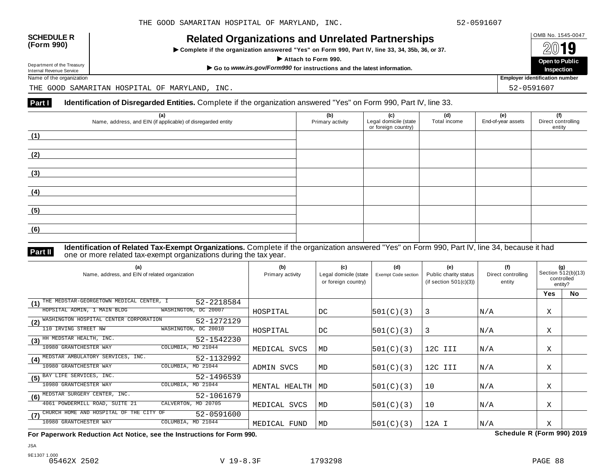| <b>SCHEDULE R</b> |  |
|-------------------|--|
| (Form 990)        |  |

INCIALCU OF GATIZATIONS AND ON CIALCUT AFTIC STIPS<br>► Complete if the organization answered "Yes" on Form 990, Part IV, line 33, 34, 35b, 36, or 37. △ △ △ △ △



Name of the organization **Employer identification number Employer identification number** 

THE GOOD SAMARITAN HOSPITAL OF MARYLAND, INC. SAMARYLAND SAMARY AND SAMARY SAMARY SAMARY SAMARY SAMARY SAMARY SAMARY SAMARY SAMARY SAMARY SAMARY SAMARY SAMARY SAMARY SAMARY SAMARY SAMARY SAMARY SAMARY SAMARY SAMARY SAMARY

### **Part I** Identification of Disregarded Entities. Complete if the organization answered "Yes" on Form 990, Part IV, line 33.

| (a)<br>Name, address, and EIN (if applicable) of disregarded entity | (b)<br>Primary activity | (c)<br>Legal domicile (state<br>or foreign country) | (d)<br>Total income | (e)<br>End-of-year assets | (f)<br>Direct controlling<br>entity |
|---------------------------------------------------------------------|-------------------------|-----------------------------------------------------|---------------------|---------------------------|-------------------------------------|
| (1)                                                                 |                         |                                                     |                     |                           |                                     |
| (2)                                                                 |                         |                                                     |                     |                           |                                     |
| (3)                                                                 |                         |                                                     |                     |                           |                                     |
| (4)                                                                 |                         |                                                     |                     |                           |                                     |
| (5)                                                                 |                         |                                                     |                     |                           |                                     |
| (6)                                                                 |                         |                                                     |                     |                           |                                     |

**Identification of Related Tax-Exempt Organizations.** Complete if the organization answered "Yes" on Form 990, Part IV, line 34, because it had **Part II one or more related tax-exempt organizations during the tax year. Part II one or more related tax-exempt organizations during the tax year.** 

| (a)<br>Name, address, and EIN of related organization         | (b)<br>Primary activity | (c)<br>Legal domicile (state<br>or foreign country) | (d)<br>Exempt Code section | (e)<br>Public charity status<br>(if section $501(c)(3)$ ) | (f)<br>Direct controlling<br>entity | (g)<br>Section 512(b)(13)<br>controlled<br>entity? |           |
|---------------------------------------------------------------|-------------------------|-----------------------------------------------------|----------------------------|-----------------------------------------------------------|-------------------------------------|----------------------------------------------------|-----------|
|                                                               |                         |                                                     |                            |                                                           |                                     | Yes                                                | <b>No</b> |
| THE MEDSTAR-GEORGETOWN MEDICAL CENTER, I<br>52-2218584<br>(1) |                         |                                                     |                            |                                                           |                                     |                                                    |           |
| HOPSITAL ADMIN, 1 MAIN BLDG<br>WASHINGTON, DC 20007           | HOSPITAL                | DC                                                  | 501(C)(3)                  | 3                                                         | N/A                                 | Χ                                                  |           |
| WASHINGTON HOSPITAL CENTER CORPORATION<br>52-1272129<br>(2)   |                         |                                                     |                            |                                                           |                                     |                                                    |           |
| 110 IRVING STREET NW<br>WASHINGTON, DC 20010                  | HOSPITAL                | DC                                                  | 501(C)(3)                  | 3                                                         | N/A                                 | Χ                                                  |           |
| HH MEDSTAR HEALTH, INC.<br>52-1542230<br>(3)                  |                         |                                                     |                            |                                                           |                                     |                                                    |           |
| 10980 GRANTCHESTER WAY<br>COLUMBIA, MD 21044                  | MEDICAL SVCS            | MD                                                  | 501(C)(3)                  | 12C III                                                   | N/A                                 | X                                                  |           |
| MEDSTAR AMBULATORY SERVICES, INC.<br>52-1132992<br>(4)        |                         |                                                     |                            |                                                           |                                     |                                                    |           |
| 10980 GRANTCHESTER WAY<br>COLUMBIA, MD 21044                  | ADMIN SVCS              | MD                                                  | 501(C)(3)                  | 12C III                                                   | N/A                                 | Χ                                                  |           |
| BAY LIFE SERVICES, INC.<br>52-1496539<br>(5)                  |                         |                                                     |                            |                                                           |                                     |                                                    |           |
| 10980 GRANTCHESTER WAY<br>COLUMBIA, MD 21044                  | MENTAL HEALTH           | MD                                                  | 501(C)(3)                  | 10                                                        | N/A                                 | Χ                                                  |           |
| (6) MEDSTAR SURGERY CENTER, INC.<br>52-1061679                |                         |                                                     |                            |                                                           |                                     |                                                    |           |
| 4061 POWDERMILL ROAD, SUITE 21<br>CALVERTON, MD 20705         | MEDICAL SVCS            | MD                                                  | 501(C)(3)                  | 10                                                        | N/A                                 | X                                                  |           |
| CHURCH HOME AND HOSPITAL OF THE CITY OF<br>52-0591600<br>(7)  |                         |                                                     |                            |                                                           |                                     |                                                    |           |
| COLUMBIA, MD 21044<br>10980 GRANTCHESTER WAY                  | MEDICAL FUND            | MD                                                  | 501(C)(3)                  | 12A I                                                     | N/A                                 | Χ                                                  |           |

**For Paperwork Reduction Act Notice, see the Instructions for Form 990. Schedule R (Form 990) 2019**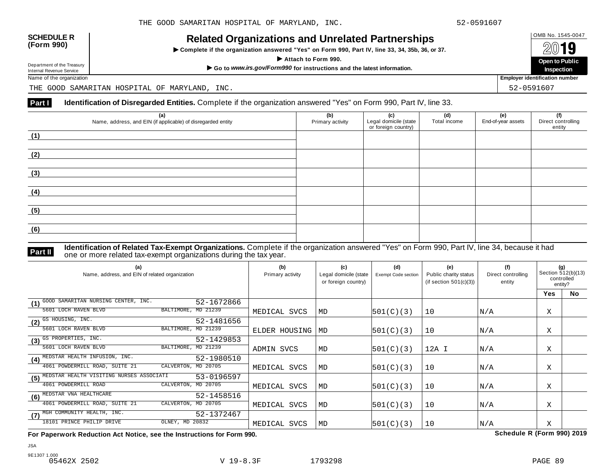| <b>SCHEDULE R</b> |  |
|-------------------|--|
| (Form 990)        |  |

INCIALCU OF GATIZATIONS AND ON CIALCUT AFTIC STIPS<br>► Complete if the organization answered "Yes" on Form 990, Part IV, line 33, 34, 35b, 36, or 37. △ △ △ △ △



Name of the organization **Employer identification number Employer identification number** 

THE GOOD SAMARITAN HOSPITAL OF MARYLAND, INC. SAMARYLAND SAMARY AND SAMARY SAMARY SAMARY SAMARY SAMARY SAMARY SAMARY SAMARY SAMARY SAMARY SAMARY SAMARY SAMARY SAMARY SAMARY SAMARY SAMARY SAMARY SAMARY SAMARY SAMARY SAMARY

### **Part I** Identification of Disregarded Entities. Complete if the organization answered "Yes" on Form 990, Part IV, line 33.

| (a)<br>Name, address, and EIN (if applicable) of disregarded entity | (b)<br>Primary activity | (c)<br>Legal domicile (state<br>or foreign country) | (d)<br>Total income | (e)<br>End-of-year assets | (f)<br>Direct controlling<br>entity |
|---------------------------------------------------------------------|-------------------------|-----------------------------------------------------|---------------------|---------------------------|-------------------------------------|
| (1)                                                                 |                         |                                                     |                     |                           |                                     |
| (2)                                                                 |                         |                                                     |                     |                           |                                     |
| (3)                                                                 |                         |                                                     |                     |                           |                                     |
| (4)                                                                 |                         |                                                     |                     |                           |                                     |
| (5)                                                                 |                         |                                                     |                     |                           |                                     |
| (6)                                                                 |                         |                                                     |                     |                           |                                     |

**Identification of Related Tax-Exempt Organizations.** Complete if the organization answered "Yes" on Form 990, Part IV, line 34, because it had **Part II one or more related tax-exempt organizations during the tax year. Part II one or more related tax-exempt organizations during the tax year.** 

| (a)<br>Name, address, and EIN of related organization         | (b)<br>Primary activity | (c)<br>Legal domicile (state<br>or foreign country) | (d)<br>Exempt Code section | (e)<br>Public charity status<br>(if section $501(c)(3)$ ) | (f)<br>Direct controlling<br>entity | (g)<br>Section 512(b)(13)<br>controlled<br>entity? |           |
|---------------------------------------------------------------|-------------------------|-----------------------------------------------------|----------------------------|-----------------------------------------------------------|-------------------------------------|----------------------------------------------------|-----------|
|                                                               |                         |                                                     |                            |                                                           |                                     | <b>Yes</b>                                         | <b>No</b> |
| GOOD SAMARITAN NURSING CENTER, INC.<br>52-1672866<br>(1)      |                         |                                                     |                            |                                                           |                                     |                                                    |           |
| BALTIMORE, MD 21239<br>5601 LOCH RAVEN BLVD                   | MEDICAL SVCS            | MD                                                  | 501(C)(3)                  | 10                                                        | N/A                                 | Χ                                                  |           |
| $(2)$ $\overline{\text{GS HOUSING, INC.}}$<br>52-1481656      |                         |                                                     |                            |                                                           |                                     |                                                    |           |
| BALTIMORE, MD 21239<br>5601 LOCH RAVEN BLVD                   | ELDER HOUSING           | MD                                                  | 501(C)(3)                  | 10                                                        | N/A                                 | Χ                                                  |           |
| (3) GS PROPERTIES, INC.<br>52-1429853                         |                         |                                                     |                            |                                                           |                                     |                                                    |           |
| BALTIMORE, MD 21239<br>5601 LOCH RAVEN BLVD                   | ADMIN SVCS              | MD                                                  | 501(C)(3)                  | 12A I                                                     | N/A                                 | Χ                                                  |           |
| MEDSTAR HEALTH INFUSION, INC.<br>52-1980510<br>(4)            |                         |                                                     |                            |                                                           |                                     |                                                    |           |
| 4061 POWDERMILL ROAD, SUITE 21<br>CALVERTON,<br>MD 20705      | MEDICAL SVCS            | MD                                                  | 501(C)(3)                  | 10                                                        | N/A                                 | Χ                                                  |           |
| MEDSTAR HEALTH VISITING NURSES ASSOCIATI<br>53-0196597<br>(5) |                         |                                                     |                            |                                                           |                                     |                                                    |           |
| 4061 POWDERMILL ROAD<br>CALVERTON, MD 20705                   | MEDICAL SVCS            | MD                                                  | 501(C)(3)                  | 10                                                        | N/A                                 | Χ                                                  |           |
| MEDSTAR VNA HEALTHCARE<br>52-1458516<br>(6)                   |                         |                                                     |                            |                                                           |                                     |                                                    |           |
| 4061 POWDERMILL ROAD, SUITE 21<br>CALVERTON, MD 20705         | MEDICAL SVCS            | MD                                                  | 501(C)(3)                  | 10                                                        | N/A                                 | Χ                                                  |           |
| (7) MGH COMMUNITY HEALTH, INC.<br>52-1372467                  |                         |                                                     |                            |                                                           |                                     |                                                    |           |
| OLNEY, MD 20832<br>18101 PRINCE PHILIP DRIVE                  | MEDICAL SVCS            | MD                                                  | 501(C)(3)                  | 10                                                        | N/A                                 | X                                                  |           |

**For Paperwork Reduction Act Notice, see the Instructions for Form 990. Schedule R (Form 990) 2019**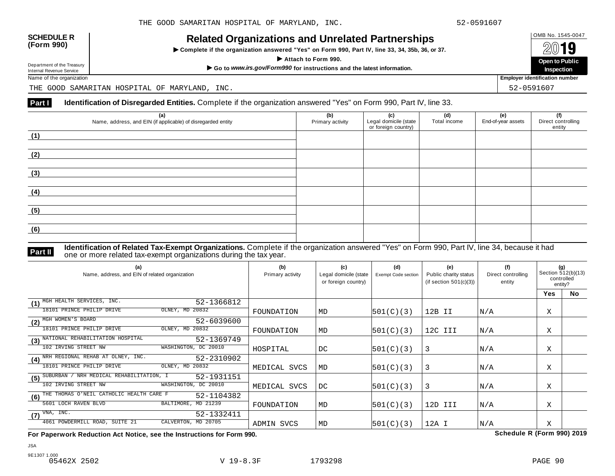| <b>SCHEDULE R</b> |  |
|-------------------|--|
| (Form 990)        |  |

INCIALCU OF GATIZATIONS AND ON CIALCUT AFTIC STIPS<br>► Complete if the organization answered "Yes" on Form 990, Part IV, line 33, 34, 35b, 36, or 37. △ △ △ △ △



Name of the organization **Employer identification number Employer identification number** 

THE GOOD SAMARITAN HOSPITAL OF MARYLAND, INC. SAMARYLAND SAMARY AND SAMARY SAMARY SAMARY SAMARY SAMARY SAMARY SAMARY SAMARY SAMARY SAMARY SAMARY SAMARY SAMARY SAMARY SAMARY SAMARY SAMARY SAMARY SAMARY SAMARY SAMARY SAMARY

### Part I Identification of Disregarded Entities. Complete if the organization answered "Yes" on Form 990, Part IV, line 33.

| (a)<br>Name, address, and EIN (if applicable) of disregarded entity | (b)<br>Primary activity | (c)<br>Legal domicile (state<br>or foreign country) | (d)<br>Total income | (e)<br>End-of-year assets | (f)<br>Direct controlling<br>entity |
|---------------------------------------------------------------------|-------------------------|-----------------------------------------------------|---------------------|---------------------------|-------------------------------------|
| (1)                                                                 |                         |                                                     |                     |                           |                                     |
| (2)                                                                 |                         |                                                     |                     |                           |                                     |
| (3)                                                                 |                         |                                                     |                     |                           |                                     |
| (4)                                                                 |                         |                                                     |                     |                           |                                     |
| (5)                                                                 |                         |                                                     |                     |                           |                                     |
| (6)                                                                 |                         |                                                     |                     |                           |                                     |

**Identification of Related Tax-Exempt Organizations.** Complete if the organization answered "Yes" on Form 990, Part IV, line 34, because it had **Part II** one or more related tax-exempt organizations during the tax year.

| (a)<br>Name, address, and EIN of related organization          | (b)<br>Primary activity | (c)<br>Legal domicile (state<br>or foreign country) | (d)<br>Exempt Code section | (e)<br>Public charity status<br>(if section $501(c)(3)$ ) | (f)<br>Direct controlling<br>entity | (g)<br>Section 512(b)(13)<br>controlled<br>entity? |    |
|----------------------------------------------------------------|-------------------------|-----------------------------------------------------|----------------------------|-----------------------------------------------------------|-------------------------------------|----------------------------------------------------|----|
|                                                                |                         |                                                     |                            |                                                           |                                     | Yes                                                | No |
| MGH HEALTH SERVICES, INC.<br>52-1366812<br>(1)                 |                         |                                                     |                            |                                                           |                                     |                                                    |    |
| OLNEY, MD 20832<br>18101 PRINCE PHILIP DRIVE                   | FOUNDATION              | MD                                                  | 501(C)(3)                  | 12B II                                                    | N/A                                 | Χ                                                  |    |
| MGH WOMEN'S BOARD<br>52-6039600<br>(2)                         |                         |                                                     |                            |                                                           |                                     |                                                    |    |
| OLNEY, MD 20832<br>18101 PRINCE PHILIP DRIVE                   | FOUNDATION              | MD                                                  | 501(C)(3)                  | 12C III                                                   | N/A                                 | Χ                                                  |    |
| NATIONAL REHABILITATION HOSPITAL<br>52-1369749<br>(3)          |                         |                                                     |                            |                                                           |                                     |                                                    |    |
| 102 IRVING STREET NW<br>WASHINGTON, DC 20010                   | HOSPITAL                | DC                                                  | 501(C)(3)                  | 3                                                         | N/A                                 | Χ                                                  |    |
| (4) NRH REGIONAL REHAB AT OLNEY, INC.<br>52-2310902            |                         |                                                     |                            |                                                           |                                     |                                                    |    |
| 18101 PRINCE PHILIP DRIVE<br>OLNEY, MD 20832                   | MEDICAL SVCS            | MD                                                  | 501(C)(3)                  | 3                                                         | N/A                                 | Χ                                                  |    |
| NRH MEDICAL REHABILITATION, I<br>SUBURBAN<br>52-1931151<br>(5) |                         |                                                     |                            |                                                           |                                     |                                                    |    |
| 102 IRVING STREET NW<br>WASHINGTON, DC 20010                   | MEDICAL SVCS            | DC                                                  | 501(C)(3)                  | 3                                                         | N/A                                 | Χ                                                  |    |
| THE THOMAS O'NEIL CATHOLIC HEALTH CARE F<br>52-1104382<br>(6)  |                         |                                                     |                            |                                                           |                                     |                                                    |    |
| BALTIMORE, MD 21239<br>5601 LOCH RAVEN BLVD                    | FOUNDATION              | MD                                                  | 501(C)(3)                  | 12D III                                                   | N/A                                 | X                                                  |    |
| VNA, INC.<br>52-1332411<br>(7)                                 |                         |                                                     |                            |                                                           |                                     |                                                    |    |
| 4061 POWDERMILL ROAD, SUITE 21<br>CALVERTON, MD 20705          | ADMIN SVCS              | MD                                                  | 501(C)(3)                  | $12A$ I                                                   | N/A                                 | Χ                                                  |    |

**For Paperwork Reduction Act Notice, see the Instructions for Form 990. Schedule R (Form 990) 2019**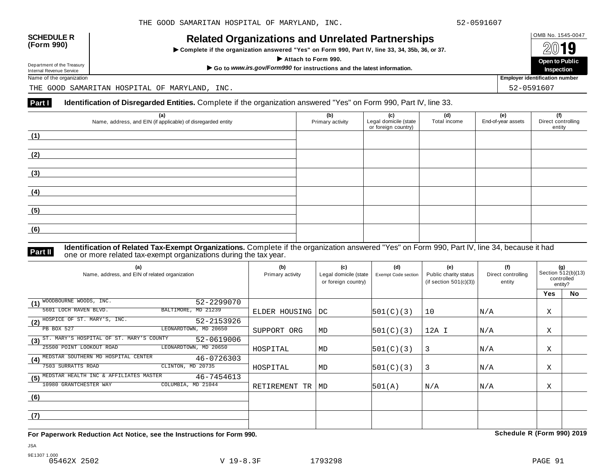| <b>SCHEDULE R</b> |  |
|-------------------|--|
| (Form 990)        |  |

INCIALCU OF GATIZATIONS AND ON CIALCUT AFTIC STIPS<br>► Complete if the organization answered "Yes" on Form 990, Part IV, line 33, 34, 35b, 36, or 37. △ △ △ △ △



Name of the organization **Employer identification number Employer identification number** 

THE GOOD SAMARITAN HOSPITAL OF MARYLAND, INC. SAMARYLAND SAMARY AND SAMARY SAMARY SAMARY SAMARY SAMARY SAMARY SAMARY SAMARY SAMARY SAMARY SAMARY SAMARY SAMARY SAMARY SAMARY SAMARY SAMARY SAMARY SAMARY SAMARY SAMARY SAMARY

### Part I Identification of Disregarded Entities. Complete if the organization answered "Yes" on Form 990, Part IV, line 33.

| (a)<br>Name, address, and EIN (if applicable) of disregarded entity | (b)<br>Primary activity | (c)<br>Legal domicile (state<br>or foreign country) | (d)<br>Total income | (e)<br>End-of-year assets | (f)<br>Direct controlling<br>entity |
|---------------------------------------------------------------------|-------------------------|-----------------------------------------------------|---------------------|---------------------------|-------------------------------------|
| (1)                                                                 |                         |                                                     |                     |                           |                                     |
| (2)                                                                 |                         |                                                     |                     |                           |                                     |
| (3)                                                                 |                         |                                                     |                     |                           |                                     |
| (4)                                                                 |                         |                                                     |                     |                           |                                     |
| (5)                                                                 |                         |                                                     |                     |                           |                                     |
| (6)                                                                 |                         |                                                     |                     |                           |                                     |

**Identification of Related Tax-Exempt Organizations.** Complete if the organization answered "Yes" on Form 990, Part IV, line 34, because it had **Part II** one or more related tax-exempt organizations during the tax year.

| (a)<br>Name, address, and EIN of related organization       | (b)<br>Primary activity | (c)<br>Legal domicile (state<br>or foreign country) | (d)<br><b>Exempt Code section</b> | (e)<br>Public charity status<br>(if section $501(c)(3)$ ) | (f)<br>Direct controlling<br>entity | (g)<br>Section 512(b)(13)<br>controlled<br>entity? |           |
|-------------------------------------------------------------|-------------------------|-----------------------------------------------------|-----------------------------------|-----------------------------------------------------------|-------------------------------------|----------------------------------------------------|-----------|
|                                                             |                         |                                                     |                                   |                                                           |                                     | Yes                                                | <b>No</b> |
| WOODBOURNE WOODS, INC.<br>52-2299070<br>(1)                 |                         |                                                     |                                   |                                                           |                                     |                                                    |           |
| 5601 LOCH RAVEN BLVD.<br>BALTIMORE, MD 21239                | ELDER HOUSING           | DC                                                  | 501(C)(3)                         | 10                                                        | N/A                                 | Χ                                                  |           |
| HOSPICE OF ST. MARY'S, INC.<br>52-2153926<br>(2)            |                         |                                                     |                                   |                                                           |                                     |                                                    |           |
| LEONARDTOWN, MD 20650<br><b>PB BOX 527</b>                  | SUPPORT ORG             | MD                                                  | 501(C)(3)                         | 12A I                                                     | N/A                                 | Χ                                                  |           |
| (3) ST. MARY'S HOSPITAL OF ST. MARY'S COUNTY<br>52-0619006  |                         |                                                     |                                   |                                                           |                                     |                                                    |           |
| LEONARDTOWN, MD 20650<br>25500 POINT LOOKOUT ROAD           | HOSPITAL                | MD                                                  | 501(C)(3)                         | 3                                                         | N/A                                 | Χ                                                  |           |
| MEDSTAR SOUTHERN MD HOSPITAL CENTER<br>46-0726303<br>(4)    |                         |                                                     |                                   |                                                           |                                     |                                                    |           |
| CLINTON, MD 20735<br>7503 SURRATTS ROAD                     | HOSPITAL                | MD                                                  | 501(C)(3)                         | 3                                                         | N/A                                 | Χ                                                  |           |
| MEDSTAR HEALTH INC & AFFILIATES MASTER<br>46-7454613<br>(5) |                         |                                                     |                                   |                                                           |                                     |                                                    |           |
| 10980 GRANTCHESTER WAY<br>COLUMBIA, MD 21044                | RETIREMENT TR           | MD                                                  | 501(A)                            | N/A                                                       | N/A                                 | Χ                                                  |           |
| (6)                                                         |                         |                                                     |                                   |                                                           |                                     |                                                    |           |
|                                                             |                         |                                                     |                                   |                                                           |                                     |                                                    |           |
| (7)                                                         |                         |                                                     |                                   |                                                           |                                     |                                                    |           |
|                                                             |                         |                                                     |                                   |                                                           |                                     |                                                    |           |

**For Paperwork Reduction Act Notice, see the Instructions for Form 990. Schedule R (Form 990) 2019**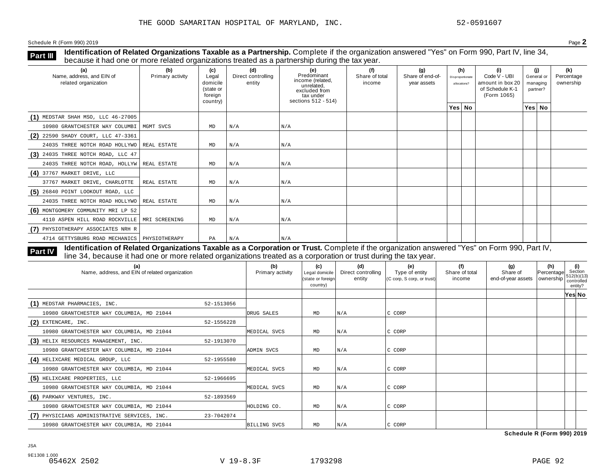**Identification of Related Organizations Taxable as a Partnership.** Complete if the organization answered "Yes" on Form 990, Part IV, line 34, **because it had one or more related organizations Taxable as a Partnership.** Complete if the organization of Related organizations treated as a partnership during the tax year.

| (a)<br>Name, address, and EIN of<br>related organization | (b)<br>Primary activity | (c)<br>Legal<br>domicile<br>(state or<br>foreign<br>country) | (d)<br>Direct controlling<br>entity | (e)<br>Predominant<br>income (related,<br>unrelated,<br>excluded from<br>tax under<br>sections 512 - 514) | (f)<br>Share of total<br>income | (g)<br>Share of end-of-<br>year assets | (h)<br>Disproportionate<br>allocations? | (i)<br>Code V - UBI<br>amount in box 20<br>of Schedule K-1<br>(Form 1065) | (j)<br>General or<br>managing<br>partner? | (k)<br>Percentage<br>ownership |
|----------------------------------------------------------|-------------------------|--------------------------------------------------------------|-------------------------------------|-----------------------------------------------------------------------------------------------------------|---------------------------------|----------------------------------------|-----------------------------------------|---------------------------------------------------------------------------|-------------------------------------------|--------------------------------|
|                                                          |                         |                                                              |                                     |                                                                                                           |                                 |                                        | Yes No                                  |                                                                           | Yes No                                    |                                |
| $(1)$ MEDSTAR SHAH MSO, LLC 46-27005                     |                         |                                                              |                                     |                                                                                                           |                                 |                                        |                                         |                                                                           |                                           |                                |
| 10980 GRANTCHESTER WAY COLUMBI                           | MGMT SVCS               | MD                                                           | N/A                                 | N/A                                                                                                       |                                 |                                        |                                         |                                                                           |                                           |                                |
| (2) 22590 SHADY COURT, LLC 47-3361                       |                         |                                                              |                                     |                                                                                                           |                                 |                                        |                                         |                                                                           |                                           |                                |
| 24035 THREE NOTCH ROAD HOLLYWO REAL ESTATE               |                         | MD                                                           | N/A                                 | N/A                                                                                                       |                                 |                                        |                                         |                                                                           |                                           |                                |
| $(3)$ 24035 THREE NOTCH ROAD, LLC 47                     |                         |                                                              |                                     |                                                                                                           |                                 |                                        |                                         |                                                                           |                                           |                                |
| 24035 THREE NOTCH ROAD, HOLLYW REAL ESTATE               |                         | MD                                                           | N/A                                 | N/A                                                                                                       |                                 |                                        |                                         |                                                                           |                                           |                                |
| $(4)$ 37767 MARKET DRIVE, LLC                            |                         |                                                              |                                     |                                                                                                           |                                 |                                        |                                         |                                                                           |                                           |                                |
| 37767 MARKET DRIVE, CHARLOTTE                            | REAL ESTATE             | MD                                                           | N/A                                 | N/A                                                                                                       |                                 |                                        |                                         |                                                                           |                                           |                                |
| $(5)$ 26840 POINT LOOKOUT ROAD, LLC                      |                         |                                                              |                                     |                                                                                                           |                                 |                                        |                                         |                                                                           |                                           |                                |
| 24035 THREE NOTCH ROAD HOLLYWO REAL ESTATE               |                         | MD                                                           | N/A                                 | N/A                                                                                                       |                                 |                                        |                                         |                                                                           |                                           |                                |
| (6) MONTGOMERY COMMUNITY MRI LP 52                       |                         |                                                              |                                     |                                                                                                           |                                 |                                        |                                         |                                                                           |                                           |                                |
| 4110 ASPEN HILL ROAD ROCKVILLE   MRI SCREENING           |                         | MD                                                           | N/A                                 | N/A                                                                                                       |                                 |                                        |                                         |                                                                           |                                           |                                |
| (7) PHYSIOTHERAPY ASSOCIATES NRH R                       |                         |                                                              |                                     |                                                                                                           |                                 |                                        |                                         |                                                                           |                                           |                                |
| 4714 GETTYSBURG ROAD MECHANICS   PHYSIOTHERAPY           |                         | PA                                                           | N/A                                 | N/A                                                                                                       |                                 |                                        |                                         |                                                                           |                                           |                                |

**Identification of Related Organizations Taxable as a Corporation or Trust.** Complete if the organization answered "Yes" on Form 990, Part IV, **Part IV** dentification or Related Organizations Taxable as a Corporation or Trust. Complete if the organization answer line 34, because it had one or more related organizations treated as a corporation or trust during the

| (a)<br>Name, address, and EIN of related organization |            | (b)<br>Primary activity | (c)<br>Legal domicile<br>(state or foreign<br>country) | (d)<br>Direct controlling<br>entity | (e)<br>Type of entity<br>(C corp, S corp, or trust) | (f)<br>Share of total<br>income | (g)<br>Share of<br>end-of-year assets | (h)<br>Percentage<br>ownership | (i)<br>Section<br>1512(b)(13)<br>controlled<br>entity? |  |
|-------------------------------------------------------|------------|-------------------------|--------------------------------------------------------|-------------------------------------|-----------------------------------------------------|---------------------------------|---------------------------------------|--------------------------------|--------------------------------------------------------|--|
|                                                       |            |                         |                                                        |                                     |                                                     |                                 |                                       |                                | Yes∣ No                                                |  |
| (1) MEDSTAR PHARMACIES, INC.                          | 52-1513056 |                         |                                                        |                                     |                                                     |                                 |                                       |                                |                                                        |  |
| 10980 GRANTCHESTER WAY COLUMBIA, MD 21044             |            | DRUG SALES              | MD                                                     | N/A                                 | C CORP                                              |                                 |                                       |                                |                                                        |  |
| $(2)$ EXTENCARE, INC.                                 | 52-1556228 |                         |                                                        |                                     |                                                     |                                 |                                       |                                |                                                        |  |
| 10980 GRANTCHESTER WAY COLUMBIA, MD 21044             |            | MEDICAL SVCS            | MD                                                     | N/A                                 | C CORP                                              |                                 |                                       |                                |                                                        |  |
| (3) HELIX RESOURCES MANAGEMENT, INC.                  | 52-1913070 |                         |                                                        |                                     |                                                     |                                 |                                       |                                |                                                        |  |
| 10980 GRANTCHESTER WAY COLUMBIA, MD 21044             |            | ADMIN SVCS              | MD                                                     | N/A                                 | C CORP                                              |                                 |                                       |                                |                                                        |  |
| (4) HELIXCARE MEDICAL GROUP, LLC                      | 52-1955580 |                         |                                                        |                                     |                                                     |                                 |                                       |                                |                                                        |  |
| 10980 GRANTCHESTER WAY COLUMBIA, MD 21044             |            | MEDICAL SVCS            | MD                                                     | N/A                                 | C CORP                                              |                                 |                                       |                                |                                                        |  |
| (5) HELIXCARE PROPERTIES, LLC                         | 52-1966695 |                         |                                                        |                                     |                                                     |                                 |                                       |                                |                                                        |  |
| 10980 GRANTCHESTER WAY COLUMBIA, MD 21044             |            | MEDICAL SVCS            | MD                                                     | N/A                                 | C CORP                                              |                                 |                                       |                                |                                                        |  |
| (6) PARKWAY VENTURES, INC.                            | 52-1893569 |                         |                                                        |                                     |                                                     |                                 |                                       |                                |                                                        |  |
| 10980 GRANTCHESTER WAY COLUMBIA, MD 21044             |            | HOLDING CO.             | MD                                                     | N/A                                 | C CORP                                              |                                 |                                       |                                |                                                        |  |
| (7) PHYSICIANS ADMINISTRATIVE SERVICES, INC.          | 23-7042074 |                         |                                                        |                                     |                                                     |                                 |                                       |                                |                                                        |  |
| 10980 GRANTCHESTER WAY COLUMBIA, MD 21044             |            | BILLING SVCS            | MD                                                     | N/A                                 | C CORP                                              |                                 |                                       |                                |                                                        |  |

**Schedule R (Form 990) 2019**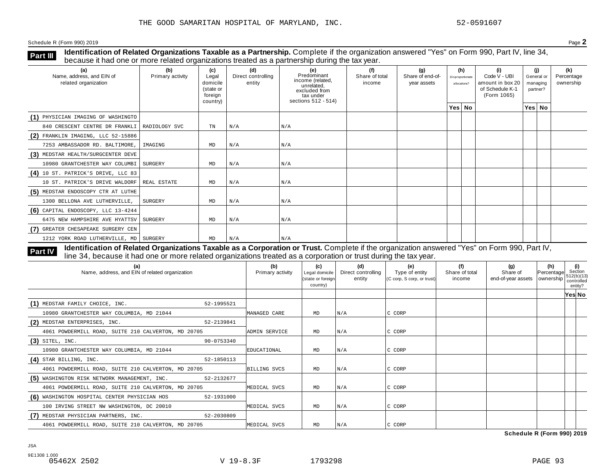**Identification of Related Organizations Taxable as a Partnership.** Complete if the organization answered "Yes" on Form 990, Part IV, line 34, **because it had one or more related organizations Taxable as a Partnership.** Complete if the organization of Related organizations treated as a partnership during the tax year.

| (a)<br>Name, address, and EIN of<br>related organization | (b)<br>Primary activity | (c)<br>Legal<br>domicile<br>(state or<br>foreign<br>country) | (d)<br>Direct controlling<br>entity | (e)<br>Predominant<br>income (related,<br>unrelated,<br>excluded from<br>tax under<br>sections 512 - 514) | (f)<br>Share of total<br>income | (g)<br>Share of end-of-<br>year assets | (h)<br>Disproportionate<br>allocations? | (i)<br>Code V - UBI<br>amount in box 20<br>of Schedule K-1<br>(Form 1065) | (i)<br>General or<br>managing<br>partner? | (k)<br>Percentage<br>ownership |
|----------------------------------------------------------|-------------------------|--------------------------------------------------------------|-------------------------------------|-----------------------------------------------------------------------------------------------------------|---------------------------------|----------------------------------------|-----------------------------------------|---------------------------------------------------------------------------|-------------------------------------------|--------------------------------|
|                                                          |                         |                                                              |                                     |                                                                                                           |                                 |                                        | Yes No                                  |                                                                           | Yes No                                    |                                |
| (1) PHYSICIAN IMAGING OF WASHINGTO                       |                         |                                                              |                                     |                                                                                                           |                                 |                                        |                                         |                                                                           |                                           |                                |
| 840 CRESCENT CENTRE DR FRANKLI   RADIOLOGY SVC           |                         | TN                                                           | N/A                                 | N/A                                                                                                       |                                 |                                        |                                         |                                                                           |                                           |                                |
| $(2)$ FRANKLIN IMAGING, LLC 52-15886                     |                         |                                                              |                                     |                                                                                                           |                                 |                                        |                                         |                                                                           |                                           |                                |
| 7253 AMBASSADOR RD. BALTIMORE,                           | IMAGING                 | MD                                                           | N/A                                 | N/A                                                                                                       |                                 |                                        |                                         |                                                                           |                                           |                                |
| (3) MEDSTAR HEALTH/SURGCENTER DEVE                       |                         |                                                              |                                     |                                                                                                           |                                 |                                        |                                         |                                                                           |                                           |                                |
| 10980 GRANTCHESTER WAY COLUMBI SURGERY                   |                         | MD                                                           | N/A                                 | N/A                                                                                                       |                                 |                                        |                                         |                                                                           |                                           |                                |
| $(4)$ 10 ST. PATRICK'S DRIVE, LLC 83                     |                         |                                                              |                                     |                                                                                                           |                                 |                                        |                                         |                                                                           |                                           |                                |
| 10 ST. PATRICK'S DRIVE WALDORF REAL ESTATE               |                         | MD                                                           | N/A                                 | N/A                                                                                                       |                                 |                                        |                                         |                                                                           |                                           |                                |
| (5) MEDSTAR ENDOSCOPY CTR AT LUTHE                       |                         |                                                              |                                     |                                                                                                           |                                 |                                        |                                         |                                                                           |                                           |                                |
| 1300 BELLONA AVE LUTHERVILLE,                            | SURGERY                 | MD                                                           | N/A                                 | N/A                                                                                                       |                                 |                                        |                                         |                                                                           |                                           |                                |
| $(6)$ CAPITAL ENDOSCOPY, LLC 13-4244                     |                         |                                                              |                                     |                                                                                                           |                                 |                                        |                                         |                                                                           |                                           |                                |
| 6475 NEW HAMPSHIRE AVE HYATTSV SURGERY                   |                         | MD                                                           | N/A                                 | N/A                                                                                                       |                                 |                                        |                                         |                                                                           |                                           |                                |
| (7) GREATER CHESAPEAKE SURGERY CEN                       |                         |                                                              |                                     |                                                                                                           |                                 |                                        |                                         |                                                                           |                                           |                                |
| 1212 YORK ROAD LUTHERVILLE, MD   SURGERY                 |                         | MD                                                           | N/A                                 | N/A                                                                                                       |                                 |                                        |                                         |                                                                           |                                           |                                |

**Identification of Related Organizations Taxable as a Corporation or Trust.** Complete if the organization answered "Yes" on Form 990, Part IV, **Part IV** dentification or Related Organizations Taxable as a Corporation or Trust. Complete if the organization answer line 34, because it had one or more related organizations treated as a corporation or trust during the

| (a)<br>Name, address, and EIN of related organization      | (b)<br>Primary activity | (c)<br>Legal domicile<br>(state or foreign<br>country) | (d)<br>Direct controlling<br>entity | (e)<br>Type of entity<br>(C corp, S corp, or trust) | (f)<br>Share of total<br>income | (g)<br>Share of<br>end-of-year assets   ownership | (h)<br>Percentage | (i)<br>Section<br>512(b)(13)<br>controlled<br>entity? |  |
|------------------------------------------------------------|-------------------------|--------------------------------------------------------|-------------------------------------|-----------------------------------------------------|---------------------------------|---------------------------------------------------|-------------------|-------------------------------------------------------|--|
|                                                            |                         |                                                        |                                     |                                                     |                                 |                                                   |                   | Yes∣ No                                               |  |
| (1) MEDSTAR FAMILY CHOICE, INC.<br>52-1995521              |                         |                                                        |                                     |                                                     |                                 |                                                   |                   |                                                       |  |
| 10980 GRANTCHESTER WAY COLUMBIA, MD 21044                  | MANAGED CARE            | MD                                                     | N/A                                 | C CORP                                              |                                 |                                                   |                   |                                                       |  |
| (2) MEDSTAR ENTERPRISES, INC.<br>52-2139841                |                         |                                                        |                                     |                                                     |                                 |                                                   |                   |                                                       |  |
| 4061 POWDERMILL ROAD, SUITE 210 CALVERTON, MD 20705        | ADMIN SERVICE           | MD                                                     | N/A                                 | C CORP                                              |                                 |                                                   |                   |                                                       |  |
| $(3)$ SITEL, INC.<br>90-0753340                            |                         |                                                        |                                     |                                                     |                                 |                                                   |                   |                                                       |  |
| 10980 GRANTCHESTER WAY COLUMBIA, MD 21044                  | EDUCATIONAL             | MD                                                     | N/A                                 | C CORP                                              |                                 |                                                   |                   |                                                       |  |
| (4) STAR BILLING, INC.<br>52-1850113                       |                         |                                                        |                                     |                                                     |                                 |                                                   |                   |                                                       |  |
| 4061 POWDERMILL ROAD, SUITE 210 CALVERTON, MD 20705        | <b>BILLING SVCS</b>     | MD                                                     | N/A                                 | C CORP                                              |                                 |                                                   |                   |                                                       |  |
| (5) WASHINGTON RISK NETWORK MANAGEMENT, INC.<br>52-2132677 |                         |                                                        |                                     |                                                     |                                 |                                                   |                   |                                                       |  |
| 4061 POWDERMILL ROAD, SUITE 210 CALVERTON, MD 20705        | MEDICAL SVCS            | MD                                                     | N/A                                 | C CORP                                              |                                 |                                                   |                   |                                                       |  |
| (6) WASHINGTON HOSPITAL CENTER PHYSICIAN HOS<br>52-1931000 |                         |                                                        |                                     |                                                     |                                 |                                                   |                   |                                                       |  |
| 100 IRVING STREET NW WASHINGTON, DC 20010                  | MEDICAL SVCS            | MD                                                     | N/A                                 | C CORP                                              |                                 |                                                   |                   |                                                       |  |
| (7) MEDSTAR PHYSICIAN PARTNERS, INC.<br>52-2030809         |                         |                                                        |                                     |                                                     |                                 |                                                   |                   |                                                       |  |
| 4061 POWDERMILL ROAD, SUITE 210 CALVERTON, MD 20705        | MEDICAL SVCS            | MD                                                     | N/A                                 | C CORP                                              |                                 |                                                   |                   |                                                       |  |

**Schedule R (Form 990) 2019**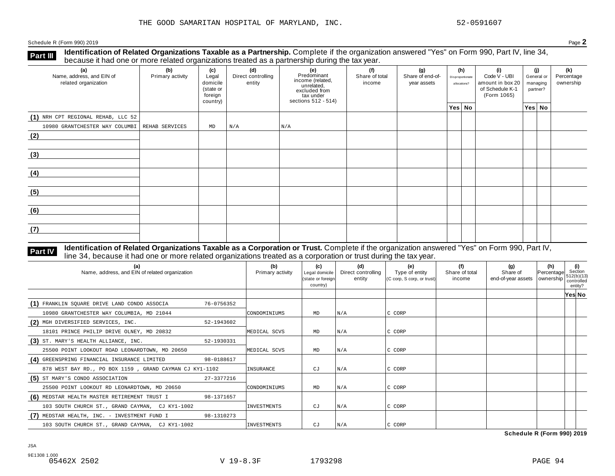**Identification of Related Organizations Taxable as a Partnership.** Complete if the organization answered "Yes" on Form 990, Part IV, line 34, **because it had one or more related organizations Taxable as a Partnership.** Complete if the organization of Related organizations treated as a partnership during the tax year.

| (a)<br>Name, address, and EIN of<br>related organization | ◡<br>(b)<br>Primary activity | (c)<br>Legal<br>domicile<br>(state or<br>foreign<br>country) | (d)<br>Direct controlling<br>entity | ັ<br>(e)<br>Predominant<br>income (related,<br>unrelated,<br>excluded from<br>$\frac{3}{10}$ tax under<br>sections 512 - 514) | (f)<br>Share of total<br>income | (g)<br>Share of end-of-<br>year assets | (h)<br>Disproportionate<br>allocations? | (i)<br>Code V - UBI<br>amount in box 20<br>of Schedule K-1<br>(Form 1065) | (i)<br>General or<br>managing<br>partner? | (k)<br>Percentage<br>ownership |
|----------------------------------------------------------|------------------------------|--------------------------------------------------------------|-------------------------------------|-------------------------------------------------------------------------------------------------------------------------------|---------------------------------|----------------------------------------|-----------------------------------------|---------------------------------------------------------------------------|-------------------------------------------|--------------------------------|
|                                                          |                              |                                                              |                                     |                                                                                                                               |                                 |                                        | Yes No                                  |                                                                           | Yes No                                    |                                |
| (1) NRH CPT REGIONAL REHAB, LLC 52                       |                              |                                                              |                                     |                                                                                                                               |                                 |                                        |                                         |                                                                           |                                           |                                |
| 10980 GRANTCHESTER WAY COLUMBI REHAB SERVICES            |                              | $\mathop{\rm MD}\nolimits$                                   | N/A                                 | N/A                                                                                                                           |                                 |                                        |                                         |                                                                           |                                           |                                |
| (2)                                                      |                              |                                                              |                                     |                                                                                                                               |                                 |                                        |                                         |                                                                           |                                           |                                |
| (3)                                                      |                              |                                                              |                                     |                                                                                                                               |                                 |                                        |                                         |                                                                           |                                           |                                |
| (4)                                                      |                              |                                                              |                                     |                                                                                                                               |                                 |                                        |                                         |                                                                           |                                           |                                |
| (5)                                                      |                              |                                                              |                                     |                                                                                                                               |                                 |                                        |                                         |                                                                           |                                           |                                |
| (6)                                                      |                              |                                                              |                                     |                                                                                                                               |                                 |                                        |                                         |                                                                           |                                           |                                |
| (7)                                                      |                              |                                                              |                                     |                                                                                                                               |                                 |                                        |                                         |                                                                           |                                           |                                |

### Identification of Related Organizations Taxable as a Corporation or Trust. Complete if the organization answered "Yes" on Form 990, Part IV, **Part IV** Identification of Related Organizations Taxable as a Corporation or Trust. Complete if the organization ansignation control during the tax year.

| (a)<br>Name, address, and EIN of related organization   |            | (b)<br>Primary activity | (c)<br>Legal domicile<br>(state or foreign<br>country) | (d)<br>Direct controlling<br>entity | (e)<br>Type of entity<br>(C corp, S corp, or trust) | (f)<br>Share of total<br>income | (g)<br>Share of<br>end-of-year assets   ownership | (h)<br>Percentage | (i)<br>Section<br>512(b)(13)<br>controlled<br>entity? |  |
|---------------------------------------------------------|------------|-------------------------|--------------------------------------------------------|-------------------------------------|-----------------------------------------------------|---------------------------------|---------------------------------------------------|-------------------|-------------------------------------------------------|--|
|                                                         |            |                         |                                                        |                                     |                                                     |                                 |                                                   |                   | Yes∣ No                                               |  |
| (1) FRANKLIN SQUARE DRIVE LAND CONDO ASSOCIA            | 76-0756352 |                         |                                                        |                                     |                                                     |                                 |                                                   |                   |                                                       |  |
| 10980 GRANTCHESTER WAY COLUMBIA, MD 21044               |            | CONDOMINIUMS            | MD                                                     | N/A                                 | C CORP                                              |                                 |                                                   |                   |                                                       |  |
| (2) MGH DIVERSIFIED SERVICES, INC.                      | 52-1943602 |                         |                                                        |                                     |                                                     |                                 |                                                   |                   |                                                       |  |
| 18101 PRINCE PHILIP DRIVE OLNEY, MD 20832               |            | MEDICAL SCVS            | MD                                                     | N/A                                 | C CORP                                              |                                 |                                                   |                   |                                                       |  |
| (3) ST. MARY'S HEALTH ALLIANCE, INC.                    | 52-1930331 |                         |                                                        |                                     |                                                     |                                 |                                                   |                   |                                                       |  |
| 25500 POINT LOOKOUT ROAD LEONARDTOWN, MD 20650          |            | MEDICAL SCVS            | MD                                                     | N/A                                 | C CORP                                              |                                 |                                                   |                   |                                                       |  |
| (4) GREENSPRING FINANCIAL INSURANCE LIMITED             | 98-0188617 |                         |                                                        |                                     |                                                     |                                 |                                                   |                   |                                                       |  |
| 878 WEST BAY RD., PO BOX 1159, GRAND CAYMAN CJ KY1-1102 |            | INSURANCE               | CJ                                                     | N/A                                 | C CORP                                              |                                 |                                                   |                   |                                                       |  |
| (5) ST MARY'S CONDO ASSOCIATION                         | 27-3377216 |                         |                                                        |                                     |                                                     |                                 |                                                   |                   |                                                       |  |
| 25500 POINT LOOKOUT RD LEONARDTOWN, MD 20650            |            | CONDOMINIUMS            | MD                                                     | N/A                                 | C CORP                                              |                                 |                                                   |                   |                                                       |  |
| (6) MEDSTAR HEALTH MASTER RETIREMENT TRUST I            | 98-1371657 |                         |                                                        |                                     |                                                     |                                 |                                                   |                   |                                                       |  |
| 103 SOUTH CHURCH ST., GRAND CAYMAN, CJ KY1-1002         |            | <b>INVESTMENTS</b>      | CJ                                                     | N/A                                 | C CORP                                              |                                 |                                                   |                   |                                                       |  |
| (7) MEDSTAR HEALTH, INC. - INVESTMENT FUND I            | 98-1310273 |                         |                                                        |                                     |                                                     |                                 |                                                   |                   |                                                       |  |
| 103 SOUTH CHURCH ST., GRAND CAYMAN, CJ KY1-1002         |            | INVESTMENTS             | СJ                                                     | N/A                                 | C CORP                                              |                                 |                                                   |                   |                                                       |  |

**Schedule R (Form 990) 2019**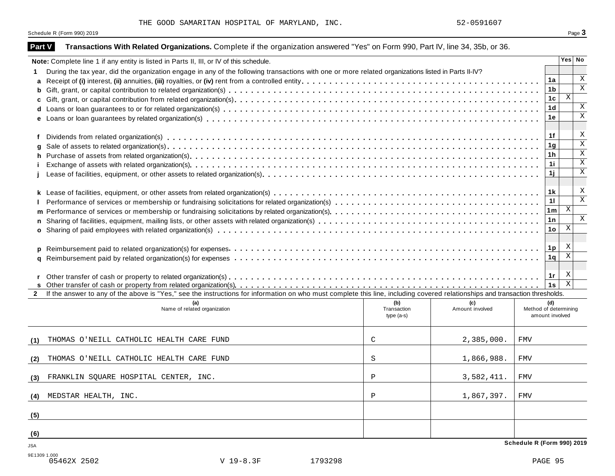THE GOOD SAMARITAN HOSPITAL OF MARYLAND, INC. 52-0591607

|               | Schedule R (Form 990) 2019                                                                                                                                                   |                            |                 |                            |                 | Page 3                    |
|---------------|------------------------------------------------------------------------------------------------------------------------------------------------------------------------------|----------------------------|-----------------|----------------------------|-----------------|---------------------------|
| <b>Part V</b> | Transactions With Related Organizations. Complete if the organization answered "Yes" on Form 990, Part IV, line 34, 35b, or 36.                                              |                            |                 |                            |                 |                           |
|               | Note: Complete line 1 if any entity is listed in Parts II, III, or IV of this schedule.                                                                                      |                            |                 |                            |                 | Yes No                    |
| 1.            | During the tax year, did the organization engage in any of the following transactions with one or more related organizations listed in Parts II-IV?                          |                            |                 |                            |                 |                           |
| a             |                                                                                                                                                                              |                            |                 |                            | 1a              | Χ                         |
| b             |                                                                                                                                                                              |                            |                 |                            | 1 <sub>b</sub>  | $\mathbf X$               |
| C             |                                                                                                                                                                              |                            |                 |                            | 1c              | $\mathbf X$               |
|               |                                                                                                                                                                              |                            |                 |                            | 1 <sub>d</sub>  | X                         |
|               |                                                                                                                                                                              |                            |                 |                            | 1e              | Χ                         |
| f             |                                                                                                                                                                              |                            |                 |                            | 1f              | X                         |
| q             |                                                                                                                                                                              |                            |                 |                            | 1g              | $\mathbf X$               |
| h             |                                                                                                                                                                              |                            |                 |                            | 1h              | Χ                         |
|               |                                                                                                                                                                              |                            |                 |                            | 11              | $\mathbf X$               |
|               |                                                                                                                                                                              |                            |                 |                            | 1j              | Χ                         |
|               |                                                                                                                                                                              |                            |                 |                            | 1 k             | X                         |
|               |                                                                                                                                                                              |                            |                 |                            | 11              | $\overline{\mathbf{x}}$   |
|               |                                                                                                                                                                              |                            |                 |                            | 1m              | X                         |
| n             |                                                                                                                                                                              |                            |                 |                            | 1n              | X                         |
|               |                                                                                                                                                                              |                            |                 |                            | 1o              | Χ                         |
|               |                                                                                                                                                                              |                            |                 |                            |                 |                           |
| D             |                                                                                                                                                                              |                            |                 |                            | 1 <sub>p</sub>  | Χ                         |
| a             |                                                                                                                                                                              |                            |                 |                            | 1q              | $\boldsymbol{\mathrm{X}}$ |
|               |                                                                                                                                                                              |                            |                 |                            |                 | X                         |
|               |                                                                                                                                                                              |                            |                 |                            | 1r<br>1s        | $\boldsymbol{\mathrm{X}}$ |
| $\mathbf{2}$  | If the answer to any of the above is "Yes," see the instructions for information on who must complete this line, including covered relationships and transaction thresholds. |                            |                 |                            |                 |                           |
|               | (a)                                                                                                                                                                          | (b)                        | (c)             |                            | (d)             |                           |
|               | Name of related organization                                                                                                                                                 | Transaction<br>$type(a-s)$ | Amount involved | Method of determining      | amount involved |                           |
| (1)           | THOMAS O'NEILL CATHOLIC HEALTH CARE FUND                                                                                                                                     | C                          | 2,385,000.      | FMV                        |                 |                           |
| (2)           | THOMAS O'NEILL CATHOLIC HEALTH CARE FUND                                                                                                                                     | S                          | 1,866,988.      | FMV                        |                 |                           |
| (3)           | FRANKLIN SQUARE HOSPITAL CENTER, INC.                                                                                                                                        | Ρ                          | 3,582,411.      | FMV                        |                 |                           |
| (4)           | MEDSTAR HEALTH, INC.                                                                                                                                                         | Ρ                          | 1,867,397.      | FMV                        |                 |                           |
| (5)           |                                                                                                                                                                              |                            |                 |                            |                 |                           |
| (6)           |                                                                                                                                                                              |                            |                 |                            |                 |                           |
| <b>JSA</b>    |                                                                                                                                                                              |                            |                 | Schedule R (Form 990) 2019 |                 |                           |
| 9E1309 1.000  | 05462X 2502<br>V 19-8.3F<br>1793298                                                                                                                                          |                            |                 |                            | PAGE 95         |                           |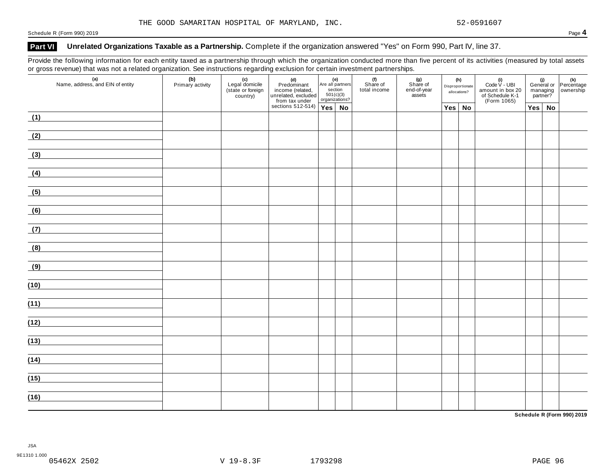### Part VI Unrelated Organizations Taxable as a Partnership. Complete if the organization answered "Yes" on Form 990, Part IV, line 37.

Provide the following information for each entity taxed as a partnership through which the organization conducted more than five percent of its activities (measured by total assets or gross revenue) that was not a related organization. See instructions regarding exclusion for certain investment partnerships.

| ັ<br>$\mathcal{L}$<br>(a)<br>Name, address, and EIN of entity | ≚<br>(b)<br>Primary activity | ັ<br>(c)<br>Legal domicile<br>(state or foreign<br>country) | ັ<br>$\begin{tabular}{ c c } \hline & \textbf{(d)} & \textbf{(e)} \\ \hline \textbf{Predominant} & \textbf{Are all par} \\ \textbf{uncrelated, excluded} & \textbf{soct} \\ \textbf{unrelated, excluded} & \textbf{soct}(\textbf{c}) \\ \textbf{feotions 512-514)} & \textbf{Yes} \\ \hline \end{tabular}$ | Are all partners<br>section<br>501(c)(3)<br>organizations? |    | (f)<br>Share of<br>total income | . .<br>(g)<br>Share of<br>end-of-year<br>assets | (h)<br>Disproportionate<br>allocations? |               | (i)<br>Code $V - UBI$<br>amount in box 20<br>of Schedule K-1<br>(Form 1065) | managing<br>partner? |               | (i)<br>General or Percentage<br>managing ownership |
|---------------------------------------------------------------|------------------------------|-------------------------------------------------------------|------------------------------------------------------------------------------------------------------------------------------------------------------------------------------------------------------------------------------------------------------------------------------------------------------------|------------------------------------------------------------|----|---------------------------------|-------------------------------------------------|-----------------------------------------|---------------|-----------------------------------------------------------------------------|----------------------|---------------|----------------------------------------------------|
|                                                               |                              |                                                             |                                                                                                                                                                                                                                                                                                            |                                                            | No |                                 |                                                 |                                         | $Yes \mid No$ |                                                                             |                      | $Yes \mid No$ |                                                    |
| (1)                                                           |                              |                                                             |                                                                                                                                                                                                                                                                                                            |                                                            |    |                                 |                                                 |                                         |               |                                                                             |                      |               |                                                    |
| (2)                                                           |                              |                                                             |                                                                                                                                                                                                                                                                                                            |                                                            |    |                                 |                                                 |                                         |               |                                                                             |                      |               |                                                    |
| (3)                                                           |                              |                                                             |                                                                                                                                                                                                                                                                                                            |                                                            |    |                                 |                                                 |                                         |               |                                                                             |                      |               |                                                    |
| (4)                                                           |                              |                                                             |                                                                                                                                                                                                                                                                                                            |                                                            |    |                                 |                                                 |                                         |               |                                                                             |                      |               |                                                    |
| (5)                                                           |                              |                                                             |                                                                                                                                                                                                                                                                                                            |                                                            |    |                                 |                                                 |                                         |               |                                                                             |                      |               |                                                    |
| (6)                                                           |                              |                                                             |                                                                                                                                                                                                                                                                                                            |                                                            |    |                                 |                                                 |                                         |               |                                                                             |                      |               |                                                    |
| (7)                                                           |                              |                                                             |                                                                                                                                                                                                                                                                                                            |                                                            |    |                                 |                                                 |                                         |               |                                                                             |                      |               |                                                    |
| (8)                                                           |                              |                                                             |                                                                                                                                                                                                                                                                                                            |                                                            |    |                                 |                                                 |                                         |               |                                                                             |                      |               |                                                    |
| (9)                                                           |                              |                                                             |                                                                                                                                                                                                                                                                                                            |                                                            |    |                                 |                                                 |                                         |               |                                                                             |                      |               |                                                    |
| (10)                                                          |                              |                                                             |                                                                                                                                                                                                                                                                                                            |                                                            |    |                                 |                                                 |                                         |               |                                                                             |                      |               |                                                    |
| (11)                                                          |                              |                                                             |                                                                                                                                                                                                                                                                                                            |                                                            |    |                                 |                                                 |                                         |               |                                                                             |                      |               |                                                    |
| (12)<br><u> 1989 - John Stein, mars and de Brande</u>         |                              |                                                             |                                                                                                                                                                                                                                                                                                            |                                                            |    |                                 |                                                 |                                         |               |                                                                             |                      |               |                                                    |
| (13)                                                          |                              |                                                             |                                                                                                                                                                                                                                                                                                            |                                                            |    |                                 |                                                 |                                         |               |                                                                             |                      |               |                                                    |
| (14)                                                          |                              |                                                             |                                                                                                                                                                                                                                                                                                            |                                                            |    |                                 |                                                 |                                         |               |                                                                             |                      |               |                                                    |
| (15)                                                          |                              |                                                             |                                                                                                                                                                                                                                                                                                            |                                                            |    |                                 |                                                 |                                         |               |                                                                             |                      |               |                                                    |
|                                                               |                              |                                                             |                                                                                                                                                                                                                                                                                                            |                                                            |    |                                 |                                                 |                                         |               |                                                                             |                      |               |                                                    |
| (16)                                                          |                              |                                                             |                                                                                                                                                                                                                                                                                                            |                                                            |    |                                 |                                                 |                                         |               |                                                                             |                      |               |                                                    |

**Schedule R (Form 990) 2019**